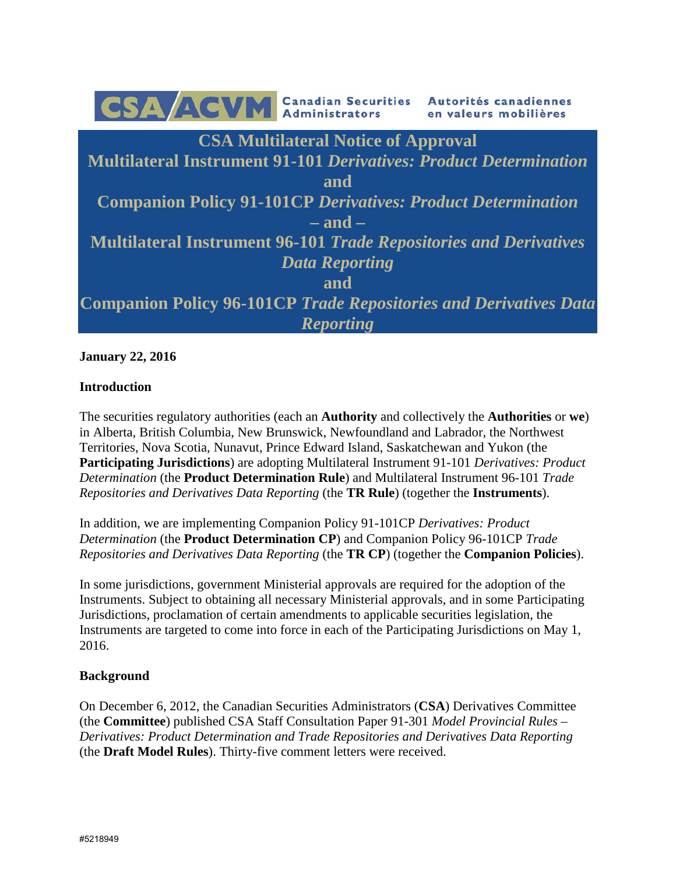

# **January 22, 2016**

### **Introduction**

The securities regulatory authorities (each an **Authority** and collectively the **Authorities** or **we**) in Alberta, British Columbia, New Brunswick, Newfoundland and Labrador, the Northwest Territories, Nova Scotia, Nunavut, Prince Edward Island, Saskatchewan and Yukon (the **Participating Jurisdictions**) are adopting Multilateral Instrument 91-101 *Derivatives: Product Determination* (the **Product Determination Rule**) and Multilateral Instrument 96-101 *Trade Repositories and Derivatives Data Reporting* (the **TR Rule**) (together the **Instruments**).

In addition, we are implementing Companion Policy 91-101CP *Derivatives: Product Determination* (the **Product Determination CP**) and Companion Policy 96-101CP *Trade Repositories and Derivatives Data Reporting* (the **TR CP**) (together the **Companion Policies**).

In some jurisdictions, government Ministerial approvals are required for the adoption of the Instruments. Subject to obtaining all necessary Ministerial approvals, and in some Participating Jurisdictions, proclamation of certain amendments to applicable securities legislation, the Instruments are targeted to come into force in each of the Participating Jurisdictions on May 1, 2016.

## **Background**

On December 6, 2012, the Canadian Securities Administrators (**CSA**) Derivatives Committee (the **Committee**) published CSA Staff Consultation Paper 91-301 *Model Provincial Rules – Derivatives: Product Determination and Trade Repositories and Derivatives Data Reporting* (the **Draft Model Rules**). Thirty-five comment letters were received.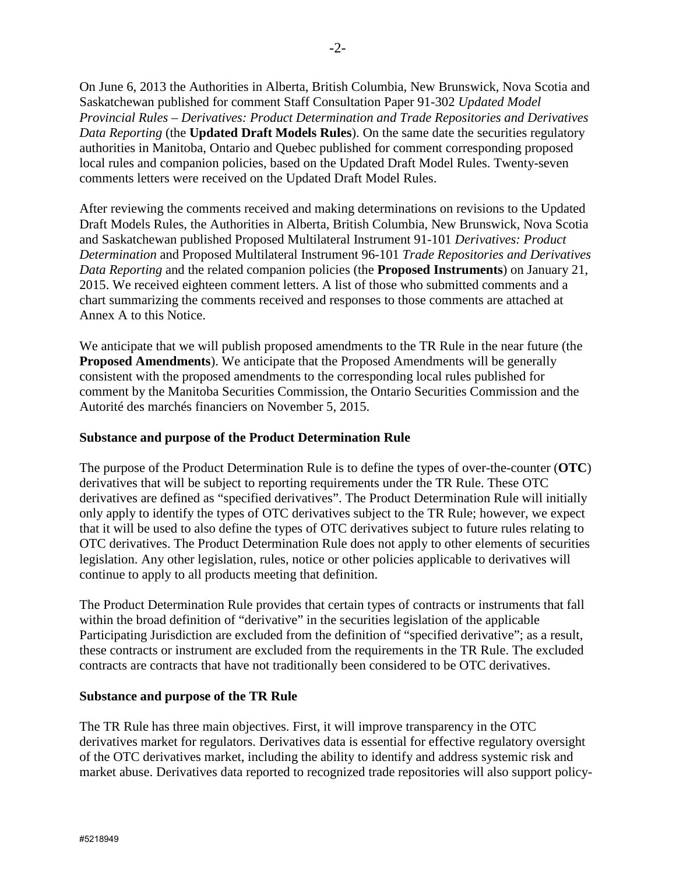On June 6, 2013 the Authorities in Alberta, British Columbia, New Brunswick, Nova Scotia and Saskatchewan published for comment Staff Consultation Paper 91-302 *Updated Model Provincial Rules – Derivatives: Product Determination and Trade Repositories and Derivatives Data Reporting* (the **Updated Draft Models Rules**). On the same date the securities regulatory authorities in Manitoba, Ontario and Quebec published for comment corresponding proposed local rules and companion policies, based on the Updated Draft Model Rules. Twenty-seven comments letters were received on the Updated Draft Model Rules.

After reviewing the comments received and making determinations on revisions to the Updated Draft Models Rules, the Authorities in Alberta, British Columbia, New Brunswick, Nova Scotia and Saskatchewan published Proposed Multilateral Instrument 91-101 *Derivatives: Product Determination* and Proposed Multilateral Instrument 96-101 *Trade Repositories and Derivatives Data Reporting* and the related companion policies (the **Proposed Instruments**) on January 21, 2015. We received eighteen comment letters. A list of those who submitted comments and a chart summarizing the comments received and responses to those comments are attached at Annex A to this Notice.

We anticipate that we will publish proposed amendments to the TR Rule in the near future (the **Proposed Amendments**). We anticipate that the Proposed Amendments will be generally consistent with the proposed amendments to the corresponding local rules published for comment by the Manitoba Securities Commission, the Ontario Securities Commission and the Autorité des marchés financiers on November 5, 2015.

## **Substance and purpose of the Product Determination Rule**

The purpose of the Product Determination Rule is to define the types of over-the-counter (**OTC**) derivatives that will be subject to reporting requirements under the TR Rule. These OTC derivatives are defined as "specified derivatives". The Product Determination Rule will initially only apply to identify the types of OTC derivatives subject to the TR Rule; however, we expect that it will be used to also define the types of OTC derivatives subject to future rules relating to OTC derivatives. The Product Determination Rule does not apply to other elements of securities legislation. Any other legislation, rules, notice or other policies applicable to derivatives will continue to apply to all products meeting that definition.

The Product Determination Rule provides that certain types of contracts or instruments that fall within the broad definition of "derivative" in the securities legislation of the applicable Participating Jurisdiction are excluded from the definition of "specified derivative"; as a result, these contracts or instrument are excluded from the requirements in the TR Rule. The excluded contracts are contracts that have not traditionally been considered to be OTC derivatives.

#### **Substance and purpose of the TR Rule**

The TR Rule has three main objectives. First, it will improve transparency in the OTC derivatives market for regulators. Derivatives data is essential for effective regulatory oversight of the OTC derivatives market, including the ability to identify and address systemic risk and market abuse. Derivatives data reported to recognized trade repositories will also support policy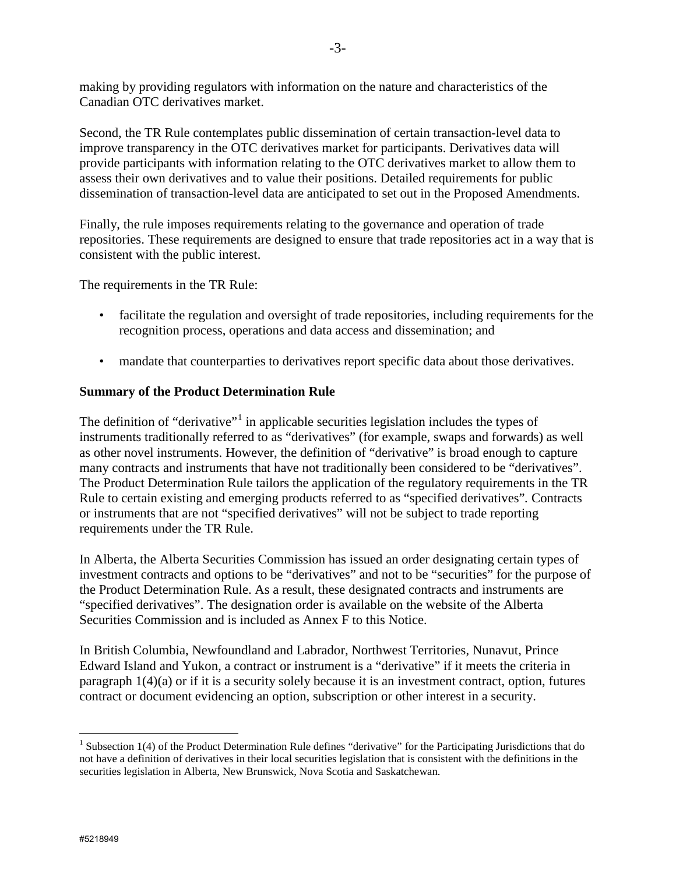making by providing regulators with information on the nature and characteristics of the Canadian OTC derivatives market.

Second, the TR Rule contemplates public dissemination of certain transaction-level data to improve transparency in the OTC derivatives market for participants. Derivatives data will provide participants with information relating to the OTC derivatives market to allow them to assess their own derivatives and to value their positions. Detailed requirements for public dissemination of transaction-level data are anticipated to set out in the Proposed Amendments.

Finally, the rule imposes requirements relating to the governance and operation of trade repositories. These requirements are designed to ensure that trade repositories act in a way that is consistent with the public interest.

The requirements in the TR Rule:

- facilitate the regulation and oversight of trade repositories, including requirements for the recognition process, operations and data access and dissemination; and
- mandate that counterparties to derivatives report specific data about those derivatives.

# **Summary of the Product Determination Rule**

The definition of "derivative"<sup>[1](#page-2-0)</sup> in applicable securities legislation includes the types of instruments traditionally referred to as "derivatives" (for example, swaps and forwards) as well as other novel instruments. However, the definition of "derivative" is broad enough to capture many contracts and instruments that have not traditionally been considered to be "derivatives". The Product Determination Rule tailors the application of the regulatory requirements in the TR Rule to certain existing and emerging products referred to as "specified derivatives"*.* Contracts or instruments that are not "specified derivatives" will not be subject to trade reporting requirements under the TR Rule.

In Alberta, the Alberta Securities Commission has issued an order designating certain types of investment contracts and options to be "derivatives" and not to be "securities" for the purpose of the Product Determination Rule. As a result, these designated contracts and instruments are "specified derivatives". The designation order is available on the website of the Alberta Securities Commission and is included as Annex F to this Notice.

In British Columbia, Newfoundland and Labrador, Northwest Territories, Nunavut, Prince Edward Island and Yukon, a contract or instrument is a "derivative" if it meets the criteria in paragraph 1(4)(a) or if it is a security solely because it is an investment contract, option, futures contract or document evidencing an option, subscription or other interest in a security.

<span id="page-2-0"></span><sup>&</sup>lt;sup>1</sup> Subsection 1(4) of the Product Determination Rule defines "derivative" for the Participating Jurisdictions that do not have a definition of derivatives in their local securities legislation that is consistent with the definitions in the securities legislation in Alberta, New Brunswick, Nova Scotia and Saskatchewan.  $\overline{a}$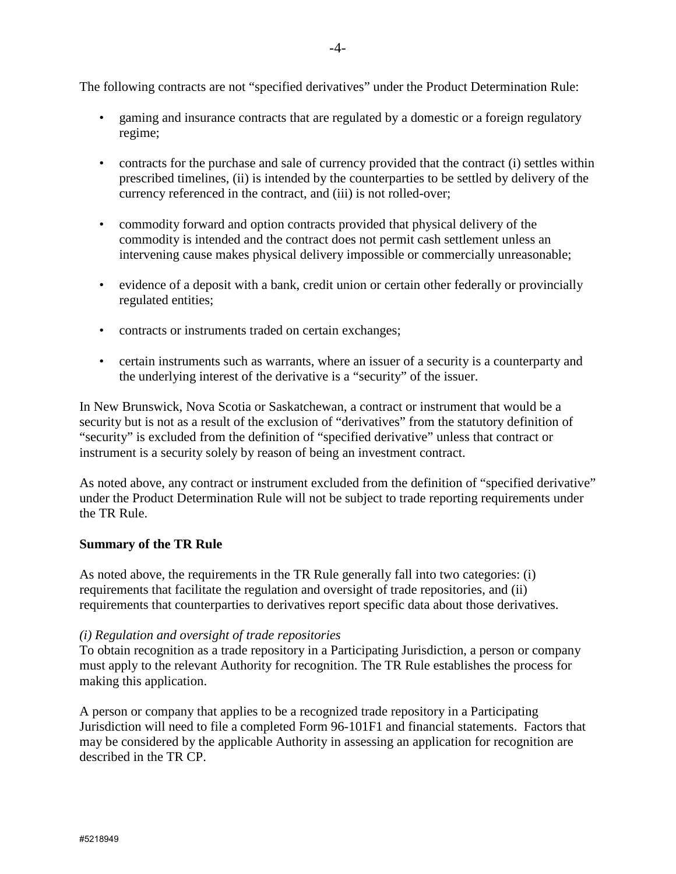The following contracts are not "specified derivatives" under the Product Determination Rule:

- gaming and insurance contracts that are regulated by a domestic or a foreign regulatory regime;
- contracts for the purchase and sale of currency provided that the contract (i) settles within prescribed timelines, (ii) is intended by the counterparties to be settled by delivery of the currency referenced in the contract, and (iii) is not rolled-over;
- commodity forward and option contracts provided that physical delivery of the commodity is intended and the contract does not permit cash settlement unless an intervening cause makes physical delivery impossible or commercially unreasonable;
- evidence of a deposit with a bank, credit union or certain other federally or provincially regulated entities;
- contracts or instruments traded on certain exchanges;
- certain instruments such as warrants, where an issuer of a security is a counterparty and the underlying interest of the derivative is a "security" of the issuer.

In New Brunswick, Nova Scotia or Saskatchewan, a contract or instrument that would be a security but is not as a result of the exclusion of "derivatives" from the statutory definition of "security" is excluded from the definition of "specified derivative" unless that contract or instrument is a security solely by reason of being an investment contract.

As noted above, any contract or instrument excluded from the definition of "specified derivative" under the Product Determination Rule will not be subject to trade reporting requirements under the TR Rule.

## **Summary of the TR Rule**

As noted above, the requirements in the TR Rule generally fall into two categories: (i) requirements that facilitate the regulation and oversight of trade repositories, and (ii) requirements that counterparties to derivatives report specific data about those derivatives.

#### *(i) Regulation and oversight of trade repositories*

To obtain recognition as a trade repository in a Participating Jurisdiction, a person or company must apply to the relevant Authority for recognition. The TR Rule establishes the process for making this application.

A person or company that applies to be a recognized trade repository in a Participating Jurisdiction will need to file a completed Form 96-101F1 and financial statements. Factors that may be considered by the applicable Authority in assessing an application for recognition are described in the TR CP.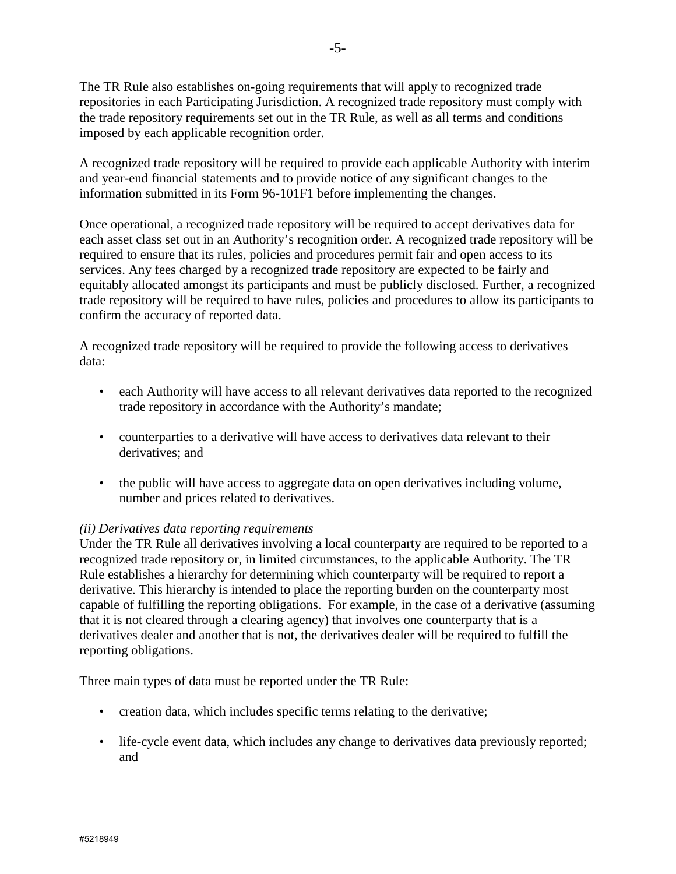The TR Rule also establishes on-going requirements that will apply to recognized trade repositories in each Participating Jurisdiction. A recognized trade repository must comply with the trade repository requirements set out in the TR Rule, as well as all terms and conditions imposed by each applicable recognition order.

A recognized trade repository will be required to provide each applicable Authority with interim and year-end financial statements and to provide notice of any significant changes to the information submitted in its Form 96-101F1 before implementing the changes.

Once operational, a recognized trade repository will be required to accept derivatives data for each asset class set out in an Authority's recognition order. A recognized trade repository will be required to ensure that its rules, policies and procedures permit fair and open access to its services. Any fees charged by a recognized trade repository are expected to be fairly and equitably allocated amongst its participants and must be publicly disclosed. Further, a recognized trade repository will be required to have rules, policies and procedures to allow its participants to confirm the accuracy of reported data.

A recognized trade repository will be required to provide the following access to derivatives data:

- each Authority will have access to all relevant derivatives data reported to the recognized trade repository in accordance with the Authority's mandate;
- counterparties to a derivative will have access to derivatives data relevant to their derivatives; and
- the public will have access to aggregate data on open derivatives including volume, number and prices related to derivatives.

# *(ii) Derivatives data reporting requirements*

Under the TR Rule all derivatives involving a local counterparty are required to be reported to a recognized trade repository or, in limited circumstances, to the applicable Authority. The TR Rule establishes a hierarchy for determining which counterparty will be required to report a derivative. This hierarchy is intended to place the reporting burden on the counterparty most capable of fulfilling the reporting obligations. For example, in the case of a derivative (assuming that it is not cleared through a clearing agency) that involves one counterparty that is a derivatives dealer and another that is not, the derivatives dealer will be required to fulfill the reporting obligations.

Three main types of data must be reported under the TR Rule:

- creation data, which includes specific terms relating to the derivative;
- life-cycle event data, which includes any change to derivatives data previously reported; and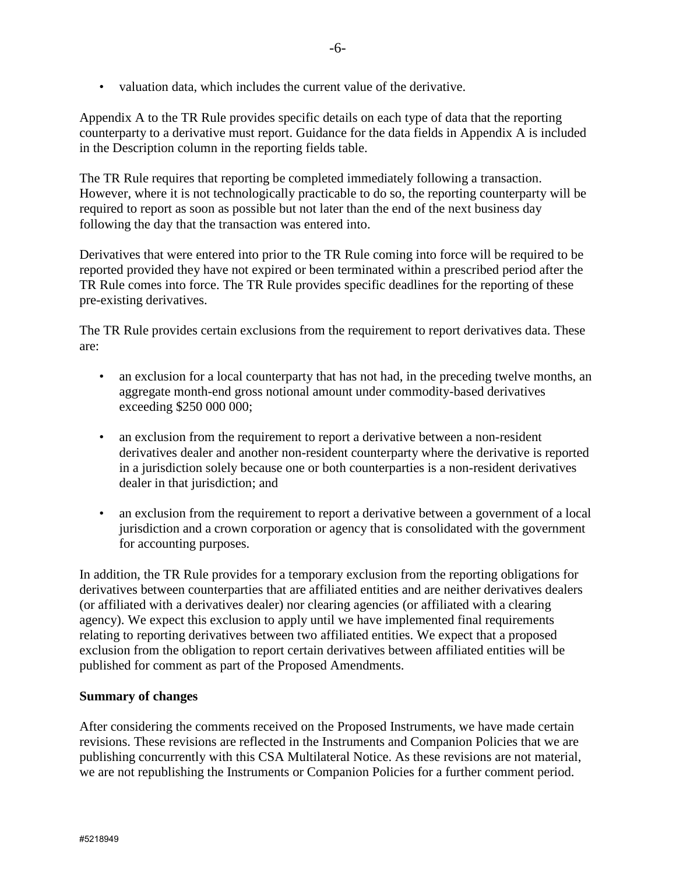• valuation data, which includes the current value of the derivative.

Appendix A to the TR Rule provides specific details on each type of data that the reporting counterparty to a derivative must report. Guidance for the data fields in Appendix A is included in the Description column in the reporting fields table.

The TR Rule requires that reporting be completed immediately following a transaction. However, where it is not technologically practicable to do so, the reporting counterparty will be required to report as soon as possible but not later than the end of the next business day following the day that the transaction was entered into.

Derivatives that were entered into prior to the TR Rule coming into force will be required to be reported provided they have not expired or been terminated within a prescribed period after the TR Rule comes into force. The TR Rule provides specific deadlines for the reporting of these pre-existing derivatives.

The TR Rule provides certain exclusions from the requirement to report derivatives data. These are:

- an exclusion for a local counterparty that has not had, in the preceding twelve months, an aggregate month-end gross notional amount under commodity-based derivatives exceeding \$250 000 000;
- an exclusion from the requirement to report a derivative between a non-resident derivatives dealer and another non-resident counterparty where the derivative is reported in a jurisdiction solely because one or both counterparties is a non-resident derivatives dealer in that jurisdiction; and
- an exclusion from the requirement to report a derivative between a government of a local jurisdiction and a crown corporation or agency that is consolidated with the government for accounting purposes.

In addition, the TR Rule provides for a temporary exclusion from the reporting obligations for derivatives between counterparties that are affiliated entities and are neither derivatives dealers (or affiliated with a derivatives dealer) nor clearing agencies (or affiliated with a clearing agency). We expect this exclusion to apply until we have implemented final requirements relating to reporting derivatives between two affiliated entities. We expect that a proposed exclusion from the obligation to report certain derivatives between affiliated entities will be published for comment as part of the Proposed Amendments.

## **Summary of changes**

After considering the comments received on the Proposed Instruments, we have made certain revisions. These revisions are reflected in the Instruments and Companion Policies that we are publishing concurrently with this CSA Multilateral Notice. As these revisions are not material, we are not republishing the Instruments or Companion Policies for a further comment period.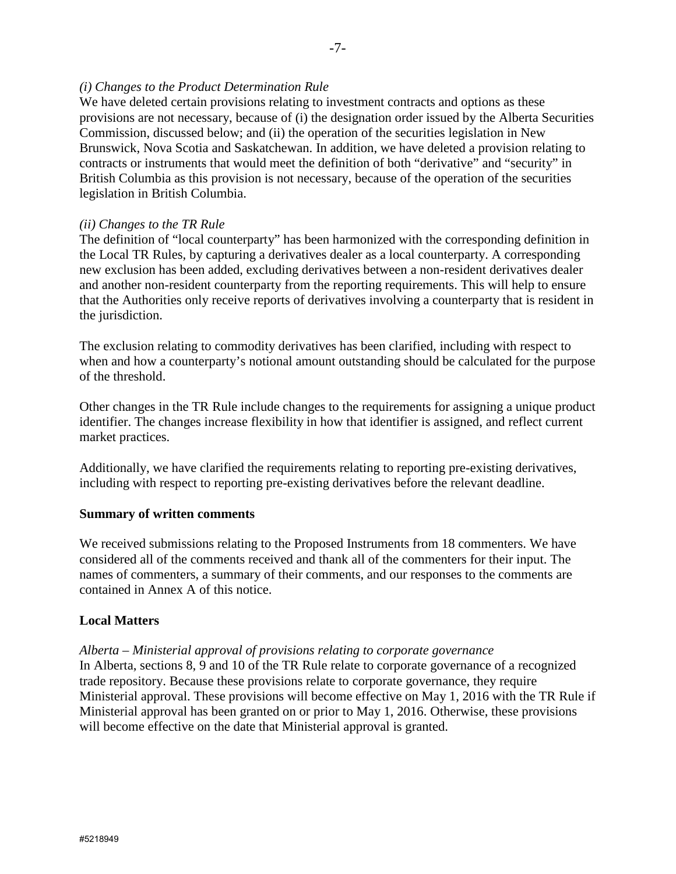## *(i) Changes to the Product Determination Rule*

We have deleted certain provisions relating to investment contracts and options as these provisions are not necessary, because of (i) the designation order issued by the Alberta Securities Commission, discussed below; and (ii) the operation of the securities legislation in New Brunswick, Nova Scotia and Saskatchewan. In addition, we have deleted a provision relating to contracts or instruments that would meet the definition of both "derivative" and "security" in British Columbia as this provision is not necessary, because of the operation of the securities legislation in British Columbia.

### *(ii) Changes to the TR Rule*

The definition of "local counterparty" has been harmonized with the corresponding definition in the Local TR Rules, by capturing a derivatives dealer as a local counterparty. A corresponding new exclusion has been added, excluding derivatives between a non-resident derivatives dealer and another non-resident counterparty from the reporting requirements. This will help to ensure that the Authorities only receive reports of derivatives involving a counterparty that is resident in the jurisdiction.

The exclusion relating to commodity derivatives has been clarified, including with respect to when and how a counterparty's notional amount outstanding should be calculated for the purpose of the threshold.

Other changes in the TR Rule include changes to the requirements for assigning a unique product identifier. The changes increase flexibility in how that identifier is assigned, and reflect current market practices.

Additionally, we have clarified the requirements relating to reporting pre-existing derivatives, including with respect to reporting pre-existing derivatives before the relevant deadline.

#### **Summary of written comments**

We received submissions relating to the Proposed Instruments from 18 commenters. We have considered all of the comments received and thank all of the commenters for their input. The names of commenters, a summary of their comments, and our responses to the comments are contained in Annex A of this notice.

## **Local Matters**

#### *Alberta – Ministerial approval of provisions relating to corporate governance*

In Alberta, sections 8, 9 and 10 of the TR Rule relate to corporate governance of a recognized trade repository. Because these provisions relate to corporate governance, they require Ministerial approval. These provisions will become effective on May 1, 2016 with the TR Rule if Ministerial approval has been granted on or prior to May 1, 2016. Otherwise, these provisions will become effective on the date that Ministerial approval is granted.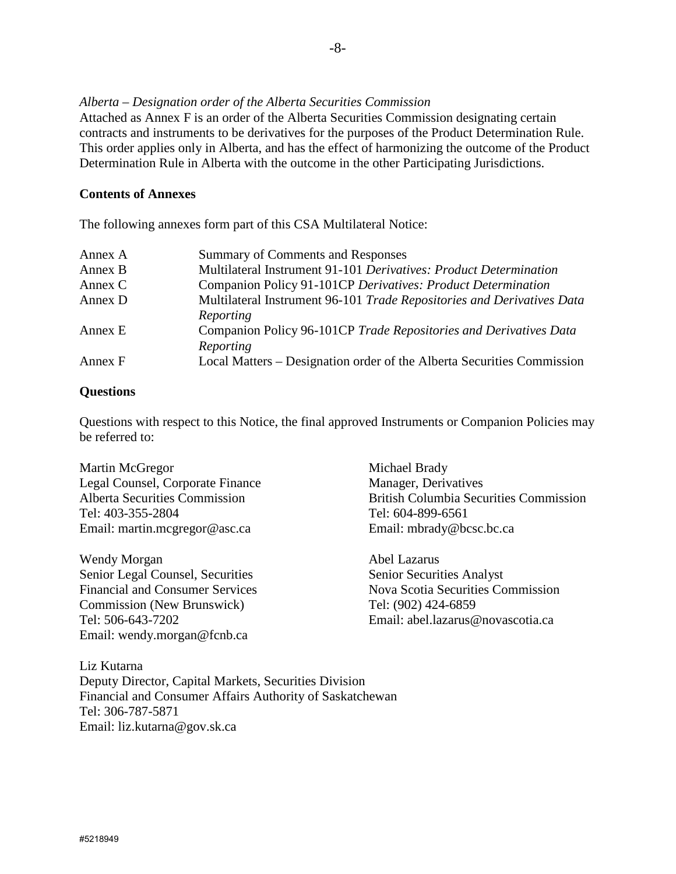## *Alberta – Designation order of the Alberta Securities Commission*

Attached as Annex F is an order of the Alberta Securities Commission designating certain contracts and instruments to be derivatives for the purposes of the Product Determination Rule. This order applies only in Alberta, and has the effect of harmonizing the outcome of the Product Determination Rule in Alberta with the outcome in the other Participating Jurisdictions.

## **Contents of Annexes**

The following annexes form part of this CSA Multilateral Notice:

| <b>Summary of Comments and Responses</b>                               |
|------------------------------------------------------------------------|
| Multilateral Instrument 91-101 Derivatives: Product Determination      |
| Companion Policy 91-101CP Derivatives: Product Determination           |
| Multilateral Instrument 96-101 Trade Repositories and Derivatives Data |
| Reporting                                                              |
| Companion Policy 96-101CP Trade Repositories and Derivatives Data      |
| Reporting                                                              |
| Local Matters – Designation order of the Alberta Securities Commission |
|                                                                        |

## **Questions**

Questions with respect to this Notice, the final approved Instruments or Companion Policies may be referred to:

Martin McGregor Legal Counsel, Corporate Finance Alberta Securities Commission Tel: 403-355-2804 Email: martin.mcgregor@asc.ca

Wendy Morgan Senior Legal Counsel, Securities Financial and Consumer Services Commission (New Brunswick) Tel: 506-643-7202 Email: wendy.morgan@fcnb.ca

Michael Brady Manager, Derivatives British Columbia Securities Commission Tel: 604-899-6561 Email: [mbrady@bcsc.bc.ca](mailto:mbrady@bcsc.bc.ca)

Abel Lazarus Senior Securities Analyst Nova Scotia Securities Commission Tel: (902) 424-6859 Email: abel.lazarus@novascotia.ca

Liz Kutarna Deputy Director, Capital Markets, Securities Division Financial and Consumer Affairs Authority of Saskatchewan Tel: 306-787-5871 Email: liz.kutarna@gov.sk.ca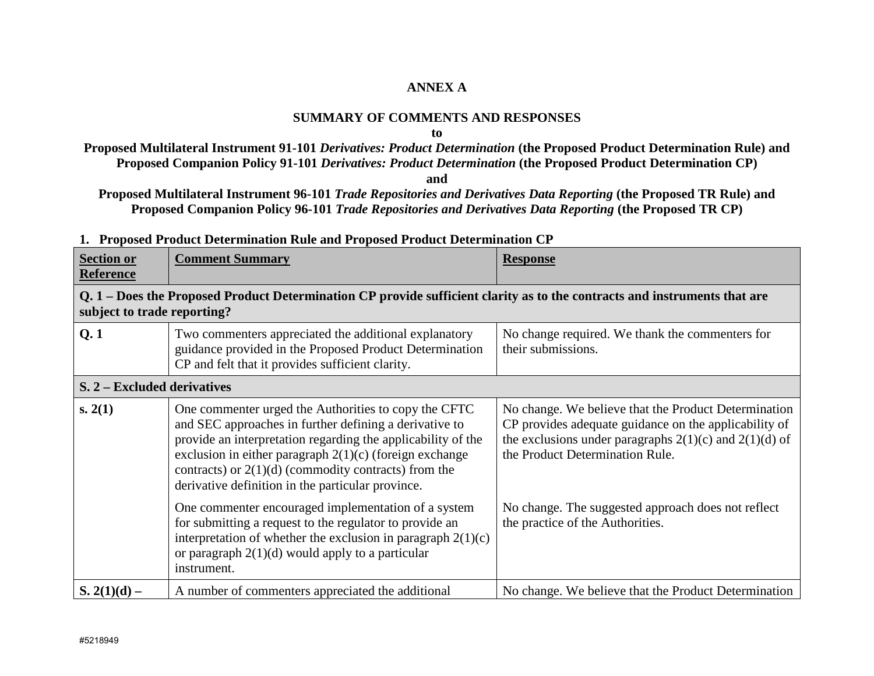# **ANNEX A**

## **SUMMARY OF COMMENTS AND RESPONSES**

**to** 

**Proposed Multilateral Instrument 91-101** *Derivatives: Product Determination* **(the Proposed Product Determination Rule) and Proposed Companion Policy 91-101** *Derivatives: Product Determination* **(the Proposed Product Determination CP)**

**and** 

**Proposed Multilateral Instrument 96-101** *Trade Repositories and Derivatives Data Reporting* **(the Proposed TR Rule) and Proposed Companion Policy 96-101** *Trade Repositories and Derivatives Data Reporting* **(the Proposed TR CP)**

### **1. Proposed Product Determination Rule and Proposed Product Determination CP**

| <b>Section or</b><br><b>Reference</b> | <b>Comment Summary</b>                                                                                                                                                                                                                                                                                                                                     | <b>Response</b>                                                                                                                                                                                                |
|---------------------------------------|------------------------------------------------------------------------------------------------------------------------------------------------------------------------------------------------------------------------------------------------------------------------------------------------------------------------------------------------------------|----------------------------------------------------------------------------------------------------------------------------------------------------------------------------------------------------------------|
| subject to trade reporting?           | Q. 1 – Does the Proposed Product Determination CP provide sufficient clarity as to the contracts and instruments that are                                                                                                                                                                                                                                  |                                                                                                                                                                                                                |
| Q.1                                   | Two commenters appreciated the additional explanatory<br>guidance provided in the Proposed Product Determination<br>CP and felt that it provides sufficient clarity.                                                                                                                                                                                       | No change required. We thank the commenters for<br>their submissions.                                                                                                                                          |
| S. 2 – Excluded derivatives           |                                                                                                                                                                                                                                                                                                                                                            |                                                                                                                                                                                                                |
| s. 2(1)                               | One commenter urged the Authorities to copy the CFTC<br>and SEC approaches in further defining a derivative to<br>provide an interpretation regarding the applicability of the<br>exclusion in either paragraph $2(1)(c)$ (foreign exchange<br>contracts) or $2(1)(d)$ (commodity contracts) from the<br>derivative definition in the particular province. | No change. We believe that the Product Determination<br>CP provides adequate guidance on the applicability of<br>the exclusions under paragraphs $2(1)(c)$ and $2(1)(d)$ of<br>the Product Determination Rule. |
|                                       | One commenter encouraged implementation of a system<br>for submitting a request to the regulator to provide an<br>interpretation of whether the exclusion in paragraph $2(1)(c)$<br>or paragraph $2(1)(d)$ would apply to a particular<br>instrument.                                                                                                      | No change. The suggested approach does not reflect<br>the practice of the Authorities.                                                                                                                         |
| $S. 2(1)(d) -$                        | A number of commenters appreciated the additional                                                                                                                                                                                                                                                                                                          | No change. We believe that the Product Determination                                                                                                                                                           |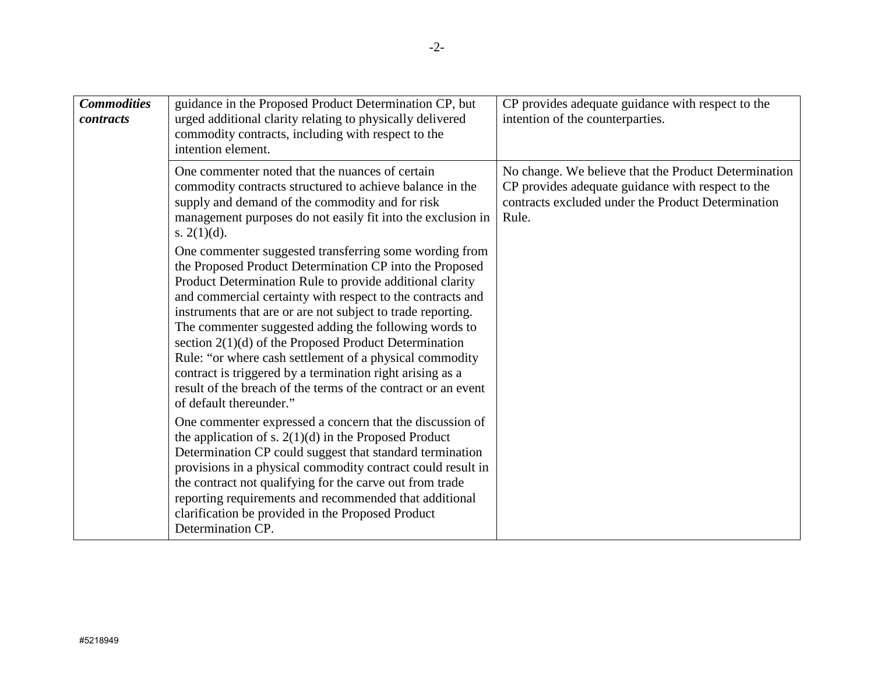| <b>Commodities</b><br>contracts | guidance in the Proposed Product Determination CP, but<br>urged additional clarity relating to physically delivered<br>commodity contracts, including with respect to the<br>intention element.                                                                                                                                                                                                                                                                                                                                                                                                                                                    | CP provides adequate guidance with respect to the<br>intention of the counterparties.                                                                                    |
|---------------------------------|----------------------------------------------------------------------------------------------------------------------------------------------------------------------------------------------------------------------------------------------------------------------------------------------------------------------------------------------------------------------------------------------------------------------------------------------------------------------------------------------------------------------------------------------------------------------------------------------------------------------------------------------------|--------------------------------------------------------------------------------------------------------------------------------------------------------------------------|
|                                 | One commenter noted that the nuances of certain<br>commodity contracts structured to achieve balance in the<br>supply and demand of the commodity and for risk<br>management purposes do not easily fit into the exclusion in<br>s. $2(1)(d)$ .                                                                                                                                                                                                                                                                                                                                                                                                    | No change. We believe that the Product Determination<br>CP provides adequate guidance with respect to the<br>contracts excluded under the Product Determination<br>Rule. |
|                                 | One commenter suggested transferring some wording from<br>the Proposed Product Determination CP into the Proposed<br>Product Determination Rule to provide additional clarity<br>and commercial certainty with respect to the contracts and<br>instruments that are or are not subject to trade reporting.<br>The commenter suggested adding the following words to<br>section $2(1)(d)$ of the Proposed Product Determination<br>Rule: "or where cash settlement of a physical commodity<br>contract is triggered by a termination right arising as a<br>result of the breach of the terms of the contract or an event<br>of default thereunder." |                                                                                                                                                                          |
|                                 | One commenter expressed a concern that the discussion of<br>the application of s. $2(1)(d)$ in the Proposed Product<br>Determination CP could suggest that standard termination<br>provisions in a physical commodity contract could result in<br>the contract not qualifying for the carve out from trade<br>reporting requirements and recommended that additional<br>clarification be provided in the Proposed Product<br>Determination CP.                                                                                                                                                                                                     |                                                                                                                                                                          |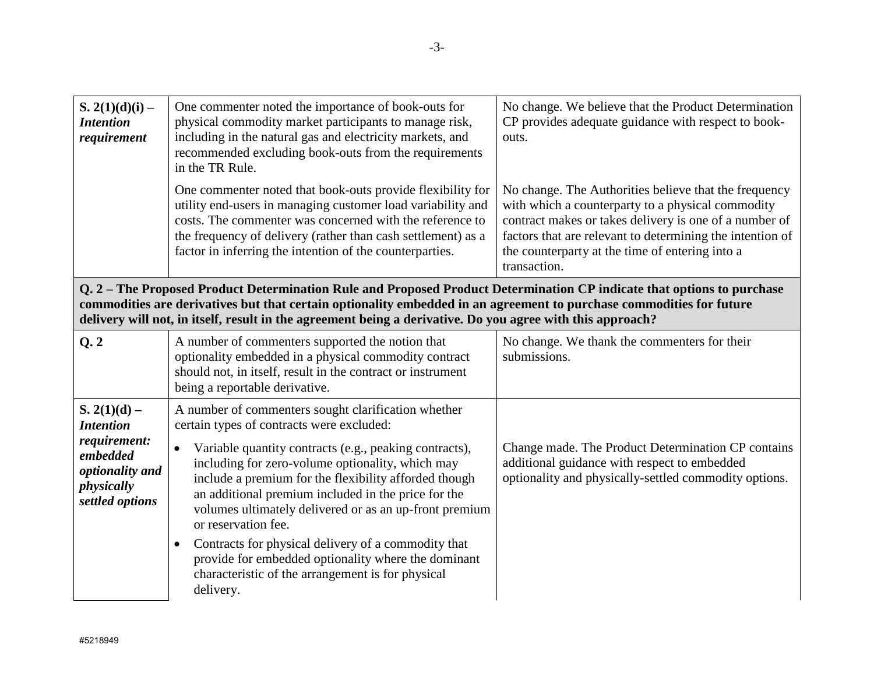| S. $2(1)(d)(i)$ –<br><b>Intention</b><br>requirement                                                               | One commenter noted the importance of book-outs for<br>physical commodity market participants to manage risk,<br>including in the natural gas and electricity markets, and<br>recommended excluding book-outs from the requirements<br>in the TR Rule.                                                                                                                                                                                                                                                                                                                                                                    | No change. We believe that the Product Determination<br>CP provides adequate guidance with respect to book-<br>outs.                                                                                                                                                                                 |
|--------------------------------------------------------------------------------------------------------------------|---------------------------------------------------------------------------------------------------------------------------------------------------------------------------------------------------------------------------------------------------------------------------------------------------------------------------------------------------------------------------------------------------------------------------------------------------------------------------------------------------------------------------------------------------------------------------------------------------------------------------|------------------------------------------------------------------------------------------------------------------------------------------------------------------------------------------------------------------------------------------------------------------------------------------------------|
|                                                                                                                    | One commenter noted that book-outs provide flexibility for<br>utility end-users in managing customer load variability and<br>costs. The commenter was concerned with the reference to<br>the frequency of delivery (rather than cash settlement) as a<br>factor in inferring the intention of the counterparties.                                                                                                                                                                                                                                                                                                         | No change. The Authorities believe that the frequency<br>with which a counterparty to a physical commodity<br>contract makes or takes delivery is one of a number of<br>factors that are relevant to determining the intention of<br>the counterparty at the time of entering into a<br>transaction. |
|                                                                                                                    | Q. 2 – The Proposed Product Determination Rule and Proposed Product Determination CP indicate that options to purchase<br>commodities are derivatives but that certain optionality embedded in an agreement to purchase commodities for future<br>delivery will not, in itself, result in the agreement being a derivative. Do you agree with this approach?                                                                                                                                                                                                                                                              |                                                                                                                                                                                                                                                                                                      |
| Q.2                                                                                                                | A number of commenters supported the notion that<br>optionality embedded in a physical commodity contract<br>should not, in itself, result in the contract or instrument<br>being a reportable derivative.                                                                                                                                                                                                                                                                                                                                                                                                                | No change. We thank the commenters for their<br>submissions.                                                                                                                                                                                                                                         |
| $S. 2(1)(d) -$<br><b>Intention</b><br>requirement:<br>embedded<br>optionality and<br>physically<br>settled options | A number of commenters sought clarification whether<br>certain types of contracts were excluded:<br>Variable quantity contracts (e.g., peaking contracts),<br>$\bullet$<br>including for zero-volume optionality, which may<br>include a premium for the flexibility afforded though<br>an additional premium included in the price for the<br>volumes ultimately delivered or as an up-front premium<br>or reservation fee.<br>Contracts for physical delivery of a commodity that<br>$\bullet$<br>provide for embedded optionality where the dominant<br>characteristic of the arrangement is for physical<br>delivery. | Change made. The Product Determination CP contains<br>additional guidance with respect to embedded<br>optionality and physically-settled commodity options.                                                                                                                                          |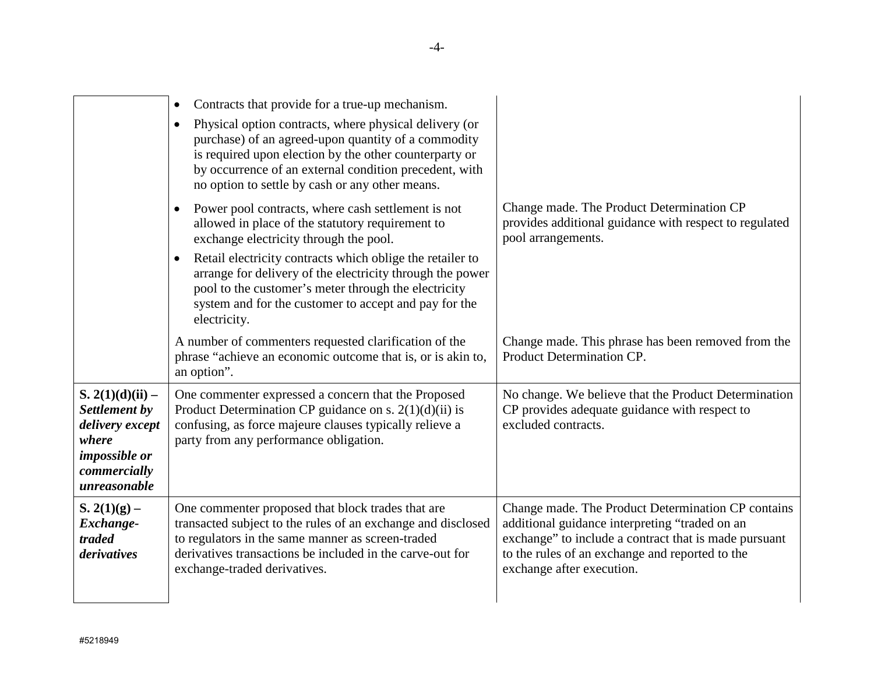|                                                                                                                         | Contracts that provide for a true-up mechanism.<br>$\bullet$<br>Physical option contracts, where physical delivery (or<br>$\bullet$<br>purchase) of an agreed-upon quantity of a commodity<br>is required upon election by the other counterparty or<br>by occurrence of an external condition precedent, with<br>no option to settle by cash or any other means.<br>Power pool contracts, where cash settlement is not<br>allowed in place of the statutory requirement to<br>exchange electricity through the pool.<br>Retail electricity contracts which oblige the retailer to<br>arrange for delivery of the electricity through the power<br>pool to the customer's meter through the electricity<br>system and for the customer to accept and pay for the | Change made. The Product Determination CP<br>provides additional guidance with respect to regulated<br>pool arrangements.                                                                                                                     |
|-------------------------------------------------------------------------------------------------------------------------|------------------------------------------------------------------------------------------------------------------------------------------------------------------------------------------------------------------------------------------------------------------------------------------------------------------------------------------------------------------------------------------------------------------------------------------------------------------------------------------------------------------------------------------------------------------------------------------------------------------------------------------------------------------------------------------------------------------------------------------------------------------|-----------------------------------------------------------------------------------------------------------------------------------------------------------------------------------------------------------------------------------------------|
|                                                                                                                         | electricity.<br>A number of commenters requested clarification of the<br>phrase "achieve an economic outcome that is, or is akin to,<br>an option".                                                                                                                                                                                                                                                                                                                                                                                                                                                                                                                                                                                                              | Change made. This phrase has been removed from the<br>Product Determination CP.                                                                                                                                                               |
| S. $2(1)(d)(ii)$ –<br>Settlement by<br>delivery except<br>where<br><i>impossible or</i><br>commercially<br>unreasonable | One commenter expressed a concern that the Proposed<br>Product Determination CP guidance on s. $2(1)(d)(ii)$ is<br>confusing, as force majeure clauses typically relieve a<br>party from any performance obligation.                                                                                                                                                                                                                                                                                                                                                                                                                                                                                                                                             | No change. We believe that the Product Determination<br>CP provides adequate guidance with respect to<br>excluded contracts.                                                                                                                  |
| S. $2(1)(g)$ –<br>Exchange-<br>traded<br>derivatives                                                                    | One commenter proposed that block trades that are<br>transacted subject to the rules of an exchange and disclosed<br>to regulators in the same manner as screen-traded<br>derivatives transactions be included in the carve-out for<br>exchange-traded derivatives.                                                                                                                                                                                                                                                                                                                                                                                                                                                                                              | Change made. The Product Determination CP contains<br>additional guidance interpreting "traded on an<br>exchange" to include a contract that is made pursuant<br>to the rules of an exchange and reported to the<br>exchange after execution. |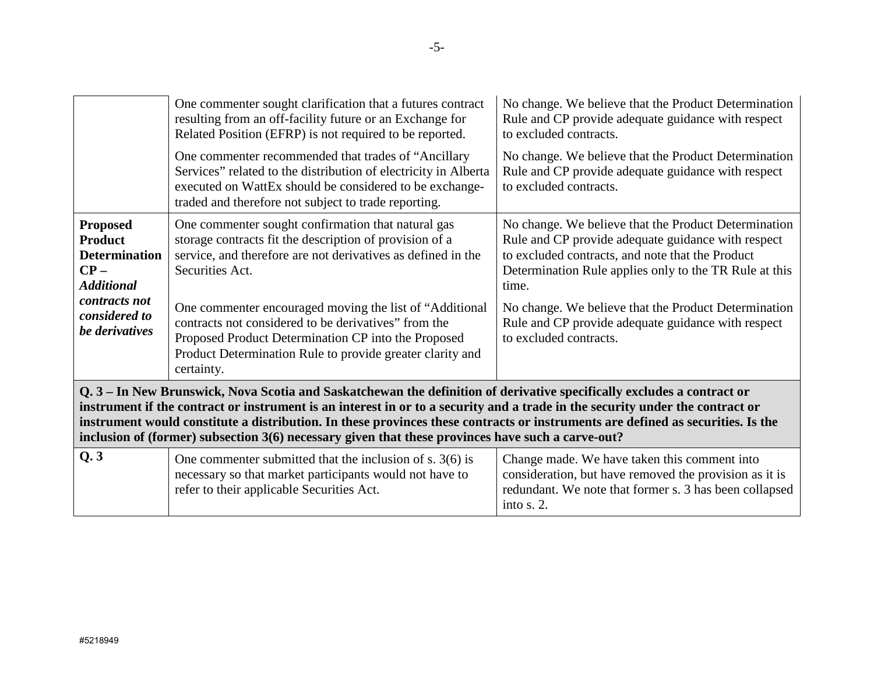|                                                                                                                                                                                                                                                                                                                                                                                                                                                                                                 | One commenter sought clarification that a futures contract<br>resulting from an off-facility future or an Exchange for<br>Related Position (EFRP) is not required to be reported.                                                                                                                                                                                                                                                                     | No change. We believe that the Product Determination<br>Rule and CP provide adequate guidance with respect<br>to excluded contracts.                                                                                                                                                                                                                                      |
|-------------------------------------------------------------------------------------------------------------------------------------------------------------------------------------------------------------------------------------------------------------------------------------------------------------------------------------------------------------------------------------------------------------------------------------------------------------------------------------------------|-------------------------------------------------------------------------------------------------------------------------------------------------------------------------------------------------------------------------------------------------------------------------------------------------------------------------------------------------------------------------------------------------------------------------------------------------------|---------------------------------------------------------------------------------------------------------------------------------------------------------------------------------------------------------------------------------------------------------------------------------------------------------------------------------------------------------------------------|
|                                                                                                                                                                                                                                                                                                                                                                                                                                                                                                 | One commenter recommended that trades of "Ancillary<br>Services" related to the distribution of electricity in Alberta<br>executed on WattEx should be considered to be exchange-<br>traded and therefore not subject to trade reporting.                                                                                                                                                                                                             | No change. We believe that the Product Determination<br>Rule and CP provide adequate guidance with respect<br>to excluded contracts.                                                                                                                                                                                                                                      |
| <b>Proposed</b><br><b>Product</b><br><b>Determination</b><br>$CP -$<br><b>Additional</b><br>contracts not<br>considered to<br>be derivatives                                                                                                                                                                                                                                                                                                                                                    | One commenter sought confirmation that natural gas<br>storage contracts fit the description of provision of a<br>service, and therefore are not derivatives as defined in the<br>Securities Act.<br>One commenter encouraged moving the list of "Additional<br>contracts not considered to be derivatives" from the<br>Proposed Product Determination CP into the Proposed<br>Product Determination Rule to provide greater clarity and<br>certainty. | No change. We believe that the Product Determination<br>Rule and CP provide adequate guidance with respect<br>to excluded contracts, and note that the Product<br>Determination Rule applies only to the TR Rule at this<br>time.<br>No change. We believe that the Product Determination<br>Rule and CP provide adequate guidance with respect<br>to excluded contracts. |
| Q. 3 - In New Brunswick, Nova Scotia and Saskatchewan the definition of derivative specifically excludes a contract or<br>instrument if the contract or instrument is an interest in or to a security and a trade in the security under the contract or<br>instrument would constitute a distribution. In these provinces these contracts or instruments are defined as securities. Is the<br>inclusion of (former) subsection 3(6) necessary given that these provinces have such a carve-out? |                                                                                                                                                                                                                                                                                                                                                                                                                                                       |                                                                                                                                                                                                                                                                                                                                                                           |
| Q.3                                                                                                                                                                                                                                                                                                                                                                                                                                                                                             | One commenter submitted that the inclusion of $s$ . 3(6) is<br>necessary so that market participants would not have to<br>refer to their applicable Securities Act.                                                                                                                                                                                                                                                                                   | Change made. We have taken this comment into<br>consideration, but have removed the provision as it is<br>redundant. We note that former s. 3 has been collapsed<br>into s. 2.                                                                                                                                                                                            |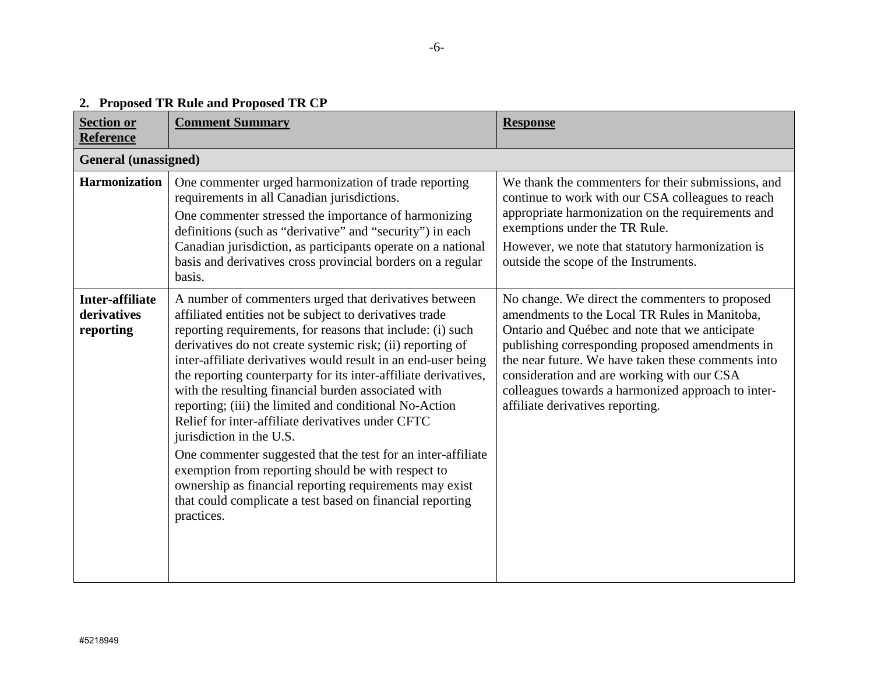**2. Proposed TR Rule and Proposed TR CP**

| <b>Section or</b><br><b>Reference</b>              | <b>Comment Summary</b>                                                                                                                                                                                                                                                                                                                                                                                                                                                                                                                                                                                                                                                                                                                                                                                                                         | <b>Response</b>                                                                                                                                                                                                                                                                                                                                                                                     |
|----------------------------------------------------|------------------------------------------------------------------------------------------------------------------------------------------------------------------------------------------------------------------------------------------------------------------------------------------------------------------------------------------------------------------------------------------------------------------------------------------------------------------------------------------------------------------------------------------------------------------------------------------------------------------------------------------------------------------------------------------------------------------------------------------------------------------------------------------------------------------------------------------------|-----------------------------------------------------------------------------------------------------------------------------------------------------------------------------------------------------------------------------------------------------------------------------------------------------------------------------------------------------------------------------------------------------|
| <b>General (unassigned)</b>                        |                                                                                                                                                                                                                                                                                                                                                                                                                                                                                                                                                                                                                                                                                                                                                                                                                                                |                                                                                                                                                                                                                                                                                                                                                                                                     |
| <b>Harmonization</b>                               | One commenter urged harmonization of trade reporting<br>requirements in all Canadian jurisdictions.<br>One commenter stressed the importance of harmonizing<br>definitions (such as "derivative" and "security") in each<br>Canadian jurisdiction, as participants operate on a national<br>basis and derivatives cross provincial borders on a regular<br>basis.                                                                                                                                                                                                                                                                                                                                                                                                                                                                              | We thank the commenters for their submissions, and<br>continue to work with our CSA colleagues to reach<br>appropriate harmonization on the requirements and<br>exemptions under the TR Rule.<br>However, we note that statutory harmonization is<br>outside the scope of the Instruments.                                                                                                          |
| <b>Inter-affiliate</b><br>derivatives<br>reporting | A number of commenters urged that derivatives between<br>affiliated entities not be subject to derivatives trade<br>reporting requirements, for reasons that include: (i) such<br>derivatives do not create systemic risk; (ii) reporting of<br>inter-affiliate derivatives would result in an end-user being<br>the reporting counterparty for its inter-affiliate derivatives,<br>with the resulting financial burden associated with<br>reporting; (iii) the limited and conditional No-Action<br>Relief for inter-affiliate derivatives under CFTC<br>jurisdiction in the U.S.<br>One commenter suggested that the test for an inter-affiliate<br>exemption from reporting should be with respect to<br>ownership as financial reporting requirements may exist<br>that could complicate a test based on financial reporting<br>practices. | No change. We direct the commenters to proposed<br>amendments to the Local TR Rules in Manitoba,<br>Ontario and Québec and note that we anticipate<br>publishing corresponding proposed amendments in<br>the near future. We have taken these comments into<br>consideration and are working with our CSA<br>colleagues towards a harmonized approach to inter-<br>affiliate derivatives reporting. |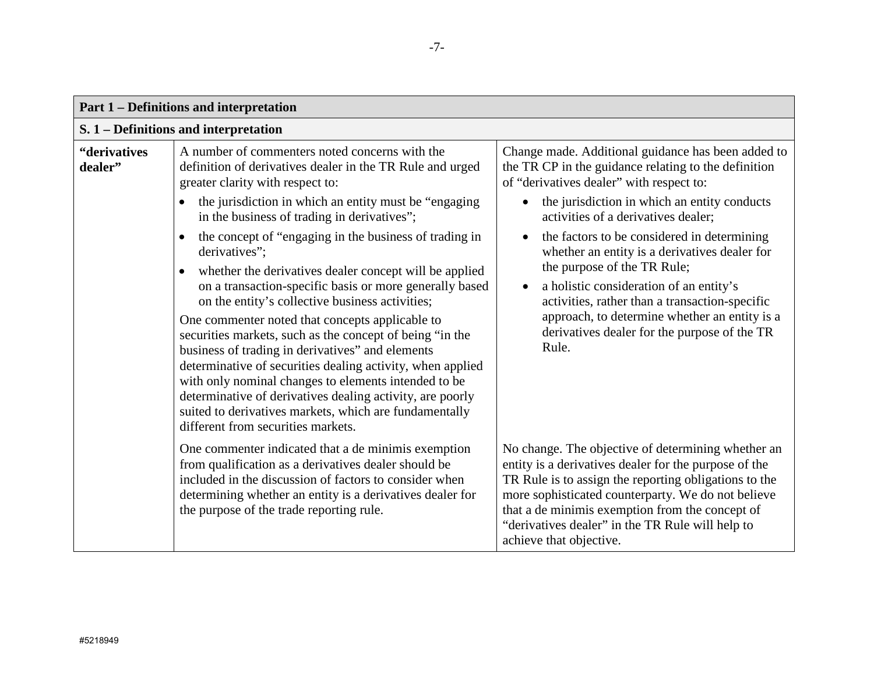| Part 1 – Definitions and interpretation |                                                                                                                                                                                                                                                                                                                                                                                                                                                                                                                                                                                                                                                                                                                                                                                                                                                                                                                                                                                                          |                                                                                                                                                                                                                                                                                                                                                                                                                                                                                                                                                                                                                            |
|-----------------------------------------|----------------------------------------------------------------------------------------------------------------------------------------------------------------------------------------------------------------------------------------------------------------------------------------------------------------------------------------------------------------------------------------------------------------------------------------------------------------------------------------------------------------------------------------------------------------------------------------------------------------------------------------------------------------------------------------------------------------------------------------------------------------------------------------------------------------------------------------------------------------------------------------------------------------------------------------------------------------------------------------------------------|----------------------------------------------------------------------------------------------------------------------------------------------------------------------------------------------------------------------------------------------------------------------------------------------------------------------------------------------------------------------------------------------------------------------------------------------------------------------------------------------------------------------------------------------------------------------------------------------------------------------------|
|                                         | S. 1 – Definitions and interpretation                                                                                                                                                                                                                                                                                                                                                                                                                                                                                                                                                                                                                                                                                                                                                                                                                                                                                                                                                                    |                                                                                                                                                                                                                                                                                                                                                                                                                                                                                                                                                                                                                            |
| "derivatives<br>dealer"                 | A number of commenters noted concerns with the<br>definition of derivatives dealer in the TR Rule and urged<br>greater clarity with respect to:<br>the jurisdiction in which an entity must be "engaging"<br>$\bullet$<br>in the business of trading in derivatives";<br>the concept of "engaging in the business of trading in<br>$\bullet$<br>derivatives":<br>whether the derivatives dealer concept will be applied<br>$\bullet$<br>on a transaction-specific basis or more generally based<br>on the entity's collective business activities;<br>One commenter noted that concepts applicable to<br>securities markets, such as the concept of being "in the<br>business of trading in derivatives" and elements<br>determinative of securities dealing activity, when applied<br>with only nominal changes to elements intended to be<br>determinative of derivatives dealing activity, are poorly<br>suited to derivatives markets, which are fundamentally<br>different from securities markets. | Change made. Additional guidance has been added to<br>the TR CP in the guidance relating to the definition<br>of "derivatives dealer" with respect to:<br>the jurisdiction in which an entity conducts<br>$\bullet$<br>activities of a derivatives dealer;<br>the factors to be considered in determining<br>$\bullet$<br>whether an entity is a derivatives dealer for<br>the purpose of the TR Rule;<br>a holistic consideration of an entity's<br>$\bullet$<br>activities, rather than a transaction-specific<br>approach, to determine whether an entity is a<br>derivatives dealer for the purpose of the TR<br>Rule. |
|                                         | One commenter indicated that a de minimis exemption<br>from qualification as a derivatives dealer should be<br>included in the discussion of factors to consider when<br>determining whether an entity is a derivatives dealer for<br>the purpose of the trade reporting rule.                                                                                                                                                                                                                                                                                                                                                                                                                                                                                                                                                                                                                                                                                                                           | No change. The objective of determining whether an<br>entity is a derivatives dealer for the purpose of the<br>TR Rule is to assign the reporting obligations to the<br>more sophisticated counterparty. We do not believe<br>that a de minimis exemption from the concept of<br>"derivatives dealer" in the TR Rule will help to<br>achieve that objective.                                                                                                                                                                                                                                                               |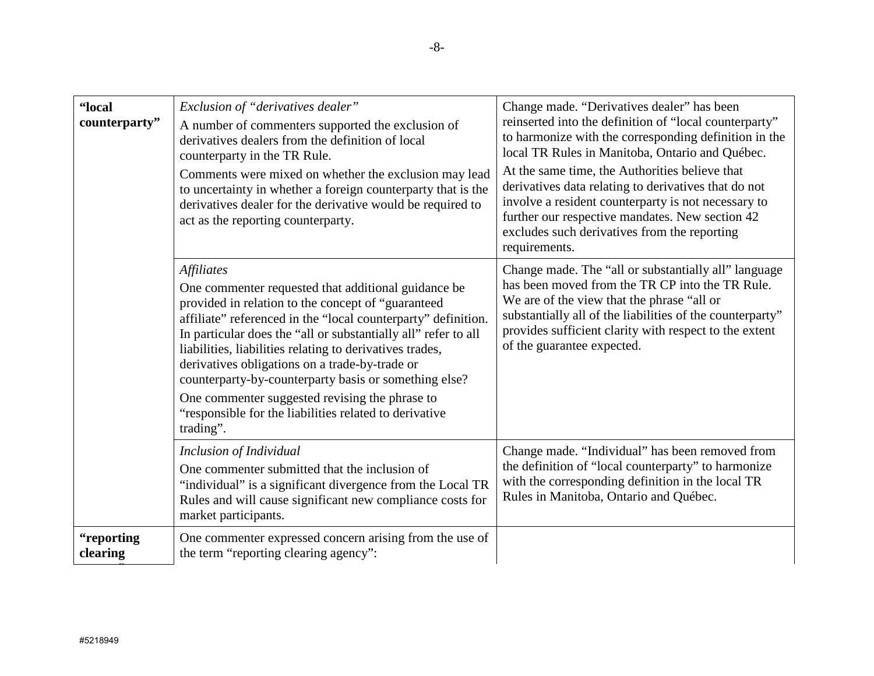| "local<br>counterparty" | Exclusion of "derivatives dealer"<br>A number of commenters supported the exclusion of<br>derivatives dealers from the definition of local<br>counterparty in the TR Rule.<br>Comments were mixed on whether the exclusion may lead<br>to uncertainty in whether a foreign counterparty that is the<br>derivatives dealer for the derivative would be required to<br>act as the reporting counterparty.                                  | Change made. "Derivatives dealer" has been<br>reinserted into the definition of "local counterparty"<br>to harmonize with the corresponding definition in the<br>local TR Rules in Manitoba, Ontario and Québec.<br>At the same time, the Authorities believe that<br>derivatives data relating to derivatives that do not<br>involve a resident counterparty is not necessary to<br>further our respective mandates. New section 42<br>excludes such derivatives from the reporting<br>requirements. |
|-------------------------|------------------------------------------------------------------------------------------------------------------------------------------------------------------------------------------------------------------------------------------------------------------------------------------------------------------------------------------------------------------------------------------------------------------------------------------|-------------------------------------------------------------------------------------------------------------------------------------------------------------------------------------------------------------------------------------------------------------------------------------------------------------------------------------------------------------------------------------------------------------------------------------------------------------------------------------------------------|
|                         | <b>Affiliates</b><br>One commenter requested that additional guidance be<br>provided in relation to the concept of "guaranteed<br>affiliate" referenced in the "local counterparty" definition.<br>In particular does the "all or substantially all" refer to all<br>liabilities, liabilities relating to derivatives trades,<br>derivatives obligations on a trade-by-trade or<br>counterparty-by-counterparty basis or something else? | Change made. The "all or substantially all" language<br>has been moved from the TR CP into the TR Rule.<br>We are of the view that the phrase "all or<br>substantially all of the liabilities of the counterparty"<br>provides sufficient clarity with respect to the extent<br>of the guarantee expected.                                                                                                                                                                                            |
|                         | One commenter suggested revising the phrase to<br>"responsible for the liabilities related to derivative<br>trading".                                                                                                                                                                                                                                                                                                                    |                                                                                                                                                                                                                                                                                                                                                                                                                                                                                                       |
|                         | Inclusion of Individual<br>One commenter submitted that the inclusion of<br>"individual" is a significant divergence from the Local TR<br>Rules and will cause significant new compliance costs for<br>market participants.                                                                                                                                                                                                              | Change made. "Individual" has been removed from<br>the definition of "local counterparty" to harmonize<br>with the corresponding definition in the local TR<br>Rules in Manitoba, Ontario and Québec.                                                                                                                                                                                                                                                                                                 |
| "reporting<br>clearing  | One commenter expressed concern arising from the use of<br>the term "reporting clearing agency":                                                                                                                                                                                                                                                                                                                                         |                                                                                                                                                                                                                                                                                                                                                                                                                                                                                                       |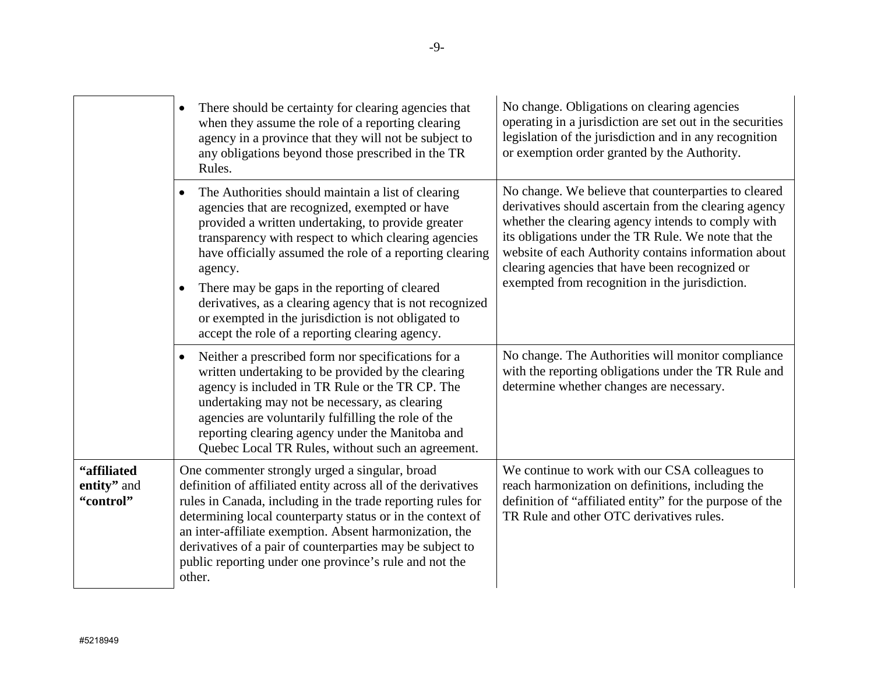|                                         | There should be certainty for clearing agencies that<br>$\bullet$<br>when they assume the role of a reporting clearing<br>agency in a province that they will not be subject to<br>any obligations beyond those prescribed in the TR<br>Rules.                                                                                                                                                                                                                                                                                             | No change. Obligations on clearing agencies<br>operating in a jurisdiction are set out in the securities<br>legislation of the jurisdiction and in any recognition<br>or exemption order granted by the Authority.                                                                                                                                                                     |
|-----------------------------------------|--------------------------------------------------------------------------------------------------------------------------------------------------------------------------------------------------------------------------------------------------------------------------------------------------------------------------------------------------------------------------------------------------------------------------------------------------------------------------------------------------------------------------------------------|----------------------------------------------------------------------------------------------------------------------------------------------------------------------------------------------------------------------------------------------------------------------------------------------------------------------------------------------------------------------------------------|
|                                         | The Authorities should maintain a list of clearing<br>$\bullet$<br>agencies that are recognized, exempted or have<br>provided a written undertaking, to provide greater<br>transparency with respect to which clearing agencies<br>have officially assumed the role of a reporting clearing<br>agency.<br>There may be gaps in the reporting of cleared<br>$\bullet$<br>derivatives, as a clearing agency that is not recognized<br>or exempted in the jurisdiction is not obligated to<br>accept the role of a reporting clearing agency. | No change. We believe that counterparties to cleared<br>derivatives should ascertain from the clearing agency<br>whether the clearing agency intends to comply with<br>its obligations under the TR Rule. We note that the<br>website of each Authority contains information about<br>clearing agencies that have been recognized or<br>exempted from recognition in the jurisdiction. |
|                                         | Neither a prescribed form nor specifications for a<br>written undertaking to be provided by the clearing<br>agency is included in TR Rule or the TR CP. The<br>undertaking may not be necessary, as clearing<br>agencies are voluntarily fulfilling the role of the<br>reporting clearing agency under the Manitoba and<br>Quebec Local TR Rules, without such an agreement.                                                                                                                                                               | No change. The Authorities will monitor compliance<br>with the reporting obligations under the TR Rule and<br>determine whether changes are necessary.                                                                                                                                                                                                                                 |
| "affiliated<br>entity" and<br>"control" | One commenter strongly urged a singular, broad<br>definition of affiliated entity across all of the derivatives<br>rules in Canada, including in the trade reporting rules for<br>determining local counterparty status or in the context of<br>an inter-affiliate exemption. Absent harmonization, the<br>derivatives of a pair of counterparties may be subject to<br>public reporting under one province's rule and not the<br>other.                                                                                                   | We continue to work with our CSA colleagues to<br>reach harmonization on definitions, including the<br>definition of "affiliated entity" for the purpose of the<br>TR Rule and other OTC derivatives rules.                                                                                                                                                                            |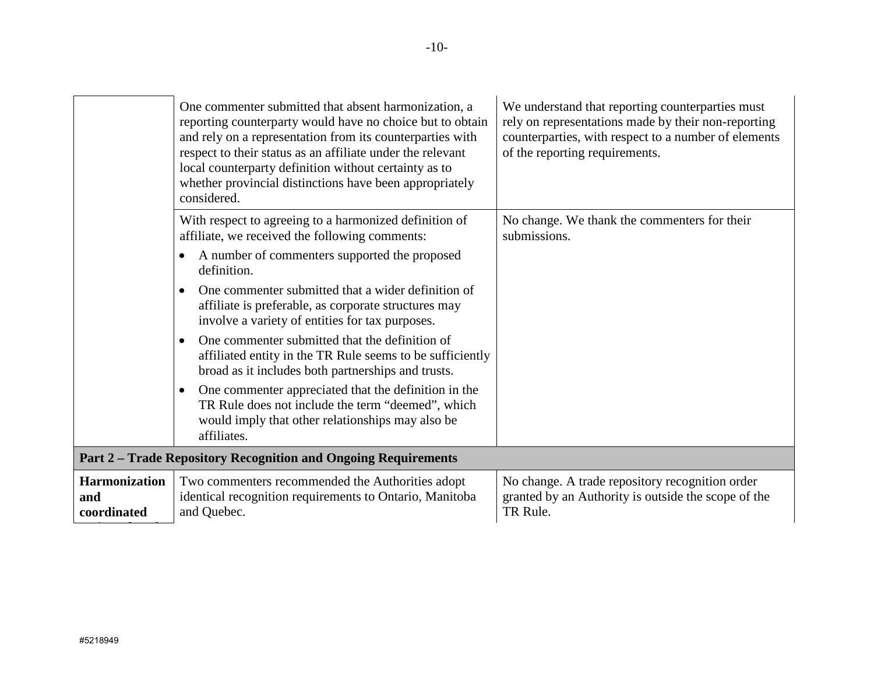|                                                                       | One commenter submitted that absent harmonization, a<br>reporting counterparty would have no choice but to obtain<br>and rely on a representation from its counterparties with<br>respect to their status as an affiliate under the relevant<br>local counterparty definition without certainty as to<br>whether provincial distinctions have been appropriately<br>considered. | We understand that reporting counterparties must<br>rely on representations made by their non-reporting<br>counterparties, with respect to a number of elements<br>of the reporting requirements. |
|-----------------------------------------------------------------------|---------------------------------------------------------------------------------------------------------------------------------------------------------------------------------------------------------------------------------------------------------------------------------------------------------------------------------------------------------------------------------|---------------------------------------------------------------------------------------------------------------------------------------------------------------------------------------------------|
|                                                                       | With respect to agreeing to a harmonized definition of<br>affiliate, we received the following comments:                                                                                                                                                                                                                                                                        | No change. We thank the commenters for their<br>submissions.                                                                                                                                      |
|                                                                       | A number of commenters supported the proposed<br>definition.                                                                                                                                                                                                                                                                                                                    |                                                                                                                                                                                                   |
|                                                                       | One commenter submitted that a wider definition of<br>affiliate is preferable, as corporate structures may<br>involve a variety of entities for tax purposes.                                                                                                                                                                                                                   |                                                                                                                                                                                                   |
|                                                                       | One commenter submitted that the definition of<br>affiliated entity in the TR Rule seems to be sufficiently<br>broad as it includes both partnerships and trusts.                                                                                                                                                                                                               |                                                                                                                                                                                                   |
|                                                                       | One commenter appreciated that the definition in the<br>TR Rule does not include the term "deemed", which<br>would imply that other relationships may also be<br>affiliates.                                                                                                                                                                                                    |                                                                                                                                                                                                   |
| <b>Part 2 - Trade Repository Recognition and Ongoing Requirements</b> |                                                                                                                                                                                                                                                                                                                                                                                 |                                                                                                                                                                                                   |
| <b>Harmonization</b><br>and<br>coordinated                            | Two commenters recommended the Authorities adopt<br>identical recognition requirements to Ontario, Manitoba<br>and Quebec.                                                                                                                                                                                                                                                      | No change. A trade repository recognition order<br>granted by an Authority is outside the scope of the<br>TR Rule.                                                                                |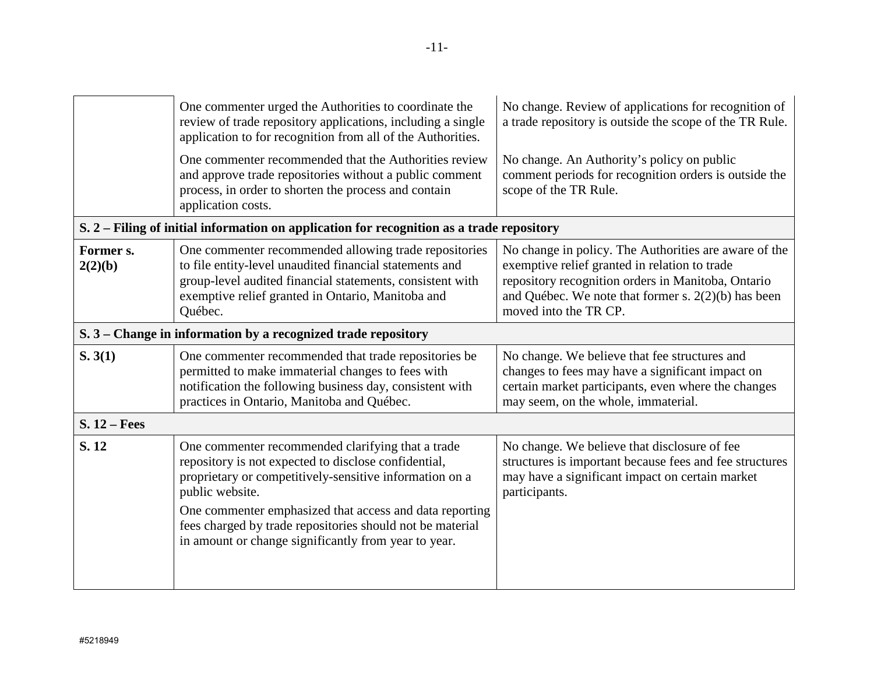|                      | One commenter urged the Authorities to coordinate the<br>review of trade repository applications, including a single<br>application to for recognition from all of the Authorities.<br>One commenter recommended that the Authorities review<br>and approve trade repositories without a public comment<br>process, in order to shorten the process and contain<br>application costs. | No change. Review of applications for recognition of<br>a trade repository is outside the scope of the TR Rule.<br>No change. An Authority's policy on public<br>comment periods for recognition orders is outside the<br>scope of the TR Rule. |
|----------------------|---------------------------------------------------------------------------------------------------------------------------------------------------------------------------------------------------------------------------------------------------------------------------------------------------------------------------------------------------------------------------------------|-------------------------------------------------------------------------------------------------------------------------------------------------------------------------------------------------------------------------------------------------|
|                      | S. 2 - Filing of initial information on application for recognition as a trade repository                                                                                                                                                                                                                                                                                             |                                                                                                                                                                                                                                                 |
| Former s.<br>2(2)(b) | One commenter recommended allowing trade repositories<br>to file entity-level unaudited financial statements and<br>group-level audited financial statements, consistent with<br>exemptive relief granted in Ontario, Manitoba and<br>Québec.                                                                                                                                         | No change in policy. The Authorities are aware of the<br>exemptive relief granted in relation to trade<br>repository recognition orders in Manitoba, Ontario<br>and Québec. We note that former s. $2(2)(b)$ has been<br>moved into the TR CP.  |
|                      | S. 3 – Change in information by a recognized trade repository                                                                                                                                                                                                                                                                                                                         |                                                                                                                                                                                                                                                 |
| S. 3(1)              | One commenter recommended that trade repositories be<br>permitted to make immaterial changes to fees with<br>notification the following business day, consistent with<br>practices in Ontario, Manitoba and Québec.                                                                                                                                                                   | No change. We believe that fee structures and<br>changes to fees may have a significant impact on<br>certain market participants, even where the changes<br>may seem, on the whole, immaterial.                                                 |
| $S. 12 - Fees$       |                                                                                                                                                                                                                                                                                                                                                                                       |                                                                                                                                                                                                                                                 |
| S. 12                | One commenter recommended clarifying that a trade<br>repository is not expected to disclose confidential,<br>proprietary or competitively-sensitive information on a<br>public website.<br>One commenter emphasized that access and data reporting<br>fees charged by trade repositories should not be material<br>in amount or change significantly from year to year.               | No change. We believe that disclosure of fee<br>structures is important because fees and fee structures<br>may have a significant impact on certain market<br>participants.                                                                     |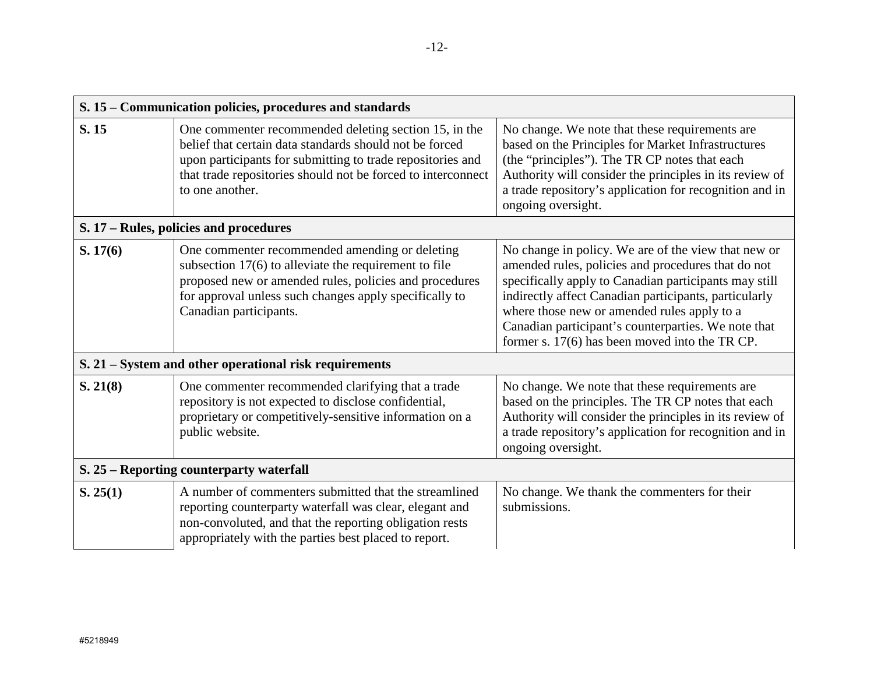|          | S. 15 - Communication policies, procedures and standards                                                                                                                                                                                                          |                                                                                                                                                                                                                                                                                                                                                                                     |  |
|----------|-------------------------------------------------------------------------------------------------------------------------------------------------------------------------------------------------------------------------------------------------------------------|-------------------------------------------------------------------------------------------------------------------------------------------------------------------------------------------------------------------------------------------------------------------------------------------------------------------------------------------------------------------------------------|--|
| S. 15    | One commenter recommended deleting section 15, in the<br>belief that certain data standards should not be forced<br>upon participants for submitting to trade repositories and<br>that trade repositories should not be forced to interconnect<br>to one another. | No change. We note that these requirements are<br>based on the Principles for Market Infrastructures<br>(the "principles"). The TR CP notes that each<br>Authority will consider the principles in its review of<br>a trade repository's application for recognition and in<br>ongoing oversight.                                                                                   |  |
|          | S. 17 – Rules, policies and procedures                                                                                                                                                                                                                            |                                                                                                                                                                                                                                                                                                                                                                                     |  |
| S. 17(6) | One commenter recommended amending or deleting<br>subsection $17(6)$ to alleviate the requirement to file<br>proposed new or amended rules, policies and procedures<br>for approval unless such changes apply specifically to<br>Canadian participants.           | No change in policy. We are of the view that new or<br>amended rules, policies and procedures that do not<br>specifically apply to Canadian participants may still<br>indirectly affect Canadian participants, particularly<br>where those new or amended rules apply to a<br>Canadian participant's counterparties. We note that<br>former s. 17(6) has been moved into the TR CP. |  |
|          | S. 21 – System and other operational risk requirements                                                                                                                                                                                                            |                                                                                                                                                                                                                                                                                                                                                                                     |  |
| S. 21(8) | One commenter recommended clarifying that a trade<br>repository is not expected to disclose confidential,<br>proprietary or competitively-sensitive information on a<br>public website.                                                                           | No change. We note that these requirements are<br>based on the principles. The TR CP notes that each<br>Authority will consider the principles in its review of<br>a trade repository's application for recognition and in<br>ongoing oversight.                                                                                                                                    |  |
|          | S. 25 – Reporting counterparty waterfall                                                                                                                                                                                                                          |                                                                                                                                                                                                                                                                                                                                                                                     |  |
| S. 25(1) | A number of commenters submitted that the streamlined<br>reporting counterparty waterfall was clear, elegant and<br>non-convoluted, and that the reporting obligation rests<br>appropriately with the parties best placed to report.                              | No change. We thank the commenters for their<br>submissions.                                                                                                                                                                                                                                                                                                                        |  |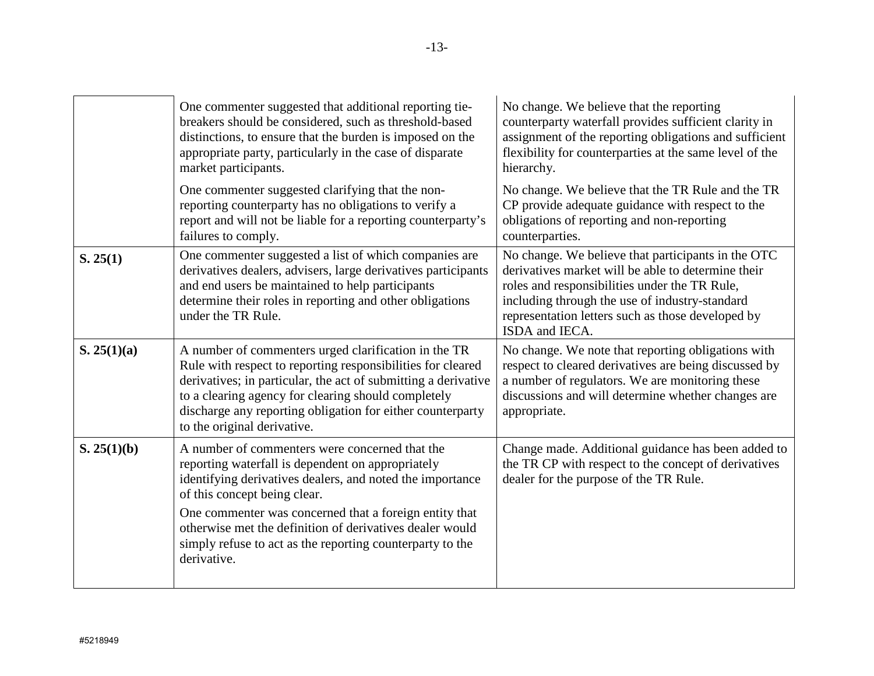|             | One commenter suggested that additional reporting tie-<br>breakers should be considered, such as threshold-based<br>distinctions, to ensure that the burden is imposed on the<br>appropriate party, particularly in the case of disparate<br>market participants.                                                                                                                                  | No change. We believe that the reporting<br>counterparty waterfall provides sufficient clarity in<br>assignment of the reporting obligations and sufficient<br>flexibility for counterparties at the same level of the<br>hierarchy.                                               |
|-------------|----------------------------------------------------------------------------------------------------------------------------------------------------------------------------------------------------------------------------------------------------------------------------------------------------------------------------------------------------------------------------------------------------|------------------------------------------------------------------------------------------------------------------------------------------------------------------------------------------------------------------------------------------------------------------------------------|
|             | One commenter suggested clarifying that the non-<br>reporting counterparty has no obligations to verify a<br>report and will not be liable for a reporting counterparty's<br>failures to comply.                                                                                                                                                                                                   | No change. We believe that the TR Rule and the TR<br>CP provide adequate guidance with respect to the<br>obligations of reporting and non-reporting<br>counterparties.                                                                                                             |
| S. 25(1)    | One commenter suggested a list of which companies are<br>derivatives dealers, advisers, large derivatives participants<br>and end users be maintained to help participants<br>determine their roles in reporting and other obligations<br>under the TR Rule.                                                                                                                                       | No change. We believe that participants in the OTC<br>derivatives market will be able to determine their<br>roles and responsibilities under the TR Rule,<br>including through the use of industry-standard<br>representation letters such as those developed by<br>ISDA and IECA. |
| S. 25(1)(a) | A number of commenters urged clarification in the TR<br>Rule with respect to reporting responsibilities for cleared<br>derivatives; in particular, the act of submitting a derivative<br>to a clearing agency for clearing should completely<br>discharge any reporting obligation for either counterparty<br>to the original derivative.                                                          | No change. We note that reporting obligations with<br>respect to cleared derivatives are being discussed by<br>a number of regulators. We are monitoring these<br>discussions and will determine whether changes are<br>appropriate.                                               |
| S. 25(1)(b) | A number of commenters were concerned that the<br>reporting waterfall is dependent on appropriately<br>identifying derivatives dealers, and noted the importance<br>of this concept being clear.<br>One commenter was concerned that a foreign entity that<br>otherwise met the definition of derivatives dealer would<br>simply refuse to act as the reporting counterparty to the<br>derivative. | Change made. Additional guidance has been added to<br>the TR CP with respect to the concept of derivatives<br>dealer for the purpose of the TR Rule.                                                                                                                               |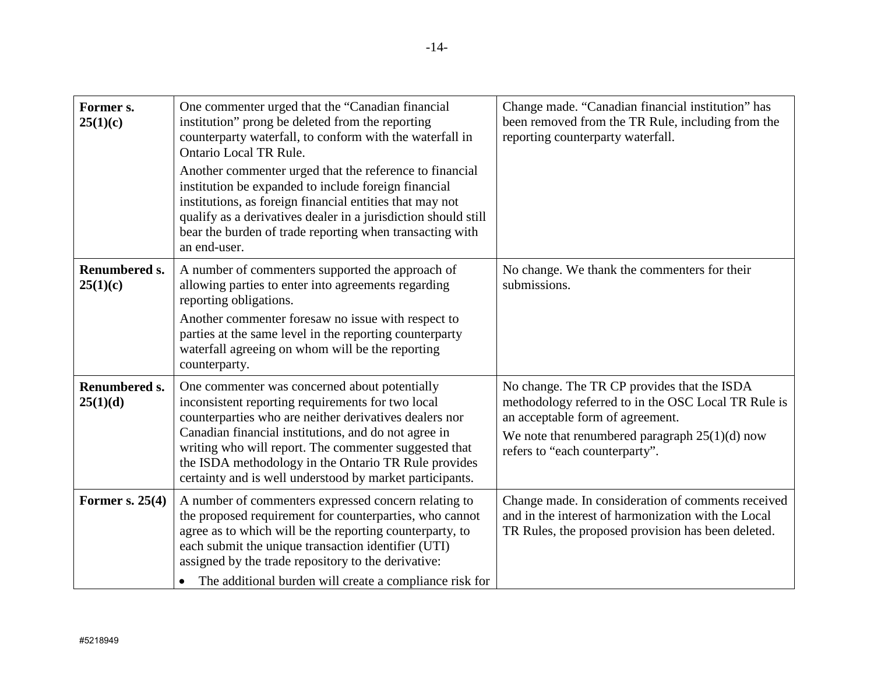| Former s.<br>25(1)(c)            | One commenter urged that the "Canadian financial<br>institution" prong be deleted from the reporting<br>counterparty waterfall, to conform with the waterfall in<br><b>Ontario Local TR Rule.</b><br>Another commenter urged that the reference to financial<br>institution be expanded to include foreign financial<br>institutions, as foreign financial entities that may not<br>qualify as a derivatives dealer in a jurisdiction should still<br>bear the burden of trade reporting when transacting with<br>an end-user. | Change made. "Canadian financial institution" has<br>been removed from the TR Rule, including from the<br>reporting counterparty waterfall.                                                                                  |
|----------------------------------|--------------------------------------------------------------------------------------------------------------------------------------------------------------------------------------------------------------------------------------------------------------------------------------------------------------------------------------------------------------------------------------------------------------------------------------------------------------------------------------------------------------------------------|------------------------------------------------------------------------------------------------------------------------------------------------------------------------------------------------------------------------------|
| <b>Renumbered s.</b><br>25(1)(c) | A number of commenters supported the approach of<br>allowing parties to enter into agreements regarding<br>reporting obligations.<br>Another commenter foresaw no issue with respect to<br>parties at the same level in the reporting counterparty<br>waterfall agreeing on whom will be the reporting<br>counterparty.                                                                                                                                                                                                        | No change. We thank the commenters for their<br>submissions.                                                                                                                                                                 |
| <b>Renumbered s.</b><br>25(1)(d) | One commenter was concerned about potentially<br>inconsistent reporting requirements for two local<br>counterparties who are neither derivatives dealers nor<br>Canadian financial institutions, and do not agree in<br>writing who will report. The commenter suggested that<br>the ISDA methodology in the Ontario TR Rule provides<br>certainty and is well understood by market participants.                                                                                                                              | No change. The TR CP provides that the ISDA<br>methodology referred to in the OSC Local TR Rule is<br>an acceptable form of agreement.<br>We note that renumbered paragraph $25(1)(d)$ now<br>refers to "each counterparty". |
| Former s. $25(4)$                | A number of commenters expressed concern relating to<br>the proposed requirement for counterparties, who cannot<br>agree as to which will be the reporting counterparty, to<br>each submit the unique transaction identifier (UTI)<br>assigned by the trade repository to the derivative:<br>The additional burden will create a compliance risk for<br>$\bullet$                                                                                                                                                              | Change made. In consideration of comments received<br>and in the interest of harmonization with the Local<br>TR Rules, the proposed provision has been deleted.                                                              |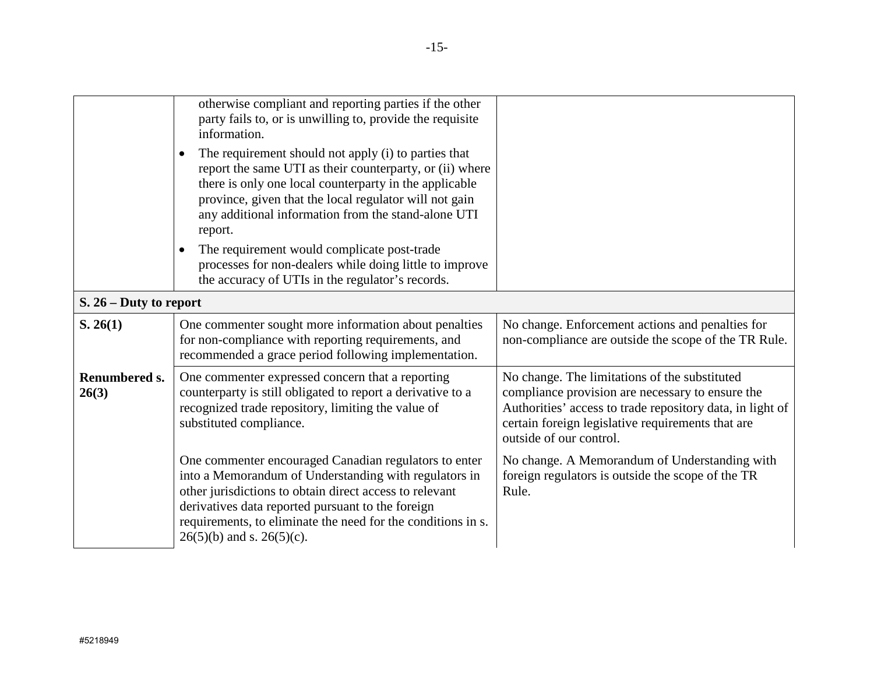|                               | otherwise compliant and reporting parties if the other<br>party fails to, or is unwilling to, provide the requisite<br>information.                                                                                                                                                                                              |                                                                                                                                                                                                                                                |
|-------------------------------|----------------------------------------------------------------------------------------------------------------------------------------------------------------------------------------------------------------------------------------------------------------------------------------------------------------------------------|------------------------------------------------------------------------------------------------------------------------------------------------------------------------------------------------------------------------------------------------|
|                               | The requirement should not apply (i) to parties that<br>$\bullet$<br>report the same UTI as their counterparty, or (ii) where<br>there is only one local counterparty in the applicable<br>province, given that the local regulator will not gain<br>any additional information from the stand-alone UTI<br>report.              |                                                                                                                                                                                                                                                |
|                               | The requirement would complicate post-trade<br>$\bullet$<br>processes for non-dealers while doing little to improve<br>the accuracy of UTIs in the regulator's records.                                                                                                                                                          |                                                                                                                                                                                                                                                |
| S. 26 – Duty to report        |                                                                                                                                                                                                                                                                                                                                  |                                                                                                                                                                                                                                                |
| S. 26(1)                      | One commenter sought more information about penalties<br>for non-compliance with reporting requirements, and<br>recommended a grace period following implementation.                                                                                                                                                             | No change. Enforcement actions and penalties for<br>non-compliance are outside the scope of the TR Rule.                                                                                                                                       |
| <b>Renumbered s.</b><br>26(3) | One commenter expressed concern that a reporting<br>counterparty is still obligated to report a derivative to a<br>recognized trade repository, limiting the value of<br>substituted compliance.                                                                                                                                 | No change. The limitations of the substituted<br>compliance provision are necessary to ensure the<br>Authorities' access to trade repository data, in light of<br>certain foreign legislative requirements that are<br>outside of our control. |
|                               | One commenter encouraged Canadian regulators to enter<br>into a Memorandum of Understanding with regulators in<br>other jurisdictions to obtain direct access to relevant<br>derivatives data reported pursuant to the foreign<br>requirements, to eliminate the need for the conditions in s.<br>$26(5)(b)$ and s. $26(5)(c)$ . | No change. A Memorandum of Understanding with<br>foreign regulators is outside the scope of the TR<br>Rule.                                                                                                                                    |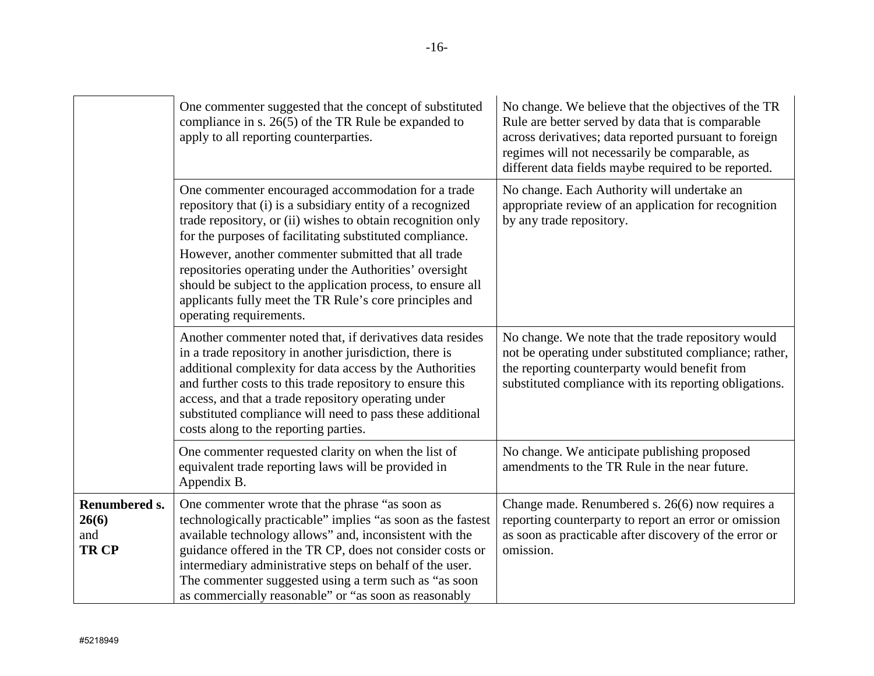|                                                      | One commenter suggested that the concept of substituted<br>compliance in s. $26(5)$ of the TR Rule be expanded to<br>apply to all reporting counterparties.                                                                                                                                                                                                                                                                                                                             | No change. We believe that the objectives of the TR<br>Rule are better served by data that is comparable<br>across derivatives; data reported pursuant to foreign<br>regimes will not necessarily be comparable, as<br>different data fields maybe required to be reported. |
|------------------------------------------------------|-----------------------------------------------------------------------------------------------------------------------------------------------------------------------------------------------------------------------------------------------------------------------------------------------------------------------------------------------------------------------------------------------------------------------------------------------------------------------------------------|-----------------------------------------------------------------------------------------------------------------------------------------------------------------------------------------------------------------------------------------------------------------------------|
|                                                      | One commenter encouraged accommodation for a trade<br>repository that (i) is a subsidiary entity of a recognized<br>trade repository, or (ii) wishes to obtain recognition only<br>for the purposes of facilitating substituted compliance.<br>However, another commenter submitted that all trade<br>repositories operating under the Authorities' oversight<br>should be subject to the application process, to ensure all<br>applicants fully meet the TR Rule's core principles and | No change. Each Authority will undertake an<br>appropriate review of an application for recognition<br>by any trade repository.                                                                                                                                             |
|                                                      | operating requirements.<br>Another commenter noted that, if derivatives data resides<br>in a trade repository in another jurisdiction, there is<br>additional complexity for data access by the Authorities<br>and further costs to this trade repository to ensure this<br>access, and that a trade repository operating under<br>substituted compliance will need to pass these additional<br>costs along to the reporting parties.                                                   | No change. We note that the trade repository would<br>not be operating under substituted compliance; rather,<br>the reporting counterparty would benefit from<br>substituted compliance with its reporting obligations.                                                     |
|                                                      | One commenter requested clarity on when the list of<br>equivalent trade reporting laws will be provided in<br>Appendix B.                                                                                                                                                                                                                                                                                                                                                               | No change. We anticipate publishing proposed<br>amendments to the TR Rule in the near future.                                                                                                                                                                               |
| <b>Renumbered s.</b><br>26(6)<br>and<br><b>TR CP</b> | One commenter wrote that the phrase "as soon as<br>technologically practicable" implies "as soon as the fastest<br>available technology allows" and, inconsistent with the<br>guidance offered in the TR CP, does not consider costs or<br>intermediary administrative steps on behalf of the user.<br>The commenter suggested using a term such as "as soon<br>as commercially reasonable" or "as soon as reasonably                                                                   | Change made. Renumbered s. 26(6) now requires a<br>reporting counterparty to report an error or omission<br>as soon as practicable after discovery of the error or<br>omission.                                                                                             |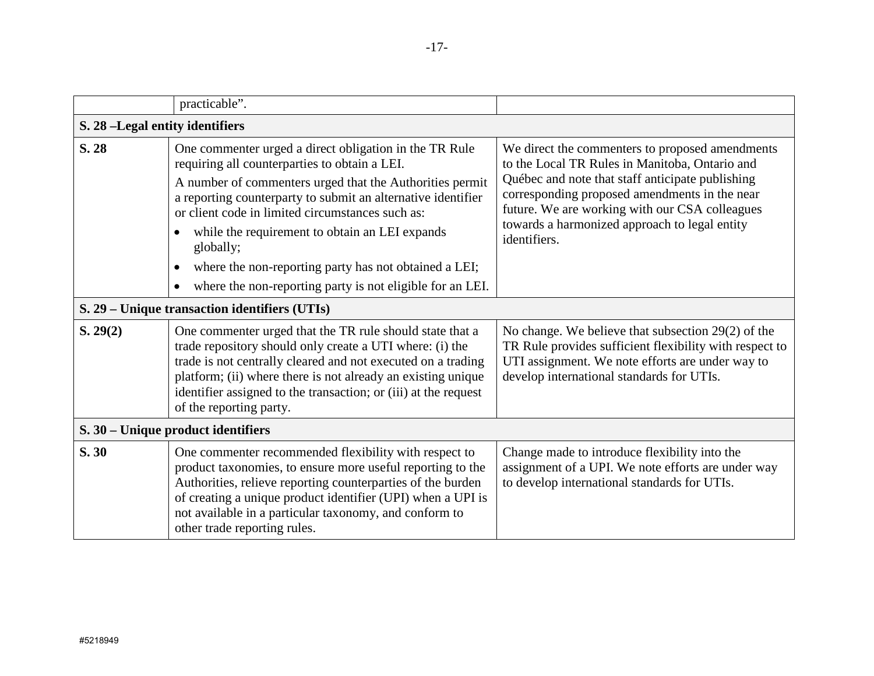|                                 | practicable".                                                                                                                                                                                                                                                                                                                                                                                                                                                                             |                                                                                                                                                                                                                                                                                                                           |
|---------------------------------|-------------------------------------------------------------------------------------------------------------------------------------------------------------------------------------------------------------------------------------------------------------------------------------------------------------------------------------------------------------------------------------------------------------------------------------------------------------------------------------------|---------------------------------------------------------------------------------------------------------------------------------------------------------------------------------------------------------------------------------------------------------------------------------------------------------------------------|
| S. 28 -Legal entity identifiers |                                                                                                                                                                                                                                                                                                                                                                                                                                                                                           |                                                                                                                                                                                                                                                                                                                           |
| S. 28                           | One commenter urged a direct obligation in the TR Rule<br>requiring all counterparties to obtain a LEI.<br>A number of commenters urged that the Authorities permit<br>a reporting counterparty to submit an alternative identifier<br>or client code in limited circumstances such as:<br>while the requirement to obtain an LEI expands<br>globally;<br>where the non-reporting party has not obtained a LEI;<br>where the non-reporting party is not eligible for an LEI.<br>$\bullet$ | We direct the commenters to proposed amendments<br>to the Local TR Rules in Manitoba, Ontario and<br>Québec and note that staff anticipate publishing<br>corresponding proposed amendments in the near<br>future. We are working with our CSA colleagues<br>towards a harmonized approach to legal entity<br>identifiers. |
|                                 | S. 29 – Unique transaction identifiers (UTIs)                                                                                                                                                                                                                                                                                                                                                                                                                                             |                                                                                                                                                                                                                                                                                                                           |
| S. 29(2)                        | One commenter urged that the TR rule should state that a<br>trade repository should only create a UTI where: (i) the<br>trade is not centrally cleared and not executed on a trading<br>platform; (ii) where there is not already an existing unique<br>identifier assigned to the transaction; or (iii) at the request<br>of the reporting party.                                                                                                                                        | No change. We believe that subsection $29(2)$ of the<br>TR Rule provides sufficient flexibility with respect to<br>UTI assignment. We note efforts are under way to<br>develop international standards for UTIs.                                                                                                          |
|                                 | S. 30 – Unique product identifiers                                                                                                                                                                                                                                                                                                                                                                                                                                                        |                                                                                                                                                                                                                                                                                                                           |
| S. 30                           | One commenter recommended flexibility with respect to<br>product taxonomies, to ensure more useful reporting to the<br>Authorities, relieve reporting counterparties of the burden<br>of creating a unique product identifier (UPI) when a UPI is<br>not available in a particular taxonomy, and conform to<br>other trade reporting rules.                                                                                                                                               | Change made to introduce flexibility into the<br>assignment of a UPI. We note efforts are under way<br>to develop international standards for UTIs.                                                                                                                                                                       |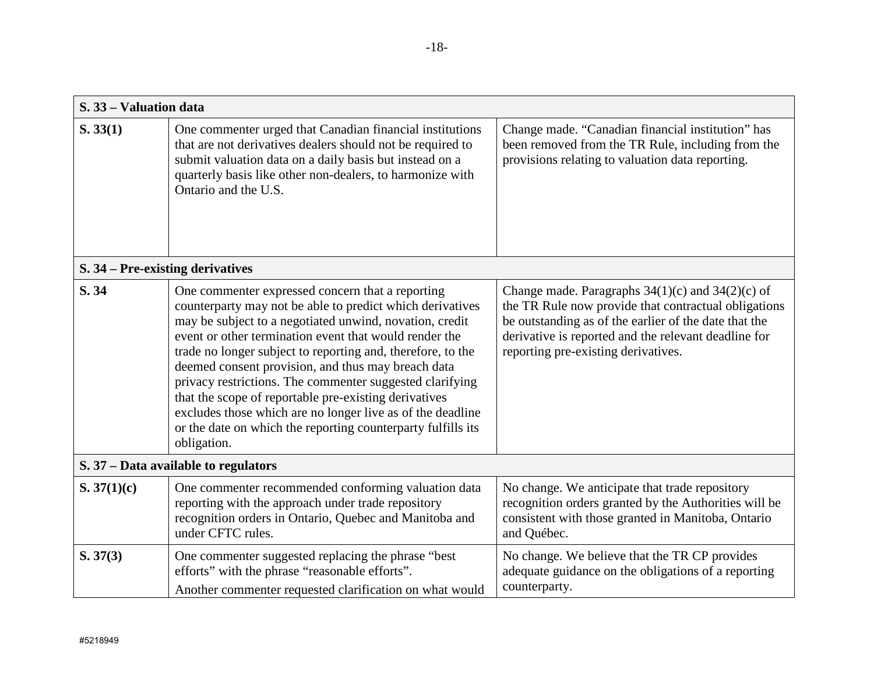|                                  | S. 33 - Valuation data                                                                                                                                                                                                                                                                                                                                                                                                                                                                                                                                                                                                    |                                                                                                                                                                                                                                                                      |  |
|----------------------------------|---------------------------------------------------------------------------------------------------------------------------------------------------------------------------------------------------------------------------------------------------------------------------------------------------------------------------------------------------------------------------------------------------------------------------------------------------------------------------------------------------------------------------------------------------------------------------------------------------------------------------|----------------------------------------------------------------------------------------------------------------------------------------------------------------------------------------------------------------------------------------------------------------------|--|
| S. 33(1)                         | One commenter urged that Canadian financial institutions<br>that are not derivatives dealers should not be required to<br>submit valuation data on a daily basis but instead on a<br>quarterly basis like other non-dealers, to harmonize with<br>Ontario and the U.S.                                                                                                                                                                                                                                                                                                                                                    | Change made. "Canadian financial institution" has<br>been removed from the TR Rule, including from the<br>provisions relating to valuation data reporting.                                                                                                           |  |
| S. 34 – Pre-existing derivatives |                                                                                                                                                                                                                                                                                                                                                                                                                                                                                                                                                                                                                           |                                                                                                                                                                                                                                                                      |  |
| S. 34                            | One commenter expressed concern that a reporting<br>counterparty may not be able to predict which derivatives<br>may be subject to a negotiated unwind, novation, credit<br>event or other termination event that would render the<br>trade no longer subject to reporting and, therefore, to the<br>deemed consent provision, and thus may breach data<br>privacy restrictions. The commenter suggested clarifying<br>that the scope of reportable pre-existing derivatives<br>excludes those which are no longer live as of the deadline<br>or the date on which the reporting counterparty fulfills its<br>obligation. | Change made. Paragraphs $34(1)(c)$ and $34(2)(c)$ of<br>the TR Rule now provide that contractual obligations<br>be outstanding as of the earlier of the date that the<br>derivative is reported and the relevant deadline for<br>reporting pre-existing derivatives. |  |
|                                  | S. 37 – Data available to regulators                                                                                                                                                                                                                                                                                                                                                                                                                                                                                                                                                                                      |                                                                                                                                                                                                                                                                      |  |
| S. 37(1)(c)                      | One commenter recommended conforming valuation data<br>reporting with the approach under trade repository<br>recognition orders in Ontario, Quebec and Manitoba and<br>under CFTC rules.                                                                                                                                                                                                                                                                                                                                                                                                                                  | No change. We anticipate that trade repository<br>recognition orders granted by the Authorities will be<br>consistent with those granted in Manitoba, Ontario<br>and Québec.                                                                                         |  |
| S. 37(3)                         | One commenter suggested replacing the phrase "best"<br>efforts" with the phrase "reasonable efforts".<br>Another commenter requested clarification on what would                                                                                                                                                                                                                                                                                                                                                                                                                                                          | No change. We believe that the TR CP provides<br>adequate guidance on the obligations of a reporting<br>counterparty.                                                                                                                                                |  |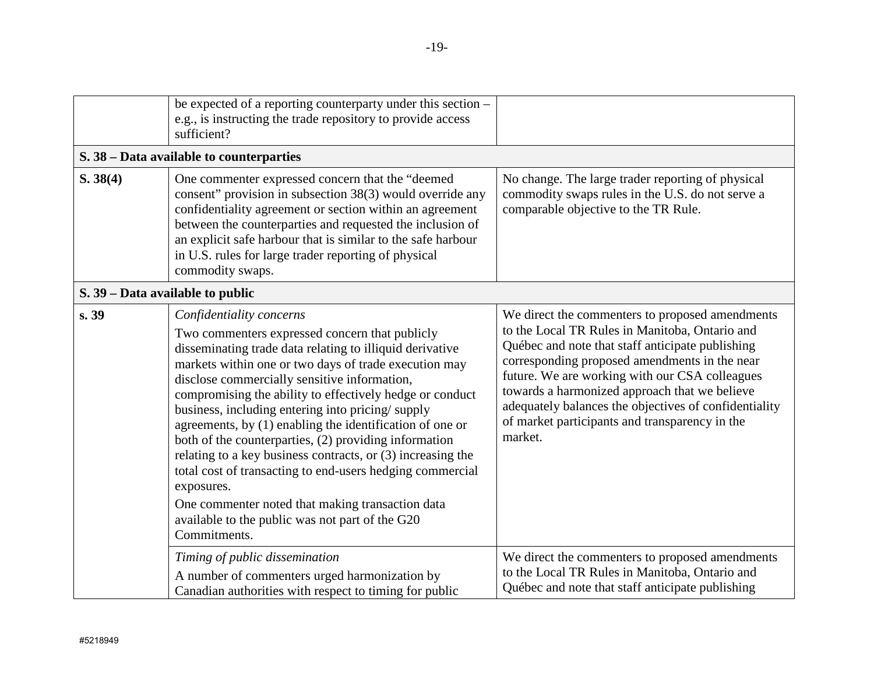|                                  | be expected of a reporting counterparty under this section -<br>e.g., is instructing the trade repository to provide access<br>sufficient?                                                                                                                                                                                                                                                                                                                                                                                                                                                                                                                                                                                                            |                                                                                                                                                                                                                                                                                                                                                                                                                                 |
|----------------------------------|-------------------------------------------------------------------------------------------------------------------------------------------------------------------------------------------------------------------------------------------------------------------------------------------------------------------------------------------------------------------------------------------------------------------------------------------------------------------------------------------------------------------------------------------------------------------------------------------------------------------------------------------------------------------------------------------------------------------------------------------------------|---------------------------------------------------------------------------------------------------------------------------------------------------------------------------------------------------------------------------------------------------------------------------------------------------------------------------------------------------------------------------------------------------------------------------------|
|                                  | S. 38 - Data available to counterparties                                                                                                                                                                                                                                                                                                                                                                                                                                                                                                                                                                                                                                                                                                              |                                                                                                                                                                                                                                                                                                                                                                                                                                 |
| S. 38(4)                         | One commenter expressed concern that the "deemed<br>consent" provision in subsection 38(3) would override any<br>confidentiality agreement or section within an agreement<br>between the counterparties and requested the inclusion of<br>an explicit safe harbour that is similar to the safe harbour<br>in U.S. rules for large trader reporting of physical<br>commodity swaps.                                                                                                                                                                                                                                                                                                                                                                    | No change. The large trader reporting of physical<br>commodity swaps rules in the U.S. do not serve a<br>comparable objective to the TR Rule.                                                                                                                                                                                                                                                                                   |
| S. 39 – Data available to public |                                                                                                                                                                                                                                                                                                                                                                                                                                                                                                                                                                                                                                                                                                                                                       |                                                                                                                                                                                                                                                                                                                                                                                                                                 |
| s. 39                            | Confidentiality concerns<br>Two commenters expressed concern that publicly<br>disseminating trade data relating to illiquid derivative<br>markets within one or two days of trade execution may<br>disclose commercially sensitive information,<br>compromising the ability to effectively hedge or conduct<br>business, including entering into pricing/supply<br>agreements, by (1) enabling the identification of one or<br>both of the counterparties, (2) providing information<br>relating to a key business contracts, or (3) increasing the<br>total cost of transacting to end-users hedging commercial<br>exposures.<br>One commenter noted that making transaction data<br>available to the public was not part of the G20<br>Commitments. | We direct the commenters to proposed amendments<br>to the Local TR Rules in Manitoba, Ontario and<br>Québec and note that staff anticipate publishing<br>corresponding proposed amendments in the near<br>future. We are working with our CSA colleagues<br>towards a harmonized approach that we believe<br>adequately balances the objectives of confidentiality<br>of market participants and transparency in the<br>market. |
|                                  | Timing of public dissemination<br>A number of commenters urged harmonization by<br>Canadian authorities with respect to timing for public                                                                                                                                                                                                                                                                                                                                                                                                                                                                                                                                                                                                             | We direct the commenters to proposed amendments<br>to the Local TR Rules in Manitoba, Ontario and<br>Québec and note that staff anticipate publishing                                                                                                                                                                                                                                                                           |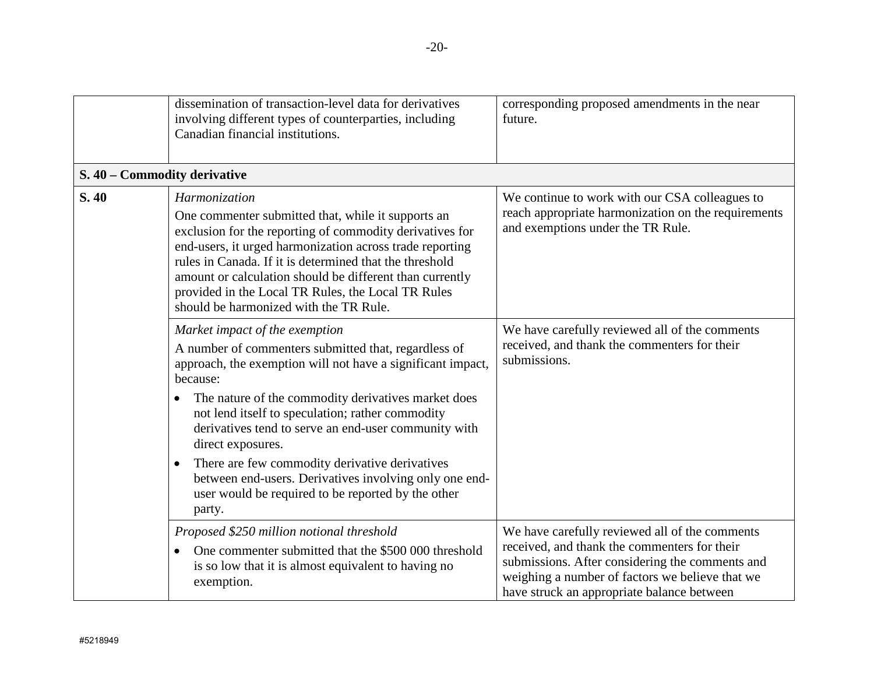|                              | dissemination of transaction-level data for derivatives<br>involving different types of counterparties, including<br>Canadian financial institutions.                                                                                                                                                                                                                                                              | corresponding proposed amendments in the near<br>future.                                                                                                                                                                                           |
|------------------------------|--------------------------------------------------------------------------------------------------------------------------------------------------------------------------------------------------------------------------------------------------------------------------------------------------------------------------------------------------------------------------------------------------------------------|----------------------------------------------------------------------------------------------------------------------------------------------------------------------------------------------------------------------------------------------------|
| S. 40 – Commodity derivative |                                                                                                                                                                                                                                                                                                                                                                                                                    |                                                                                                                                                                                                                                                    |
| S.40                         | Harmonization<br>One commenter submitted that, while it supports an<br>exclusion for the reporting of commodity derivatives for<br>end-users, it urged harmonization across trade reporting<br>rules in Canada. If it is determined that the threshold<br>amount or calculation should be different than currently<br>provided in the Local TR Rules, the Local TR Rules<br>should be harmonized with the TR Rule. | We continue to work with our CSA colleagues to<br>reach appropriate harmonization on the requirements<br>and exemptions under the TR Rule.                                                                                                         |
|                              | Market impact of the exemption<br>A number of commenters submitted that, regardless of<br>approach, the exemption will not have a significant impact,<br>because:<br>The nature of the commodity derivatives market does<br>٠                                                                                                                                                                                      | We have carefully reviewed all of the comments<br>received, and thank the commenters for their<br>submissions.                                                                                                                                     |
|                              | not lend itself to speculation; rather commodity<br>derivatives tend to serve an end-user community with<br>direct exposures.                                                                                                                                                                                                                                                                                      |                                                                                                                                                                                                                                                    |
|                              | There are few commodity derivative derivatives<br>$\bullet$<br>between end-users. Derivatives involving only one end-<br>user would be required to be reported by the other<br>party.                                                                                                                                                                                                                              |                                                                                                                                                                                                                                                    |
|                              | Proposed \$250 million notional threshold<br>One commenter submitted that the \$500 000 threshold<br>$\bullet$<br>is so low that it is almost equivalent to having no<br>exemption.                                                                                                                                                                                                                                | We have carefully reviewed all of the comments<br>received, and thank the commenters for their<br>submissions. After considering the comments and<br>weighing a number of factors we believe that we<br>have struck an appropriate balance between |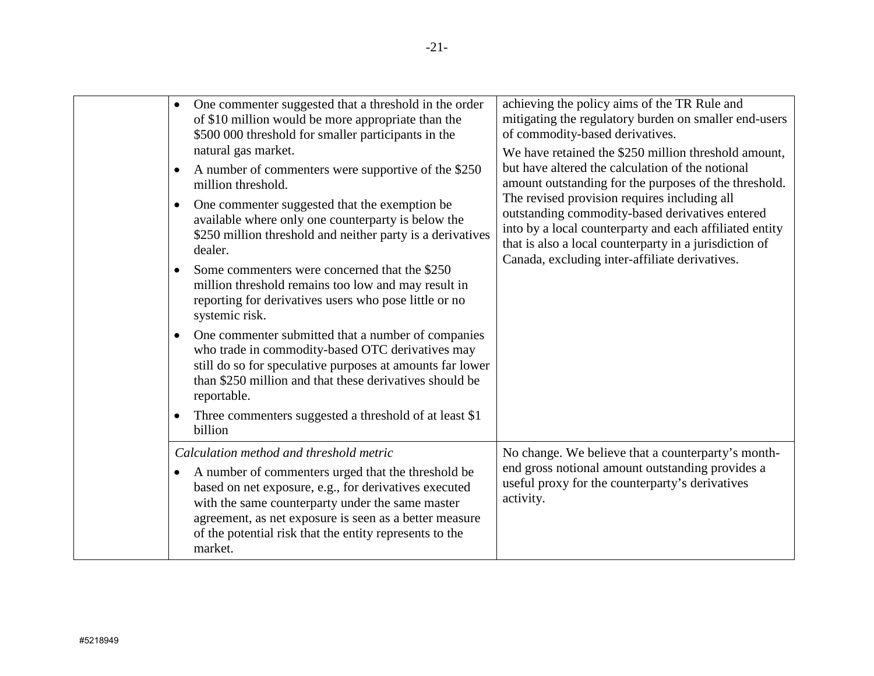| One commenter suggested that a threshold in the order<br>$\bullet$<br>of \$10 million would be more appropriate than the<br>\$500 000 threshold for smaller participants in the<br>natural gas market.<br>A number of commenters were supportive of the \$250<br>$\bullet$                                                                                                                    | achieving the policy aims of the TR Rule and<br>mitigating the regulatory burden on smaller end-users<br>of commodity-based derivatives.<br>We have retained the \$250 million threshold amount,<br>but have altered the calculation of the notional<br>amount outstanding for the purposes of the threshold.<br>The revised provision requires including all<br>outstanding commodity-based derivatives entered<br>into by a local counterparty and each affiliated entity<br>that is also a local counterparty in a jurisdiction of<br>Canada, excluding inter-affiliate derivatives. |
|-----------------------------------------------------------------------------------------------------------------------------------------------------------------------------------------------------------------------------------------------------------------------------------------------------------------------------------------------------------------------------------------------|-----------------------------------------------------------------------------------------------------------------------------------------------------------------------------------------------------------------------------------------------------------------------------------------------------------------------------------------------------------------------------------------------------------------------------------------------------------------------------------------------------------------------------------------------------------------------------------------|
| million threshold.<br>One commenter suggested that the exemption be<br>$\bullet$<br>available where only one counterparty is below the<br>\$250 million threshold and neither party is a derivatives<br>dealer.<br>Some commenters were concerned that the \$250<br>$\bullet$<br>million threshold remains too low and may result in<br>reporting for derivatives users who pose little or no |                                                                                                                                                                                                                                                                                                                                                                                                                                                                                                                                                                                         |
| systemic risk.<br>One commenter submitted that a number of companies<br>$\bullet$<br>who trade in commodity-based OTC derivatives may<br>still do so for speculative purposes at amounts far lower<br>than \$250 million and that these derivatives should be<br>reportable.<br>Three commenters suggested a threshold of at least \$1<br>٠<br>billion                                        |                                                                                                                                                                                                                                                                                                                                                                                                                                                                                                                                                                                         |
| Calculation method and threshold metric<br>A number of commenters urged that the threshold be<br>$\bullet$<br>based on net exposure, e.g., for derivatives executed<br>with the same counterparty under the same master<br>agreement, as net exposure is seen as a better measure<br>of the potential risk that the entity represents to the<br>market.                                       | No change. We believe that a counterparty's month-<br>end gross notional amount outstanding provides a<br>useful proxy for the counterparty's derivatives<br>activity.                                                                                                                                                                                                                                                                                                                                                                                                                  |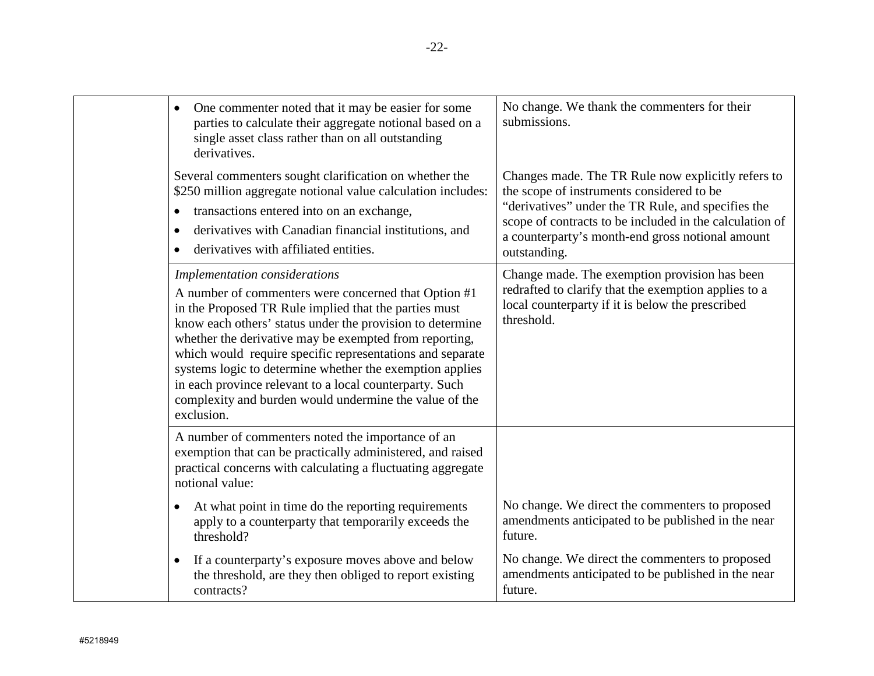|  | One commenter noted that it may be easier for some<br>$\bullet$<br>parties to calculate their aggregate notional based on a<br>single asset class rather than on all outstanding<br>derivatives.                                                                                                                                                                                                                                                                                                                                  | No change. We thank the commenters for their<br>submissions.                                                                                                                                                                                                                         |
|--|-----------------------------------------------------------------------------------------------------------------------------------------------------------------------------------------------------------------------------------------------------------------------------------------------------------------------------------------------------------------------------------------------------------------------------------------------------------------------------------------------------------------------------------|--------------------------------------------------------------------------------------------------------------------------------------------------------------------------------------------------------------------------------------------------------------------------------------|
|  | Several commenters sought clarification on whether the<br>\$250 million aggregate notional value calculation includes:<br>transactions entered into on an exchange,<br>$\bullet$<br>derivatives with Canadian financial institutions, and<br>$\bullet$<br>derivatives with affiliated entities.                                                                                                                                                                                                                                   | Changes made. The TR Rule now explicitly refers to<br>the scope of instruments considered to be<br>"derivatives" under the TR Rule, and specifies the<br>scope of contracts to be included in the calculation of<br>a counterparty's month-end gross notional amount<br>outstanding. |
|  | Implementation considerations<br>A number of commenters were concerned that Option #1<br>in the Proposed TR Rule implied that the parties must<br>know each others' status under the provision to determine<br>whether the derivative may be exempted from reporting,<br>which would require specific representations and separate<br>systems logic to determine whether the exemption applies<br>in each province relevant to a local counterparty. Such<br>complexity and burden would undermine the value of the<br>exclusion. | Change made. The exemption provision has been<br>redrafted to clarify that the exemption applies to a<br>local counterparty if it is below the prescribed<br>threshold.                                                                                                              |
|  | A number of commenters noted the importance of an<br>exemption that can be practically administered, and raised<br>practical concerns with calculating a fluctuating aggregate<br>notional value:                                                                                                                                                                                                                                                                                                                                 |                                                                                                                                                                                                                                                                                      |
|  | At what point in time do the reporting requirements<br>$\bullet$<br>apply to a counterparty that temporarily exceeds the<br>threshold?                                                                                                                                                                                                                                                                                                                                                                                            | No change. We direct the commenters to proposed<br>amendments anticipated to be published in the near<br>future.                                                                                                                                                                     |
|  | If a counterparty's exposure moves above and below<br>the threshold, are they then obliged to report existing<br>contracts?                                                                                                                                                                                                                                                                                                                                                                                                       | No change. We direct the commenters to proposed<br>amendments anticipated to be published in the near<br>future.                                                                                                                                                                     |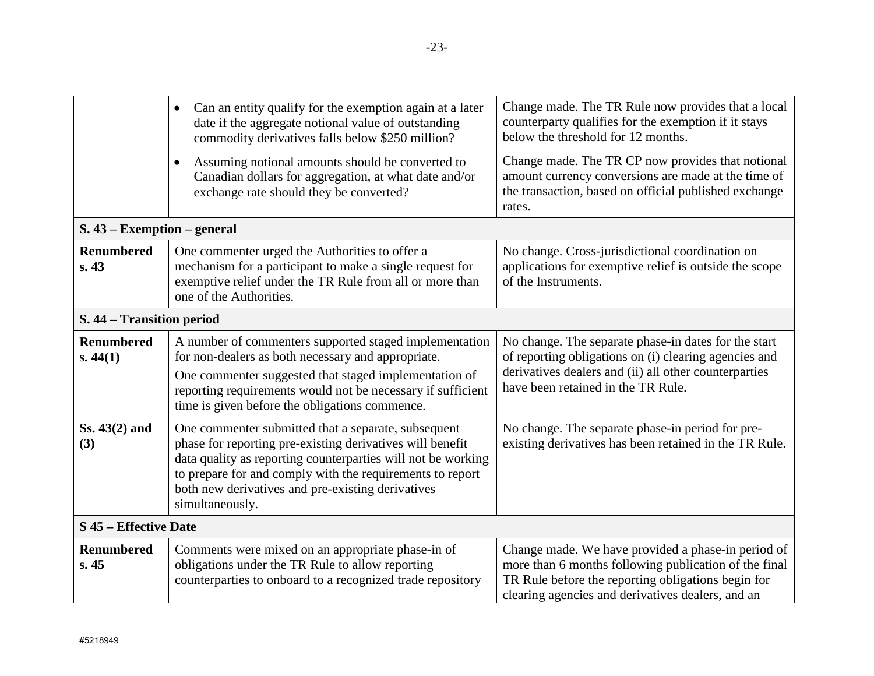|                               | Can an entity qualify for the exemption again at a later<br>$\bullet$<br>date if the aggregate notional value of outstanding<br>commodity derivatives falls below \$250 million?<br>Assuming notional amounts should be converted to<br>$\bullet$<br>Canadian dollars for aggregation, at what date and/or<br>exchange rate should they be converted? | Change made. The TR Rule now provides that a local<br>counterparty qualifies for the exemption if it stays<br>below the threshold for 12 months.<br>Change made. The TR CP now provides that notional<br>amount currency conversions are made at the time of<br>the transaction, based on official published exchange<br>rates. |
|-------------------------------|-------------------------------------------------------------------------------------------------------------------------------------------------------------------------------------------------------------------------------------------------------------------------------------------------------------------------------------------------------|---------------------------------------------------------------------------------------------------------------------------------------------------------------------------------------------------------------------------------------------------------------------------------------------------------------------------------|
| $S. 43 - Exemption - general$ |                                                                                                                                                                                                                                                                                                                                                       |                                                                                                                                                                                                                                                                                                                                 |
| <b>Renumbered</b><br>s.43     | One commenter urged the Authorities to offer a<br>mechanism for a participant to make a single request for<br>exemptive relief under the TR Rule from all or more than<br>one of the Authorities.                                                                                                                                                     | No change. Cross-jurisdictional coordination on<br>applications for exemptive relief is outside the scope<br>of the Instruments.                                                                                                                                                                                                |
| S. 44 – Transition period     |                                                                                                                                                                                                                                                                                                                                                       |                                                                                                                                                                                                                                                                                                                                 |
| <b>Renumbered</b><br>s.44(1)  | A number of commenters supported staged implementation<br>for non-dealers as both necessary and appropriate.<br>One commenter suggested that staged implementation of<br>reporting requirements would not be necessary if sufficient<br>time is given before the obligations commence.                                                                | No change. The separate phase-in dates for the start<br>of reporting obligations on (i) clearing agencies and<br>derivatives dealers and (ii) all other counterparties<br>have been retained in the TR Rule.                                                                                                                    |
| Ss. 43(2) and<br>(3)          | One commenter submitted that a separate, subsequent<br>phase for reporting pre-existing derivatives will benefit<br>data quality as reporting counterparties will not be working<br>to prepare for and comply with the requirements to report<br>both new derivatives and pre-existing derivatives<br>simultaneously.                                 | No change. The separate phase-in period for pre-<br>existing derivatives has been retained in the TR Rule.                                                                                                                                                                                                                      |
| S 45 - Effective Date         |                                                                                                                                                                                                                                                                                                                                                       |                                                                                                                                                                                                                                                                                                                                 |
| <b>Renumbered</b><br>s.45     | Comments were mixed on an appropriate phase-in of<br>obligations under the TR Rule to allow reporting<br>counterparties to onboard to a recognized trade repository                                                                                                                                                                                   | Change made. We have provided a phase-in period of<br>more than 6 months following publication of the final<br>TR Rule before the reporting obligations begin for<br>clearing agencies and derivatives dealers, and an                                                                                                          |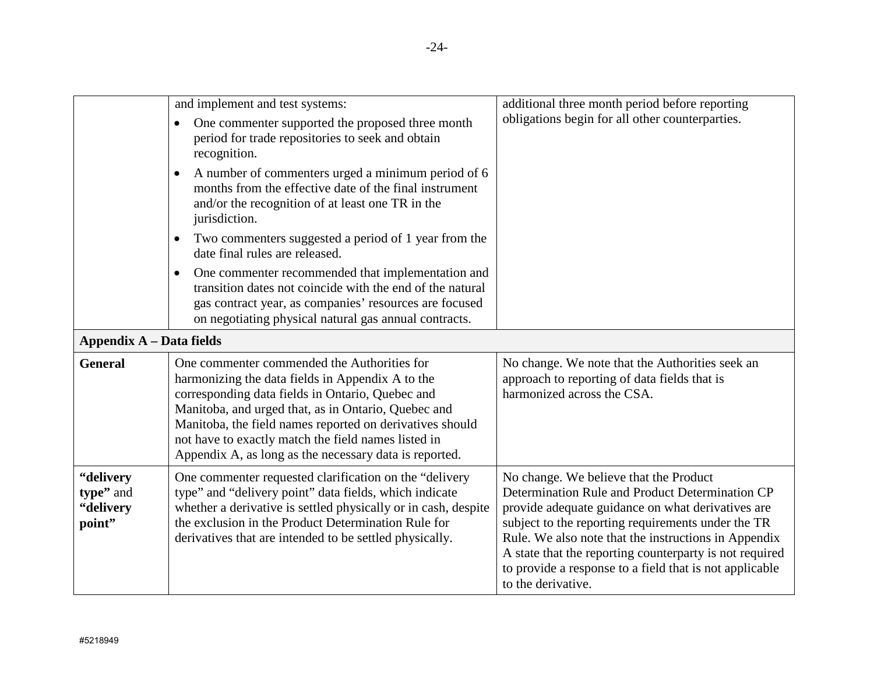|                                               | and implement and test systems:<br>One commenter supported the proposed three month<br>$\bullet$<br>period for trade repositories to seek and obtain<br>recognition.<br>A number of commenters urged a minimum period of 6<br>$\bullet$<br>months from the effective date of the final instrument<br>and/or the recognition of at least one TR in the<br>jurisdiction.<br>Two commenters suggested a period of 1 year from the<br>$\bullet$<br>date final rules are released. | additional three month period before reporting<br>obligations begin for all other counterparties.                                                                                                                                                                                                                                                                                                        |
|-----------------------------------------------|-------------------------------------------------------------------------------------------------------------------------------------------------------------------------------------------------------------------------------------------------------------------------------------------------------------------------------------------------------------------------------------------------------------------------------------------------------------------------------|----------------------------------------------------------------------------------------------------------------------------------------------------------------------------------------------------------------------------------------------------------------------------------------------------------------------------------------------------------------------------------------------------------|
|                                               | One commenter recommended that implementation and<br>$\bullet$<br>transition dates not coincide with the end of the natural<br>gas contract year, as companies' resources are focused<br>on negotiating physical natural gas annual contracts.                                                                                                                                                                                                                                |                                                                                                                                                                                                                                                                                                                                                                                                          |
| <b>Appendix A – Data fields</b>               |                                                                                                                                                                                                                                                                                                                                                                                                                                                                               |                                                                                                                                                                                                                                                                                                                                                                                                          |
| <b>General</b>                                | One commenter commended the Authorities for<br>harmonizing the data fields in Appendix A to the<br>corresponding data fields in Ontario, Quebec and<br>Manitoba, and urged that, as in Ontario, Quebec and<br>Manitoba, the field names reported on derivatives should<br>not have to exactly match the field names listed in<br>Appendix A, as long as the necessary data is reported.                                                                                       | No change. We note that the Authorities seek an<br>approach to reporting of data fields that is<br>harmonized across the CSA.                                                                                                                                                                                                                                                                            |
| "delivery<br>type" and<br>"delivery<br>point" | One commenter requested clarification on the "delivery"<br>type" and "delivery point" data fields, which indicate<br>whether a derivative is settled physically or in cash, despite<br>the exclusion in the Product Determination Rule for<br>derivatives that are intended to be settled physically.                                                                                                                                                                         | No change. We believe that the Product<br>Determination Rule and Product Determination CP<br>provide adequate guidance on what derivatives are<br>subject to the reporting requirements under the TR<br>Rule. We also note that the instructions in Appendix<br>A state that the reporting counterparty is not required<br>to provide a response to a field that is not applicable<br>to the derivative. |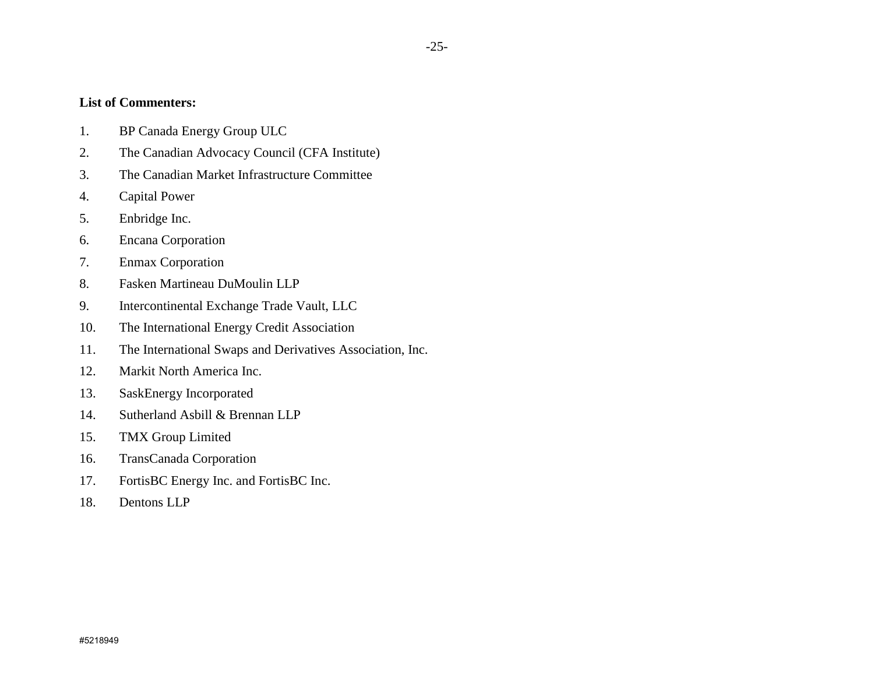# **List of Commenters:**

- 1. BP Canada Energy Group ULC
- 2. The Canadian Advocacy Council (CFA Institute)
- 3. The Canadian Market Infrastructure Committee
- 4. Capital Power
- 5. Enbridge Inc.
- 6. Encana Corporation
- 7. Enmax Corporation
- 8. Fasken Martineau DuMoulin LLP
- 9. Intercontinental Exchange Trade Vault, LLC
- 10. The International Energy Credit Association
- 11. The International Swaps and Derivatives Association, Inc.
- 12. Markit North America Inc.
- 13. SaskEnergy Incorporated
- 14. Sutherland Asbill & Brennan LLP
- 15. TMX Group Limited
- 16. TransCanada Corporation
- 17. FortisBC Energy Inc. and FortisBC Inc.
- 18. Dentons LLP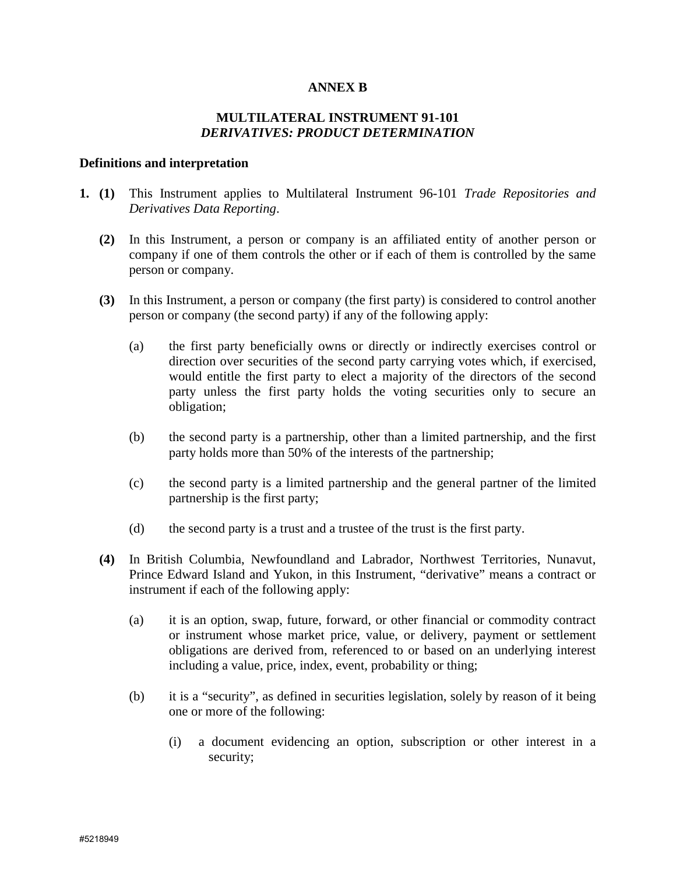## **ANNEX B**

# **MULTILATERAL INSTRUMENT 91-101**  *DERIVATIVES: PRODUCT DETERMINATION*

### **Definitions and interpretation**

- **1. (1)** This Instrument applies to Multilateral Instrument 96-101 *Trade Repositories and Derivatives Data Reporting*.
	- **(2)** In this Instrument, a person or company is an affiliated entity of another person or company if one of them controls the other or if each of them is controlled by the same person or company.
	- **(3)** In this Instrument, a person or company (the first party) is considered to control another person or company (the second party) if any of the following apply:
		- (a) the first party beneficially owns or directly or indirectly exercises control or direction over securities of the second party carrying votes which, if exercised, would entitle the first party to elect a majority of the directors of the second party unless the first party holds the voting securities only to secure an obligation;
		- (b) the second party is a partnership, other than a limited partnership, and the first party holds more than 50% of the interests of the partnership;
		- (c) the second party is a limited partnership and the general partner of the limited partnership is the first party;
		- (d) the second party is a trust and a trustee of the trust is the first party.
	- **(4)** In British Columbia, Newfoundland and Labrador, Northwest Territories, Nunavut, Prince Edward Island and Yukon, in this Instrument, "derivative" means a contract or instrument if each of the following apply:
		- (a) it is an option, swap, future, forward, or other financial or commodity contract or instrument whose market price, value, or delivery, payment or settlement obligations are derived from, referenced to or based on an underlying interest including a value, price, index, event, probability or thing;
		- (b) it is a "security", as defined in securities legislation, solely by reason of it being one or more of the following:
			- (i) a document evidencing an option, subscription or other interest in a security;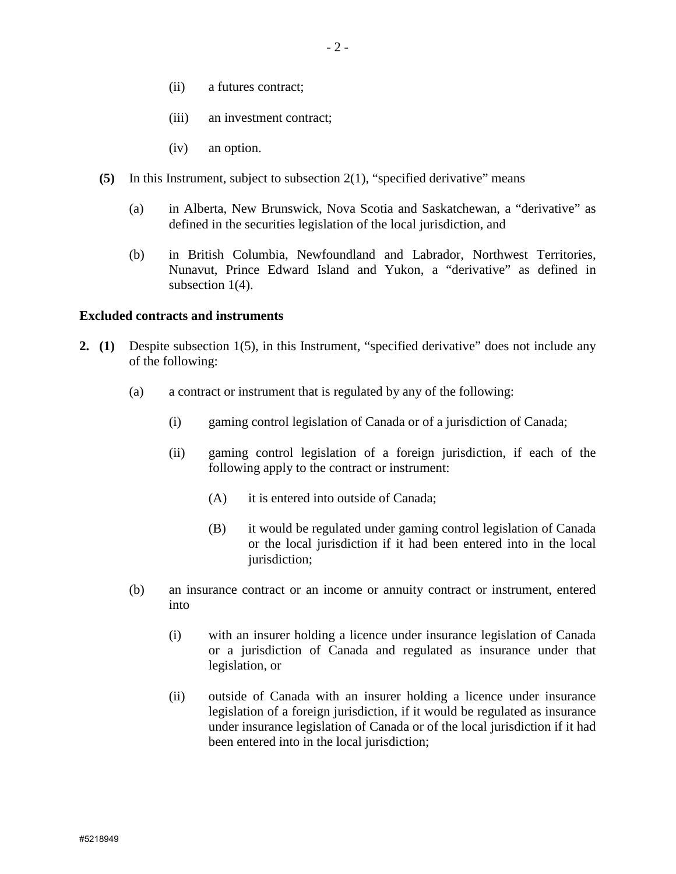- (ii) a futures contract;
- (iii) an investment contract;
- (iv) an option.
- **(5)** In this Instrument, subject to subsection 2(1), "specified derivative" means
	- (a) in Alberta, New Brunswick, Nova Scotia and Saskatchewan, a "derivative" as defined in the securities legislation of the local jurisdiction, and
	- (b) in British Columbia, Newfoundland and Labrador, Northwest Territories, Nunavut, Prince Edward Island and Yukon, a "derivative" as defined in subsection 1(4).

### **Excluded contracts and instruments**

- **2. (1)** Despite subsection 1(5), in this Instrument, "specified derivative" does not include any of the following:
	- (a) a contract or instrument that is regulated by any of the following:
		- (i) gaming control legislation of Canada or of a jurisdiction of Canada;
		- (ii) gaming control legislation of a foreign jurisdiction, if each of the following apply to the contract or instrument:
			- (A) it is entered into outside of Canada;
			- (B) it would be regulated under gaming control legislation of Canada or the local jurisdiction if it had been entered into in the local jurisdiction;
	- (b) an insurance contract or an income or annuity contract or instrument, entered into
		- (i) with an insurer holding a licence under insurance legislation of Canada or a jurisdiction of Canada and regulated as insurance under that legislation, or
		- (ii) outside of Canada with an insurer holding a licence under insurance legislation of a foreign jurisdiction, if it would be regulated as insurance under insurance legislation of Canada or of the local jurisdiction if it had been entered into in the local jurisdiction;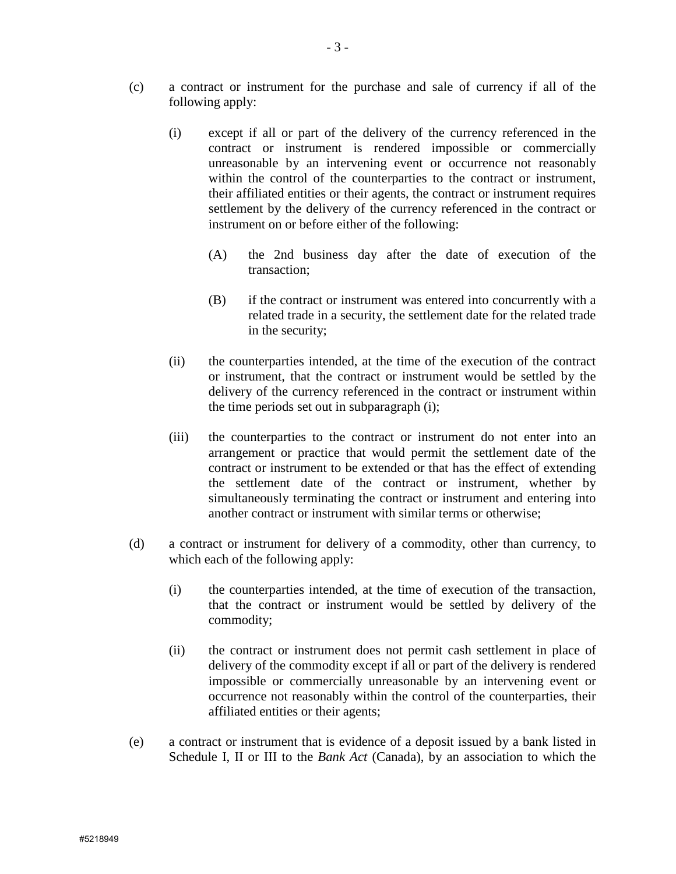- (c) a contract or instrument for the purchase and sale of currency if all of the following apply:
	- (i) except if all or part of the delivery of the currency referenced in the contract or instrument is rendered impossible or commercially unreasonable by an intervening event or occurrence not reasonably within the control of the counterparties to the contract or instrument, their affiliated entities or their agents, the contract or instrument requires settlement by the delivery of the currency referenced in the contract or instrument on or before either of the following:
		- (A) the 2nd business day after the date of execution of the transaction;
		- (B) if the contract or instrument was entered into concurrently with a related trade in a security, the settlement date for the related trade in the security;
	- (ii) the counterparties intended, at the time of the execution of the contract or instrument, that the contract or instrument would be settled by the delivery of the currency referenced in the contract or instrument within the time periods set out in subparagraph (i);
	- (iii) the counterparties to the contract or instrument do not enter into an arrangement or practice that would permit the settlement date of the contract or instrument to be extended or that has the effect of extending the settlement date of the contract or instrument, whether by simultaneously terminating the contract or instrument and entering into another contract or instrument with similar terms or otherwise;
- (d) a contract or instrument for delivery of a commodity, other than currency, to which each of the following apply:
	- (i) the counterparties intended, at the time of execution of the transaction, that the contract or instrument would be settled by delivery of the commodity;
	- (ii) the contract or instrument does not permit cash settlement in place of delivery of the commodity except if all or part of the delivery is rendered impossible or commercially unreasonable by an intervening event or occurrence not reasonably within the control of the counterparties, their affiliated entities or their agents;
- (e) a contract or instrument that is evidence of a deposit issued by a bank listed in Schedule I, II or III to the *Bank Act* (Canada), by an association to which the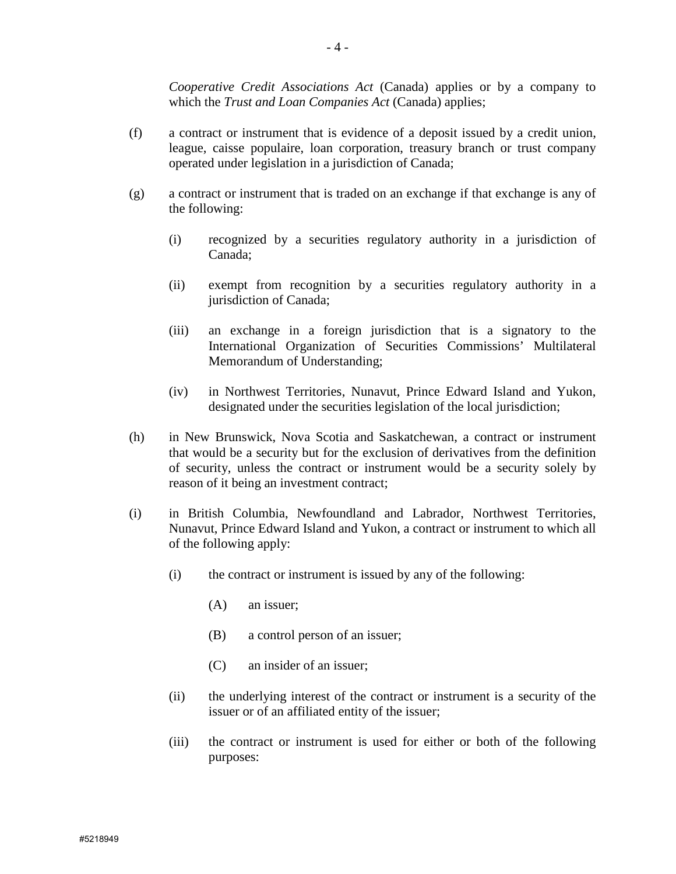*Cooperative Credit Associations Act* (Canada) applies or by a company to which the *Trust and Loan Companies Act* (Canada) applies;

- (f) a contract or instrument that is evidence of a deposit issued by a credit union, league, caisse populaire, loan corporation, treasury branch or trust company operated under legislation in a jurisdiction of Canada;
- (g) a contract or instrument that is traded on an exchange if that exchange is any of the following:
	- (i) recognized by a securities regulatory authority in a jurisdiction of Canada;
	- (ii) exempt from recognition by a securities regulatory authority in a jurisdiction of Canada;
	- (iii) an exchange in a foreign jurisdiction that is a signatory to the International Organization of Securities Commissions' Multilateral Memorandum of Understanding;
	- (iv) in Northwest Territories, Nunavut, Prince Edward Island and Yukon, designated under the securities legislation of the local jurisdiction;
- (h) in New Brunswick, Nova Scotia and Saskatchewan, a contract or instrument that would be a security but for the exclusion of derivatives from the definition of security, unless the contract or instrument would be a security solely by reason of it being an investment contract;
- (i) in British Columbia, Newfoundland and Labrador, Northwest Territories, Nunavut, Prince Edward Island and Yukon, a contract or instrument to which all of the following apply:
	- (i) the contract or instrument is issued by any of the following:
		- (A) an issuer;
		- (B) a control person of an issuer;
		- (C) an insider of an issuer;
	- (ii) the underlying interest of the contract or instrument is a security of the issuer or of an affiliated entity of the issuer;
	- (iii) the contract or instrument is used for either or both of the following purposes: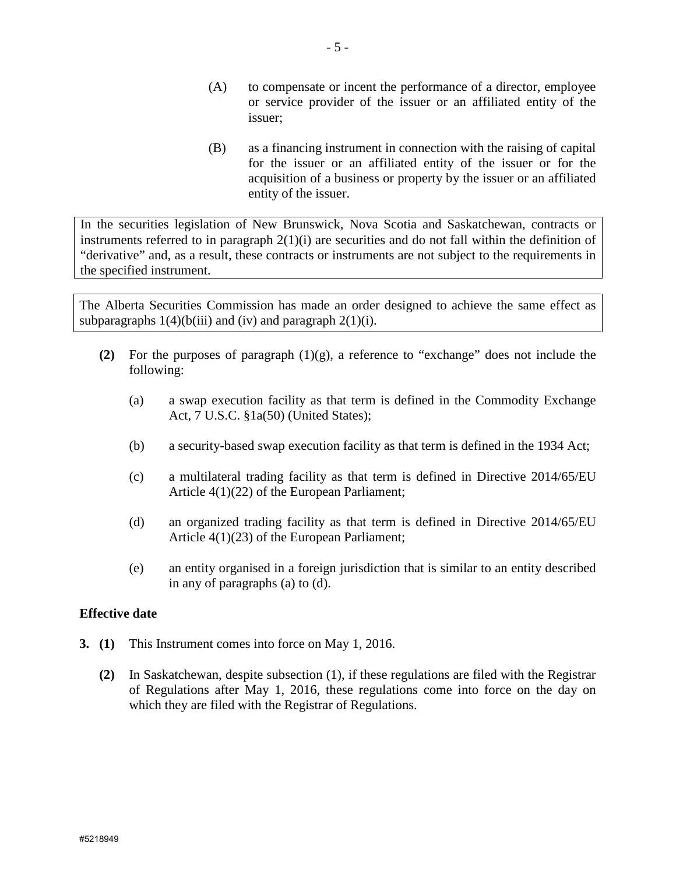- (A) to compensate or incent the performance of a director, employee or service provider of the issuer or an affiliated entity of the issuer;
- (B) as a financing instrument in connection with the raising of capital for the issuer or an affiliated entity of the issuer or for the acquisition of a business or property by the issuer or an affiliated entity of the issuer.

In the securities legislation of New Brunswick, Nova Scotia and Saskatchewan, contracts or instruments referred to in paragraph  $2(1)(i)$  are securities and do not fall within the definition of "derivative" and, as a result, these contracts or instruments are not subject to the requirements in the specified instrument.

The Alberta Securities Commission has made an order designed to achieve the same effect as subparagraphs  $1(4)(b(iii)$  and (iv) and paragraph  $2(1)(i)$ .

- **(2)** For the purposes of paragraph (1)(g), a reference to "exchange" does not include the following:
	- (a) a swap execution facility as that term is defined in the Commodity Exchange Act, 7 U.S.C. §1a(50) (United States);
	- (b) a security-based swap execution facility as that term is defined in the 1934 Act;
	- (c) a multilateral trading facility as that term is defined in Directive 2014/65/EU Article 4(1)(22) of the European Parliament;
	- (d) an organized trading facility as that term is defined in Directive 2014/65/EU Article 4(1)(23) of the European Parliament;
	- (e) an entity organised in a foreign jurisdiction that is similar to an entity described in any of paragraphs (a) to (d).

# **Effective date**

- **3. (1)** This Instrument comes into force on May 1, 2016.
	- **(2)** In Saskatchewan, despite subsection (1), if these regulations are filed with the Registrar of Regulations after May 1, 2016, these regulations come into force on the day on which they are filed with the Registrar of Regulations.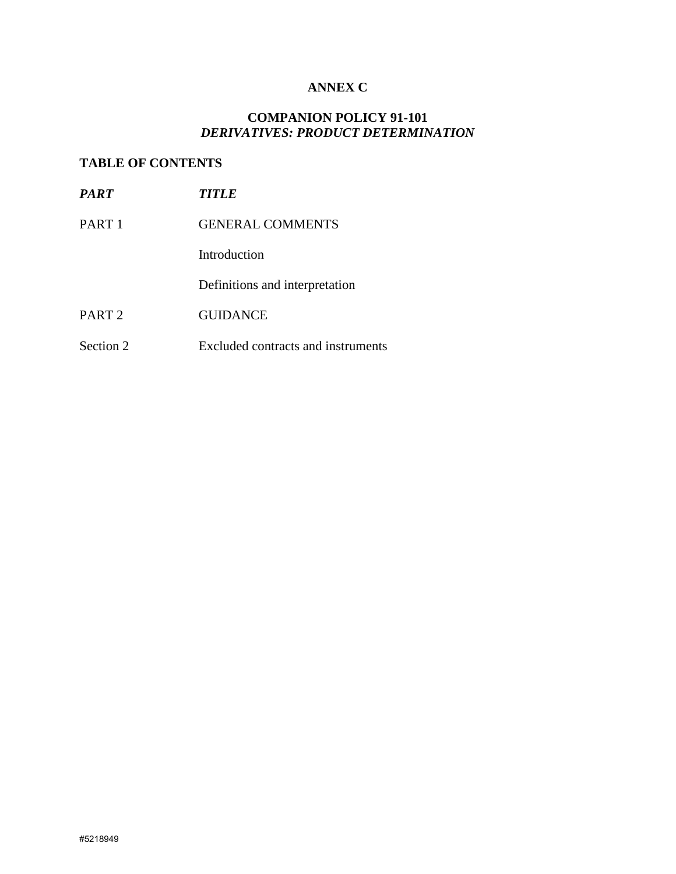# **ANNEX C**

# **COMPANION POLICY 91-101**  *DERIVATIVES: PRODUCT DETERMINATION*

# **TABLE OF CONTENTS**

- *PART TITLE*
- PART 1 **GENERAL COMMENTS**

Introduction

Definitions and interpretation

- PART 2 GUIDANCE
- Section 2 Excluded contracts and instruments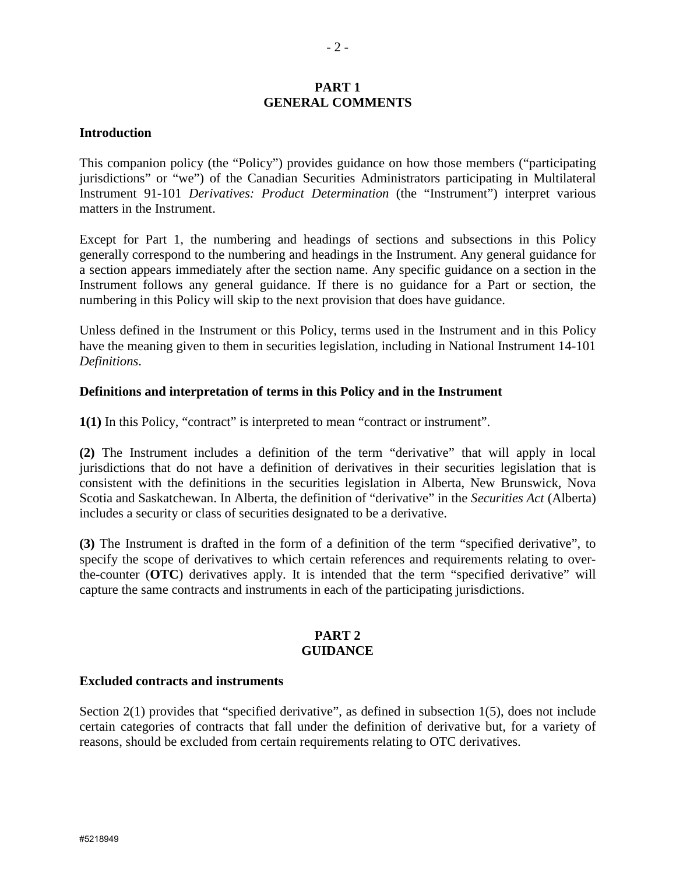### **PART 1 GENERAL COMMENTS**

### **Introduction**

This companion policy (the "Policy") provides guidance on how those members ("participating jurisdictions" or "we") of the Canadian Securities Administrators participating in Multilateral Instrument 91-101 *Derivatives: Product Determination* (the "Instrument") interpret various matters in the Instrument.

Except for Part 1, the numbering and headings of sections and subsections in this Policy generally correspond to the numbering and headings in the Instrument. Any general guidance for a section appears immediately after the section name. Any specific guidance on a section in the Instrument follows any general guidance. If there is no guidance for a Part or section, the numbering in this Policy will skip to the next provision that does have guidance.

Unless defined in the Instrument or this Policy, terms used in the Instrument and in this Policy have the meaning given to them in securities legislation, including in National Instrument 14-101 *Definitions*.

### **Definitions and interpretation of terms in this Policy and in the Instrument**

**1(1)** In this Policy, "contract" is interpreted to mean "contract or instrument".

**(2)** The Instrument includes a definition of the term "derivative" that will apply in local jurisdictions that do not have a definition of derivatives in their securities legislation that is consistent with the definitions in the securities legislation in Alberta, New Brunswick, Nova Scotia and Saskatchewan. In Alberta, the definition of "derivative" in the *Securities Act* (Alberta) includes a security or class of securities designated to be a derivative.

**(3)** The Instrument is drafted in the form of a definition of the term "specified derivative", to specify the scope of derivatives to which certain references and requirements relating to overthe-counter (**OTC**) derivatives apply. It is intended that the term "specified derivative" will capture the same contracts and instruments in each of the participating jurisdictions.

#### **PART 2 GUIDANCE**

### **Excluded contracts and instruments**

Section 2(1) provides that "specified derivative", as defined in subsection 1(5), does not include certain categories of contracts that fall under the definition of derivative but, for a variety of reasons, should be excluded from certain requirements relating to OTC derivatives.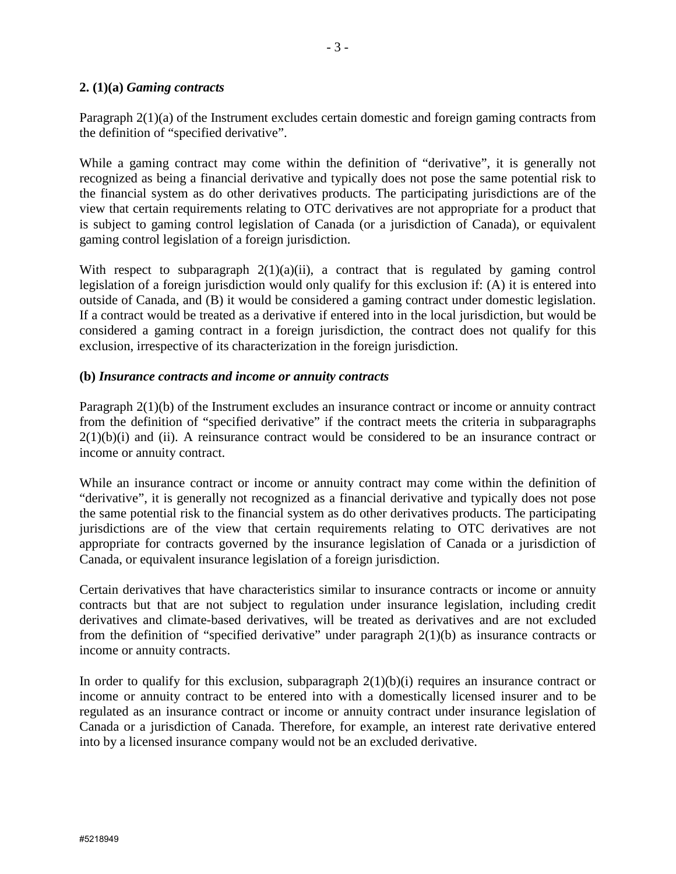## **2. (1)(a)** *Gaming contracts*

Paragraph 2(1)(a) of the Instrument excludes certain domestic and foreign gaming contracts from the definition of "specified derivative".

While a gaming contract may come within the definition of "derivative", it is generally not recognized as being a financial derivative and typically does not pose the same potential risk to the financial system as do other derivatives products. The participating jurisdictions are of the view that certain requirements relating to OTC derivatives are not appropriate for a product that is subject to gaming control legislation of Canada (or a jurisdiction of Canada), or equivalent gaming control legislation of a foreign jurisdiction.

With respect to subparagraph  $2(1)(a)(ii)$ , a contract that is regulated by gaming control legislation of a foreign jurisdiction would only qualify for this exclusion if: (A) it is entered into outside of Canada, and (B) it would be considered a gaming contract under domestic legislation. If a contract would be treated as a derivative if entered into in the local jurisdiction, but would be considered a gaming contract in a foreign jurisdiction, the contract does not qualify for this exclusion, irrespective of its characterization in the foreign jurisdiction.

# **(b)** *Insurance contracts and income or annuity contracts*

Paragraph 2(1)(b) of the Instrument excludes an insurance contract or income or annuity contract from the definition of "specified derivative" if the contract meets the criteria in subparagraphs  $2(1)(b)(i)$  and (ii). A reinsurance contract would be considered to be an insurance contract or income or annuity contract.

While an insurance contract or income or annuity contract may come within the definition of "derivative", it is generally not recognized as a financial derivative and typically does not pose the same potential risk to the financial system as do other derivatives products. The participating jurisdictions are of the view that certain requirements relating to OTC derivatives are not appropriate for contracts governed by the insurance legislation of Canada or a jurisdiction of Canada, or equivalent insurance legislation of a foreign jurisdiction.

Certain derivatives that have characteristics similar to insurance contracts or income or annuity contracts but that are not subject to regulation under insurance legislation, including credit derivatives and climate-based derivatives, will be treated as derivatives and are not excluded from the definition of "specified derivative" under paragraph 2(1)(b) as insurance contracts or income or annuity contracts.

In order to qualify for this exclusion, subparagraph  $2(1)(b)(i)$  requires an insurance contract or income or annuity contract to be entered into with a domestically licensed insurer and to be regulated as an insurance contract or income or annuity contract under insurance legislation of Canada or a jurisdiction of Canada. Therefore, for example, an interest rate derivative entered into by a licensed insurance company would not be an excluded derivative.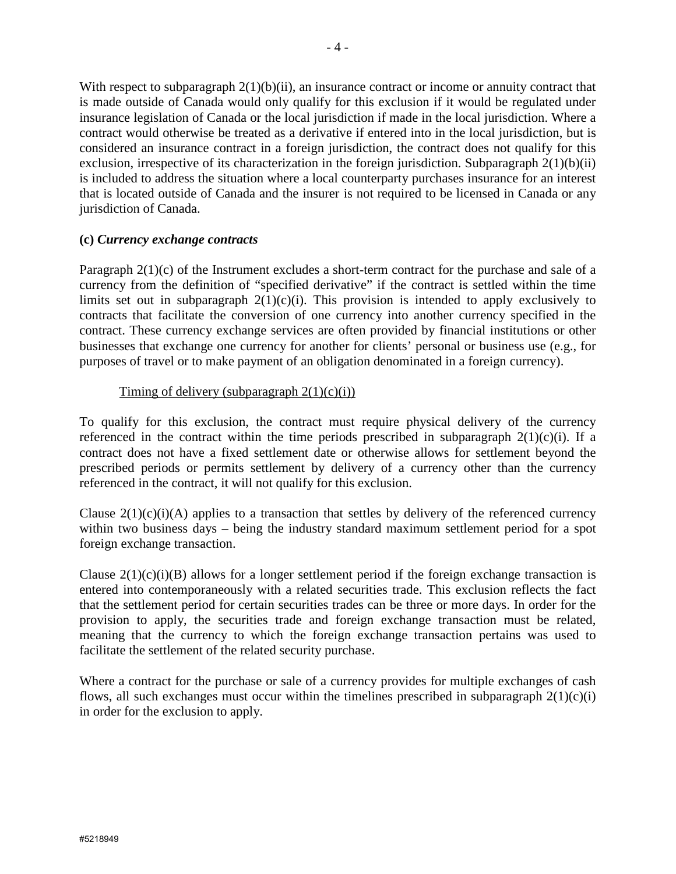With respect to subparagraph 2(1)(b)(ii), an insurance contract or income or annuity contract that is made outside of Canada would only qualify for this exclusion if it would be regulated under insurance legislation of Canada or the local jurisdiction if made in the local jurisdiction. Where a contract would otherwise be treated as a derivative if entered into in the local jurisdiction, but is considered an insurance contract in a foreign jurisdiction, the contract does not qualify for this exclusion, irrespective of its characterization in the foreign jurisdiction. Subparagraph 2(1)(b)(ii) is included to address the situation where a local counterparty purchases insurance for an interest that is located outside of Canada and the insurer is not required to be licensed in Canada or any jurisdiction of Canada.

# **(c)** *Currency exchange contracts*

Paragraph  $2(1)(c)$  of the Instrument excludes a short-term contract for the purchase and sale of a currency from the definition of "specified derivative" if the contract is settled within the time limits set out in subparagraph  $2(1)(c)(i)$ . This provision is intended to apply exclusively to contracts that facilitate the conversion of one currency into another currency specified in the contract. These currency exchange services are often provided by financial institutions or other businesses that exchange one currency for another for clients' personal or business use (e.g., for purposes of travel or to make payment of an obligation denominated in a foreign currency).

# Timing of delivery (subparagraph  $2(1)(c)(i)$ )

To qualify for this exclusion, the contract must require physical delivery of the currency referenced in the contract within the time periods prescribed in subparagraph  $2(1)(c)(i)$ . If a contract does not have a fixed settlement date or otherwise allows for settlement beyond the prescribed periods or permits settlement by delivery of a currency other than the currency referenced in the contract, it will not qualify for this exclusion.

Clause  $2(1)(c)(i)(A)$  applies to a transaction that settles by delivery of the referenced currency within two business days – being the industry standard maximum settlement period for a spot foreign exchange transaction.

Clause  $2(1)(c)(i)(B)$  allows for a longer settlement period if the foreign exchange transaction is entered into contemporaneously with a related securities trade. This exclusion reflects the fact that the settlement period for certain securities trades can be three or more days. In order for the provision to apply, the securities trade and foreign exchange transaction must be related, meaning that the currency to which the foreign exchange transaction pertains was used to facilitate the settlement of the related security purchase.

Where a contract for the purchase or sale of a currency provides for multiple exchanges of cash flows, all such exchanges must occur within the timelines prescribed in subparagraph  $2(1)(c)(i)$ in order for the exclusion to apply.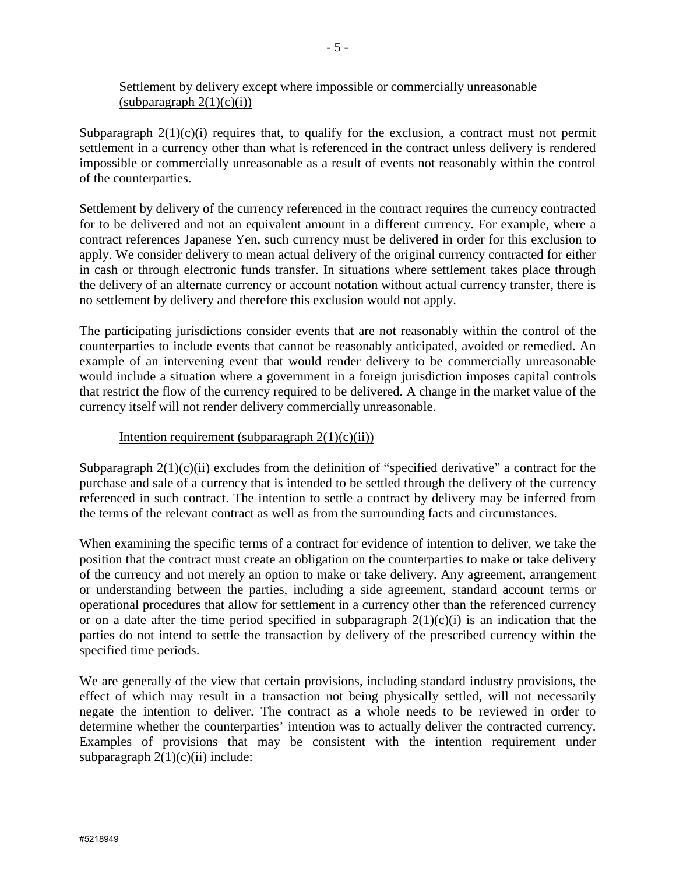# Settlement by delivery except where impossible or commercially unreasonable  $subparamph 2(1)(c)(i)$

Subparagraph  $2(1)(c)(i)$  requires that, to qualify for the exclusion, a contract must not permit settlement in a currency other than what is referenced in the contract unless delivery is rendered impossible or commercially unreasonable as a result of events not reasonably within the control of the counterparties.

Settlement by delivery of the currency referenced in the contract requires the currency contracted for to be delivered and not an equivalent amount in a different currency. For example, where a contract references Japanese Yen, such currency must be delivered in order for this exclusion to apply. We consider delivery to mean actual delivery of the original currency contracted for either in cash or through electronic funds transfer. In situations where settlement takes place through the delivery of an alternate currency or account notation without actual currency transfer, there is no settlement by delivery and therefore this exclusion would not apply.

The participating jurisdictions consider events that are not reasonably within the control of the counterparties to include events that cannot be reasonably anticipated, avoided or remedied. An example of an intervening event that would render delivery to be commercially unreasonable would include a situation where a government in a foreign jurisdiction imposes capital controls that restrict the flow of the currency required to be delivered. A change in the market value of the currency itself will not render delivery commercially unreasonable.

# Intention requirement (subparagraph  $2(1)(c)(ii)$ )

Subparagraph  $2(1)(c)(ii)$  excludes from the definition of "specified derivative" a contract for the purchase and sale of a currency that is intended to be settled through the delivery of the currency referenced in such contract. The intention to settle a contract by delivery may be inferred from the terms of the relevant contract as well as from the surrounding facts and circumstances.

When examining the specific terms of a contract for evidence of intention to deliver, we take the position that the contract must create an obligation on the counterparties to make or take delivery of the currency and not merely an option to make or take delivery. Any agreement, arrangement or understanding between the parties, including a side agreement, standard account terms or operational procedures that allow for settlement in a currency other than the referenced currency or on a date after the time period specified in subparagraph  $2(1)(c)(i)$  is an indication that the parties do not intend to settle the transaction by delivery of the prescribed currency within the specified time periods.

We are generally of the view that certain provisions, including standard industry provisions, the effect of which may result in a transaction not being physically settled, will not necessarily negate the intention to deliver. The contract as a whole needs to be reviewed in order to determine whether the counterparties' intention was to actually deliver the contracted currency. Examples of provisions that may be consistent with the intention requirement under subparagraph  $2(1)(c)(ii)$  include: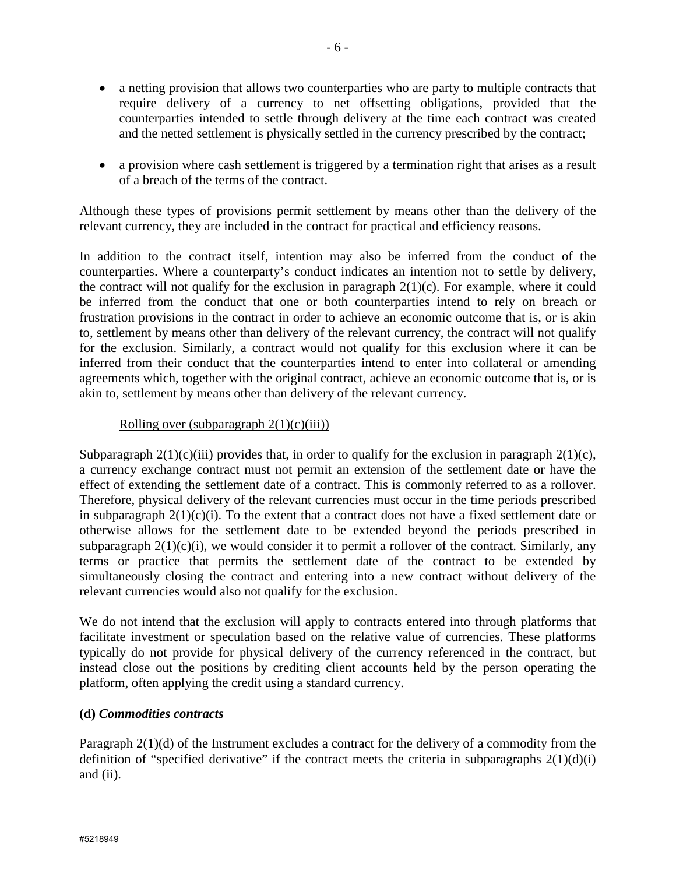- a netting provision that allows two counterparties who are party to multiple contracts that require delivery of a currency to net offsetting obligations, provided that the counterparties intended to settle through delivery at the time each contract was created and the netted settlement is physically settled in the currency prescribed by the contract;
- a provision where cash settlement is triggered by a termination right that arises as a result of a breach of the terms of the contract.

Although these types of provisions permit settlement by means other than the delivery of the relevant currency, they are included in the contract for practical and efficiency reasons.

In addition to the contract itself, intention may also be inferred from the conduct of the counterparties. Where a counterparty's conduct indicates an intention not to settle by delivery, the contract will not qualify for the exclusion in paragraph  $2(1)(c)$ . For example, where it could be inferred from the conduct that one or both counterparties intend to rely on breach or frustration provisions in the contract in order to achieve an economic outcome that is, or is akin to, settlement by means other than delivery of the relevant currency, the contract will not qualify for the exclusion. Similarly, a contract would not qualify for this exclusion where it can be inferred from their conduct that the counterparties intend to enter into collateral or amending agreements which, together with the original contract, achieve an economic outcome that is, or is akin to, settlement by means other than delivery of the relevant currency.

# Rolling over (subparagraph  $2(1)(c)(iii)$ )

Subparagraph  $2(1)(c)(iii)$  provides that, in order to qualify for the exclusion in paragraph  $2(1)(c)$ , a currency exchange contract must not permit an extension of the settlement date or have the effect of extending the settlement date of a contract. This is commonly referred to as a rollover. Therefore, physical delivery of the relevant currencies must occur in the time periods prescribed in subparagraph  $2(1)(c)(i)$ . To the extent that a contract does not have a fixed settlement date or otherwise allows for the settlement date to be extended beyond the periods prescribed in subparagraph  $2(1)(c)(i)$ , we would consider it to permit a rollover of the contract. Similarly, any terms or practice that permits the settlement date of the contract to be extended by simultaneously closing the contract and entering into a new contract without delivery of the relevant currencies would also not qualify for the exclusion.

We do not intend that the exclusion will apply to contracts entered into through platforms that facilitate investment or speculation based on the relative value of currencies. These platforms typically do not provide for physical delivery of the currency referenced in the contract, but instead close out the positions by crediting client accounts held by the person operating the platform, often applying the credit using a standard currency.

# **(d)** *Commodities contracts*

Paragraph  $2(1)(d)$  of the Instrument excludes a contract for the delivery of a commodity from the definition of "specified derivative" if the contract meets the criteria in subparagraphs  $2(1)(d)(i)$ and (ii).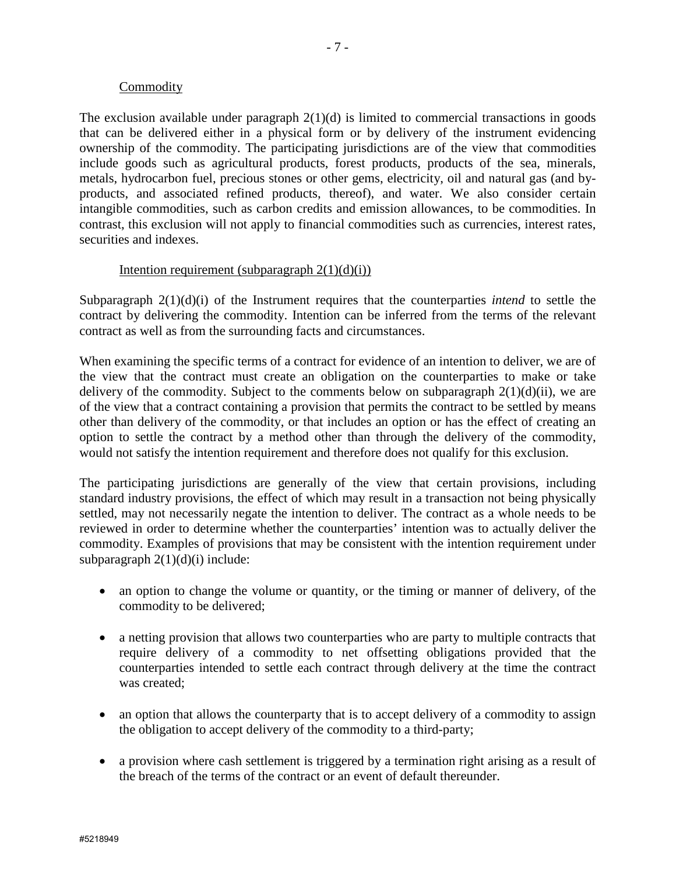### Commodity

The exclusion available under paragraph  $2(1)(d)$  is limited to commercial transactions in goods that can be delivered either in a physical form or by delivery of the instrument evidencing ownership of the commodity. The participating jurisdictions are of the view that commodities include goods such as agricultural products, forest products, products of the sea, minerals, metals, hydrocarbon fuel, precious stones or other gems, electricity, oil and natural gas (and byproducts, and associated refined products, thereof), and water. We also consider certain intangible commodities, such as carbon credits and emission allowances, to be commodities. In contrast, this exclusion will not apply to financial commodities such as currencies, interest rates, securities and indexes.

### Intention requirement (subparagraph  $2(1)(d)(i)$ )

Subparagraph 2(1)(d)(i) of the Instrument requires that the counterparties *intend* to settle the contract by delivering the commodity. Intention can be inferred from the terms of the relevant contract as well as from the surrounding facts and circumstances.

When examining the specific terms of a contract for evidence of an intention to deliver, we are of the view that the contract must create an obligation on the counterparties to make or take delivery of the commodity. Subject to the comments below on subparagraph  $2(1)(d)(ii)$ , we are of the view that a contract containing a provision that permits the contract to be settled by means other than delivery of the commodity, or that includes an option or has the effect of creating an option to settle the contract by a method other than through the delivery of the commodity, would not satisfy the intention requirement and therefore does not qualify for this exclusion.

The participating jurisdictions are generally of the view that certain provisions, including standard industry provisions, the effect of which may result in a transaction not being physically settled, may not necessarily negate the intention to deliver. The contract as a whole needs to be reviewed in order to determine whether the counterparties' intention was to actually deliver the commodity. Examples of provisions that may be consistent with the intention requirement under subparagraph  $2(1)(d)(i)$  include:

- an option to change the volume or quantity, or the timing or manner of delivery, of the commodity to be delivered;
- a netting provision that allows two counterparties who are party to multiple contracts that require delivery of a commodity to net offsetting obligations provided that the counterparties intended to settle each contract through delivery at the time the contract was created;
- an option that allows the counterparty that is to accept delivery of a commodity to assign the obligation to accept delivery of the commodity to a third-party;
- a provision where cash settlement is triggered by a termination right arising as a result of the breach of the terms of the contract or an event of default thereunder.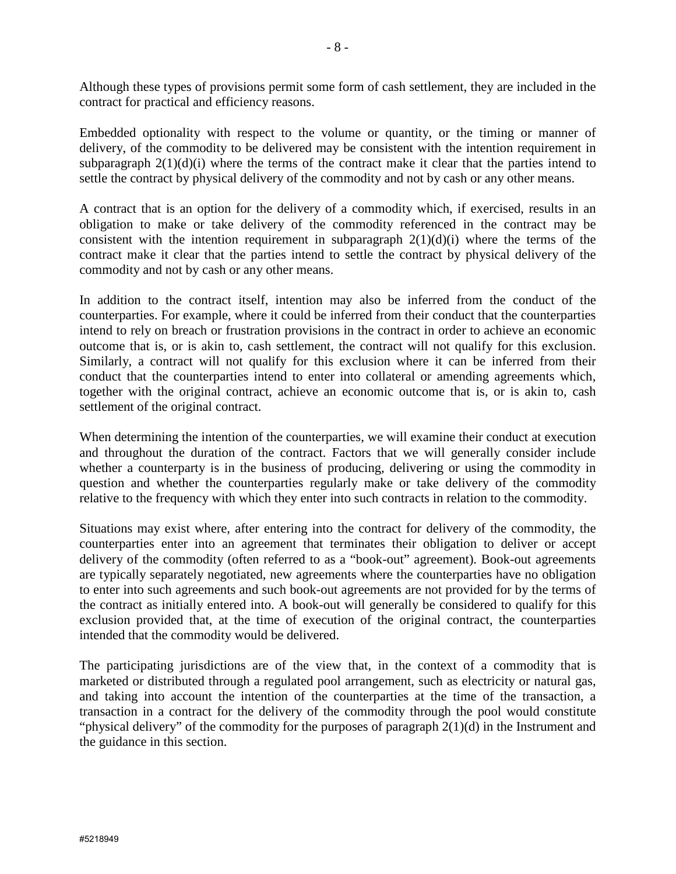Although these types of provisions permit some form of cash settlement, they are included in the contract for practical and efficiency reasons.

Embedded optionality with respect to the volume or quantity, or the timing or manner of delivery, of the commodity to be delivered may be consistent with the intention requirement in subparagraph  $2(1)(d)(i)$  where the terms of the contract make it clear that the parties intend to settle the contract by physical delivery of the commodity and not by cash or any other means.

A contract that is an option for the delivery of a commodity which, if exercised, results in an obligation to make or take delivery of the commodity referenced in the contract may be consistent with the intention requirement in subparagraph  $2(1)(d)(i)$  where the terms of the contract make it clear that the parties intend to settle the contract by physical delivery of the commodity and not by cash or any other means.

In addition to the contract itself, intention may also be inferred from the conduct of the counterparties. For example, where it could be inferred from their conduct that the counterparties intend to rely on breach or frustration provisions in the contract in order to achieve an economic outcome that is, or is akin to, cash settlement, the contract will not qualify for this exclusion. Similarly, a contract will not qualify for this exclusion where it can be inferred from their conduct that the counterparties intend to enter into collateral or amending agreements which, together with the original contract, achieve an economic outcome that is, or is akin to, cash settlement of the original contract.

When determining the intention of the counterparties, we will examine their conduct at execution and throughout the duration of the contract. Factors that we will generally consider include whether a counterparty is in the business of producing, delivering or using the commodity in question and whether the counterparties regularly make or take delivery of the commodity relative to the frequency with which they enter into such contracts in relation to the commodity.

Situations may exist where, after entering into the contract for delivery of the commodity, the counterparties enter into an agreement that terminates their obligation to deliver or accept delivery of the commodity (often referred to as a "book-out" agreement). Book-out agreements are typically separately negotiated, new agreements where the counterparties have no obligation to enter into such agreements and such book-out agreements are not provided for by the terms of the contract as initially entered into. A book-out will generally be considered to qualify for this exclusion provided that, at the time of execution of the original contract, the counterparties intended that the commodity would be delivered.

The participating jurisdictions are of the view that, in the context of a commodity that is marketed or distributed through a regulated pool arrangement, such as electricity or natural gas, and taking into account the intention of the counterparties at the time of the transaction, a transaction in a contract for the delivery of the commodity through the pool would constitute "physical delivery" of the commodity for the purposes of paragraph 2(1)(d) in the Instrument and the guidance in this section.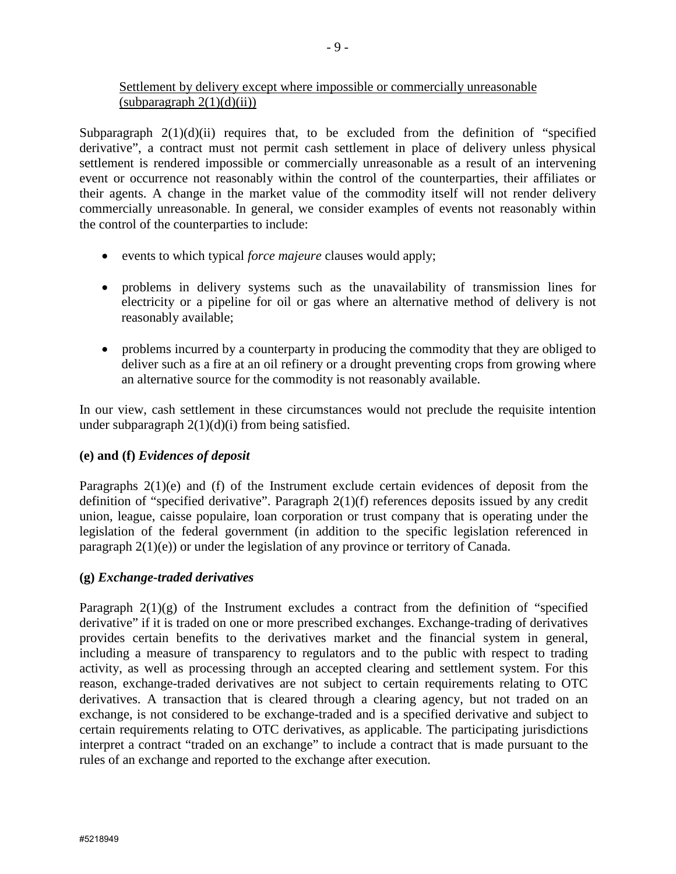# Settlement by delivery except where impossible or commercially unreasonable  $subparagnh 2(1)(d)(ii)$

Subparagraph  $2(1)(d)(ii)$  requires that, to be excluded from the definition of "specified derivative", a contract must not permit cash settlement in place of delivery unless physical settlement is rendered impossible or commercially unreasonable as a result of an intervening event or occurrence not reasonably within the control of the counterparties, their affiliates or their agents. A change in the market value of the commodity itself will not render delivery commercially unreasonable. In general, we consider examples of events not reasonably within the control of the counterparties to include:

- events to which typical *force majeure* clauses would apply;
- problems in delivery systems such as the unavailability of transmission lines for electricity or a pipeline for oil or gas where an alternative method of delivery is not reasonably available;
- problems incurred by a counterparty in producing the commodity that they are obliged to deliver such as a fire at an oil refinery or a drought preventing crops from growing where an alternative source for the commodity is not reasonably available.

In our view, cash settlement in these circumstances would not preclude the requisite intention under subparagraph 2(1)(d)(i) from being satisfied.

# **(e) and (f)** *Evidences of deposit*

Paragraphs 2(1)(e) and (f) of the Instrument exclude certain evidences of deposit from the definition of "specified derivative". Paragraph 2(1)(f) references deposits issued by any credit union, league, caisse populaire, loan corporation or trust company that is operating under the legislation of the federal government (in addition to the specific legislation referenced in paragraph 2(1)(e)) or under the legislation of any province or territory of Canada.

# **(g)** *Exchange-traded derivatives*

Paragraph  $2(1)(g)$  of the Instrument excludes a contract from the definition of "specified" derivative" if it is traded on one or more prescribed exchanges. Exchange-trading of derivatives provides certain benefits to the derivatives market and the financial system in general, including a measure of transparency to regulators and to the public with respect to trading activity, as well as processing through an accepted clearing and settlement system. For this reason, exchange-traded derivatives are not subject to certain requirements relating to OTC derivatives. A transaction that is cleared through a clearing agency, but not traded on an exchange, is not considered to be exchange-traded and is a specified derivative and subject to certain requirements relating to OTC derivatives, as applicable. The participating jurisdictions interpret a contract "traded on an exchange" to include a contract that is made pursuant to the rules of an exchange and reported to the exchange after execution.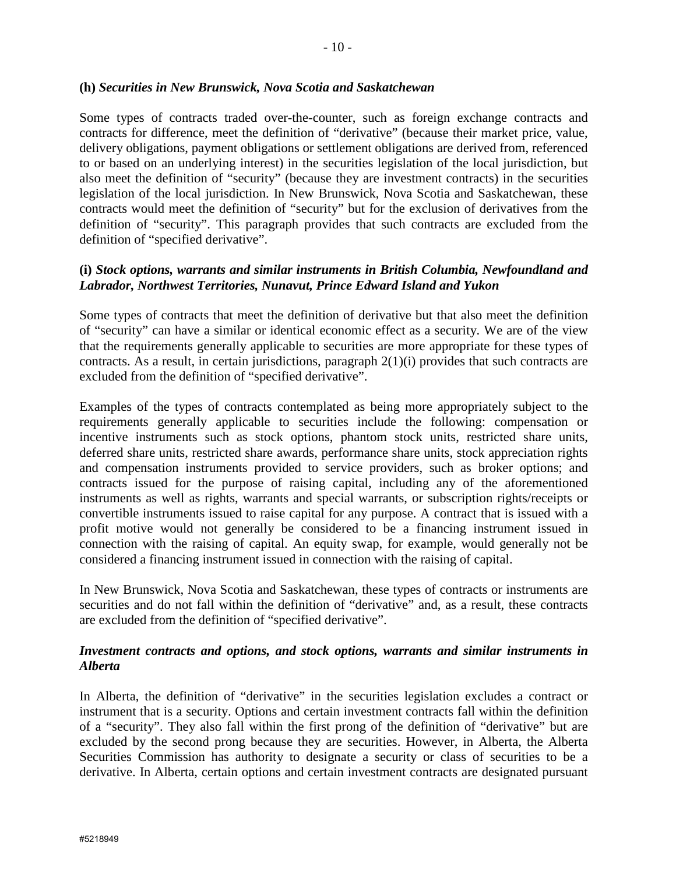# **(h)** *Securities in New Brunswick, Nova Scotia and Saskatchewan*

Some types of contracts traded over-the-counter, such as foreign exchange contracts and contracts for difference, meet the definition of "derivative" (because their market price, value, delivery obligations, payment obligations or settlement obligations are derived from, referenced to or based on an underlying interest) in the securities legislation of the local jurisdiction, but also meet the definition of "security" (because they are investment contracts) in the securities legislation of the local jurisdiction. In New Brunswick, Nova Scotia and Saskatchewan, these contracts would meet the definition of "security" but for the exclusion of derivatives from the definition of "security". This paragraph provides that such contracts are excluded from the definition of "specified derivative".

# **(i)** *Stock options, warrants and similar instruments in British Columbia, Newfoundland and Labrador, Northwest Territories, Nunavut, Prince Edward Island and Yukon*

Some types of contracts that meet the definition of derivative but that also meet the definition of "security" can have a similar or identical economic effect as a security. We are of the view that the requirements generally applicable to securities are more appropriate for these types of contracts. As a result, in certain jurisdictions, paragraph 2(1)(i) provides that such contracts are excluded from the definition of "specified derivative".

Examples of the types of contracts contemplated as being more appropriately subject to the requirements generally applicable to securities include the following: compensation or incentive instruments such as stock options, phantom stock units, restricted share units, deferred share units, restricted share awards, performance share units, stock appreciation rights and compensation instruments provided to service providers, such as broker options; and contracts issued for the purpose of raising capital, including any of the aforementioned instruments as well as rights, warrants and special warrants, or subscription rights/receipts or convertible instruments issued to raise capital for any purpose. A contract that is issued with a profit motive would not generally be considered to be a financing instrument issued in connection with the raising of capital. An equity swap, for example, would generally not be considered a financing instrument issued in connection with the raising of capital.

In New Brunswick, Nova Scotia and Saskatchewan, these types of contracts or instruments are securities and do not fall within the definition of "derivative" and, as a result, these contracts are excluded from the definition of "specified derivative".

# *Investment contracts and options, and stock options, warrants and similar instruments in Alberta*

In Alberta, the definition of "derivative" in the securities legislation excludes a contract or instrument that is a security. Options and certain investment contracts fall within the definition of a "security". They also fall within the first prong of the definition of "derivative" but are excluded by the second prong because they are securities. However, in Alberta, the Alberta Securities Commission has authority to designate a security or class of securities to be a derivative. In Alberta, certain options and certain investment contracts are designated pursuant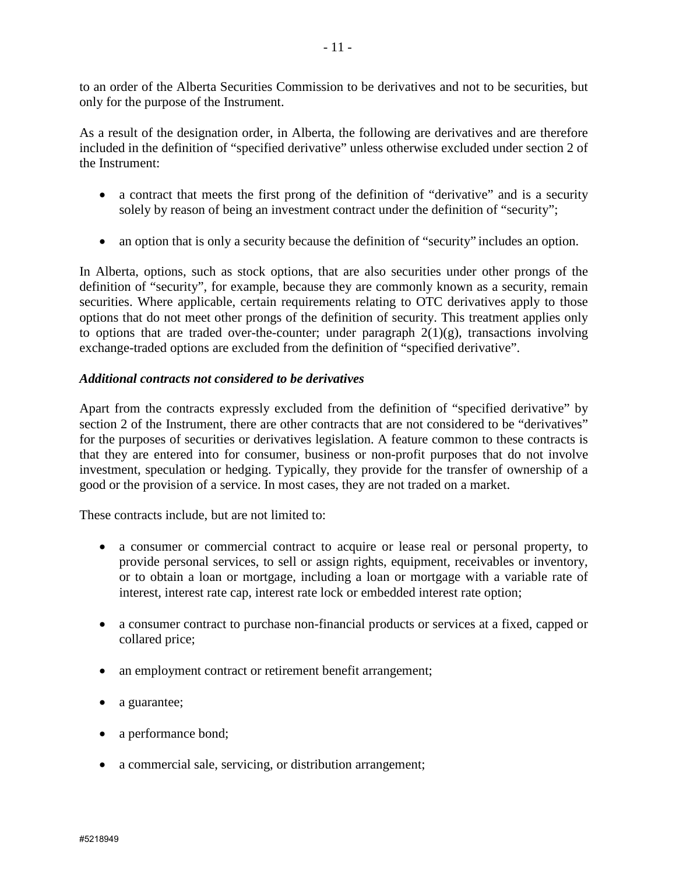to an order of the Alberta Securities Commission to be derivatives and not to be securities, but only for the purpose of the Instrument.

As a result of the designation order, in Alberta, the following are derivatives and are therefore included in the definition of "specified derivative" unless otherwise excluded under section 2 of the Instrument:

- a contract that meets the first prong of the definition of "derivative" and is a security solely by reason of being an investment contract under the definition of "security";
- an option that is only a security because the definition of "security" includes an option.

In Alberta, options, such as stock options, that are also securities under other prongs of the definition of "security", for example, because they are commonly known as a security, remain securities. Where applicable, certain requirements relating to OTC derivatives apply to those options that do not meet other prongs of the definition of security. This treatment applies only to options that are traded over-the-counter; under paragraph  $2(1)(g)$ , transactions involving exchange-traded options are excluded from the definition of "specified derivative".

# *Additional contracts not considered to be derivatives*

Apart from the contracts expressly excluded from the definition of "specified derivative" by section 2 of the Instrument, there are other contracts that are not considered to be "derivatives" for the purposes of securities or derivatives legislation. A feature common to these contracts is that they are entered into for consumer, business or non-profit purposes that do not involve investment, speculation or hedging. Typically, they provide for the transfer of ownership of a good or the provision of a service. In most cases, they are not traded on a market.

These contracts include, but are not limited to:

- a consumer or commercial contract to acquire or lease real or personal property, to provide personal services, to sell or assign rights, equipment, receivables or inventory, or to obtain a loan or mortgage, including a loan or mortgage with a variable rate of interest, interest rate cap, interest rate lock or embedded interest rate option;
- a consumer contract to purchase non-financial products or services at a fixed, capped or collared price;
- an employment contract or retirement benefit arrangement;
- a guarantee;
- a performance bond;
- a commercial sale, servicing, or distribution arrangement;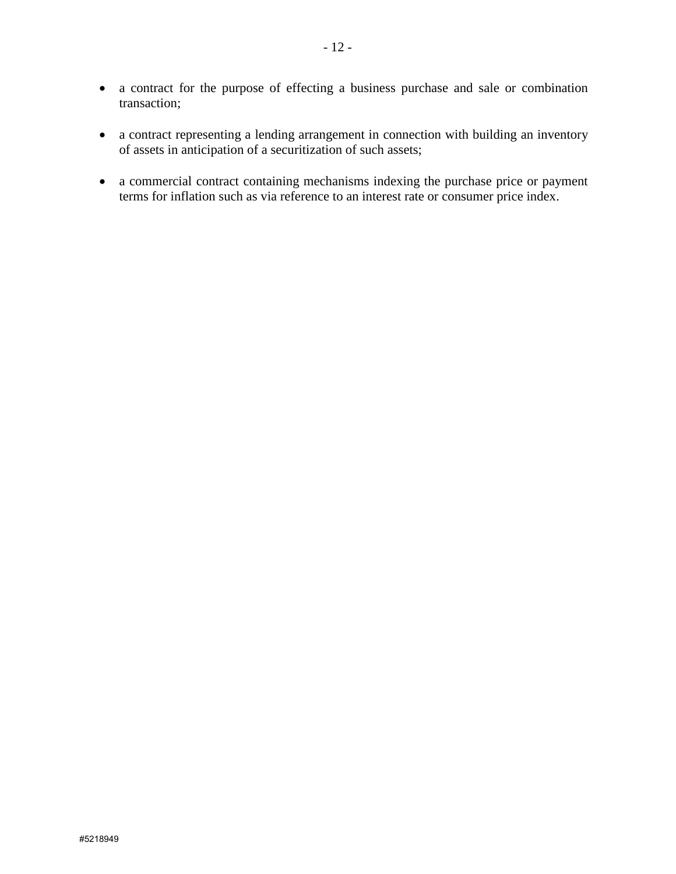- a contract for the purpose of effecting a business purchase and sale or combination transaction;
- a contract representing a lending arrangement in connection with building an inventory of assets in anticipation of a securitization of such assets;
- a commercial contract containing mechanisms indexing the purchase price or payment terms for inflation such as via reference to an interest rate or consumer price index.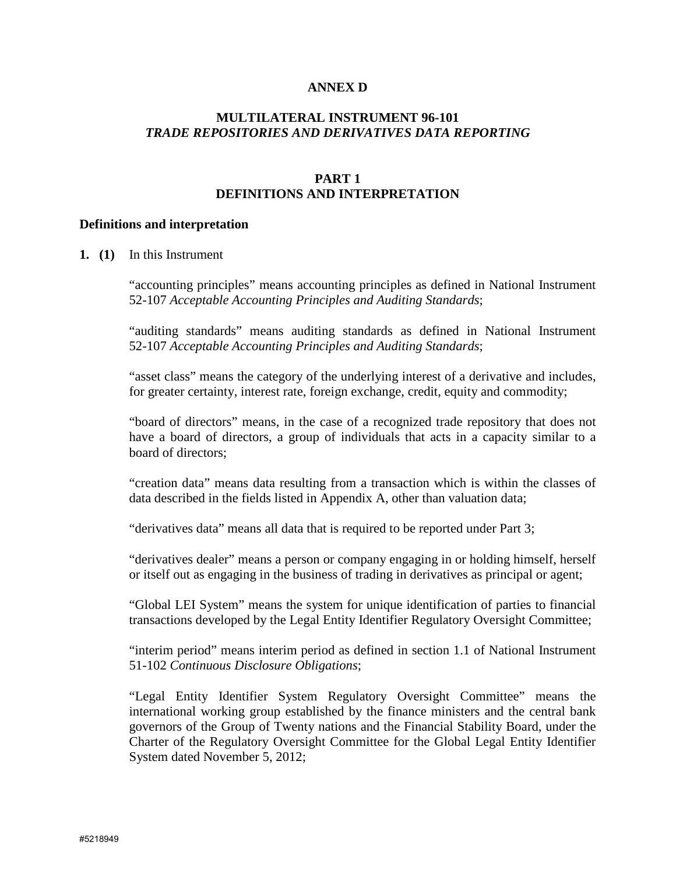### **ANNEX D**

# **MULTILATERAL INSTRUMENT 96-101**  *TRADE REPOSITORIES AND DERIVATIVES DATA REPORTING*

# **PART 1 DEFINITIONS AND INTERPRETATION**

#### **Definitions and interpretation**

#### **1. (1)** In this Instrument

"accounting principles" means accounting principles as defined in National Instrument 52-107 *Acceptable Accounting Principles and Auditing Standards*;

"auditing standards" means auditing standards as defined in National Instrument 52-107 *Acceptable Accounting Principles and Auditing Standards*;

"asset class" means the category of the underlying interest of a derivative and includes, for greater certainty, interest rate, foreign exchange, credit, equity and commodity;

"board of directors" means, in the case of a recognized trade repository that does not have a board of directors, a group of individuals that acts in a capacity similar to a board of directors;

"creation data" means data resulting from a transaction which is within the classes of data described in the fields listed in Appendix A, other than valuation data;

"derivatives data" means all data that is required to be reported under Part 3;

"derivatives dealer" means a person or company engaging in or holding himself, herself or itself out as engaging in the business of trading in derivatives as principal or agent;

"Global LEI System" means the system for unique identification of parties to financial transactions developed by the Legal Entity Identifier Regulatory Oversight Committee;

"interim period" means interim period as defined in section 1.1 of National Instrument 51-102 *Continuous Disclosure Obligations*;

"Legal Entity Identifier System Regulatory Oversight Committee" means the international working group established by the finance ministers and the central bank governors of the Group of Twenty nations and the Financial Stability Board, under the Charter of the Regulatory Oversight Committee for the Global Legal Entity Identifier System dated November 5, 2012;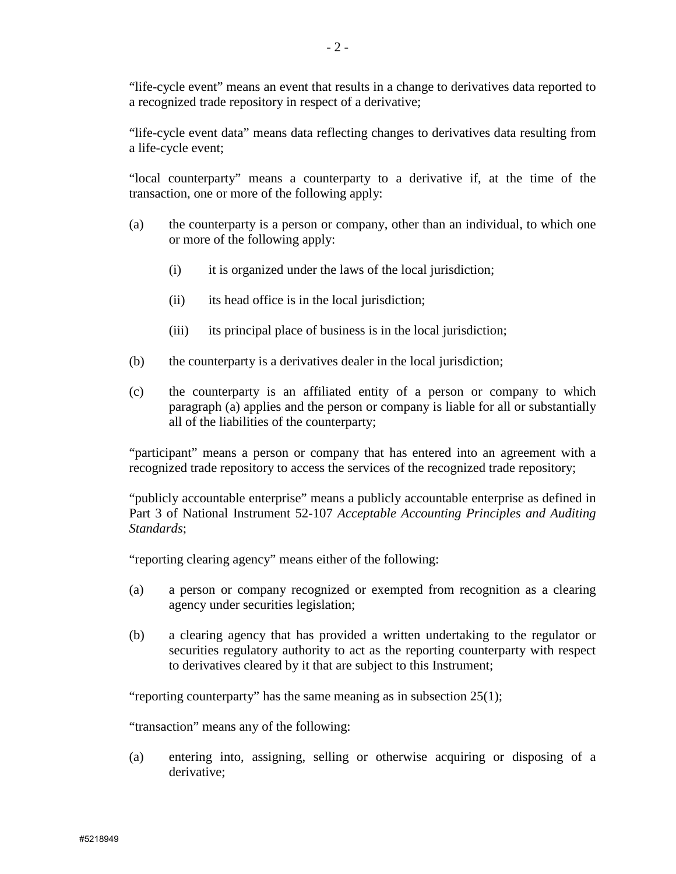"life-cycle event" means an event that results in a change to derivatives data reported to a recognized trade repository in respect of a derivative;

"life-cycle event data" means data reflecting changes to derivatives data resulting from a life-cycle event;

"local counterparty" means a counterparty to a derivative if, at the time of the transaction, one or more of the following apply:

- (a) the counterparty is a person or company, other than an individual, to which one or more of the following apply:
	- (i) it is organized under the laws of the local jurisdiction;
	- (ii) its head office is in the local jurisdiction;
	- (iii) its principal place of business is in the local jurisdiction;
- (b) the counterparty is a derivatives dealer in the local jurisdiction;
- (c) the counterparty is an affiliated entity of a person or company to which paragraph (a) applies and the person or company is liable for all or substantially all of the liabilities of the counterparty;

"participant" means a person or company that has entered into an agreement with a recognized trade repository to access the services of the recognized trade repository;

"publicly accountable enterprise" means a publicly accountable enterprise as defined in Part 3 of National Instrument 52-107 *Acceptable Accounting Principles and Auditing Standards*;

"reporting clearing agency" means either of the following:

- (a) a person or company recognized or exempted from recognition as a clearing agency under securities legislation;
- (b) a clearing agency that has provided a written undertaking to the regulator or securities regulatory authority to act as the reporting counterparty with respect to derivatives cleared by it that are subject to this Instrument;

"reporting counterparty" has the same meaning as in subsection 25(1);

"transaction" means any of the following:

(a) entering into, assigning, selling or otherwise acquiring or disposing of a derivative;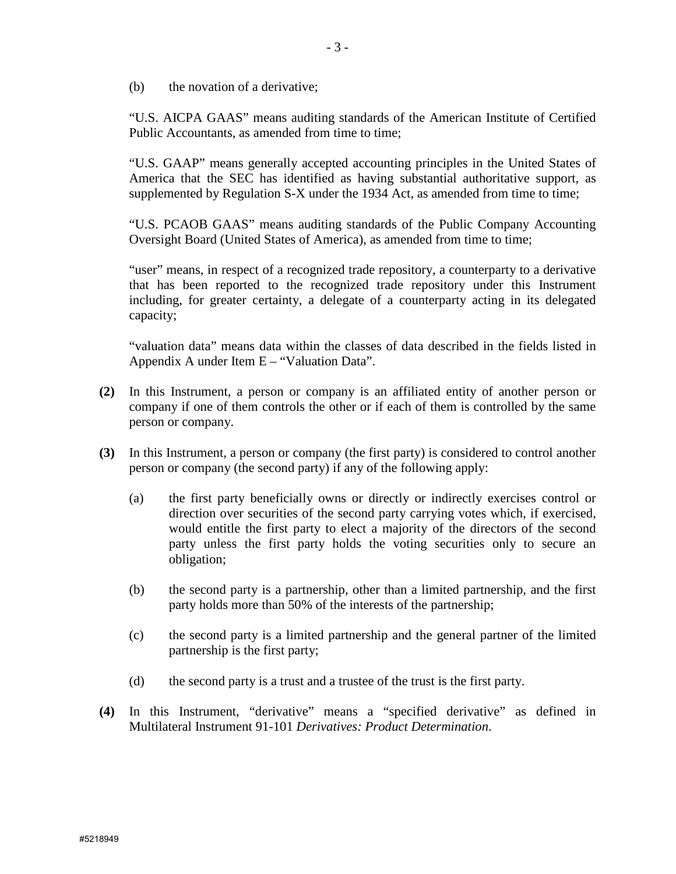(b) the novation of a derivative;

"U.S. AICPA GAAS" means auditing standards of the American Institute of Certified Public Accountants, as amended from time to time;

"U.S. GAAP" means generally accepted accounting principles in the United States of America that the SEC has identified as having substantial authoritative support, as supplemented by Regulation S-X under the 1934 Act, as amended from time to time;

"U.S. PCAOB GAAS" means auditing standards of the Public Company Accounting Oversight Board (United States of America), as amended from time to time;

"user" means, in respect of a recognized trade repository, a counterparty to a derivative that has been reported to the recognized trade repository under this Instrument including, for greater certainty, a delegate of a counterparty acting in its delegated capacity;

"valuation data" means data within the classes of data described in the fields listed in Appendix A under Item E – "Valuation Data".

- **(2)** In this Instrument, a person or company is an affiliated entity of another person or company if one of them controls the other or if each of them is controlled by the same person or company.
- **(3)** In this Instrument, a person or company (the first party) is considered to control another person or company (the second party) if any of the following apply:
	- (a) the first party beneficially owns or directly or indirectly exercises control or direction over securities of the second party carrying votes which, if exercised, would entitle the first party to elect a majority of the directors of the second party unless the first party holds the voting securities only to secure an obligation;
	- (b) the second party is a partnership, other than a limited partnership, and the first party holds more than 50% of the interests of the partnership;
	- (c) the second party is a limited partnership and the general partner of the limited partnership is the first party;
	- (d) the second party is a trust and a trustee of the trust is the first party.
- **(4)** In this Instrument, "derivative" means a "specified derivative" as defined in Multilateral Instrument 91-101 *Derivatives: Product Determination*.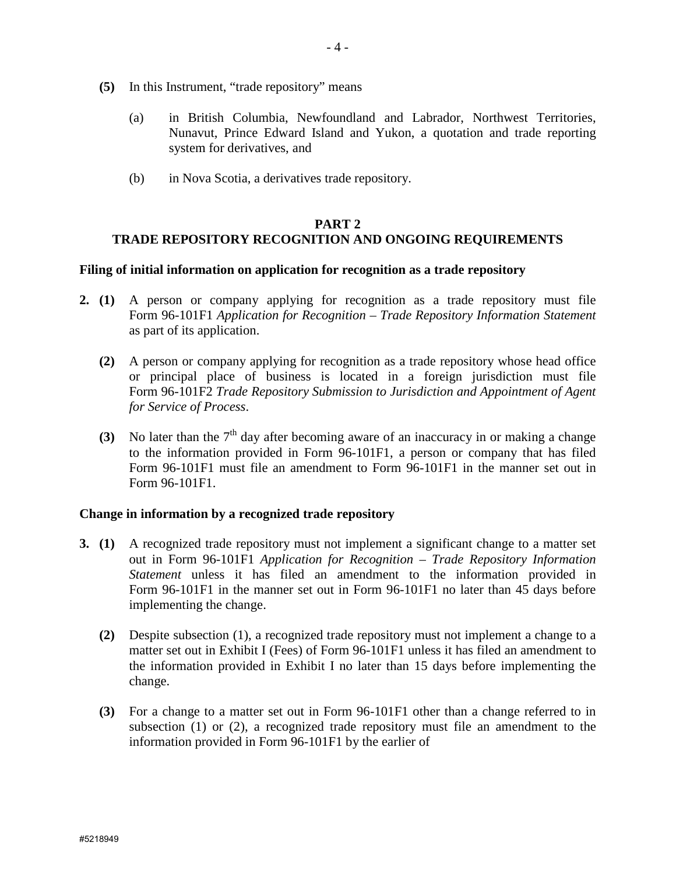- **(5)** In this Instrument, "trade repository" means
	- (a) in British Columbia, Newfoundland and Labrador, Northwest Territories, Nunavut, Prince Edward Island and Yukon, a quotation and trade reporting system for derivatives, and
	- (b) in Nova Scotia, a derivatives trade repository.

# **PART 2**

# **TRADE REPOSITORY RECOGNITION AND ONGOING REQUIREMENTS**

# **Filing of initial information on application for recognition as a trade repository**

- **2. (1)** A person or company applying for recognition as a trade repository must file Form 96-101F1 *Application for Recognition – Trade Repository Information Statement* as part of its application.
	- **(2)** A person or company applying for recognition as a trade repository whose head office or principal place of business is located in a foreign jurisdiction must file Form 96-101F2 *Trade Repository Submission to Jurisdiction and Appointment of Agent for Service of Process*.
	- **(3)** No later than the  $7<sup>th</sup>$  day after becoming aware of an inaccuracy in or making a change to the information provided in Form 96-101F1, a person or company that has filed Form 96-101F1 must file an amendment to Form 96-101F1 in the manner set out in Form 96-101F1.

# **Change in information by a recognized trade repository**

- **3. (1)** A recognized trade repository must not implement a significant change to a matter set out in Form 96-101F1 *Application for Recognition – Trade Repository Information Statement* unless it has filed an amendment to the information provided in Form 96-101F1 in the manner set out in Form 96-101F1 no later than 45 days before implementing the change.
	- **(2)** Despite subsection (1), a recognized trade repository must not implement a change to a matter set out in Exhibit I (Fees) of Form 96-101F1 unless it has filed an amendment to the information provided in Exhibit I no later than 15 days before implementing the change.
	- **(3)** For a change to a matter set out in Form 96-101F1 other than a change referred to in subsection (1) or (2), a recognized trade repository must file an amendment to the information provided in Form 96-101F1 by the earlier of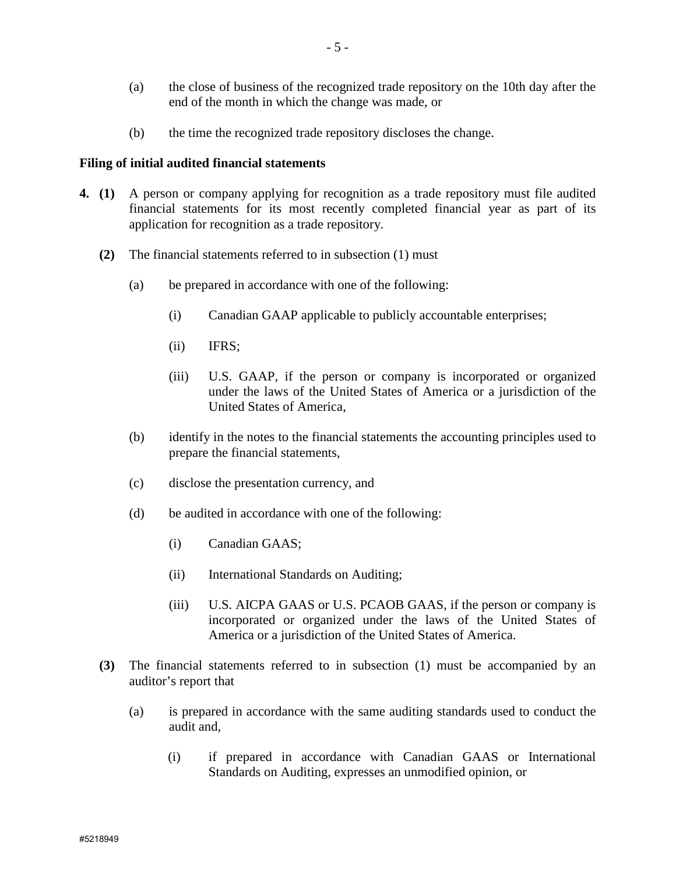- (a) the close of business of the recognized trade repository on the 10th day after the end of the month in which the change was made, or
- (b) the time the recognized trade repository discloses the change.

### **Filing of initial audited financial statements**

- **4. (1)** A person or company applying for recognition as a trade repository must file audited financial statements for its most recently completed financial year as part of its application for recognition as a trade repository.
	- **(2)** The financial statements referred to in subsection (1) must
		- (a) be prepared in accordance with one of the following:
			- (i) Canadian GAAP applicable to publicly accountable enterprises;
			- (ii) IFRS;
			- (iii) U.S. GAAP, if the person or company is incorporated or organized under the laws of the United States of America or a jurisdiction of the United States of America,
		- (b) identify in the notes to the financial statements the accounting principles used to prepare the financial statements,
		- (c) disclose the presentation currency, and
		- (d) be audited in accordance with one of the following:
			- (i) Canadian GAAS;
			- (ii) International Standards on Auditing;
			- (iii) U.S. AICPA GAAS or U.S. PCAOB GAAS, if the person or company is incorporated or organized under the laws of the United States of America or a jurisdiction of the United States of America.
	- **(3)** The financial statements referred to in subsection (1) must be accompanied by an auditor's report that
		- (a) is prepared in accordance with the same auditing standards used to conduct the audit and,
			- (i) if prepared in accordance with Canadian GAAS or International Standards on Auditing, expresses an unmodified opinion, or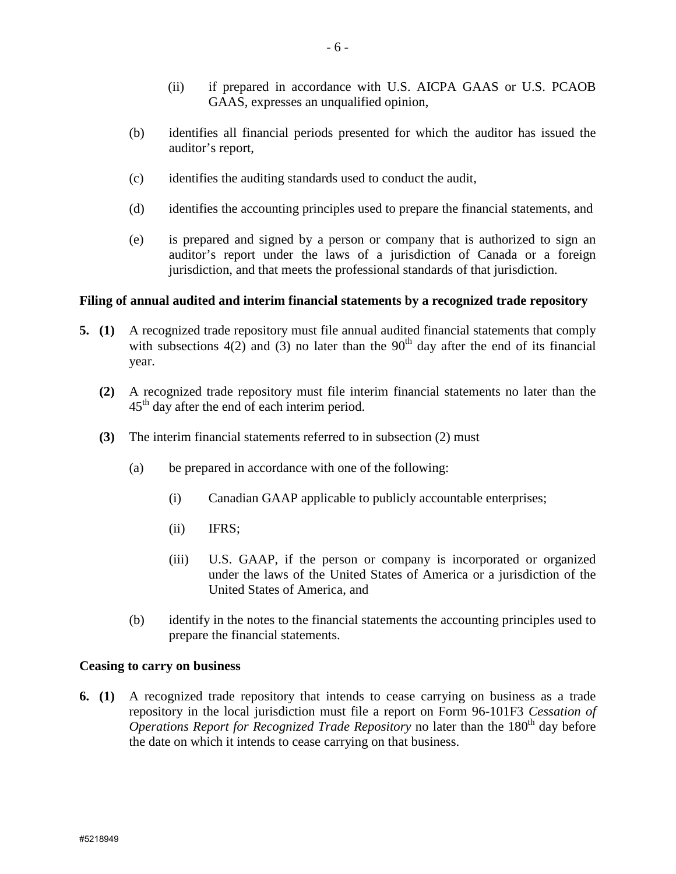- (ii) if prepared in accordance with U.S. AICPA GAAS or U.S. PCAOB GAAS, expresses an unqualified opinion,
- (b) identifies all financial periods presented for which the auditor has issued the auditor's report,
- (c) identifies the auditing standards used to conduct the audit,
- (d) identifies the accounting principles used to prepare the financial statements, and
- (e) is prepared and signed by a person or company that is authorized to sign an auditor's report under the laws of a jurisdiction of Canada or a foreign jurisdiction, and that meets the professional standards of that jurisdiction.

# **Filing of annual audited and interim financial statements by a recognized trade repository**

- **5. (1)** A recognized trade repository must file annual audited financial statements that comply with subsections  $4(2)$  and (3) no later than the  $90<sup>th</sup>$  day after the end of its financial year.
	- **(2)** A recognized trade repository must file interim financial statements no later than the  $45<sup>th</sup>$  day after the end of each interim period.
	- **(3)** The interim financial statements referred to in subsection (2) must
		- (a) be prepared in accordance with one of the following:
			- (i) Canadian GAAP applicable to publicly accountable enterprises;
			- (ii) IFRS;
			- (iii) U.S. GAAP, if the person or company is incorporated or organized under the laws of the United States of America or a jurisdiction of the United States of America, and
		- (b) identify in the notes to the financial statements the accounting principles used to prepare the financial statements.

#### **Ceasing to carry on business**

**6. (1)** A recognized trade repository that intends to cease carrying on business as a trade repository in the local jurisdiction must file a report on Form 96-101F3 *Cessation of Operations Report for Recognized Trade Repository* no later than the 180<sup>th</sup> day before the date on which it intends to cease carrying on that business.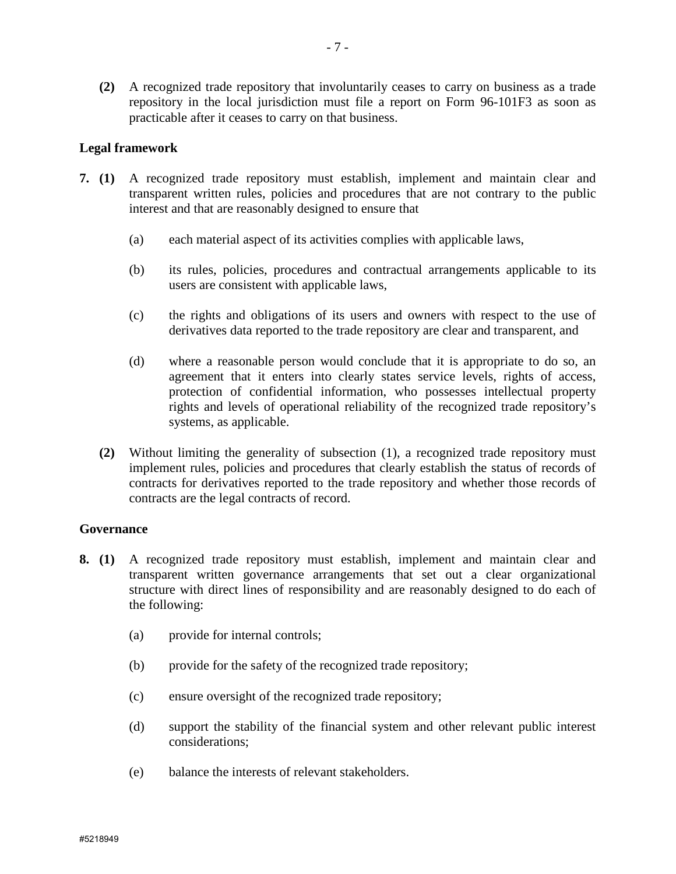**(2)** A recognized trade repository that involuntarily ceases to carry on business as a trade repository in the local jurisdiction must file a report on Form 96-101F3 as soon as practicable after it ceases to carry on that business.

### **Legal framework**

- **7. (1)** A recognized trade repository must establish, implement and maintain clear and transparent written rules, policies and procedures that are not contrary to the public interest and that are reasonably designed to ensure that
	- (a) each material aspect of its activities complies with applicable laws,
	- (b) its rules, policies, procedures and contractual arrangements applicable to its users are consistent with applicable laws,
	- (c) the rights and obligations of its users and owners with respect to the use of derivatives data reported to the trade repository are clear and transparent, and
	- (d) where a reasonable person would conclude that it is appropriate to do so, an agreement that it enters into clearly states service levels, rights of access, protection of confidential information, who possesses intellectual property rights and levels of operational reliability of the recognized trade repository's systems, as applicable.
	- **(2)** Without limiting the generality of subsection (1), a recognized trade repository must implement rules, policies and procedures that clearly establish the status of records of contracts for derivatives reported to the trade repository and whether those records of contracts are the legal contracts of record.

#### **Governance**

- **8. (1)** A recognized trade repository must establish, implement and maintain clear and transparent written governance arrangements that set out a clear organizational structure with direct lines of responsibility and are reasonably designed to do each of the following:
	- (a) provide for internal controls;
	- (b) provide for the safety of the recognized trade repository;
	- (c) ensure oversight of the recognized trade repository;
	- (d) support the stability of the financial system and other relevant public interest considerations;
	- (e) balance the interests of relevant stakeholders.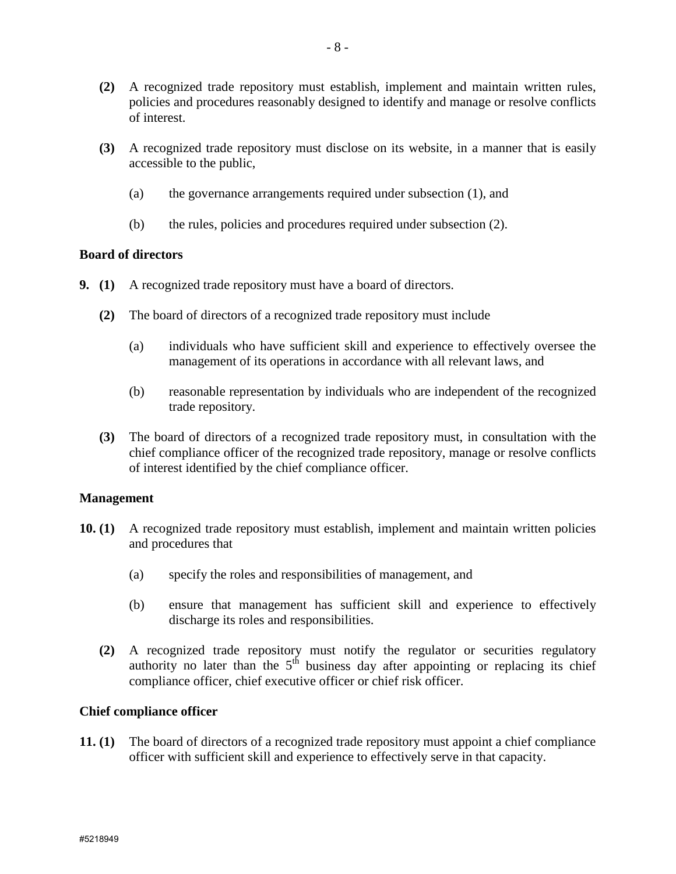- **(2)** A recognized trade repository must establish, implement and maintain written rules, policies and procedures reasonably designed to identify and manage or resolve conflicts of interest.
- **(3)** A recognized trade repository must disclose on its website, in a manner that is easily accessible to the public,
	- (a) the governance arrangements required under subsection (1), and
	- (b) the rules, policies and procedures required under subsection (2).

### **Board of directors**

- **9. (1)** A recognized trade repository must have a board of directors.
	- **(2)** The board of directors of a recognized trade repository must include
		- (a) individuals who have sufficient skill and experience to effectively oversee the management of its operations in accordance with all relevant laws, and
		- (b) reasonable representation by individuals who are independent of the recognized trade repository.
	- **(3)** The board of directors of a recognized trade repository must, in consultation with the chief compliance officer of the recognized trade repository, manage or resolve conflicts of interest identified by the chief compliance officer.

#### **Management**

- **10. (1)** A recognized trade repository must establish, implement and maintain written policies and procedures that
	- (a) specify the roles and responsibilities of management, and
	- (b) ensure that management has sufficient skill and experience to effectively discharge its roles and responsibilities.
	- **(2)** A recognized trade repository must notify the regulator or securities regulatory authority no later than the  $5<sup>th</sup>$  business day after appointing or replacing its chief compliance officer, chief executive officer or chief risk officer.

#### **Chief compliance officer**

**11. (1)** The board of directors of a recognized trade repository must appoint a chief compliance officer with sufficient skill and experience to effectively serve in that capacity.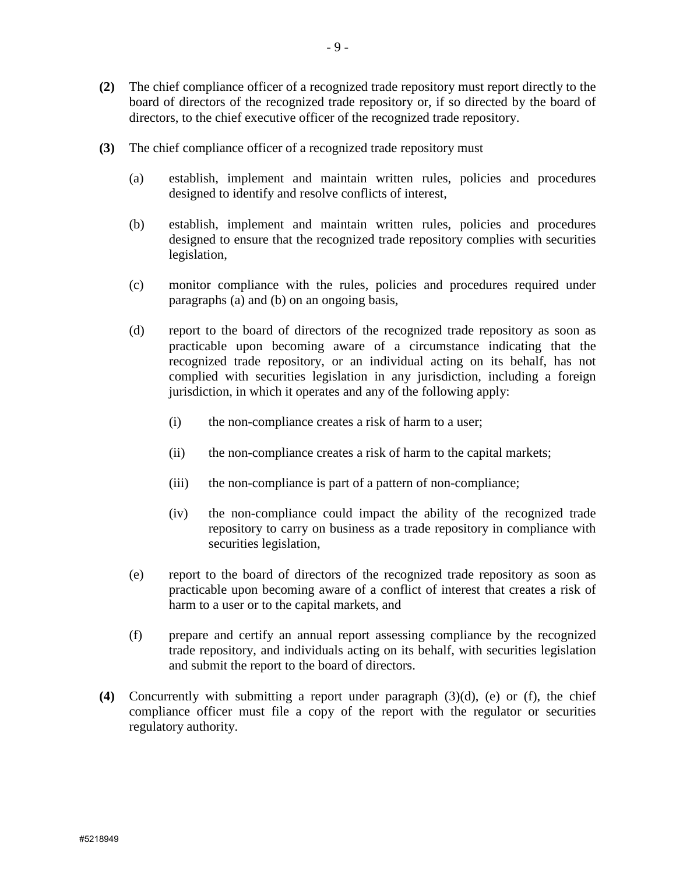- **(2)** The chief compliance officer of a recognized trade repository must report directly to the board of directors of the recognized trade repository or, if so directed by the board of directors, to the chief executive officer of the recognized trade repository.
- **(3)** The chief compliance officer of a recognized trade repository must
	- (a) establish, implement and maintain written rules, policies and procedures designed to identify and resolve conflicts of interest,
	- (b) establish, implement and maintain written rules, policies and procedures designed to ensure that the recognized trade repository complies with securities legislation,
	- (c) monitor compliance with the rules, policies and procedures required under paragraphs (a) and (b) on an ongoing basis,
	- (d) report to the board of directors of the recognized trade repository as soon as practicable upon becoming aware of a circumstance indicating that the recognized trade repository, or an individual acting on its behalf, has not complied with securities legislation in any jurisdiction, including a foreign jurisdiction, in which it operates and any of the following apply:
		- (i) the non-compliance creates a risk of harm to a user;
		- (ii) the non-compliance creates a risk of harm to the capital markets;
		- (iii) the non-compliance is part of a pattern of non-compliance;
		- (iv) the non-compliance could impact the ability of the recognized trade repository to carry on business as a trade repository in compliance with securities legislation,
	- (e) report to the board of directors of the recognized trade repository as soon as practicable upon becoming aware of a conflict of interest that creates a risk of harm to a user or to the capital markets, and
	- (f) prepare and certify an annual report assessing compliance by the recognized trade repository, and individuals acting on its behalf, with securities legislation and submit the report to the board of directors.
- **(4)** Concurrently with submitting a report under paragraph (3)(d), (e) or (f), the chief compliance officer must file a copy of the report with the regulator or securities regulatory authority.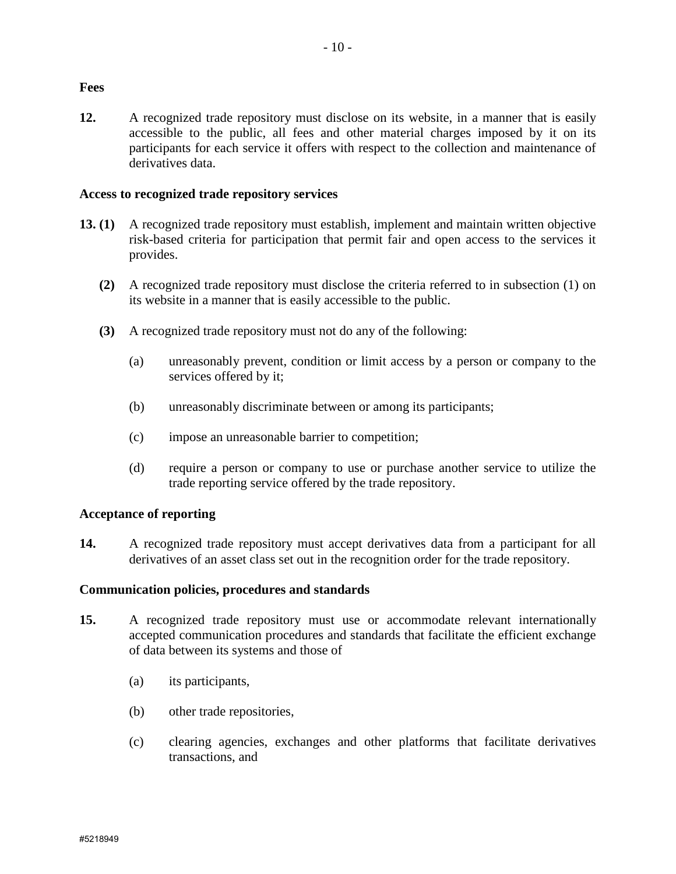### **Fees**

**12.** A recognized trade repository must disclose on its website, in a manner that is easily accessible to the public, all fees and other material charges imposed by it on its participants for each service it offers with respect to the collection and maintenance of derivatives data.

### **Access to recognized trade repository services**

- **13. (1)** A recognized trade repository must establish, implement and maintain written objective risk-based criteria for participation that permit fair and open access to the services it provides.
	- **(2)** A recognized trade repository must disclose the criteria referred to in subsection (1) on its website in a manner that is easily accessible to the public.
	- **(3)** A recognized trade repository must not do any of the following:
		- (a) unreasonably prevent, condition or limit access by a person or company to the services offered by it;
		- (b) unreasonably discriminate between or among its participants;
		- (c) impose an unreasonable barrier to competition;
		- (d) require a person or company to use or purchase another service to utilize the trade reporting service offered by the trade repository.

# **Acceptance of reporting**

**14.** A recognized trade repository must accept derivatives data from a participant for all derivatives of an asset class set out in the recognition order for the trade repository.

# **Communication policies, procedures and standards**

- **15.** A recognized trade repository must use or accommodate relevant internationally accepted communication procedures and standards that facilitate the efficient exchange of data between its systems and those of
	- (a) its participants,
	- (b) other trade repositories,
	- (c) clearing agencies, exchanges and other platforms that facilitate derivatives transactions, and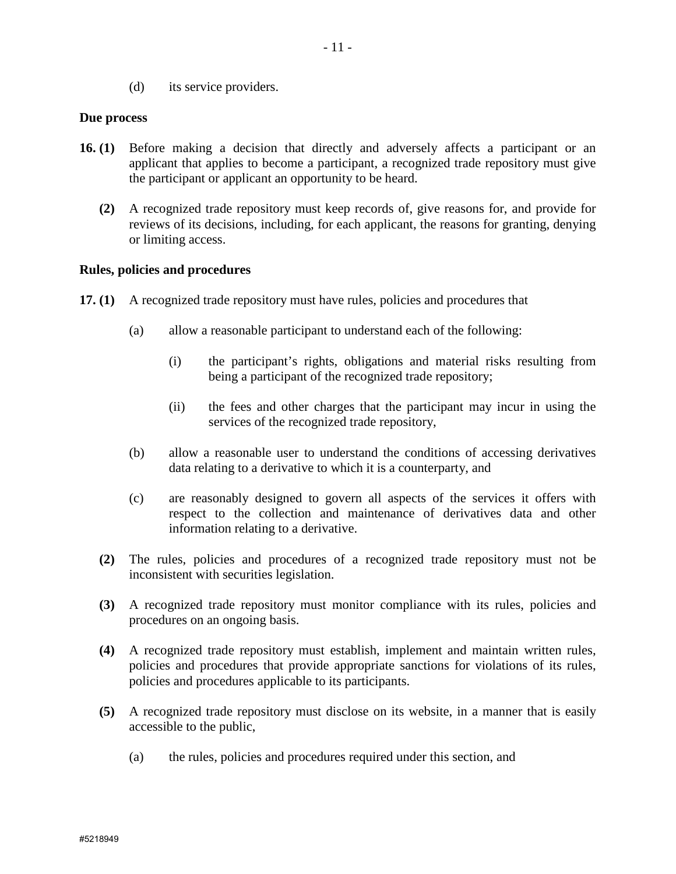(d) its service providers.

### **Due process**

- **16. (1)** Before making a decision that directly and adversely affects a participant or an applicant that applies to become a participant, a recognized trade repository must give the participant or applicant an opportunity to be heard.
	- **(2)** A recognized trade repository must keep records of, give reasons for, and provide for reviews of its decisions, including, for each applicant, the reasons for granting, denying or limiting access.

### **Rules, policies and procedures**

- **17. (1)** A recognized trade repository must have rules, policies and procedures that
	- (a) allow a reasonable participant to understand each of the following:
		- (i) the participant's rights, obligations and material risks resulting from being a participant of the recognized trade repository;
		- (ii) the fees and other charges that the participant may incur in using the services of the recognized trade repository,
	- (b) allow a reasonable user to understand the conditions of accessing derivatives data relating to a derivative to which it is a counterparty, and
	- (c) are reasonably designed to govern all aspects of the services it offers with respect to the collection and maintenance of derivatives data and other information relating to a derivative.
	- **(2)** The rules, policies and procedures of a recognized trade repository must not be inconsistent with securities legislation.
	- **(3)** A recognized trade repository must monitor compliance with its rules, policies and procedures on an ongoing basis.
	- **(4)** A recognized trade repository must establish, implement and maintain written rules, policies and procedures that provide appropriate sanctions for violations of its rules, policies and procedures applicable to its participants.
	- **(5)** A recognized trade repository must disclose on its website, in a manner that is easily accessible to the public,
		- (a) the rules, policies and procedures required under this section, and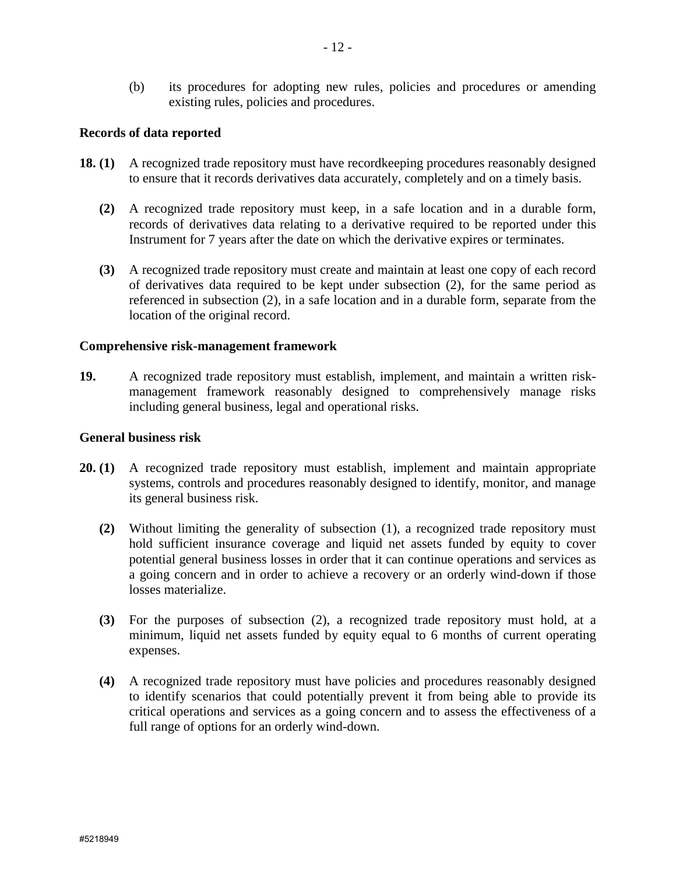(b) its procedures for adopting new rules, policies and procedures or amending existing rules, policies and procedures.

### **Records of data reported**

- **18. (1)** A recognized trade repository must have recordkeeping procedures reasonably designed to ensure that it records derivatives data accurately, completely and on a timely basis.
	- **(2)** A recognized trade repository must keep, in a safe location and in a durable form, records of derivatives data relating to a derivative required to be reported under this Instrument for 7 years after the date on which the derivative expires or terminates.
	- **(3)** A recognized trade repository must create and maintain at least one copy of each record of derivatives data required to be kept under subsection (2), for the same period as referenced in subsection (2), in a safe location and in a durable form, separate from the location of the original record.

#### **Comprehensive risk-management framework**

**19.** A recognized trade repository must establish, implement, and maintain a written riskmanagement framework reasonably designed to comprehensively manage risks including general business, legal and operational risks.

#### **General business risk**

- **20. (1)** A recognized trade repository must establish, implement and maintain appropriate systems, controls and procedures reasonably designed to identify, monitor, and manage its general business risk.
	- **(2)** Without limiting the generality of subsection (1), a recognized trade repository must hold sufficient insurance coverage and liquid net assets funded by equity to cover potential general business losses in order that it can continue operations and services as a going concern and in order to achieve a recovery or an orderly wind-down if those losses materialize.
	- **(3)** For the purposes of subsection (2), a recognized trade repository must hold, at a minimum, liquid net assets funded by equity equal to 6 months of current operating expenses.
	- **(4)** A recognized trade repository must have policies and procedures reasonably designed to identify scenarios that could potentially prevent it from being able to provide its critical operations and services as a going concern and to assess the effectiveness of a full range of options for an orderly wind-down.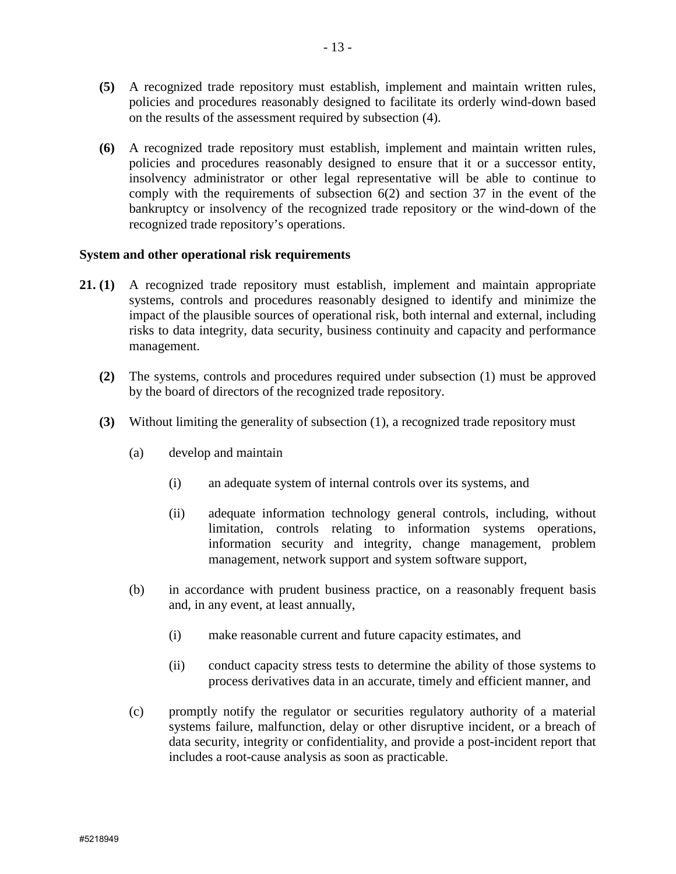- **(5)** A recognized trade repository must establish, implement and maintain written rules, policies and procedures reasonably designed to facilitate its orderly wind-down based on the results of the assessment required by subsection (4).
- **(6)** A recognized trade repository must establish, implement and maintain written rules, policies and procedures reasonably designed to ensure that it or a successor entity, insolvency administrator or other legal representative will be able to continue to comply with the requirements of subsection 6(2) and section 37 in the event of the bankruptcy or insolvency of the recognized trade repository or the wind-down of the recognized trade repository's operations.

### **System and other operational risk requirements**

- **21. (1)** A recognized trade repository must establish, implement and maintain appropriate systems, controls and procedures reasonably designed to identify and minimize the impact of the plausible sources of operational risk, both internal and external, including risks to data integrity, data security, business continuity and capacity and performance management.
	- **(2)** The systems, controls and procedures required under subsection (1) must be approved by the board of directors of the recognized trade repository.
	- **(3)** Without limiting the generality of subsection (1), a recognized trade repository must
		- (a) develop and maintain
			- (i) an adequate system of internal controls over its systems, and
			- (ii) adequate information technology general controls, including, without limitation, controls relating to information systems operations, information security and integrity, change management, problem management, network support and system software support,
		- (b) in accordance with prudent business practice, on a reasonably frequent basis and, in any event, at least annually,
			- (i) make reasonable current and future capacity estimates, and
			- (ii) conduct capacity stress tests to determine the ability of those systems to process derivatives data in an accurate, timely and efficient manner, and
		- (c) promptly notify the regulator or securities regulatory authority of a material systems failure, malfunction, delay or other disruptive incident, or a breach of data security, integrity or confidentiality, and provide a post-incident report that includes a root-cause analysis as soon as practicable.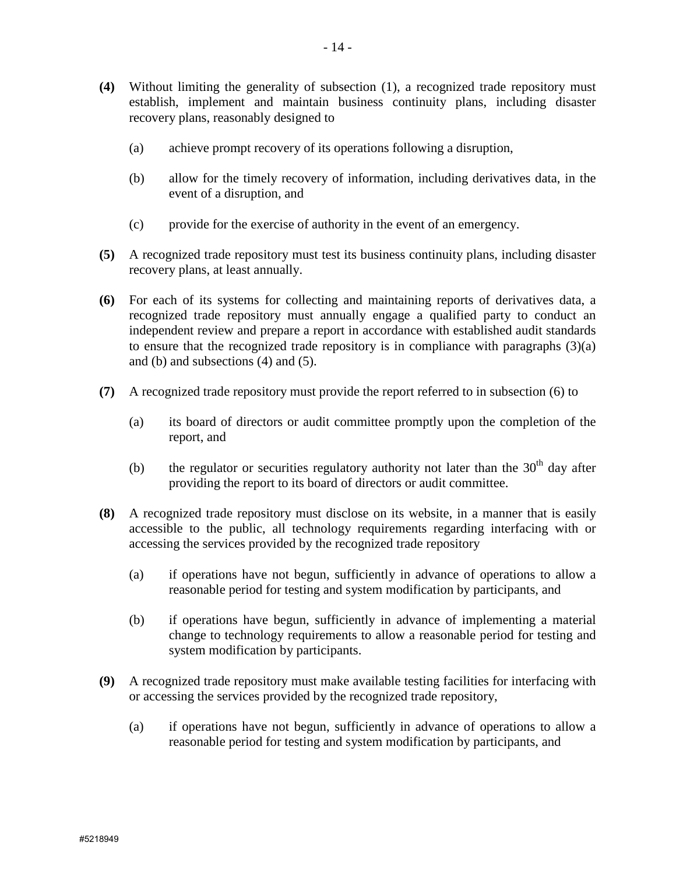- **(4)** Without limiting the generality of subsection (1), a recognized trade repository must establish, implement and maintain business continuity plans, including disaster recovery plans, reasonably designed to
	- (a) achieve prompt recovery of its operations following a disruption,
	- (b) allow for the timely recovery of information, including derivatives data, in the event of a disruption, and
	- (c) provide for the exercise of authority in the event of an emergency.
- **(5)** A recognized trade repository must test its business continuity plans, including disaster recovery plans, at least annually.
- **(6)** For each of its systems for collecting and maintaining reports of derivatives data, a recognized trade repository must annually engage a qualified party to conduct an independent review and prepare a report in accordance with established audit standards to ensure that the recognized trade repository is in compliance with paragraphs  $(3)(a)$ and (b) and subsections (4) and (5).
- **(7)** A recognized trade repository must provide the report referred to in subsection (6) to
	- (a) its board of directors or audit committee promptly upon the completion of the report, and
	- (b) the regulator or securities regulatory authority not later than the  $30<sup>th</sup>$  day after providing the report to its board of directors or audit committee.
- **(8)** A recognized trade repository must disclose on its website, in a manner that is easily accessible to the public, all technology requirements regarding interfacing with or accessing the services provided by the recognized trade repository
	- (a) if operations have not begun, sufficiently in advance of operations to allow a reasonable period for testing and system modification by participants, and
	- (b) if operations have begun, sufficiently in advance of implementing a material change to technology requirements to allow a reasonable period for testing and system modification by participants.
- **(9)** A recognized trade repository must make available testing facilities for interfacing with or accessing the services provided by the recognized trade repository,
	- (a) if operations have not begun, sufficiently in advance of operations to allow a reasonable period for testing and system modification by participants, and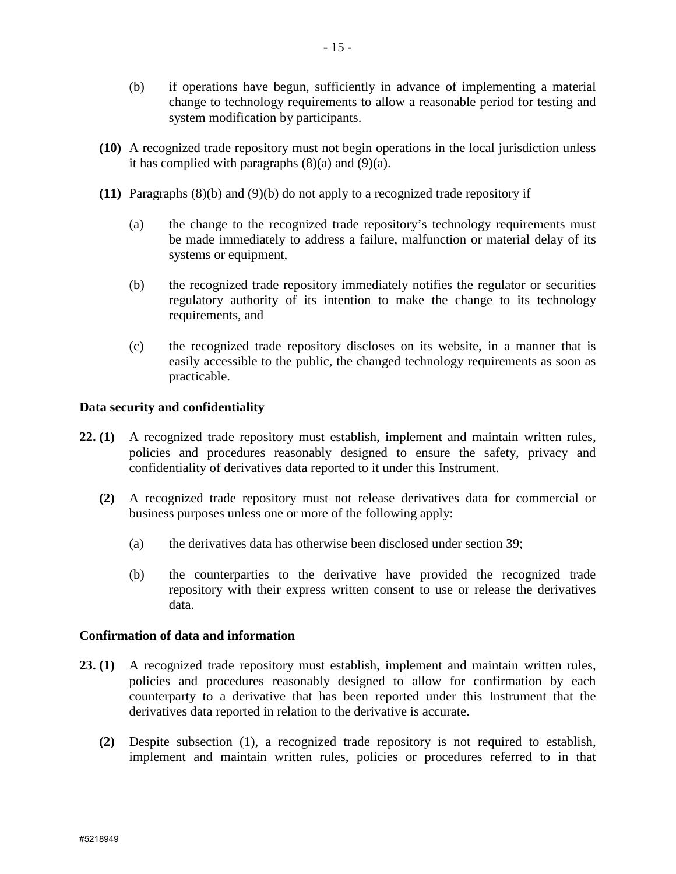- (b) if operations have begun, sufficiently in advance of implementing a material change to technology requirements to allow a reasonable period for testing and system modification by participants.
- **(10)** A recognized trade repository must not begin operations in the local jurisdiction unless it has complied with paragraphs  $(8)(a)$  and  $(9)(a)$ .
- **(11)** Paragraphs (8)(b) and (9)(b) do not apply to a recognized trade repository if
	- (a) the change to the recognized trade repository's technology requirements must be made immediately to address a failure, malfunction or material delay of its systems or equipment,
	- (b) the recognized trade repository immediately notifies the regulator or securities regulatory authority of its intention to make the change to its technology requirements, and
	- (c) the recognized trade repository discloses on its website, in a manner that is easily accessible to the public, the changed technology requirements as soon as practicable.

# **Data security and confidentiality**

- **22. (1)** A recognized trade repository must establish, implement and maintain written rules, policies and procedures reasonably designed to ensure the safety, privacy and confidentiality of derivatives data reported to it under this Instrument.
	- **(2)** A recognized trade repository must not release derivatives data for commercial or business purposes unless one or more of the following apply:
		- (a) the derivatives data has otherwise been disclosed under section 39;
		- (b) the counterparties to the derivative have provided the recognized trade repository with their express written consent to use or release the derivatives data.

# **Confirmation of data and information**

- **23. (1)** A recognized trade repository must establish, implement and maintain written rules, policies and procedures reasonably designed to allow for confirmation by each counterparty to a derivative that has been reported under this Instrument that the derivatives data reported in relation to the derivative is accurate.
	- **(2)** Despite subsection (1), a recognized trade repository is not required to establish, implement and maintain written rules, policies or procedures referred to in that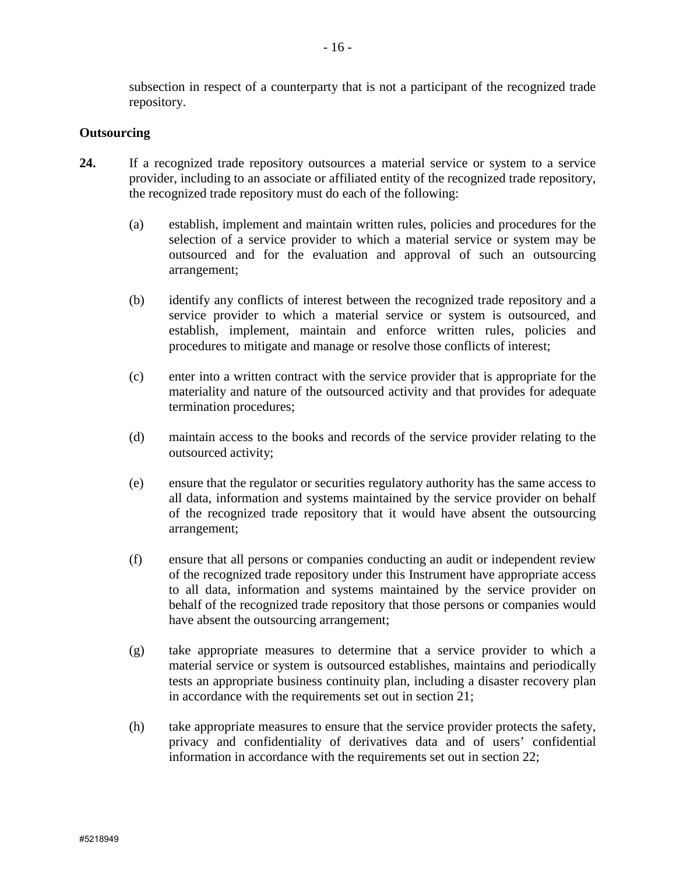subsection in respect of a counterparty that is not a participant of the recognized trade repository.

### **Outsourcing**

- **24.** If a recognized trade repository outsources a material service or system to a service provider, including to an associate or affiliated entity of the recognized trade repository, the recognized trade repository must do each of the following:
	- (a) establish, implement and maintain written rules, policies and procedures for the selection of a service provider to which a material service or system may be outsourced and for the evaluation and approval of such an outsourcing arrangement;
	- (b) identify any conflicts of interest between the recognized trade repository and a service provider to which a material service or system is outsourced, and establish, implement, maintain and enforce written rules, policies and procedures to mitigate and manage or resolve those conflicts of interest;
	- (c) enter into a written contract with the service provider that is appropriate for the materiality and nature of the outsourced activity and that provides for adequate termination procedures;
	- (d) maintain access to the books and records of the service provider relating to the outsourced activity;
	- (e) ensure that the regulator or securities regulatory authority has the same access to all data, information and systems maintained by the service provider on behalf of the recognized trade repository that it would have absent the outsourcing arrangement;
	- (f) ensure that all persons or companies conducting an audit or independent review of the recognized trade repository under this Instrument have appropriate access to all data, information and systems maintained by the service provider on behalf of the recognized trade repository that those persons or companies would have absent the outsourcing arrangement;
	- (g) take appropriate measures to determine that a service provider to which a material service or system is outsourced establishes, maintains and periodically tests an appropriate business continuity plan, including a disaster recovery plan in accordance with the requirements set out in section 21;
	- (h) take appropriate measures to ensure that the service provider protects the safety, privacy and confidentiality of derivatives data and of users' confidential information in accordance with the requirements set out in section 22;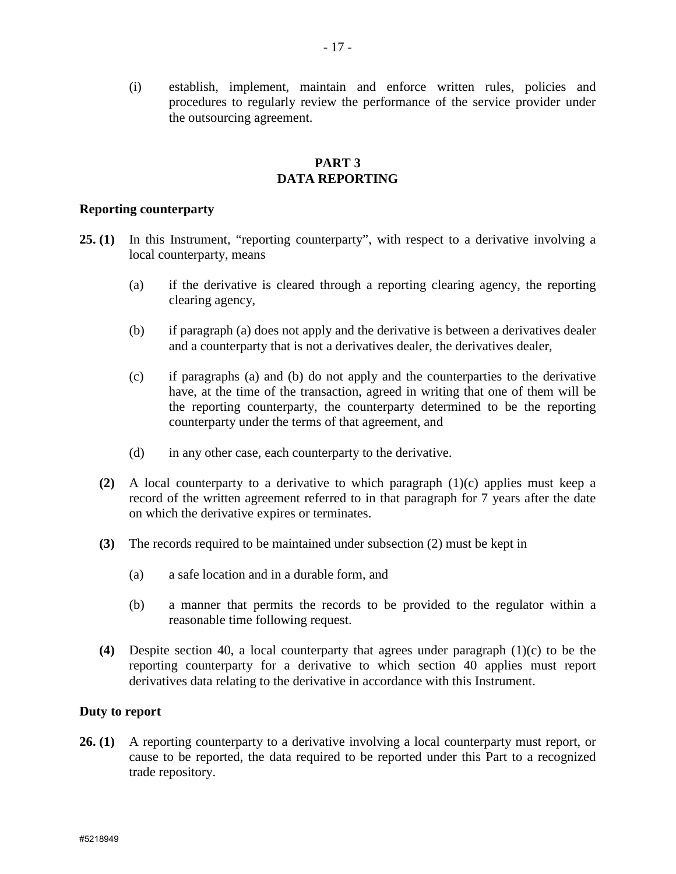(i) establish, implement, maintain and enforce written rules, policies and procedures to regularly review the performance of the service provider under the outsourcing agreement.

## **PART 3 DATA REPORTING**

#### **Reporting counterparty**

- **25. (1)** In this Instrument, "reporting counterparty", with respect to a derivative involving a local counterparty, means
	- (a) if the derivative is cleared through a reporting clearing agency, the reporting clearing agency,
	- (b) if paragraph (a) does not apply and the derivative is between a derivatives dealer and a counterparty that is not a derivatives dealer, the derivatives dealer,
	- (c) if paragraphs (a) and (b) do not apply and the counterparties to the derivative have, at the time of the transaction, agreed in writing that one of them will be the reporting counterparty, the counterparty determined to be the reporting counterparty under the terms of that agreement, and
	- (d) in any other case, each counterparty to the derivative.
	- **(2)** A local counterparty to a derivative to which paragraph (1)(c) applies must keep a record of the written agreement referred to in that paragraph for 7 years after the date on which the derivative expires or terminates.
	- **(3)** The records required to be maintained under subsection (2) must be kept in
		- (a) a safe location and in a durable form, and
		- (b) a manner that permits the records to be provided to the regulator within a reasonable time following request.
	- **(4)** Despite section 40, a local counterparty that agrees under paragraph (1)(c) to be the reporting counterparty for a derivative to which section 40 applies must report derivatives data relating to the derivative in accordance with this Instrument.

### **Duty to report**

**26. (1)** A reporting counterparty to a derivative involving a local counterparty must report, or cause to be reported, the data required to be reported under this Part to a recognized trade repository.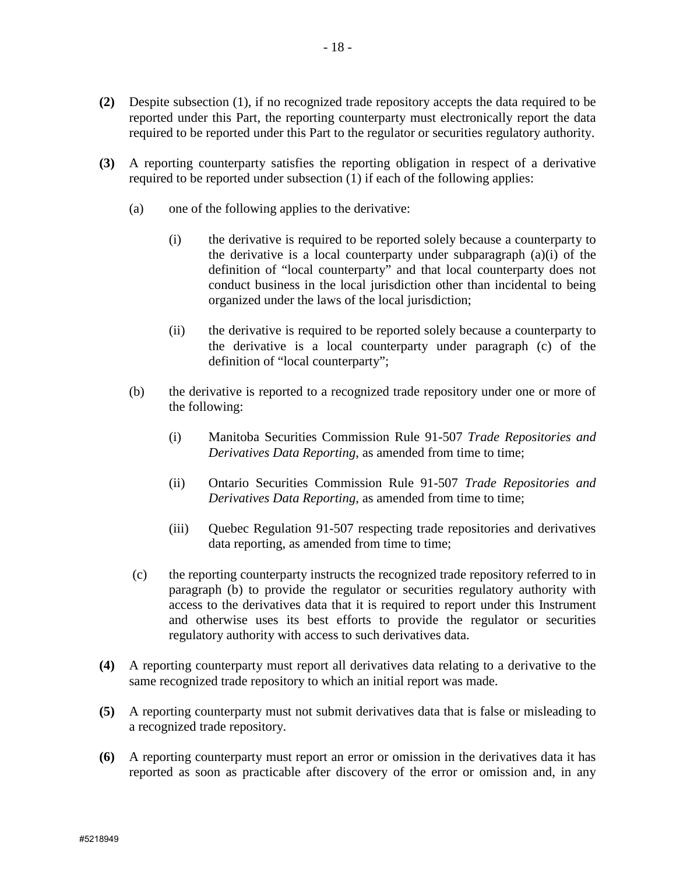- **(2)** Despite subsection (1), if no recognized trade repository accepts the data required to be reported under this Part, the reporting counterparty must electronically report the data required to be reported under this Part to the regulator or securities regulatory authority.
- **(3)** A reporting counterparty satisfies the reporting obligation in respect of a derivative required to be reported under subsection (1) if each of the following applies:
	- (a) one of the following applies to the derivative:
		- (i) the derivative is required to be reported solely because a counterparty to the derivative is a local counterparty under subparagraph (a)(i) of the definition of "local counterparty" and that local counterparty does not conduct business in the local jurisdiction other than incidental to being organized under the laws of the local jurisdiction;
		- (ii) the derivative is required to be reported solely because a counterparty to the derivative is a local counterparty under paragraph (c) of the definition of "local counterparty";
	- (b) the derivative is reported to a recognized trade repository under one or more of the following:
		- (i) Manitoba Securities Commission Rule 91-507 *Trade Repositories and Derivatives Data Reporting*, as amended from time to time;
		- (ii) Ontario Securities Commission Rule 91-507 *Trade Repositories and Derivatives Data Reporting*, as amended from time to time;
		- (iii) Quebec Regulation 91-507 respecting trade repositories and derivatives data reporting, as amended from time to time;
	- (c) the reporting counterparty instructs the recognized trade repository referred to in paragraph (b) to provide the regulator or securities regulatory authority with access to the derivatives data that it is required to report under this Instrument and otherwise uses its best efforts to provide the regulator or securities regulatory authority with access to such derivatives data.
- **(4)** A reporting counterparty must report all derivatives data relating to a derivative to the same recognized trade repository to which an initial report was made.
- **(5)** A reporting counterparty must not submit derivatives data that is false or misleading to a recognized trade repository.
- **(6)** A reporting counterparty must report an error or omission in the derivatives data it has reported as soon as practicable after discovery of the error or omission and, in any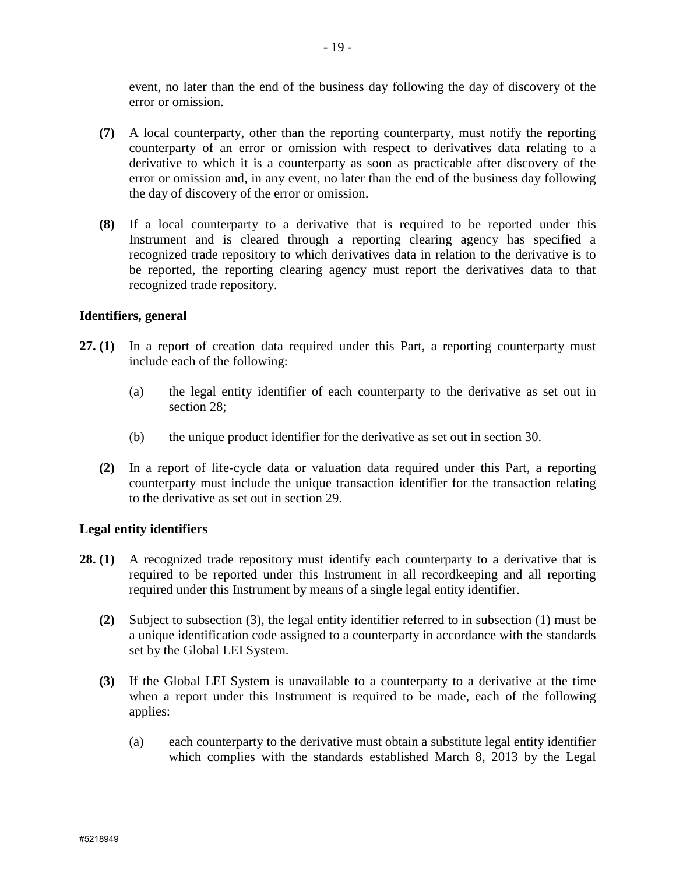event, no later than the end of the business day following the day of discovery of the error or omission.

- **(7)** A local counterparty, other than the reporting counterparty, must notify the reporting counterparty of an error or omission with respect to derivatives data relating to a derivative to which it is a counterparty as soon as practicable after discovery of the error or omission and, in any event, no later than the end of the business day following the day of discovery of the error or omission.
- **(8)** If a local counterparty to a derivative that is required to be reported under this Instrument and is cleared through a reporting clearing agency has specified a recognized trade repository to which derivatives data in relation to the derivative is to be reported, the reporting clearing agency must report the derivatives data to that recognized trade repository.

### **Identifiers, general**

- **27. (1)** In a report of creation data required under this Part, a reporting counterparty must include each of the following:
	- (a) the legal entity identifier of each counterparty to the derivative as set out in section 28;
	- (b) the unique product identifier for the derivative as set out in section 30.
	- **(2)** In a report of life-cycle data or valuation data required under this Part, a reporting counterparty must include the unique transaction identifier for the transaction relating to the derivative as set out in section 29.

# **Legal entity identifiers**

- 28. (1) A recognized trade repository must identify each counterparty to a derivative that is required to be reported under this Instrument in all recordkeeping and all reporting required under this Instrument by means of a single legal entity identifier.
	- **(2)** Subject to subsection (3), the legal entity identifier referred to in subsection (1) must be a unique identification code assigned to a counterparty in accordance with the standards set by the Global LEI System.
	- **(3)** If the Global LEI System is unavailable to a counterparty to a derivative at the time when a report under this Instrument is required to be made, each of the following applies:
		- (a) each counterparty to the derivative must obtain a substitute legal entity identifier which complies with the standards established March 8, 2013 by the Legal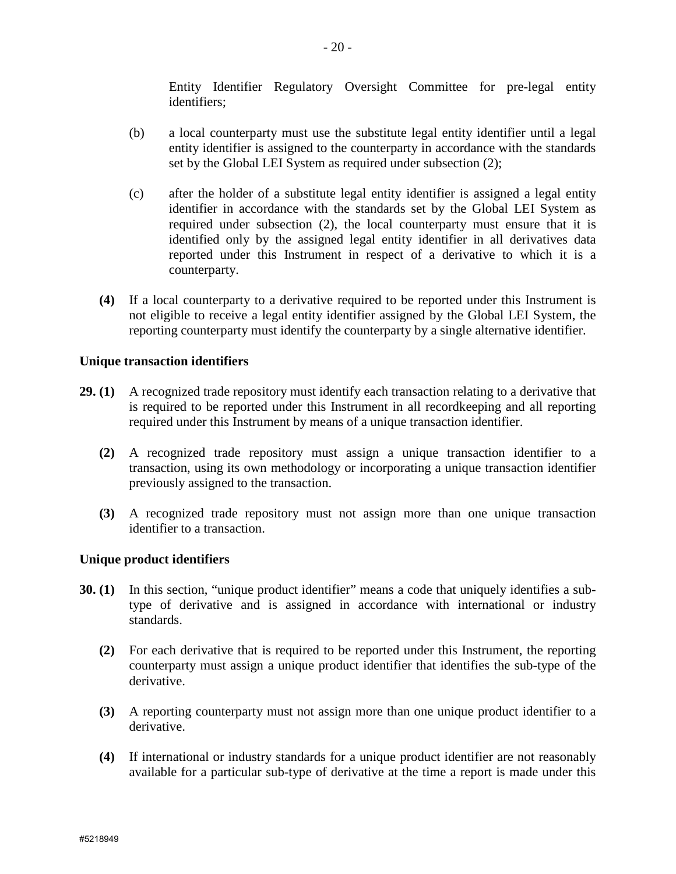Entity Identifier Regulatory Oversight Committee for pre-legal entity identifiers;

- (b) a local counterparty must use the substitute legal entity identifier until a legal entity identifier is assigned to the counterparty in accordance with the standards set by the Global LEI System as required under subsection (2);
- (c) after the holder of a substitute legal entity identifier is assigned a legal entity identifier in accordance with the standards set by the Global LEI System as required under subsection (2), the local counterparty must ensure that it is identified only by the assigned legal entity identifier in all derivatives data reported under this Instrument in respect of a derivative to which it is a counterparty.
- **(4)** If a local counterparty to a derivative required to be reported under this Instrument is not eligible to receive a legal entity identifier assigned by the Global LEI System, the reporting counterparty must identify the counterparty by a single alternative identifier.

### **Unique transaction identifiers**

- **29. (1)** A recognized trade repository must identify each transaction relating to a derivative that is required to be reported under this Instrument in all recordkeeping and all reporting required under this Instrument by means of a unique transaction identifier.
	- **(2)** A recognized trade repository must assign a unique transaction identifier to a transaction, using its own methodology or incorporating a unique transaction identifier previously assigned to the transaction.
	- **(3)** A recognized trade repository must not assign more than one unique transaction identifier to a transaction.

#### **Unique product identifiers**

- **30. (1)** In this section, "unique product identifier" means a code that uniquely identifies a subtype of derivative and is assigned in accordance with international or industry standards.
	- **(2)** For each derivative that is required to be reported under this Instrument, the reporting counterparty must assign a unique product identifier that identifies the sub-type of the derivative.
	- **(3)** A reporting counterparty must not assign more than one unique product identifier to a derivative.
	- **(4)** If international or industry standards for a unique product identifier are not reasonably available for a particular sub-type of derivative at the time a report is made under this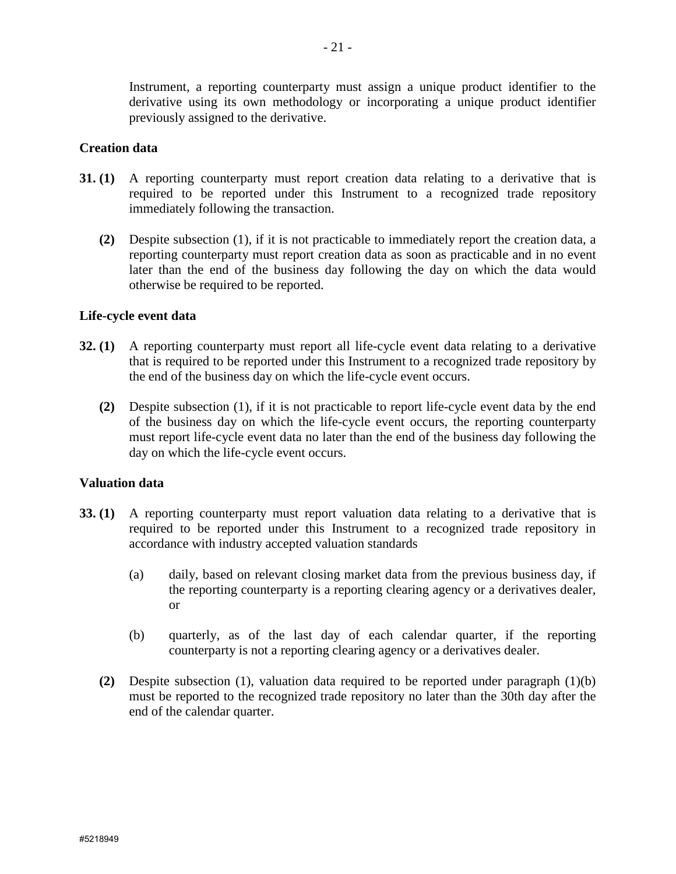Instrument, a reporting counterparty must assign a unique product identifier to the derivative using its own methodology or incorporating a unique product identifier previously assigned to the derivative.

### **Creation data**

- **31. (1)** A reporting counterparty must report creation data relating to a derivative that is required to be reported under this Instrument to a recognized trade repository immediately following the transaction.
	- **(2)** Despite subsection (1), if it is not practicable to immediately report the creation data, a reporting counterparty must report creation data as soon as practicable and in no event later than the end of the business day following the day on which the data would otherwise be required to be reported.

### **Life-cycle event data**

- **32. (1)** A reporting counterparty must report all life-cycle event data relating to a derivative that is required to be reported under this Instrument to a recognized trade repository by the end of the business day on which the life-cycle event occurs.
	- **(2)** Despite subsection (1), if it is not practicable to report life-cycle event data by the end of the business day on which the life-cycle event occurs, the reporting counterparty must report life-cycle event data no later than the end of the business day following the day on which the life-cycle event occurs.

### **Valuation data**

- **33. (1)** A reporting counterparty must report valuation data relating to a derivative that is required to be reported under this Instrument to a recognized trade repository in accordance with industry accepted valuation standards
	- (a) daily, based on relevant closing market data from the previous business day, if the reporting counterparty is a reporting clearing agency or a derivatives dealer, or
	- (b) quarterly, as of the last day of each calendar quarter, if the reporting counterparty is not a reporting clearing agency or a derivatives dealer.
	- **(2)** Despite subsection (1), valuation data required to be reported under paragraph (1)(b) must be reported to the recognized trade repository no later than the 30th day after the end of the calendar quarter.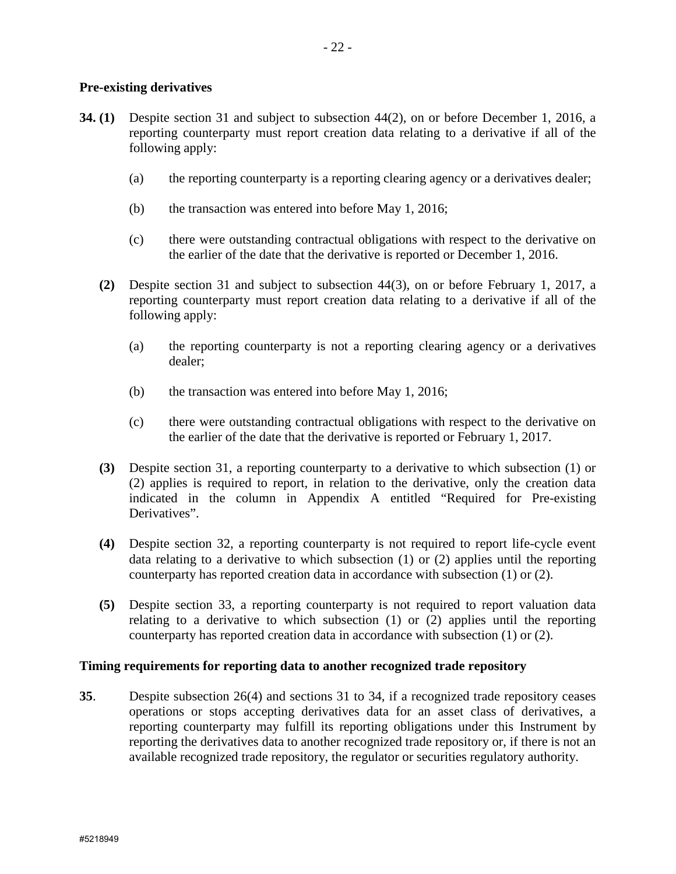### **Pre-existing derivatives**

- **34. (1)** Despite section 31 and subject to subsection 44(2), on or before December 1, 2016, a reporting counterparty must report creation data relating to a derivative if all of the following apply:
	- (a) the reporting counterparty is a reporting clearing agency or a derivatives dealer;
	- (b) the transaction was entered into before May 1, 2016;
	- (c) there were outstanding contractual obligations with respect to the derivative on the earlier of the date that the derivative is reported or December 1, 2016.
	- **(2)** Despite section 31 and subject to subsection 44(3), on or before February 1, 2017, a reporting counterparty must report creation data relating to a derivative if all of the following apply:
		- (a) the reporting counterparty is not a reporting clearing agency or a derivatives dealer;
		- (b) the transaction was entered into before May 1, 2016;
		- (c) there were outstanding contractual obligations with respect to the derivative on the earlier of the date that the derivative is reported or February 1, 2017.
	- **(3)** Despite section 31, a reporting counterparty to a derivative to which subsection (1) or (2) applies is required to report, in relation to the derivative, only the creation data indicated in the column in Appendix A entitled "Required for Pre-existing Derivatives".
	- **(4)** Despite section 32, a reporting counterparty is not required to report life-cycle event data relating to a derivative to which subsection  $(1)$  or  $(2)$  applies until the reporting counterparty has reported creation data in accordance with subsection (1) or (2).
	- **(5)** Despite section 33, a reporting counterparty is not required to report valuation data relating to a derivative to which subsection (1) or (2) applies until the reporting counterparty has reported creation data in accordance with subsection (1) or (2).

#### **Timing requirements for reporting data to another recognized trade repository**

**35**. Despite subsection 26(4) and sections 31 to 34, if a recognized trade repository ceases operations or stops accepting derivatives data for an asset class of derivatives, a reporting counterparty may fulfill its reporting obligations under this Instrument by reporting the derivatives data to another recognized trade repository or, if there is not an available recognized trade repository, the regulator or securities regulatory authority.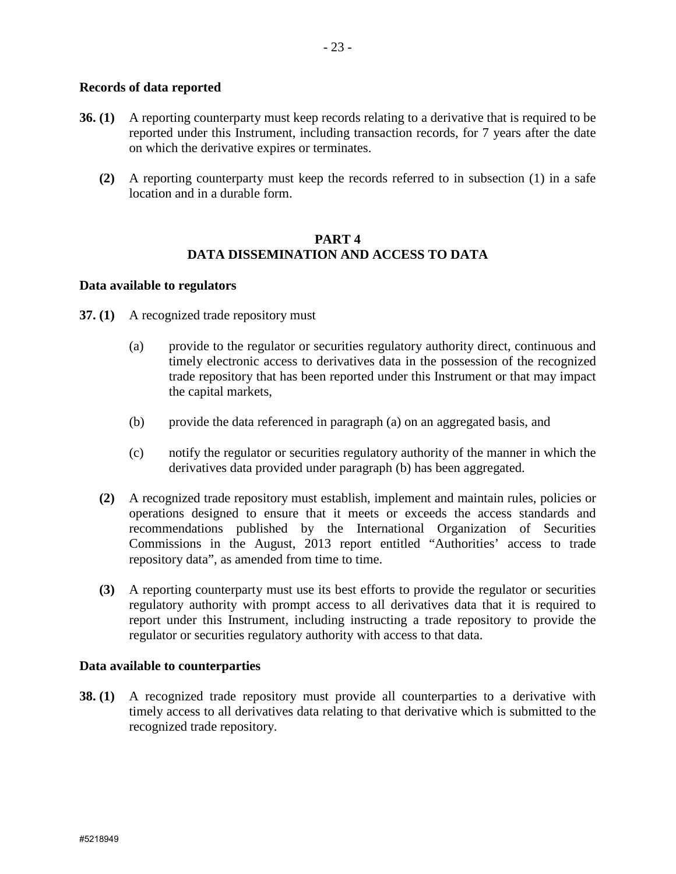### **Records of data reported**

- **36. (1)** A reporting counterparty must keep records relating to a derivative that is required to be reported under this Instrument, including transaction records, for 7 years after the date on which the derivative expires or terminates.
	- **(2)** A reporting counterparty must keep the records referred to in subsection (1) in a safe location and in a durable form.

### **PART 4 DATA DISSEMINATION AND ACCESS TO DATA**

#### **Data available to regulators**

- **37. (1)** A recognized trade repository must
	- (a) provide to the regulator or securities regulatory authority direct, continuous and timely electronic access to derivatives data in the possession of the recognized trade repository that has been reported under this Instrument or that may impact the capital markets,
	- (b) provide the data referenced in paragraph (a) on an aggregated basis, and
	- (c) notify the regulator or securities regulatory authority of the manner in which the derivatives data provided under paragraph (b) has been aggregated.
	- **(2)** A recognized trade repository must establish, implement and maintain rules, policies or operations designed to ensure that it meets or exceeds the access standards and recommendations published by the International Organization of Securities Commissions in the August, 2013 report entitled "Authorities' access to trade repository data", as amended from time to time.
	- **(3)** A reporting counterparty must use its best efforts to provide the regulator or securities regulatory authority with prompt access to all derivatives data that it is required to report under this Instrument, including instructing a trade repository to provide the regulator or securities regulatory authority with access to that data.

#### **Data available to counterparties**

**38. (1)** A recognized trade repository must provide all counterparties to a derivative with timely access to all derivatives data relating to that derivative which is submitted to the recognized trade repository.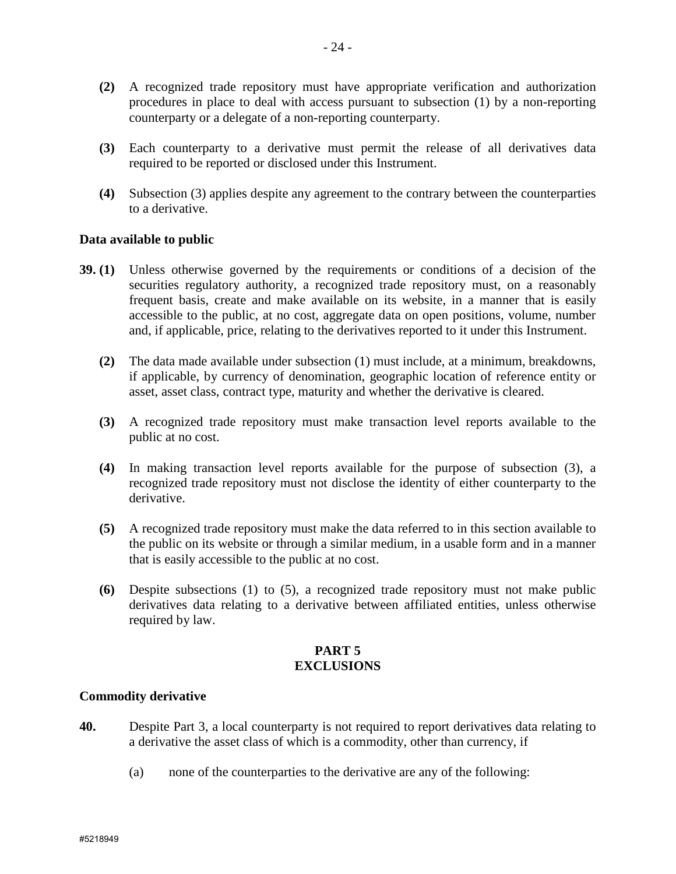- **(2)** A recognized trade repository must have appropriate verification and authorization procedures in place to deal with access pursuant to subsection (1) by a non-reporting counterparty or a delegate of a non-reporting counterparty.
- **(3)** Each counterparty to a derivative must permit the release of all derivatives data required to be reported or disclosed under this Instrument.
- **(4)** Subsection (3) applies despite any agreement to the contrary between the counterparties to a derivative.

### **Data available to public**

- **39. (1)** Unless otherwise governed by the requirements or conditions of a decision of the securities regulatory authority, a recognized trade repository must, on a reasonably frequent basis, create and make available on its website, in a manner that is easily accessible to the public, at no cost, aggregate data on open positions, volume, number and, if applicable, price, relating to the derivatives reported to it under this Instrument.
	- **(2)** The data made available under subsection (1) must include, at a minimum, breakdowns, if applicable, by currency of denomination, geographic location of reference entity or asset, asset class, contract type, maturity and whether the derivative is cleared.
	- **(3)** A recognized trade repository must make transaction level reports available to the public at no cost.
	- **(4)** In making transaction level reports available for the purpose of subsection (3), a recognized trade repository must not disclose the identity of either counterparty to the derivative.
	- **(5)** A recognized trade repository must make the data referred to in this section available to the public on its website or through a similar medium, in a usable form and in a manner that is easily accessible to the public at no cost.
	- **(6)** Despite subsections (1) to (5), a recognized trade repository must not make public derivatives data relating to a derivative between affiliated entities, unless otherwise required by law.

### **PART 5 EXCLUSIONS**

#### **Commodity derivative**

- **40.** Despite Part 3, a local counterparty is not required to report derivatives data relating to a derivative the asset class of which is a commodity, other than currency, if
	- (a) none of the counterparties to the derivative are any of the following: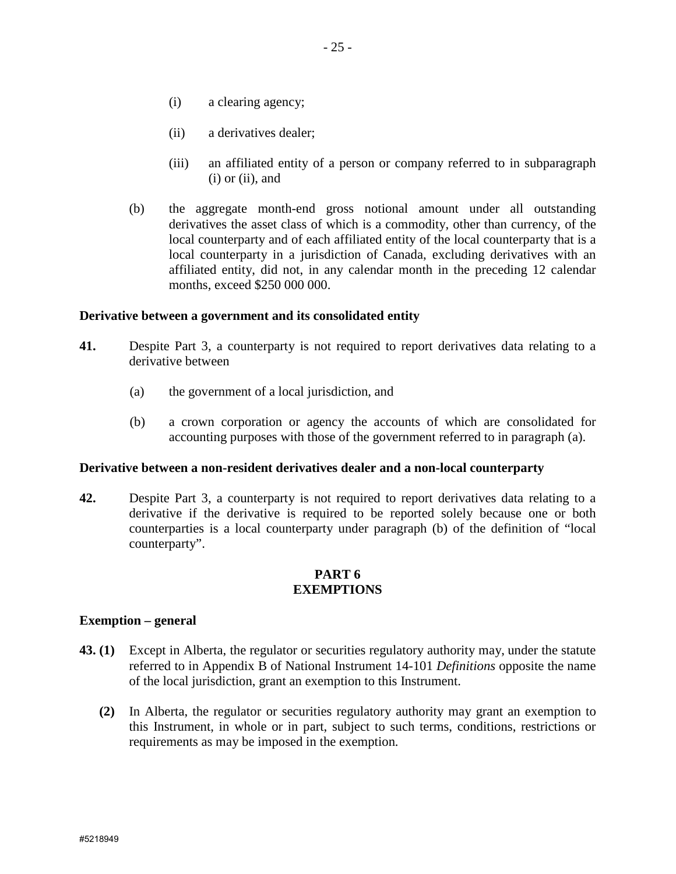- (i) a clearing agency;
- (ii) a derivatives dealer;
- (iii) an affiliated entity of a person or company referred to in subparagraph  $(i)$  or  $(ii)$ , and
- (b) the aggregate month-end gross notional amount under all outstanding derivatives the asset class of which is a commodity, other than currency, of the local counterparty and of each affiliated entity of the local counterparty that is a local counterparty in a jurisdiction of Canada, excluding derivatives with an affiliated entity, did not, in any calendar month in the preceding 12 calendar months, exceed \$250 000 000.

#### **Derivative between a government and its consolidated entity**

- **41.** Despite Part 3, a counterparty is not required to report derivatives data relating to a derivative between
	- (a) the government of a local jurisdiction, and
	- (b) a crown corporation or agency the accounts of which are consolidated for accounting purposes with those of the government referred to in paragraph (a).

#### **Derivative between a non-resident derivatives dealer and a non-local counterparty**

**42.** Despite Part 3, a counterparty is not required to report derivatives data relating to a derivative if the derivative is required to be reported solely because one or both counterparties is a local counterparty under paragraph (b) of the definition of "local counterparty".

### **PART 6 EXEMPTIONS**

#### **Exemption – general**

- **43. (1)** Except in Alberta, the regulator or securities regulatory authority may, under the statute referred to in Appendix B of National Instrument 14-101 *Definitions* opposite the name of the local jurisdiction, grant an exemption to this Instrument.
	- **(2)** In Alberta, the regulator or securities regulatory authority may grant an exemption to this Instrument, in whole or in part, subject to such terms, conditions, restrictions or requirements as may be imposed in the exemption.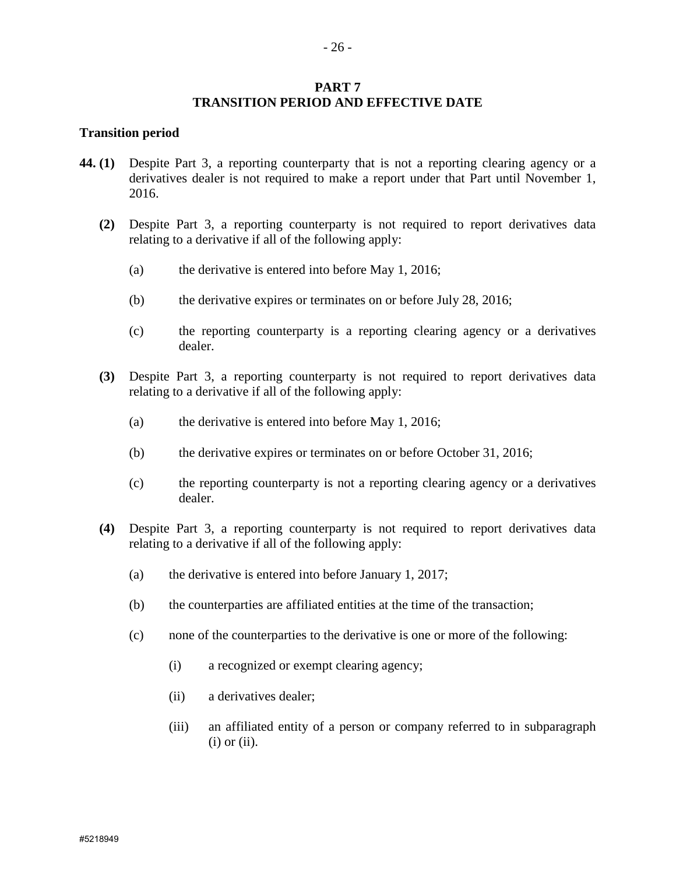#### **PART 7 TRANSITION PERIOD AND EFFECTIVE DATE**

#### **Transition period**

- **44. (1)** Despite Part 3, a reporting counterparty that is not a reporting clearing agency or a derivatives dealer is not required to make a report under that Part until November 1, 2016.
	- **(2)** Despite Part 3, a reporting counterparty is not required to report derivatives data relating to a derivative if all of the following apply:
		- (a) the derivative is entered into before May 1, 2016;
		- (b) the derivative expires or terminates on or before July 28, 2016;
		- (c) the reporting counterparty is a reporting clearing agency or a derivatives dealer.
	- **(3)** Despite Part 3, a reporting counterparty is not required to report derivatives data relating to a derivative if all of the following apply:
		- (a) the derivative is entered into before May 1, 2016;
		- (b) the derivative expires or terminates on or before October 31, 2016;
		- (c) the reporting counterparty is not a reporting clearing agency or a derivatives dealer.
	- **(4)** Despite Part 3, a reporting counterparty is not required to report derivatives data relating to a derivative if all of the following apply:
		- (a) the derivative is entered into before January 1, 2017;
		- (b) the counterparties are affiliated entities at the time of the transaction;
		- (c) none of the counterparties to the derivative is one or more of the following:
			- (i) a recognized or exempt clearing agency;
			- (ii) a derivatives dealer;
			- (iii) an affiliated entity of a person or company referred to in subparagraph  $(i)$  or  $(ii)$ .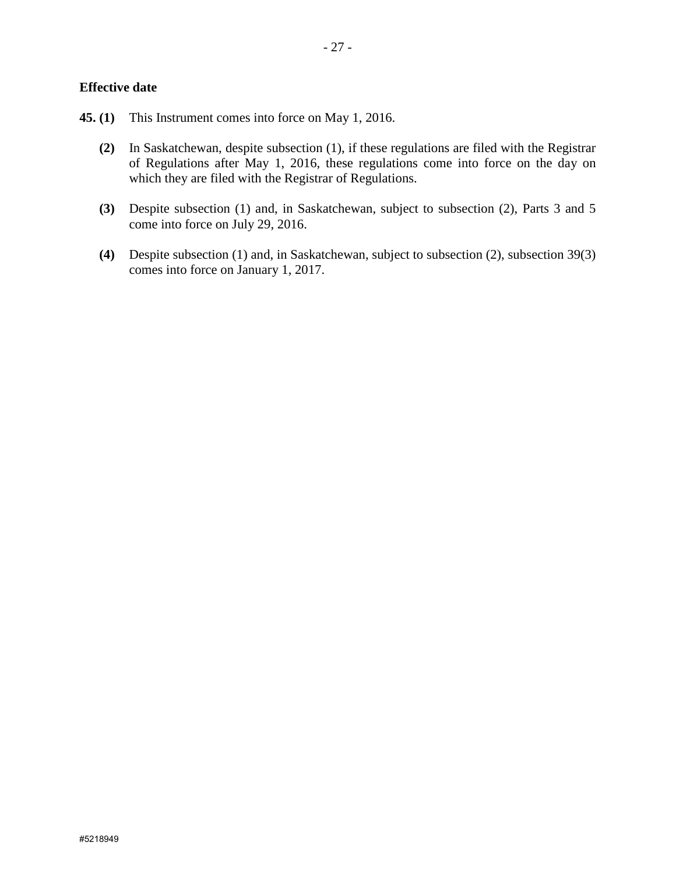# **Effective date**

- **45. (1)** This Instrument comes into force on May 1, 2016.
	- **(2)** In Saskatchewan, despite subsection (1), if these regulations are filed with the Registrar of Regulations after May 1, 2016, these regulations come into force on the day on which they are filed with the Registrar of Regulations.
	- **(3)** Despite subsection (1) and, in Saskatchewan, subject to subsection (2), Parts 3 and 5 come into force on July 29, 2016.
	- **(4)** Despite subsection (1) and, in Saskatchewan, subject to subsection (2), subsection 39(3) comes into force on January 1, 2017.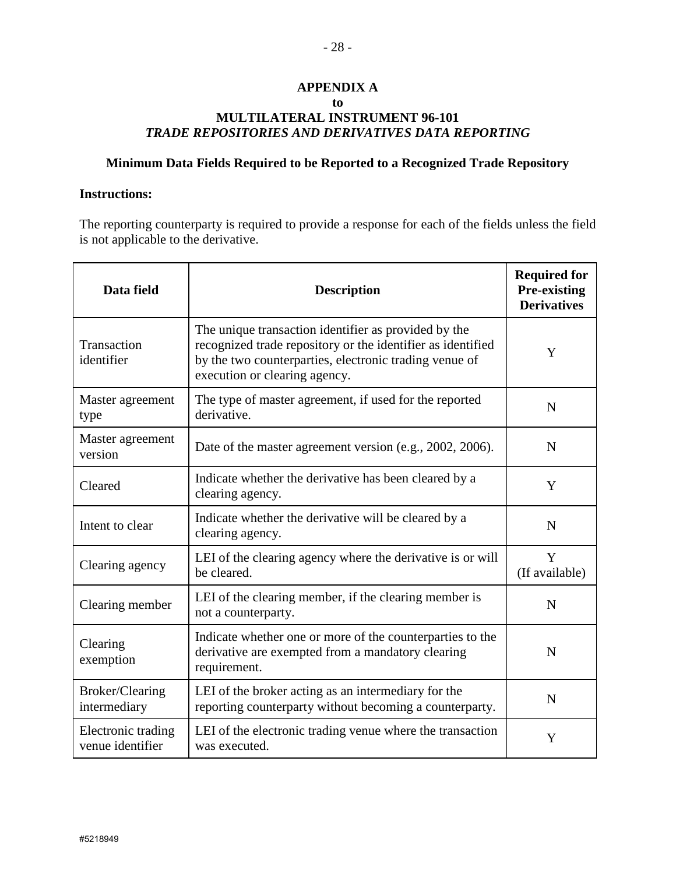# **APPENDIX A to MULTILATERAL INSTRUMENT 96-101**  *TRADE REPOSITORIES AND DERIVATIVES DATA REPORTING*

### **Minimum Data Fields Required to be Reported to a Recognized Trade Repository**

#### **Instructions:**

The reporting counterparty is required to provide a response for each of the fields unless the field is not applicable to the derivative.

| Data field                             | <b>Description</b>                                                                                                                                                                                             | <b>Required for</b><br><b>Pre-existing</b><br><b>Derivatives</b> |
|----------------------------------------|----------------------------------------------------------------------------------------------------------------------------------------------------------------------------------------------------------------|------------------------------------------------------------------|
| Transaction<br>identifier              | The unique transaction identifier as provided by the<br>recognized trade repository or the identifier as identified<br>by the two counterparties, electronic trading venue of<br>execution or clearing agency. |                                                                  |
| Master agreement<br>type               | The type of master agreement, if used for the reported<br>derivative.                                                                                                                                          |                                                                  |
| Master agreement<br>version            | Date of the master agreement version (e.g., 2002, 2006).                                                                                                                                                       | N                                                                |
| Cleared                                | Indicate whether the derivative has been cleared by a<br>clearing agency.                                                                                                                                      | Y                                                                |
| Intent to clear                        | Indicate whether the derivative will be cleared by a<br>clearing agency.                                                                                                                                       | N                                                                |
| Clearing agency                        | LEI of the clearing agency where the derivative is or will<br>be cleared.                                                                                                                                      | Y<br>(If available)                                              |
| Clearing member                        | LEI of the clearing member, if the clearing member is<br>not a counterparty.                                                                                                                                   | N                                                                |
| Clearing<br>exemption                  | Indicate whether one or more of the counterparties to the<br>derivative are exempted from a mandatory clearing<br>N<br>requirement.                                                                            |                                                                  |
| Broker/Clearing<br>intermediary        | LEI of the broker acting as an intermediary for the<br>N<br>reporting counterparty without becoming a counterparty.                                                                                            |                                                                  |
| Electronic trading<br>venue identifier | LEI of the electronic trading venue where the transaction<br>was executed.                                                                                                                                     | Y                                                                |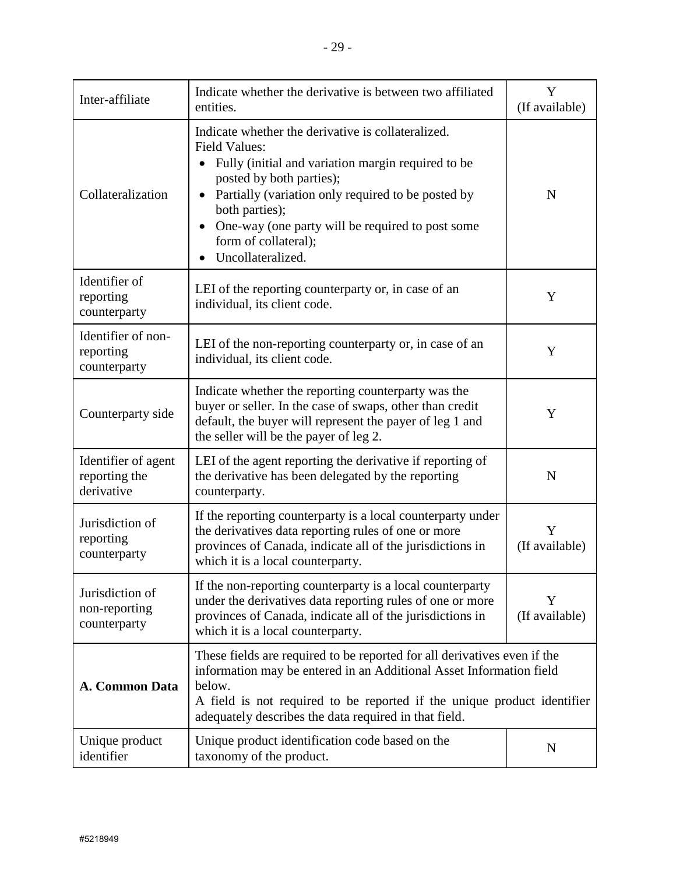| Inter-affiliate                                    | Indicate whether the derivative is between two affiliated<br>entities.                                                                                                                                                                                                                                                                             | Y<br>(If available) |
|----------------------------------------------------|----------------------------------------------------------------------------------------------------------------------------------------------------------------------------------------------------------------------------------------------------------------------------------------------------------------------------------------------------|---------------------|
| Collateralization                                  | Indicate whether the derivative is collateralized.<br><b>Field Values:</b><br>Fully (initial and variation margin required to be<br>posted by both parties);<br>Partially (variation only required to be posted by<br>$\bullet$<br>both parties);<br>One-way (one party will be required to post some<br>form of collateral);<br>Uncollateralized. | N                   |
| Identifier of<br>reporting<br>counterparty         | LEI of the reporting counterparty or, in case of an<br>individual, its client code.                                                                                                                                                                                                                                                                | Y                   |
| Identifier of non-<br>reporting<br>counterparty    | LEI of the non-reporting counterparty or, in case of an<br>individual, its client code.                                                                                                                                                                                                                                                            | Y                   |
| Counterparty side                                  | Indicate whether the reporting counterparty was the<br>buyer or seller. In the case of swaps, other than credit<br>default, the buyer will represent the payer of leg 1 and<br>the seller will be the payer of leg 2.                                                                                                                              |                     |
| Identifier of agent<br>reporting the<br>derivative | LEI of the agent reporting the derivative if reporting of<br>the derivative has been delegated by the reporting<br>counterparty.                                                                                                                                                                                                                   | $\mathbf N$         |
| Jurisdiction of<br>reporting<br>counterparty       | If the reporting counterparty is a local counterparty under<br>the derivatives data reporting rules of one or more<br>provinces of Canada, indicate all of the jurisdictions in<br>which it is a local counterparty.                                                                                                                               | Y<br>(If available) |
| Jurisdiction of<br>non-reporting<br>counterparty   | If the non-reporting counterparty is a local counterparty<br>under the derivatives data reporting rules of one or more<br>provinces of Canada, indicate all of the jurisdictions in<br>(If available)<br>which it is a local counterparty.                                                                                                         |                     |
| <b>A. Common Data</b>                              | These fields are required to be reported for all derivatives even if the<br>information may be entered in an Additional Asset Information field<br>below.<br>A field is not required to be reported if the unique product identifier<br>adequately describes the data required in that field.                                                      |                     |
| Unique product<br>identifier                       | Unique product identification code based on the<br>$\mathbf N$<br>taxonomy of the product.                                                                                                                                                                                                                                                         |                     |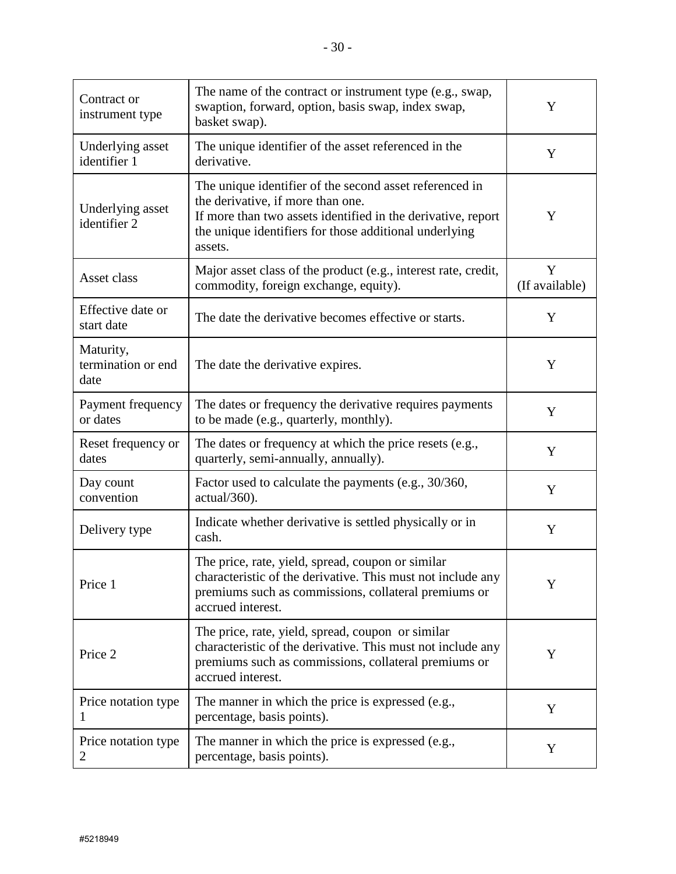| Contract or<br>instrument type                                                                                                                                                                           | The name of the contract or instrument type (e.g., swap,<br>swaption, forward, option, basis swap, index swap,<br>basket swap).                                                                                                   | Y                   |  |
|----------------------------------------------------------------------------------------------------------------------------------------------------------------------------------------------------------|-----------------------------------------------------------------------------------------------------------------------------------------------------------------------------------------------------------------------------------|---------------------|--|
| Underlying asset<br>identifier 1                                                                                                                                                                         | The unique identifier of the asset referenced in the<br>derivative.                                                                                                                                                               | Y                   |  |
| Underlying asset<br>identifier 2                                                                                                                                                                         | The unique identifier of the second asset referenced in<br>the derivative, if more than one.<br>If more than two assets identified in the derivative, report<br>the unique identifiers for those additional underlying<br>assets. | Y                   |  |
| Asset class                                                                                                                                                                                              | Major asset class of the product (e.g., interest rate, credit,<br>commodity, foreign exchange, equity).                                                                                                                           | Y<br>(If available) |  |
| Effective date or<br>start date                                                                                                                                                                          | The date the derivative becomes effective or starts.                                                                                                                                                                              | Y                   |  |
| Maturity,<br>termination or end<br>date                                                                                                                                                                  | The date the derivative expires.                                                                                                                                                                                                  | Y                   |  |
| Payment frequency<br>or dates                                                                                                                                                                            | The dates or frequency the derivative requires payments<br>to be made (e.g., quarterly, monthly).                                                                                                                                 | Y                   |  |
| Reset frequency or<br>dates                                                                                                                                                                              | The dates or frequency at which the price resets (e.g.,<br>quarterly, semi-annually, annually).                                                                                                                                   | Y                   |  |
| Day count<br>convention                                                                                                                                                                                  | Factor used to calculate the payments (e.g., 30/360,<br>$actual/360$ ).                                                                                                                                                           | Y                   |  |
| Delivery type                                                                                                                                                                                            | Indicate whether derivative is settled physically or in<br>cash.                                                                                                                                                                  | Y                   |  |
| Price 1                                                                                                                                                                                                  | The price, rate, yield, spread, coupon or similar<br>characteristic of the derivative. This must not include any<br>premiums such as commissions, collateral premiums or<br>accrued interest.                                     |                     |  |
| The price, rate, yield, spread, coupon or similar<br>characteristic of the derivative. This must not include any<br>Price 2<br>premiums such as commissions, collateral premiums or<br>accrued interest. |                                                                                                                                                                                                                                   | Y                   |  |
| Price notation type                                                                                                                                                                                      | The manner in which the price is expressed (e.g.,<br>percentage, basis points).                                                                                                                                                   | Y                   |  |
| Price notation type<br>2                                                                                                                                                                                 | The manner in which the price is expressed (e.g.,<br>percentage, basis points).                                                                                                                                                   | Y                   |  |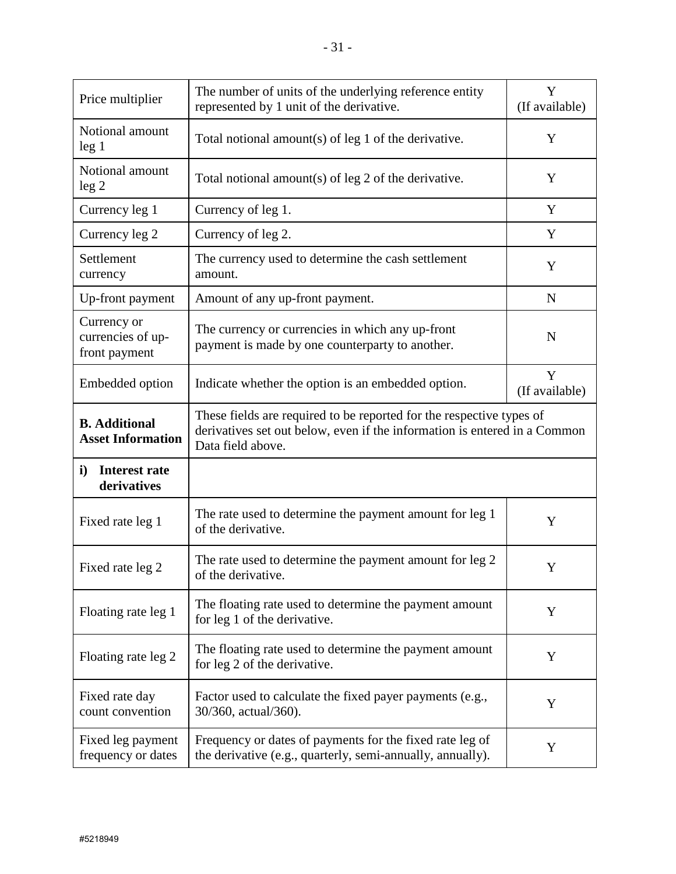| Price multiplier                                  | The number of units of the underlying reference entity<br>represented by 1 unit of the derivative.                                                                     | Y<br>(If available) |
|---------------------------------------------------|------------------------------------------------------------------------------------------------------------------------------------------------------------------------|---------------------|
| Notional amount<br>leg <sub>1</sub>               | Total notional amount(s) of leg 1 of the derivative.                                                                                                                   | Y                   |
| Notional amount<br>leg <sub>2</sub>               | Total notional amount(s) of leg 2 of the derivative.                                                                                                                   | Y                   |
| Currency leg 1                                    | Currency of leg 1.                                                                                                                                                     | Y                   |
| Currency leg 2                                    | Currency of leg 2.                                                                                                                                                     | Y                   |
| Settlement<br>currency                            | The currency used to determine the cash settlement<br>amount.                                                                                                          |                     |
| Up-front payment                                  | Amount of any up-front payment.                                                                                                                                        |                     |
| Currency or<br>currencies of up-<br>front payment | The currency or currencies in which any up-front<br>payment is made by one counterparty to another.                                                                    | N                   |
| Embedded option                                   | Indicate whether the option is an embedded option.                                                                                                                     | Y<br>(If available) |
| <b>B.</b> Additional<br><b>Asset Information</b>  | These fields are required to be reported for the respective types of<br>derivatives set out below, even if the information is entered in a Common<br>Data field above. |                     |
| i)<br><b>Interest rate</b><br>derivatives         |                                                                                                                                                                        |                     |
| Fixed rate leg 1                                  | The rate used to determine the payment amount for leg 1<br>of the derivative.                                                                                          | Y                   |
| Fixed rate leg 2                                  | The rate used to determine the payment amount for leg 2<br>Y<br>of the derivative.                                                                                     |                     |
| Floating rate leg 1                               | The floating rate used to determine the payment amount<br>Y<br>for leg 1 of the derivative.                                                                            |                     |
| Floating rate leg 2                               | The floating rate used to determine the payment amount<br>Y<br>for leg 2 of the derivative.                                                                            |                     |
| Fixed rate day<br>count convention                | Factor used to calculate the fixed payer payments (e.g.,<br>Y<br>30/360, actual/360).                                                                                  |                     |
| Fixed leg payment<br>frequency or dates           | Frequency or dates of payments for the fixed rate leg of<br>Y<br>the derivative (e.g., quarterly, semi-annually, annually).                                            |                     |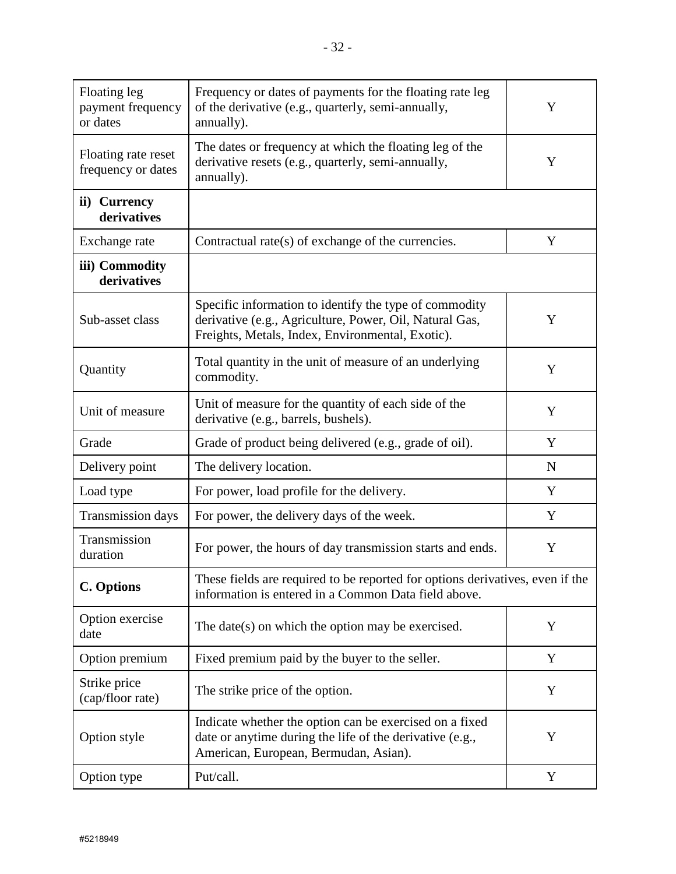| Floating leg<br>payment frequency<br>or dates | Frequency or dates of payments for the floating rate leg<br>of the derivative (e.g., quarterly, semi-annually,<br>annually).                                          | Y           |
|-----------------------------------------------|-----------------------------------------------------------------------------------------------------------------------------------------------------------------------|-------------|
| Floating rate reset<br>frequency or dates     | The dates or frequency at which the floating leg of the<br>derivative resets (e.g., quarterly, semi-annually,<br>annually).                                           | Y           |
| ii) Currency<br>derivatives                   |                                                                                                                                                                       |             |
| Exchange rate                                 | Contractual rate(s) of exchange of the currencies.                                                                                                                    | Y           |
| iii) Commodity<br>derivatives                 |                                                                                                                                                                       |             |
| Sub-asset class                               | Specific information to identify the type of commodity<br>derivative (e.g., Agriculture, Power, Oil, Natural Gas,<br>Freights, Metals, Index, Environmental, Exotic). |             |
| Quantity                                      | Total quantity in the unit of measure of an underlying<br>commodity.                                                                                                  | Y           |
| Unit of measure                               | Unit of measure for the quantity of each side of the<br>derivative (e.g., barrels, bushels).                                                                          |             |
| Grade                                         | Grade of product being delivered (e.g., grade of oil).                                                                                                                | Y           |
| Delivery point                                | The delivery location.                                                                                                                                                | $\mathbf N$ |
| Load type                                     | For power, load profile for the delivery.                                                                                                                             | Y           |
| Transmission days                             | For power, the delivery days of the week.                                                                                                                             | Y           |
| Transmission<br>duration                      | For power, the hours of day transmission starts and ends.                                                                                                             | Y           |
| <b>C.</b> Options                             | These fields are required to be reported for options derivatives, even if the<br>information is entered in a Common Data field above.                                 |             |
| Option exercise<br>date                       | Y<br>The date(s) on which the option may be exercised.                                                                                                                |             |
| Option premium                                | Fixed premium paid by the buyer to the seller.                                                                                                                        | Y           |
| Strike price<br>(cap/floor rate)              | Y<br>The strike price of the option.                                                                                                                                  |             |
| Option style                                  | Indicate whether the option can be exercised on a fixed<br>date or anytime during the life of the derivative (e.g.,<br>American, European, Bermudan, Asian).          |             |
| Option type                                   | Put/call.                                                                                                                                                             | Y           |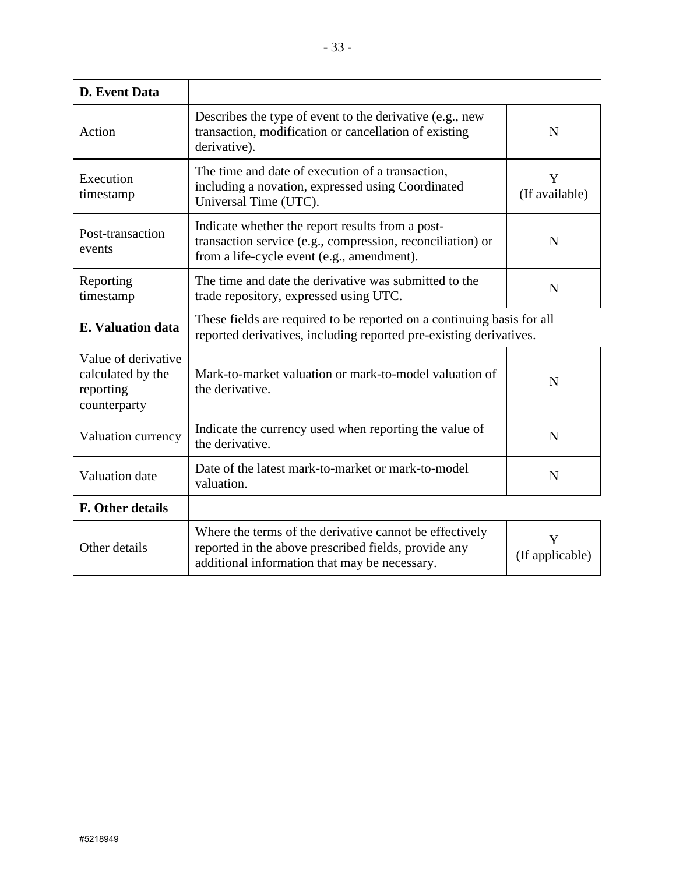| <b>D.</b> Event Data                                                  |                                                                                                                                                                  |                      |
|-----------------------------------------------------------------------|------------------------------------------------------------------------------------------------------------------------------------------------------------------|----------------------|
| Action                                                                | Describes the type of event to the derivative (e.g., new<br>transaction, modification or cancellation of existing<br>derivative).                                | N                    |
| Execution<br>timestamp                                                | The time and date of execution of a transaction,<br>including a novation, expressed using Coordinated<br>(If available)<br>Universal Time (UTC).                 |                      |
| Post-transaction<br>events                                            | Indicate whether the report results from a post-<br>transaction service (e.g., compression, reconciliation) or<br>from a life-cycle event (e.g., amendment).     | N                    |
| Reporting<br>timestamp                                                | The time and date the derivative was submitted to the<br>trade repository, expressed using UTC.                                                                  | $\mathbf N$          |
| E. Valuation data                                                     | These fields are required to be reported on a continuing basis for all<br>reported derivatives, including reported pre-existing derivatives.                     |                      |
| Value of derivative<br>calculated by the<br>reporting<br>counterparty | Mark-to-market valuation or mark-to-model valuation of<br>the derivative.                                                                                        | N                    |
| Valuation currency                                                    | Indicate the currency used when reporting the value of<br>the derivative.                                                                                        | N                    |
| Valuation date                                                        | Date of the latest mark-to-market or mark-to-model<br>$\mathbf N$<br>valuation.                                                                                  |                      |
| <b>F.</b> Other details                                               |                                                                                                                                                                  |                      |
| Other details                                                         | Where the terms of the derivative cannot be effectively<br>reported in the above prescribed fields, provide any<br>additional information that may be necessary. | Y<br>(If applicable) |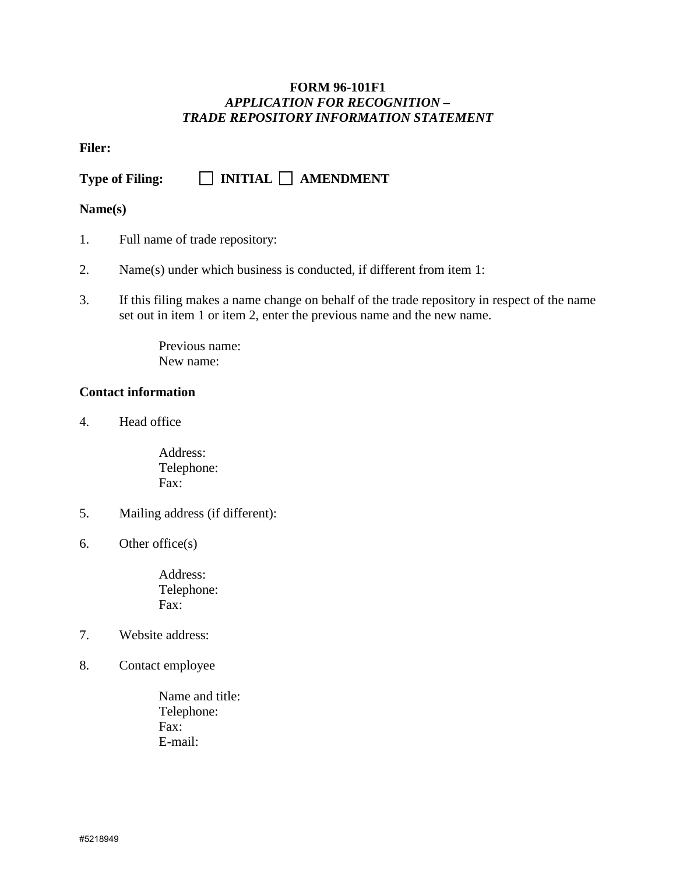# **FORM 96-101F1**  *APPLICATION FOR RECOGNITION – TRADE REPOSITORY INFORMATION STATEMENT*

**Filer:** 

# **Type of Filing:**  $\Box$  **INITIAL**  $\Box$  **AMENDMENT**

### **Name(s)**

- 1. Full name of trade repository:
- 2. Name(s) under which business is conducted, if different from item 1:
- 3. If this filing makes a name change on behalf of the trade repository in respect of the name set out in item 1 or item 2, enter the previous name and the new name.

 Previous name: New name:

### **Contact information**

4. Head office

 Address: Telephone: Fax:

- 5. Mailing address (if different):
- 6. Other office(s)

 Address: Telephone: Fax:

- 7. Website address:
- 8. Contact employee

 Name and title: Telephone: Fax: E-mail: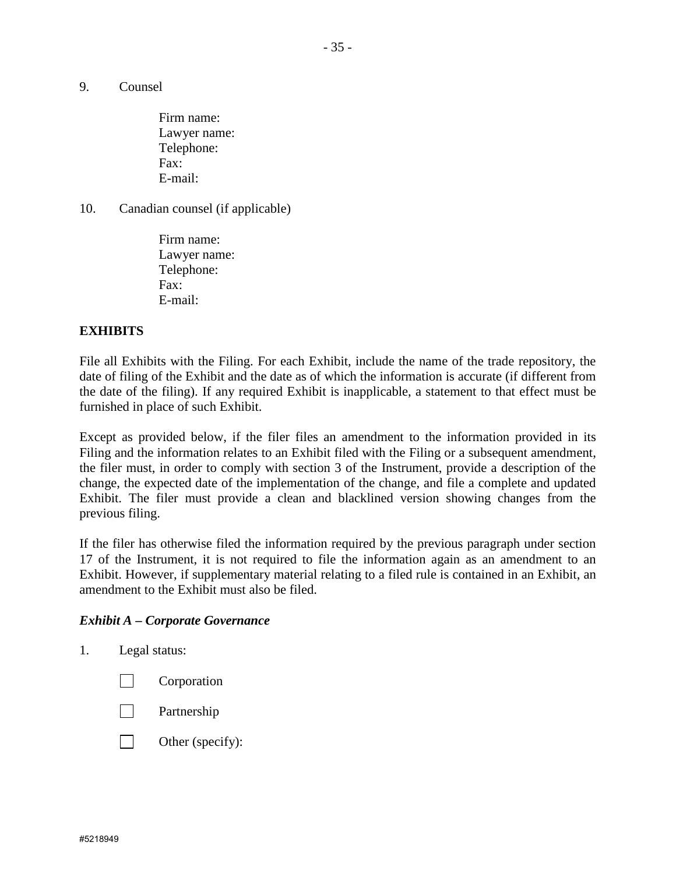9. Counsel

Firm name: Lawyer name: Telephone: Fax: E-mail:

10. Canadian counsel (if applicable)

 Firm name: Lawyer name: Telephone: Fax: E-mail:

# **EXHIBITS**

File all Exhibits with the Filing. For each Exhibit, include the name of the trade repository, the date of filing of the Exhibit and the date as of which the information is accurate (if different from the date of the filing). If any required Exhibit is inapplicable, a statement to that effect must be furnished in place of such Exhibit.

Except as provided below, if the filer files an amendment to the information provided in its Filing and the information relates to an Exhibit filed with the Filing or a subsequent amendment, the filer must, in order to comply with section 3 of the Instrument, provide a description of the change, the expected date of the implementation of the change, and file a complete and updated Exhibit. The filer must provide a clean and blacklined version showing changes from the previous filing.

If the filer has otherwise filed the information required by the previous paragraph under section 17 of the Instrument, it is not required to file the information again as an amendment to an Exhibit. However, if supplementary material relating to a filed rule is contained in an Exhibit, an amendment to the Exhibit must also be filed.

### *Exhibit A – Corporate Governance*

1. Legal status:



- **Partnership**
- Other (specify):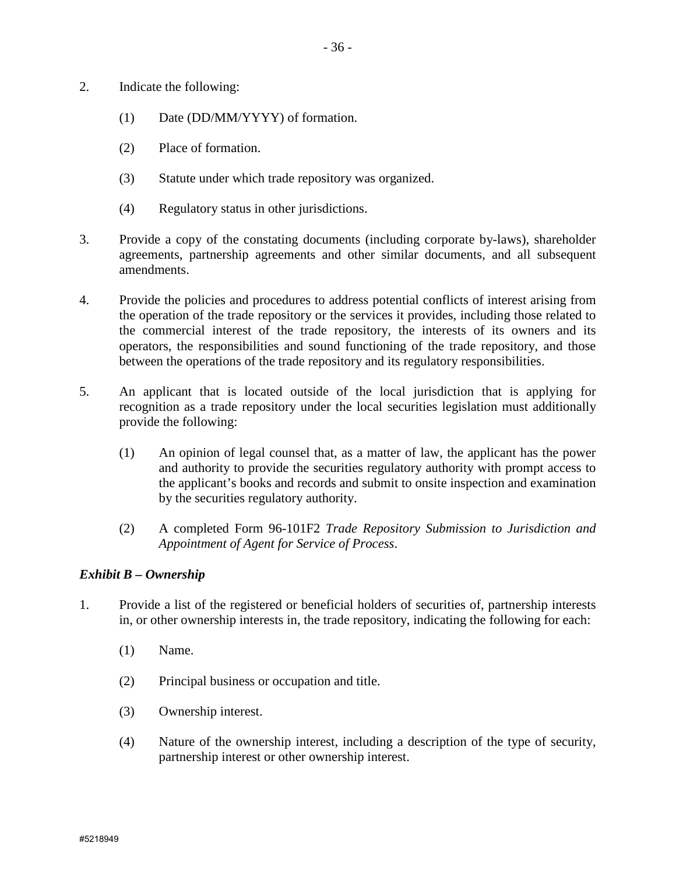- 2. Indicate the following:
	- (1) Date (DD/MM/YYYY) of formation.
	- (2) Place of formation.
	- (3) Statute under which trade repository was organized.
	- (4) Regulatory status in other jurisdictions.
- 3. Provide a copy of the constating documents (including corporate by-laws), shareholder agreements, partnership agreements and other similar documents, and all subsequent amendments.
- 4. Provide the policies and procedures to address potential conflicts of interest arising from the operation of the trade repository or the services it provides, including those related to the commercial interest of the trade repository, the interests of its owners and its operators, the responsibilities and sound functioning of the trade repository, and those between the operations of the trade repository and its regulatory responsibilities.
- 5. An applicant that is located outside of the local jurisdiction that is applying for recognition as a trade repository under the local securities legislation must additionally provide the following:
	- (1) An opinion of legal counsel that, as a matter of law, the applicant has the power and authority to provide the securities regulatory authority with prompt access to the applicant's books and records and submit to onsite inspection and examination by the securities regulatory authority.
	- (2) A completed Form 96-101F2 *Trade Repository Submission to Jurisdiction and Appointment of Agent for Service of Process*.

### *Exhibit B – Ownership*

- 1. Provide a list of the registered or beneficial holders of securities of, partnership interests in, or other ownership interests in, the trade repository, indicating the following for each:
	- (1) Name.
	- (2) Principal business or occupation and title.
	- (3) Ownership interest.
	- (4) Nature of the ownership interest, including a description of the type of security, partnership interest or other ownership interest.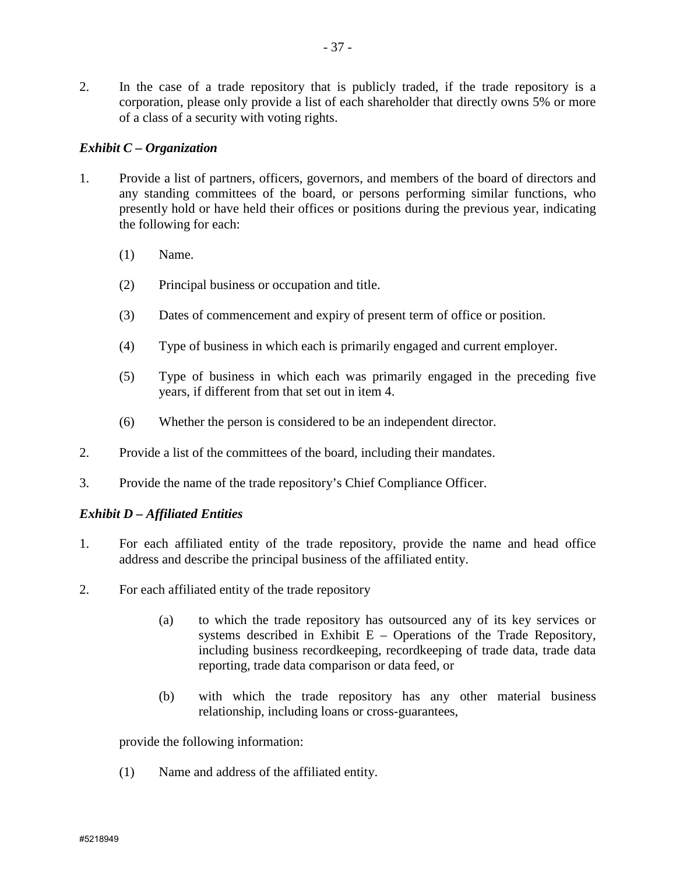2. In the case of a trade repository that is publicly traded, if the trade repository is a corporation, please only provide a list of each shareholder that directly owns 5% or more of a class of a security with voting rights.

### *Exhibit C – Organization*

- 1. Provide a list of partners, officers, governors, and members of the board of directors and any standing committees of the board, or persons performing similar functions, who presently hold or have held their offices or positions during the previous year, indicating the following for each:
	- (1) Name.
	- (2) Principal business or occupation and title.
	- (3) Dates of commencement and expiry of present term of office or position.
	- (4) Type of business in which each is primarily engaged and current employer.
	- (5) Type of business in which each was primarily engaged in the preceding five years, if different from that set out in item 4.
	- (6) Whether the person is considered to be an independent director.
- 2. Provide a list of the committees of the board, including their mandates.
- 3. Provide the name of the trade repository's Chief Compliance Officer.

# *Exhibit D – Affiliated Entities*

- 1. For each affiliated entity of the trade repository, provide the name and head office address and describe the principal business of the affiliated entity.
- 2. For each affiliated entity of the trade repository
	- (a) to which the trade repository has outsourced any of its key services or systems described in Exhibit  $E -$  Operations of the Trade Repository, including business recordkeeping, recordkeeping of trade data, trade data reporting, trade data comparison or data feed, or
	- (b) with which the trade repository has any other material business relationship, including loans or cross-guarantees,

provide the following information:

(1) Name and address of the affiliated entity.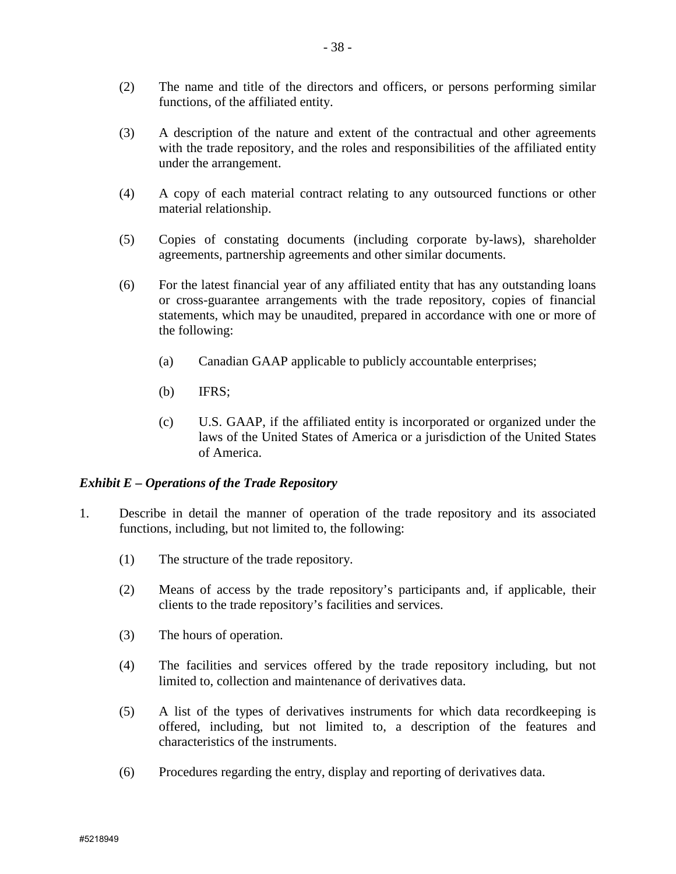- (2) The name and title of the directors and officers, or persons performing similar functions, of the affiliated entity.
- (3) A description of the nature and extent of the contractual and other agreements with the trade repository, and the roles and responsibilities of the affiliated entity under the arrangement.
- (4) A copy of each material contract relating to any outsourced functions or other material relationship.
- (5) Copies of constating documents (including corporate by-laws), shareholder agreements, partnership agreements and other similar documents.
- (6) For the latest financial year of any affiliated entity that has any outstanding loans or cross-guarantee arrangements with the trade repository, copies of financial statements, which may be unaudited, prepared in accordance with one or more of the following:
	- (a) Canadian GAAP applicable to publicly accountable enterprises;
	- (b) IFRS;
	- (c) U.S. GAAP, if the affiliated entity is incorporated or organized under the laws of the United States of America or a jurisdiction of the United States of America.

### *Exhibit E – Operations of the Trade Repository*

- 1. Describe in detail the manner of operation of the trade repository and its associated functions, including, but not limited to, the following:
	- (1) The structure of the trade repository.
	- (2) Means of access by the trade repository's participants and, if applicable, their clients to the trade repository's facilities and services.
	- (3) The hours of operation.
	- (4) The facilities and services offered by the trade repository including, but not limited to, collection and maintenance of derivatives data.
	- (5) A list of the types of derivatives instruments for which data recordkeeping is offered, including, but not limited to, a description of the features and characteristics of the instruments.
	- (6) Procedures regarding the entry, display and reporting of derivatives data.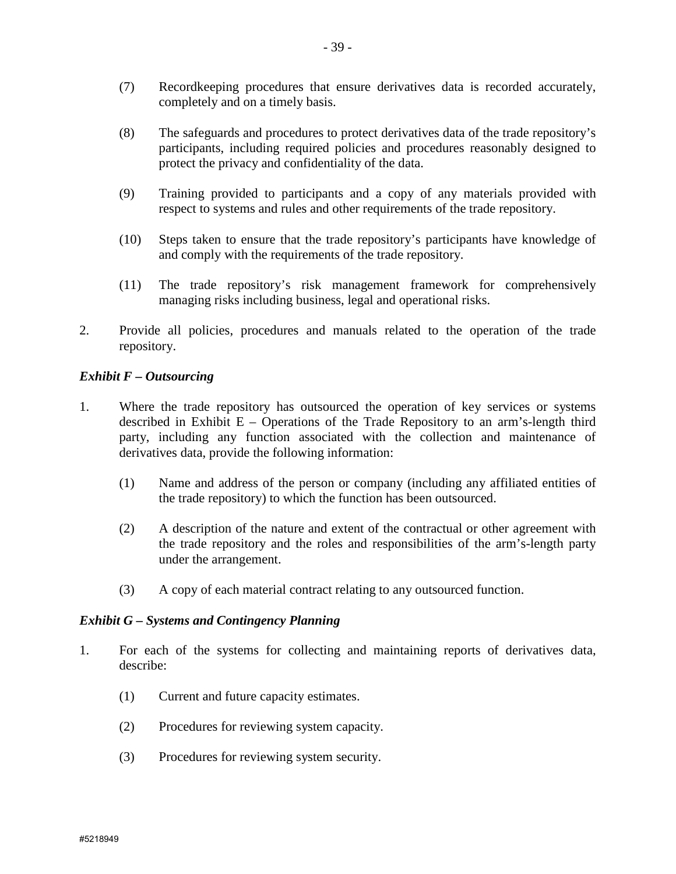- (7) Recordkeeping procedures that ensure derivatives data is recorded accurately, completely and on a timely basis.
- (8) The safeguards and procedures to protect derivatives data of the trade repository's participants, including required policies and procedures reasonably designed to protect the privacy and confidentiality of the data.
- (9) Training provided to participants and a copy of any materials provided with respect to systems and rules and other requirements of the trade repository.
- (10) Steps taken to ensure that the trade repository's participants have knowledge of and comply with the requirements of the trade repository.
- (11) The trade repository's risk management framework for comprehensively managing risks including business, legal and operational risks.
- 2. Provide all policies, procedures and manuals related to the operation of the trade repository.

# *Exhibit F – Outsourcing*

- 1. Where the trade repository has outsourced the operation of key services or systems described in Exhibit  $E -$  Operations of the Trade Repository to an arm's-length third party, including any function associated with the collection and maintenance of derivatives data, provide the following information:
	- (1) Name and address of the person or company (including any affiliated entities of the trade repository) to which the function has been outsourced.
	- (2) A description of the nature and extent of the contractual or other agreement with the trade repository and the roles and responsibilities of the arm's-length party under the arrangement.
	- (3) A copy of each material contract relating to any outsourced function.

### *Exhibit G – Systems and Contingency Planning*

- 1. For each of the systems for collecting and maintaining reports of derivatives data, describe:
	- (1) Current and future capacity estimates.
	- (2) Procedures for reviewing system capacity.
	- (3) Procedures for reviewing system security.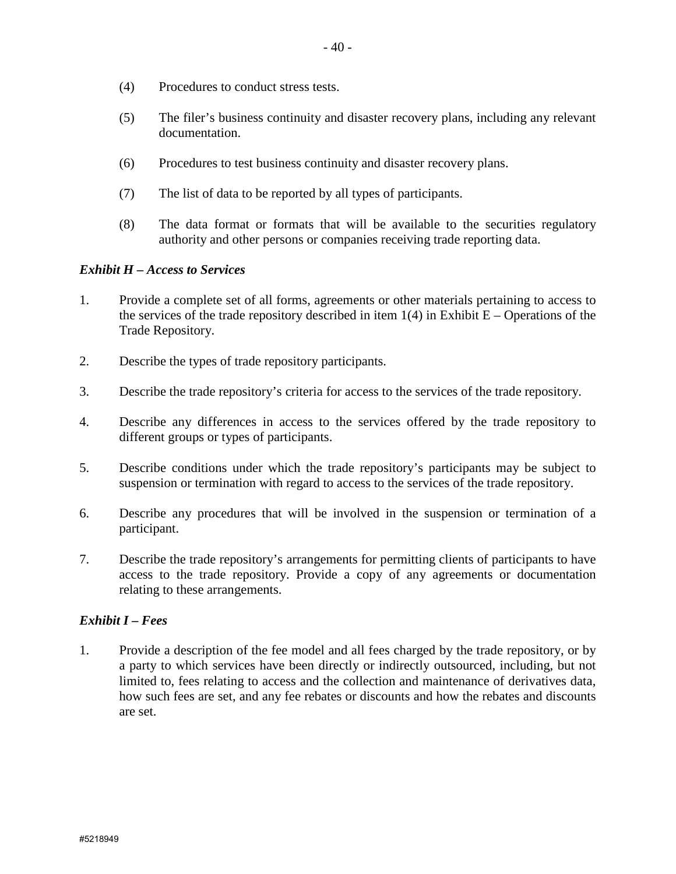- (4) Procedures to conduct stress tests.
- (5) The filer's business continuity and disaster recovery plans, including any relevant documentation.
- (6) Procedures to test business continuity and disaster recovery plans.
- (7) The list of data to be reported by all types of participants.
- (8) The data format or formats that will be available to the securities regulatory authority and other persons or companies receiving trade reporting data.

### *Exhibit H – Access to Services*

- 1. Provide a complete set of all forms, agreements or other materials pertaining to access to the services of the trade repository described in item  $1(4)$  in Exhibit E – Operations of the Trade Repository.
- 2. Describe the types of trade repository participants.
- 3. Describe the trade repository's criteria for access to the services of the trade repository.
- 4. Describe any differences in access to the services offered by the trade repository to different groups or types of participants.
- 5. Describe conditions under which the trade repository's participants may be subject to suspension or termination with regard to access to the services of the trade repository.
- 6. Describe any procedures that will be involved in the suspension or termination of a participant.
- 7. Describe the trade repository's arrangements for permitting clients of participants to have access to the trade repository. Provide a copy of any agreements or documentation relating to these arrangements.

### *Exhibit I – Fees*

1. Provide a description of the fee model and all fees charged by the trade repository, or by a party to which services have been directly or indirectly outsourced, including, but not limited to, fees relating to access and the collection and maintenance of derivatives data, how such fees are set, and any fee rebates or discounts and how the rebates and discounts are set.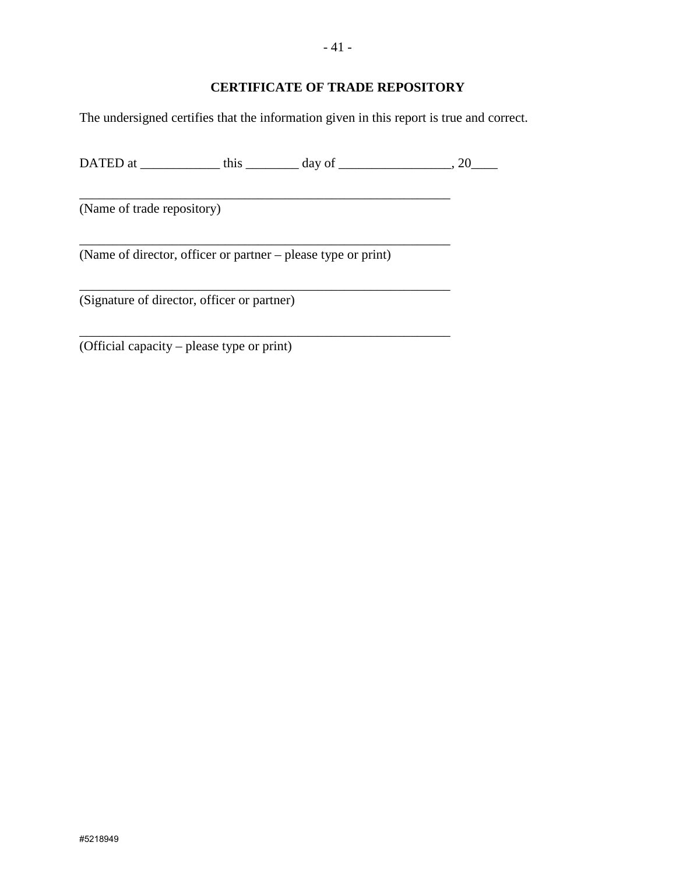# **CERTIFICATE OF TRADE REPOSITORY**

\_\_\_\_\_\_\_\_\_\_\_\_\_\_\_\_\_\_\_\_\_\_\_\_\_\_\_\_\_\_\_\_\_\_\_\_\_\_\_\_\_\_\_\_\_\_\_\_\_\_\_\_\_\_\_\_

The undersigned certifies that the information given in this report is true and correct.

DATED at \_\_\_\_\_\_\_\_\_\_\_\_ this \_\_\_\_\_\_\_\_ day of \_\_\_\_\_\_\_\_\_\_\_\_\_\_\_\_\_, 20\_\_\_\_

\_\_\_\_\_\_\_\_\_\_\_\_\_\_\_\_\_\_\_\_\_\_\_\_\_\_\_\_\_\_\_\_\_\_\_\_\_\_\_\_\_\_\_\_\_\_\_\_\_\_\_\_\_\_\_\_

\_\_\_\_\_\_\_\_\_\_\_\_\_\_\_\_\_\_\_\_\_\_\_\_\_\_\_\_\_\_\_\_\_\_\_\_\_\_\_\_\_\_\_\_\_\_\_\_\_\_\_\_\_\_\_\_

\_\_\_\_\_\_\_\_\_\_\_\_\_\_\_\_\_\_\_\_\_\_\_\_\_\_\_\_\_\_\_\_\_\_\_\_\_\_\_\_\_\_\_\_\_\_\_\_\_\_\_\_\_\_\_\_

(Name of trade repository)

(Name of director, officer or partner – please type or print)

(Signature of director, officer or partner)

(Official capacity – please type or print)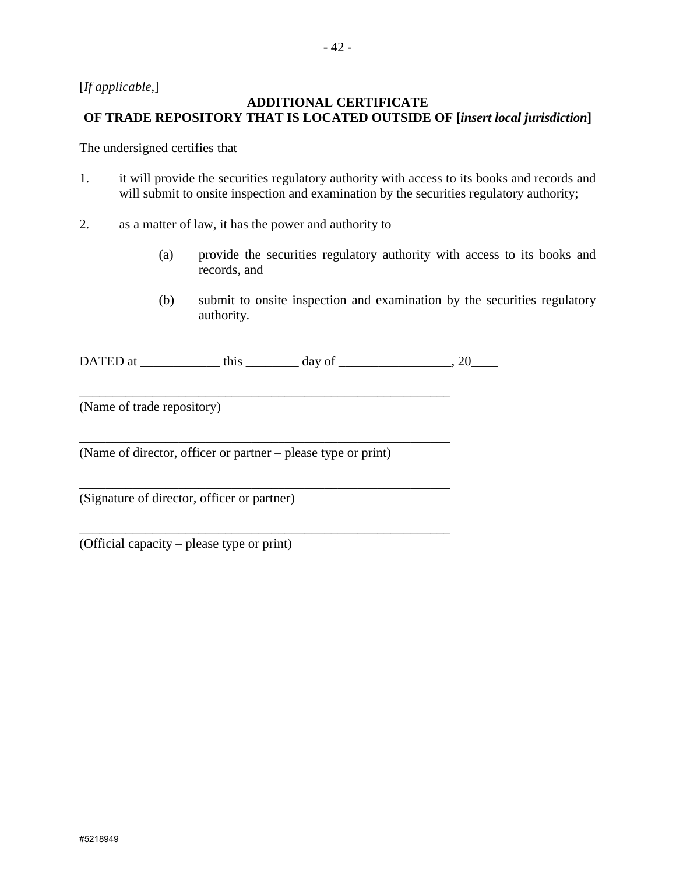[*If applicable*,]

# **ADDITIONAL CERTIFICATE OF TRADE REPOSITORY THAT IS LOCATED OUTSIDE OF [***insert local jurisdiction***]**

The undersigned certifies that

- 1. it will provide the securities regulatory authority with access to its books and records and will submit to onsite inspection and examination by the securities regulatory authority;
- 2. as a matter of law, it has the power and authority to
	- (a) provide the securities regulatory authority with access to its books and records, and
	- (b) submit to onsite inspection and examination by the securities regulatory authority.

DATED at \_\_\_\_\_\_\_\_\_\_\_\_\_\_\_\_ this \_\_\_\_\_\_\_\_\_\_\_\_ day of \_\_\_\_\_\_\_\_\_\_\_\_\_\_\_\_\_\_, 20\_\_\_\_\_\_\_\_

\_\_\_\_\_\_\_\_\_\_\_\_\_\_\_\_\_\_\_\_\_\_\_\_\_\_\_\_\_\_\_\_\_\_\_\_\_\_\_\_\_\_\_\_\_\_\_\_\_\_\_\_\_\_\_\_

\_\_\_\_\_\_\_\_\_\_\_\_\_\_\_\_\_\_\_\_\_\_\_\_\_\_\_\_\_\_\_\_\_\_\_\_\_\_\_\_\_\_\_\_\_\_\_\_\_\_\_\_\_\_\_\_

\_\_\_\_\_\_\_\_\_\_\_\_\_\_\_\_\_\_\_\_\_\_\_\_\_\_\_\_\_\_\_\_\_\_\_\_\_\_\_\_\_\_\_\_\_\_\_\_\_\_\_\_\_\_\_\_

\_\_\_\_\_\_\_\_\_\_\_\_\_\_\_\_\_\_\_\_\_\_\_\_\_\_\_\_\_\_\_\_\_\_\_\_\_\_\_\_\_\_\_\_\_\_\_\_\_\_\_\_\_\_\_\_

(Name of trade repository)

(Name of director, officer or partner – please type or print)

(Signature of director, officer or partner)

(Official capacity – please type or print)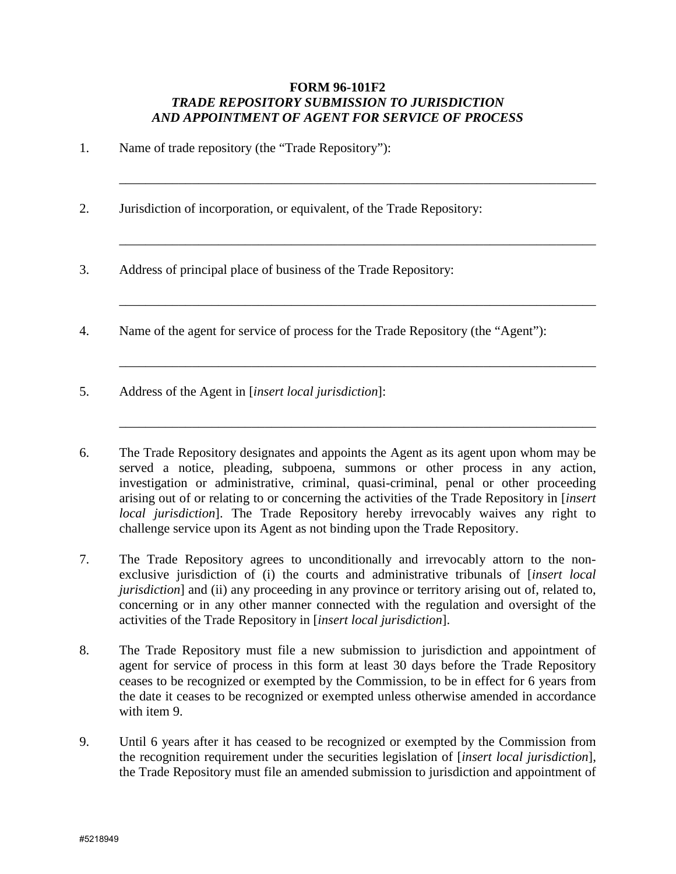### **FORM 96-101F2** *TRADE REPOSITORY SUBMISSION TO JURISDICTION AND APPOINTMENT OF AGENT FOR SERVICE OF PROCESS*

\_\_\_\_\_\_\_\_\_\_\_\_\_\_\_\_\_\_\_\_\_\_\_\_\_\_\_\_\_\_\_\_\_\_\_\_\_\_\_\_\_\_\_\_\_\_\_\_\_\_\_\_\_\_\_\_\_\_\_\_\_\_\_\_\_\_\_\_\_\_\_\_

\_\_\_\_\_\_\_\_\_\_\_\_\_\_\_\_\_\_\_\_\_\_\_\_\_\_\_\_\_\_\_\_\_\_\_\_\_\_\_\_\_\_\_\_\_\_\_\_\_\_\_\_\_\_\_\_\_\_\_\_\_\_\_\_\_\_\_\_\_\_\_\_

\_\_\_\_\_\_\_\_\_\_\_\_\_\_\_\_\_\_\_\_\_\_\_\_\_\_\_\_\_\_\_\_\_\_\_\_\_\_\_\_\_\_\_\_\_\_\_\_\_\_\_\_\_\_\_\_\_\_\_\_\_\_\_\_\_\_\_\_\_\_\_\_

\_\_\_\_\_\_\_\_\_\_\_\_\_\_\_\_\_\_\_\_\_\_\_\_\_\_\_\_\_\_\_\_\_\_\_\_\_\_\_\_\_\_\_\_\_\_\_\_\_\_\_\_\_\_\_\_\_\_\_\_\_\_\_\_\_\_\_\_\_\_\_\_

\_\_\_\_\_\_\_\_\_\_\_\_\_\_\_\_\_\_\_\_\_\_\_\_\_\_\_\_\_\_\_\_\_\_\_\_\_\_\_\_\_\_\_\_\_\_\_\_\_\_\_\_\_\_\_\_\_\_\_\_\_\_\_\_\_\_\_\_\_\_\_\_

- 1. Name of trade repository (the "Trade Repository"):
- 2. Jurisdiction of incorporation, or equivalent, of the Trade Repository:
- 3. Address of principal place of business of the Trade Repository:
- 4. Name of the agent for service of process for the Trade Repository (the "Agent"):
- 5. Address of the Agent in [*insert local jurisdiction*]:
- 6. The Trade Repository designates and appoints the Agent as its agent upon whom may be served a notice, pleading, subpoena, summons or other process in any action, investigation or administrative, criminal, quasi-criminal, penal or other proceeding arising out of or relating to or concerning the activities of the Trade Repository in [*insert local jurisdiction*]. The Trade Repository hereby irrevocably waives any right to challenge service upon its Agent as not binding upon the Trade Repository.
- 7. The Trade Repository agrees to unconditionally and irrevocably attorn to the nonexclusive jurisdiction of (i) the courts and administrative tribunals of [*insert local jurisdiction*] and (ii) any proceeding in any province or territory arising out of, related to, concerning or in any other manner connected with the regulation and oversight of the activities of the Trade Repository in [*insert local jurisdiction*].
- 8. The Trade Repository must file a new submission to jurisdiction and appointment of agent for service of process in this form at least 30 days before the Trade Repository ceases to be recognized or exempted by the Commission, to be in effect for 6 years from the date it ceases to be recognized or exempted unless otherwise amended in accordance with item 9.
- 9. Until 6 years after it has ceased to be recognized or exempted by the Commission from the recognition requirement under the securities legislation of [*insert local jurisdiction*], the Trade Repository must file an amended submission to jurisdiction and appointment of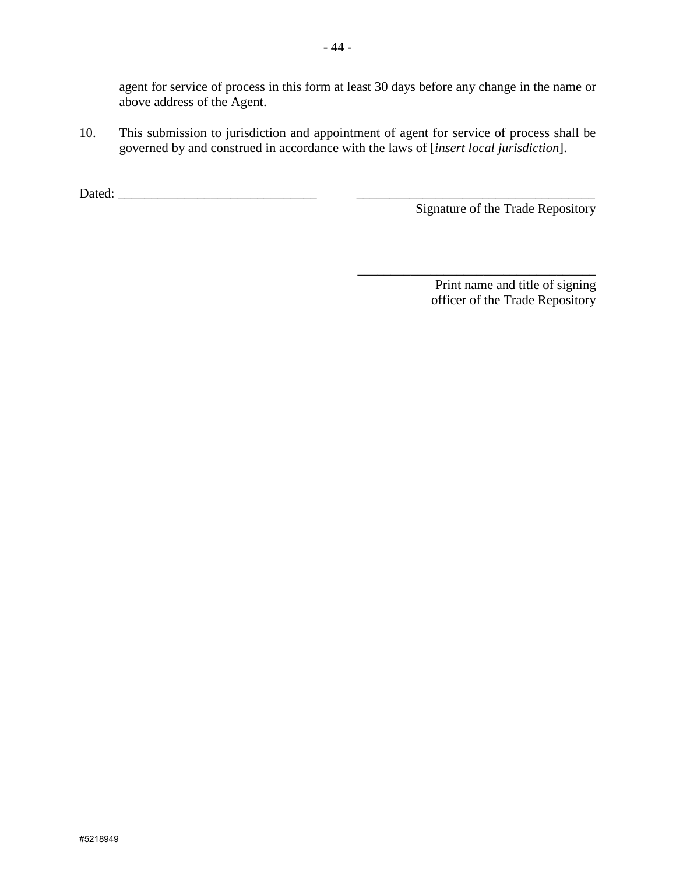agent for service of process in this form at least 30 days before any change in the name or above address of the Agent.

10. This submission to jurisdiction and appointment of agent for service of process shall be governed by and construed in accordance with the laws of [*insert local jurisdiction*].

Dated: \_\_\_\_\_\_\_\_\_\_\_\_\_\_\_\_\_\_\_\_\_\_\_\_\_\_\_\_\_\_ \_\_\_\_\_\_\_\_\_\_\_\_\_\_\_\_\_\_\_\_\_\_\_\_\_\_\_\_\_\_\_\_\_\_\_\_

Signature of the Trade Repository

Print name and title of signing officer of the Trade Repository

\_\_\_\_\_\_\_\_\_\_\_\_\_\_\_\_\_\_\_\_\_\_\_\_\_\_\_\_\_\_\_\_\_\_\_\_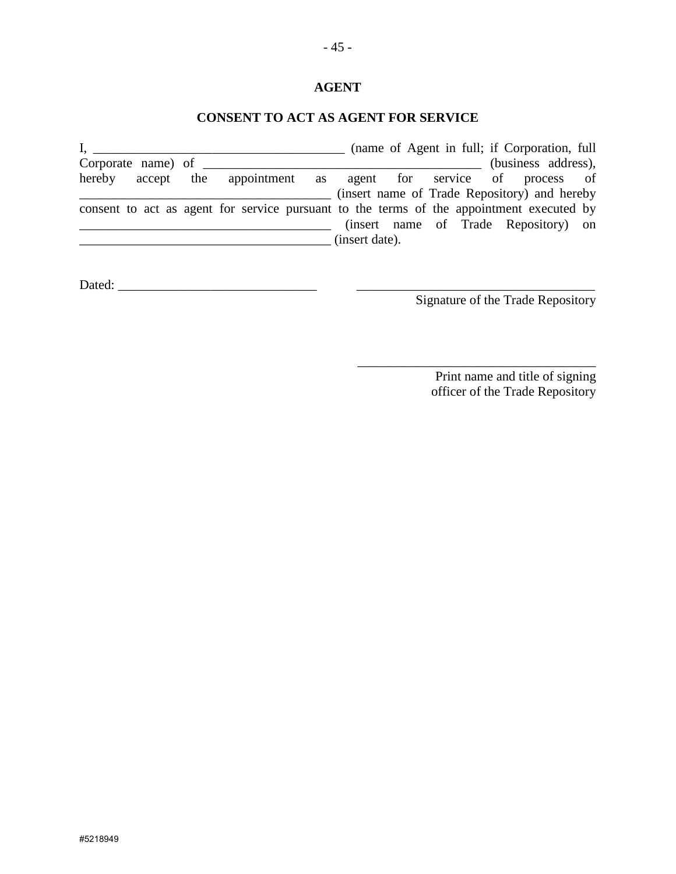### **AGENT**

#### **CONSENT TO ACT AS AGENT FOR SERVICE**

I, \_\_\_\_\_\_\_\_\_\_\_\_\_\_\_\_\_\_\_\_\_\_\_\_\_\_\_\_\_\_\_\_\_\_\_\_\_\_ (name of Agent in full; if Corporation, full Corporate name) of \_\_\_\_\_\_\_\_\_\_\_\_\_\_\_\_\_\_\_\_\_\_\_\_\_\_\_\_\_\_\_\_\_\_\_\_\_\_\_\_\_\_ (business address), hereby accept the appointment as agent for service of process of \_\_\_\_\_\_\_\_\_\_\_\_\_\_\_\_\_\_\_\_\_\_\_\_\_\_\_\_\_\_\_\_\_\_\_\_\_\_ (insert name of Trade Repository) and hereby consent to act as agent for service pursuant to the terms of the appointment executed by \_\_\_\_\_\_\_\_\_\_\_\_\_\_\_\_\_\_\_\_\_\_\_\_\_\_\_\_\_\_\_\_\_\_\_\_\_\_ (insert name of Trade Repository) on  $(insert date).$ 

Dated: \_\_\_\_\_\_\_\_\_\_\_\_\_\_\_\_\_\_\_\_\_\_\_\_\_\_\_\_\_\_ \_\_\_\_\_\_\_\_\_\_\_\_\_\_\_\_\_\_\_\_\_\_\_\_\_\_\_\_\_\_\_\_\_\_\_\_

Signature of the Trade Repository

Print name and title of signing officer of the Trade Repository

\_\_\_\_\_\_\_\_\_\_\_\_\_\_\_\_\_\_\_\_\_\_\_\_\_\_\_\_\_\_\_\_\_\_\_\_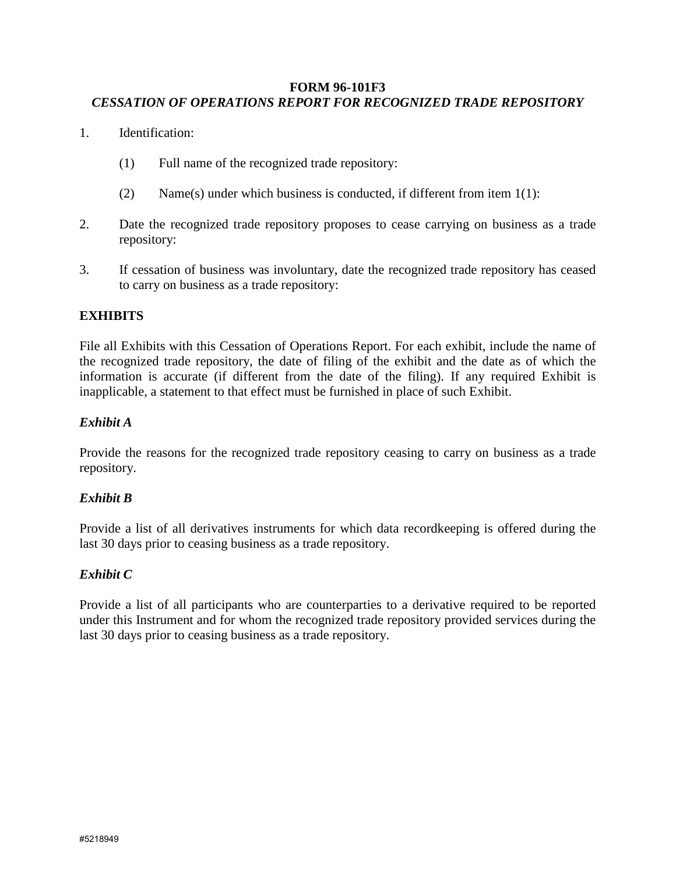### **FORM 96-101F3** *CESSATION OF OPERATIONS REPORT FOR RECOGNIZED TRADE REPOSITORY*

- 1. Identification:
	- (1) Full name of the recognized trade repository:
	- (2) Name(s) under which business is conducted, if different from item  $1(1)$ :
- 2. Date the recognized trade repository proposes to cease carrying on business as a trade repository:
- 3. If cessation of business was involuntary, date the recognized trade repository has ceased to carry on business as a trade repository:

# **EXHIBITS**

File all Exhibits with this Cessation of Operations Report. For each exhibit, include the name of the recognized trade repository, the date of filing of the exhibit and the date as of which the information is accurate (if different from the date of the filing). If any required Exhibit is inapplicable, a statement to that effect must be furnished in place of such Exhibit.

### *Exhibit A*

Provide the reasons for the recognized trade repository ceasing to carry on business as a trade repository.

### *Exhibit B*

Provide a list of all derivatives instruments for which data recordkeeping is offered during the last 30 days prior to ceasing business as a trade repository.

### *Exhibit C*

Provide a list of all participants who are counterparties to a derivative required to be reported under this Instrument and for whom the recognized trade repository provided services during the last 30 days prior to ceasing business as a trade repository.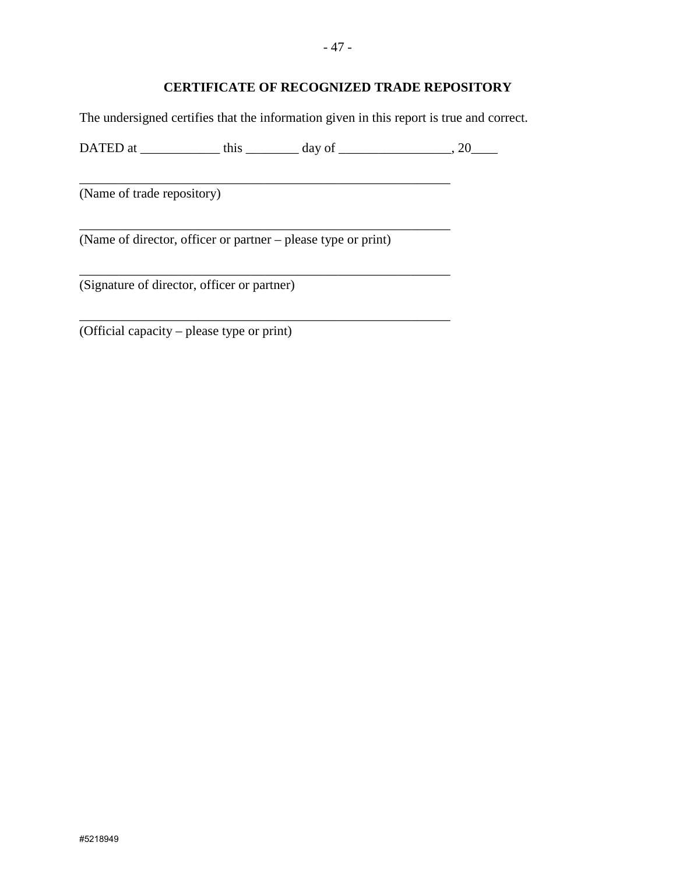# **CERTIFICATE OF RECOGNIZED TRADE REPOSITORY**

The undersigned certifies that the information given in this report is true and correct.

DATED at \_\_\_\_\_\_\_\_\_\_\_\_\_\_\_ this \_\_\_\_\_\_\_\_\_\_\_\_ day of \_\_\_\_\_\_\_\_\_\_\_\_\_\_\_\_\_\_\_, 20\_\_\_\_\_\_\_

\_\_\_\_\_\_\_\_\_\_\_\_\_\_\_\_\_\_\_\_\_\_\_\_\_\_\_\_\_\_\_\_\_\_\_\_\_\_\_\_\_\_\_\_\_\_\_\_\_\_\_\_\_\_\_\_

\_\_\_\_\_\_\_\_\_\_\_\_\_\_\_\_\_\_\_\_\_\_\_\_\_\_\_\_\_\_\_\_\_\_\_\_\_\_\_\_\_\_\_\_\_\_\_\_\_\_\_\_\_\_\_\_

\_\_\_\_\_\_\_\_\_\_\_\_\_\_\_\_\_\_\_\_\_\_\_\_\_\_\_\_\_\_\_\_\_\_\_\_\_\_\_\_\_\_\_\_\_\_\_\_\_\_\_\_\_\_\_\_

\_\_\_\_\_\_\_\_\_\_\_\_\_\_\_\_\_\_\_\_\_\_\_\_\_\_\_\_\_\_\_\_\_\_\_\_\_\_\_\_\_\_\_\_\_\_\_\_\_\_\_\_\_\_\_\_

(Name of trade repository)

(Name of director, officer or partner – please type or print)

(Signature of director, officer or partner)

(Official capacity – please type or print)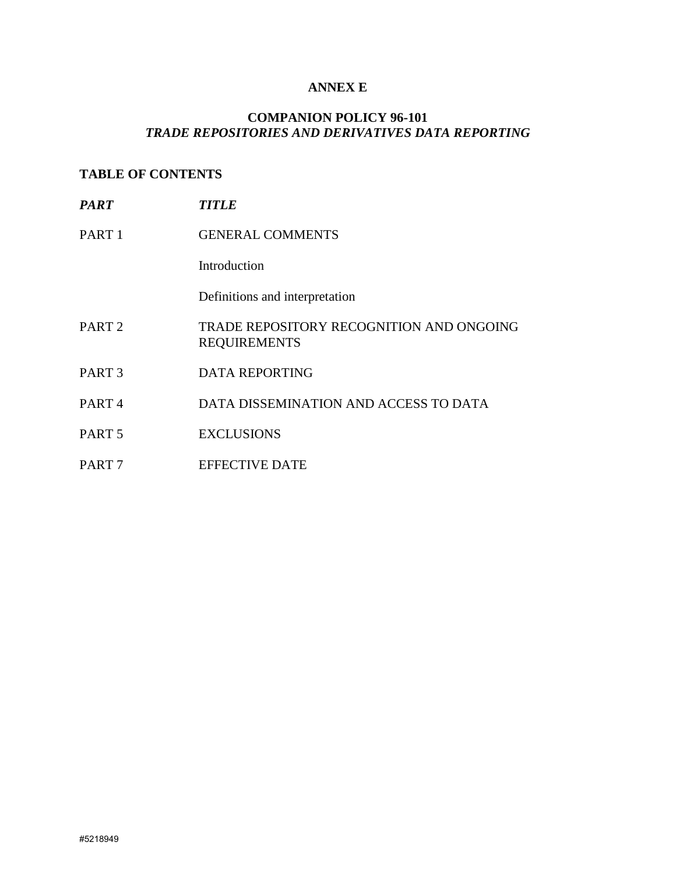### **ANNEX E**

# **COMPANION POLICY 96-101**  *TRADE REPOSITORIES AND DERIVATIVES DATA REPORTING*

### **TABLE OF CONTENTS**

- *PART TITLE*
- PART 1 GENERAL COMMENTS

Introduction

Definitions and interpretation

- PART 2 TRADE REPOSITORY RECOGNITION AND ONGOING REQUIREMENTS
- PART 3 DATA REPORTING
- PART 4 DATA DISSEMINATION AND ACCESS TO DATA
- PART 5 EXCLUSIONS
- PART 7 EFFECTIVE DATE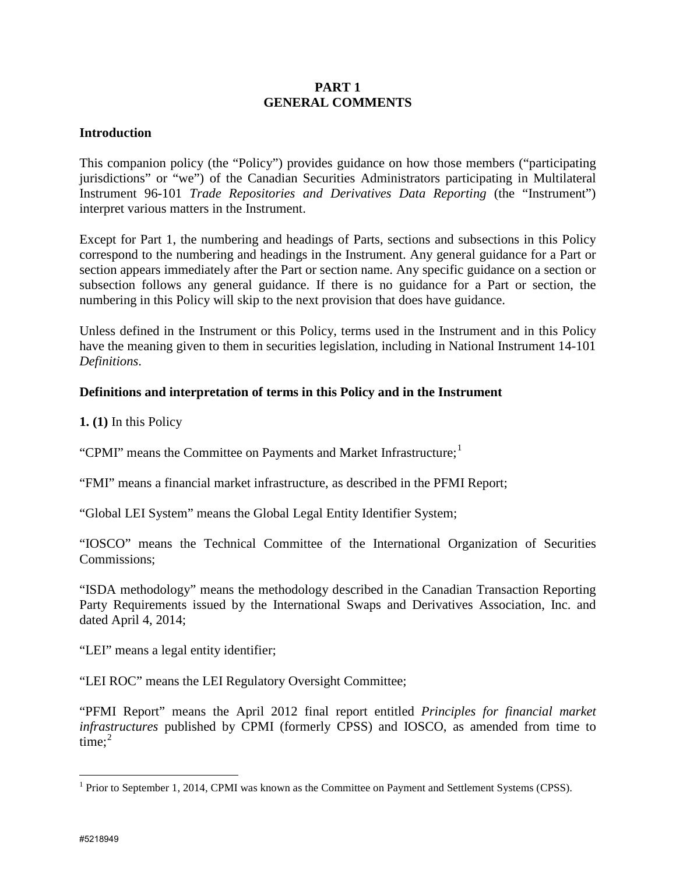### **PART 1 GENERAL COMMENTS**

### **Introduction**

This companion policy (the "Policy") provides guidance on how those members ("participating jurisdictions" or "we") of the Canadian Securities Administrators participating in Multilateral Instrument 96-101 *Trade Repositories and Derivatives Data Reporting* (the "Instrument") interpret various matters in the Instrument.

Except for Part 1, the numbering and headings of Parts, sections and subsections in this Policy correspond to the numbering and headings in the Instrument. Any general guidance for a Part or section appears immediately after the Part or section name. Any specific guidance on a section or subsection follows any general guidance. If there is no guidance for a Part or section, the numbering in this Policy will skip to the next provision that does have guidance.

Unless defined in the Instrument or this Policy, terms used in the Instrument and in this Policy have the meaning given to them in securities legislation, including in National Instrument 14-101 *Definitions*.

# **Definitions and interpretation of terms in this Policy and in the Instrument**

**1. (1)** In this Policy

"CPMI" means the Committee on Payments and Market Infrastructure;<sup>[1](#page-98-0)</sup>

"FMI" means a financial market infrastructure, as described in the PFMI Report;

"Global LEI System" means the Global Legal Entity Identifier System;

"IOSCO" means the Technical Committee of the International Organization of Securities Commissions;

"ISDA methodology" means the methodology described in the Canadian Transaction Reporting Party Requirements issued by the International Swaps and Derivatives Association, Inc. and dated April 4, 2014;

"LEI" means a legal entity identifier;

"LEI ROC" means the LEI Regulatory Oversight Committee;

"PFMI Report" means the April 2012 final report entitled *Principles for financial market infrastructures* published by CPMI (formerly CPSS) and IOSCO, as amended from time to  $time:$ <sup>[2](#page-98-1)</sup>

 $\overline{a}$ 

<span id="page-98-1"></span><span id="page-98-0"></span><sup>&</sup>lt;sup>1</sup> Prior to September 1, 2014, CPMI was known as the Committee on Payment and Settlement Systems (CPSS).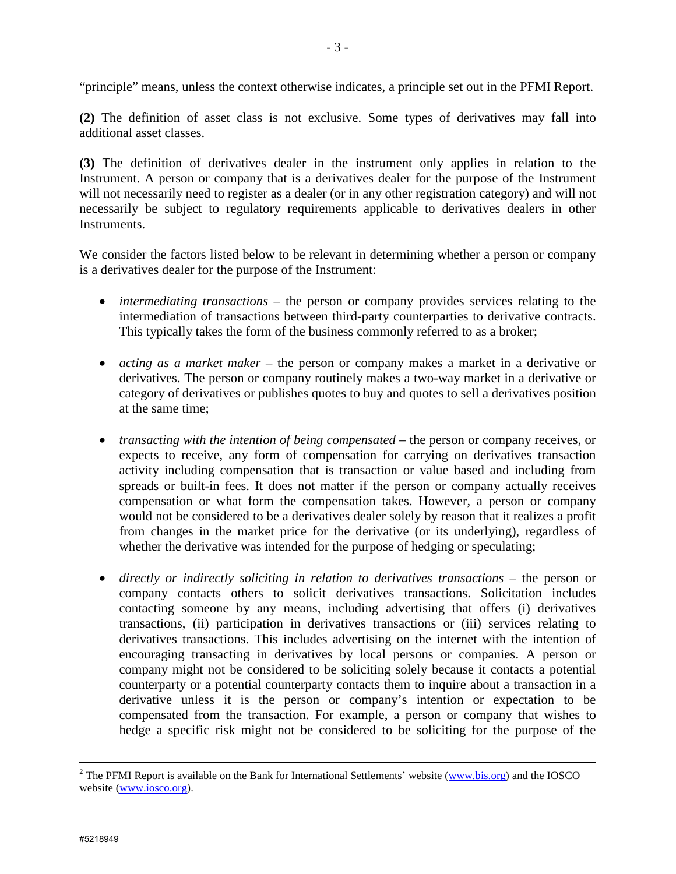"principle" means, unless the context otherwise indicates, a principle set out in the PFMI Report.

**(2)** The definition of asset class is not exclusive. Some types of derivatives may fall into additional asset classes.

**(3)** The definition of derivatives dealer in the instrument only applies in relation to the Instrument. A person or company that is a derivatives dealer for the purpose of the Instrument will not necessarily need to register as a dealer (or in any other registration category) and will not necessarily be subject to regulatory requirements applicable to derivatives dealers in other Instruments.

We consider the factors listed below to be relevant in determining whether a person or company is a derivatives dealer for the purpose of the Instrument:

- *intermediating transactions* the person or company provides services relating to the intermediation of transactions between third-party counterparties to derivative contracts. This typically takes the form of the business commonly referred to as a broker;
- *acting as a market maker* the person or company makes a market in a derivative or derivatives. The person or company routinely makes a two-way market in a derivative or category of derivatives or publishes quotes to buy and quotes to sell a derivatives position at the same time;
- *transacting with the intention of being compensated* the person or company receives, or expects to receive, any form of compensation for carrying on derivatives transaction activity including compensation that is transaction or value based and including from spreads or built-in fees. It does not matter if the person or company actually receives compensation or what form the compensation takes. However, a person or company would not be considered to be a derivatives dealer solely by reason that it realizes a profit from changes in the market price for the derivative (or its underlying), regardless of whether the derivative was intended for the purpose of hedging or speculating;
- *directly or indirectly soliciting in relation to derivatives transactions* the person or company contacts others to solicit derivatives transactions. Solicitation includes contacting someone by any means, including advertising that offers (i) derivatives transactions, (ii) participation in derivatives transactions or (iii) services relating to derivatives transactions. This includes advertising on the internet with the intention of encouraging transacting in derivatives by local persons or companies. A person or company might not be considered to be soliciting solely because it contacts a potential counterparty or a potential counterparty contacts them to inquire about a transaction in a derivative unless it is the person or company's intention or expectation to be compensated from the transaction. For example, a person or company that wishes to hedge a specific risk might not be considered to be soliciting for the purpose of the

<sup>&</sup>lt;sup>2</sup> The PFMI Report is available on the Bank for International Settlements' website  $(\underline{www.bis.org})$  and the IOSCO website (www.iosco.org).  $\overline{a}$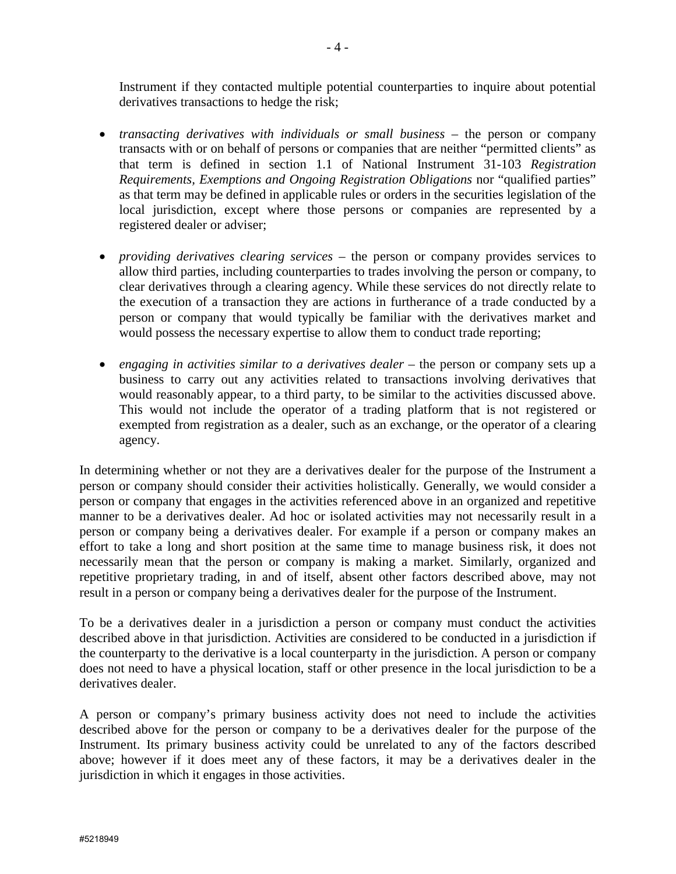Instrument if they contacted multiple potential counterparties to inquire about potential derivatives transactions to hedge the risk;

- *transacting derivatives with individuals or small business* the person or company transacts with or on behalf of persons or companies that are neither "permitted clients" as that term is defined in section 1.1 of National Instrument 31-103 *Registration Requirements, Exemptions and Ongoing Registration Obligations nor "qualified parties"* as that term may be defined in applicable rules or orders in the securities legislation of the local jurisdiction, except where those persons or companies are represented by a registered dealer or adviser;
- *providing derivatives clearing services* the person or company provides services to allow third parties, including counterparties to trades involving the person or company, to clear derivatives through a clearing agency. While these services do not directly relate to the execution of a transaction they are actions in furtherance of a trade conducted by a person or company that would typically be familiar with the derivatives market and would possess the necessary expertise to allow them to conduct trade reporting;
- *engaging in activities similar to a derivatives dealer* the person or company sets up a business to carry out any activities related to transactions involving derivatives that would reasonably appear, to a third party, to be similar to the activities discussed above. This would not include the operator of a trading platform that is not registered or exempted from registration as a dealer, such as an exchange, or the operator of a clearing agency.

In determining whether or not they are a derivatives dealer for the purpose of the Instrument a person or company should consider their activities holistically. Generally, we would consider a person or company that engages in the activities referenced above in an organized and repetitive manner to be a derivatives dealer. Ad hoc or isolated activities may not necessarily result in a person or company being a derivatives dealer. For example if a person or company makes an effort to take a long and short position at the same time to manage business risk, it does not necessarily mean that the person or company is making a market. Similarly, organized and repetitive proprietary trading, in and of itself, absent other factors described above, may not result in a person or company being a derivatives dealer for the purpose of the Instrument.

To be a derivatives dealer in a jurisdiction a person or company must conduct the activities described above in that jurisdiction. Activities are considered to be conducted in a jurisdiction if the counterparty to the derivative is a local counterparty in the jurisdiction. A person or company does not need to have a physical location, staff or other presence in the local jurisdiction to be a derivatives dealer.

A person or company's primary business activity does not need to include the activities described above for the person or company to be a derivatives dealer for the purpose of the Instrument. Its primary business activity could be unrelated to any of the factors described above; however if it does meet any of these factors, it may be a derivatives dealer in the jurisdiction in which it engages in those activities.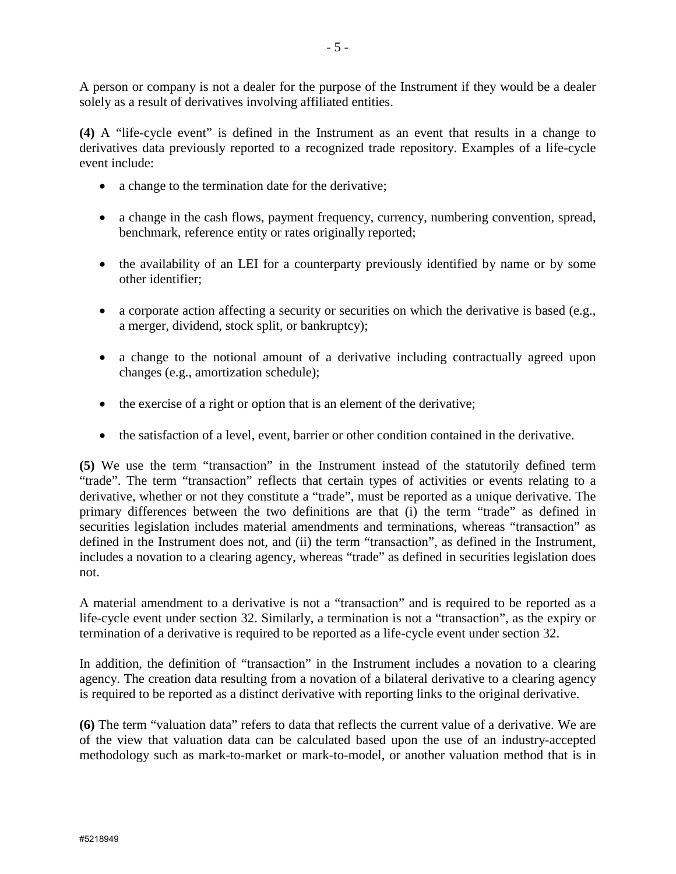A person or company is not a dealer for the purpose of the Instrument if they would be a dealer solely as a result of derivatives involving affiliated entities.

**(4)** A "life-cycle event" is defined in the Instrument as an event that results in a change to derivatives data previously reported to a recognized trade repository. Examples of a life-cycle event include:

- a change to the termination date for the derivative;
- a change in the cash flows, payment frequency, currency, numbering convention, spread, benchmark, reference entity or rates originally reported;
- the availability of an LEI for a counterparty previously identified by name or by some other identifier;
- a corporate action affecting a security or securities on which the derivative is based (e.g., a merger, dividend, stock split, or bankruptcy);
- a change to the notional amount of a derivative including contractually agreed upon changes (e.g., amortization schedule);
- the exercise of a right or option that is an element of the derivative;
- the satisfaction of a level, event, barrier or other condition contained in the derivative.

**(5)** We use the term "transaction" in the Instrument instead of the statutorily defined term "trade". The term "transaction" reflects that certain types of activities or events relating to a derivative, whether or not they constitute a "trade", must be reported as a unique derivative. The primary differences between the two definitions are that (i) the term "trade" as defined in securities legislation includes material amendments and terminations, whereas "transaction" as defined in the Instrument does not, and (ii) the term "transaction", as defined in the Instrument, includes a novation to a clearing agency, whereas "trade" as defined in securities legislation does not.

A material amendment to a derivative is not a "transaction" and is required to be reported as a life-cycle event under section 32. Similarly, a termination is not a "transaction", as the expiry or termination of a derivative is required to be reported as a life-cycle event under section 32.

In addition, the definition of "transaction" in the Instrument includes a novation to a clearing agency. The creation data resulting from a novation of a bilateral derivative to a clearing agency is required to be reported as a distinct derivative with reporting links to the original derivative.

**(6)** The term "valuation data" refers to data that reflects the current value of a derivative. We are of the view that valuation data can be calculated based upon the use of an industry-accepted methodology such as mark-to-market or mark-to-model, or another valuation method that is in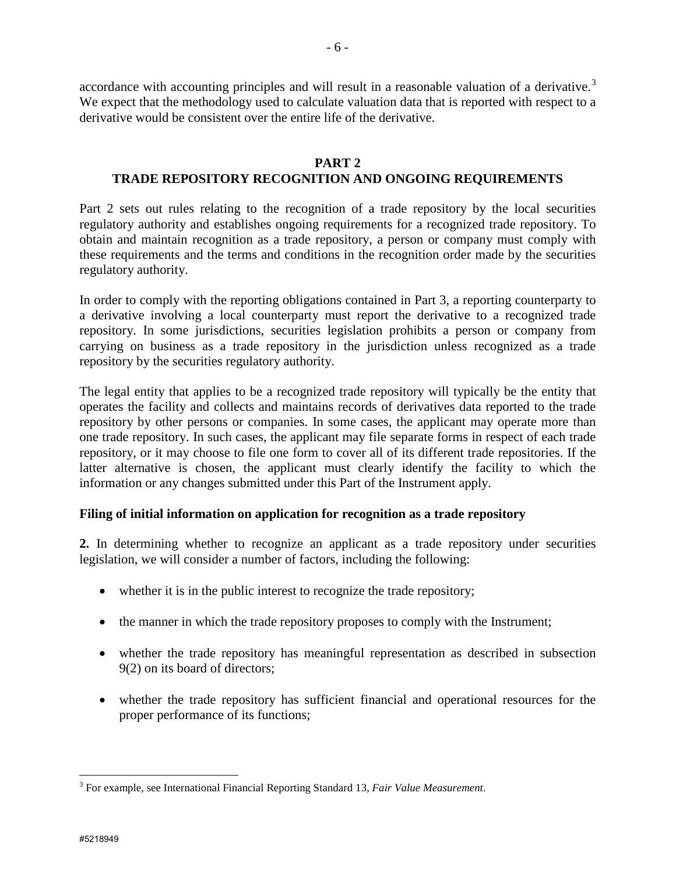accordance with accounting principles and will result in a reasonable valuation of a derivative.<sup>[3](#page-102-0)</sup> We expect that the methodology used to calculate valuation data that is reported with respect to a derivative would be consistent over the entire life of the derivative.

# **PART 2 TRADE REPOSITORY RECOGNITION AND ONGOING REQUIREMENTS**

Part 2 sets out rules relating to the recognition of a trade repository by the local securities regulatory authority and establishes ongoing requirements for a recognized trade repository. To obtain and maintain recognition as a trade repository, a person or company must comply with these requirements and the terms and conditions in the recognition order made by the securities regulatory authority.

In order to comply with the reporting obligations contained in Part 3, a reporting counterparty to a derivative involving a local counterparty must report the derivative to a recognized trade repository. In some jurisdictions, securities legislation prohibits a person or company from carrying on business as a trade repository in the jurisdiction unless recognized as a trade repository by the securities regulatory authority.

The legal entity that applies to be a recognized trade repository will typically be the entity that operates the facility and collects and maintains records of derivatives data reported to the trade repository by other persons or companies. In some cases, the applicant may operate more than one trade repository. In such cases, the applicant may file separate forms in respect of each trade repository, or it may choose to file one form to cover all of its different trade repositories. If the latter alternative is chosen, the applicant must clearly identify the facility to which the information or any changes submitted under this Part of the Instrument apply.

# **Filing of initial information on application for recognition as a trade repository**

**2.** In determining whether to recognize an applicant as a trade repository under securities legislation, we will consider a number of factors, including the following:

- whether it is in the public interest to recognize the trade repository;
- the manner in which the trade repository proposes to comply with the Instrument;
- whether the trade repository has meaningful representation as described in subsection 9(2) on its board of directors;
- whether the trade repository has sufficient financial and operational resources for the proper performance of its functions;

 $\overline{a}$ 

<span id="page-102-0"></span><sup>3</sup> For example, see International Financial Reporting Standard 13, *Fair Value Measurement*.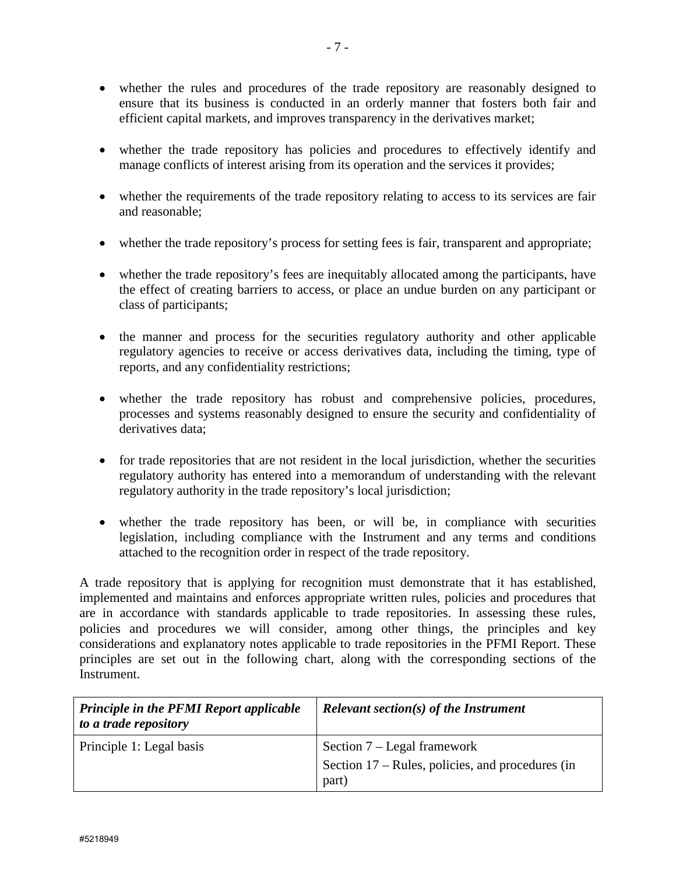- whether the rules and procedures of the trade repository are reasonably designed to ensure that its business is conducted in an orderly manner that fosters both fair and efficient capital markets, and improves transparency in the derivatives market;
- whether the trade repository has policies and procedures to effectively identify and manage conflicts of interest arising from its operation and the services it provides;
- whether the requirements of the trade repository relating to access to its services are fair and reasonable;
- whether the trade repository's process for setting fees is fair, transparent and appropriate;
- whether the trade repository's fees are inequitably allocated among the participants, have the effect of creating barriers to access, or place an undue burden on any participant or class of participants;
- the manner and process for the securities regulatory authority and other applicable regulatory agencies to receive or access derivatives data, including the timing, type of reports, and any confidentiality restrictions;
- whether the trade repository has robust and comprehensive policies, procedures, processes and systems reasonably designed to ensure the security and confidentiality of derivatives data:
- for trade repositories that are not resident in the local jurisdiction, whether the securities regulatory authority has entered into a memorandum of understanding with the relevant regulatory authority in the trade repository's local jurisdiction;
- whether the trade repository has been, or will be, in compliance with securities legislation, including compliance with the Instrument and any terms and conditions attached to the recognition order in respect of the trade repository.

A trade repository that is applying for recognition must demonstrate that it has established, implemented and maintains and enforces appropriate written rules, policies and procedures that are in accordance with standards applicable to trade repositories. In assessing these rules, policies and procedures we will consider, among other things, the principles and key considerations and explanatory notes applicable to trade repositories in the PFMI Report. These principles are set out in the following chart, along with the corresponding sections of the Instrument.

| <b>Principle in the PFMI Report applicable</b><br>to a trade repository | $Relevant section(s)$ of the Instrument                   |
|-------------------------------------------------------------------------|-----------------------------------------------------------|
| Principle 1: Legal basis                                                | Section $7 -$ Legal framework                             |
|                                                                         | Section 17 – Rules, policies, and procedures (in<br>part) |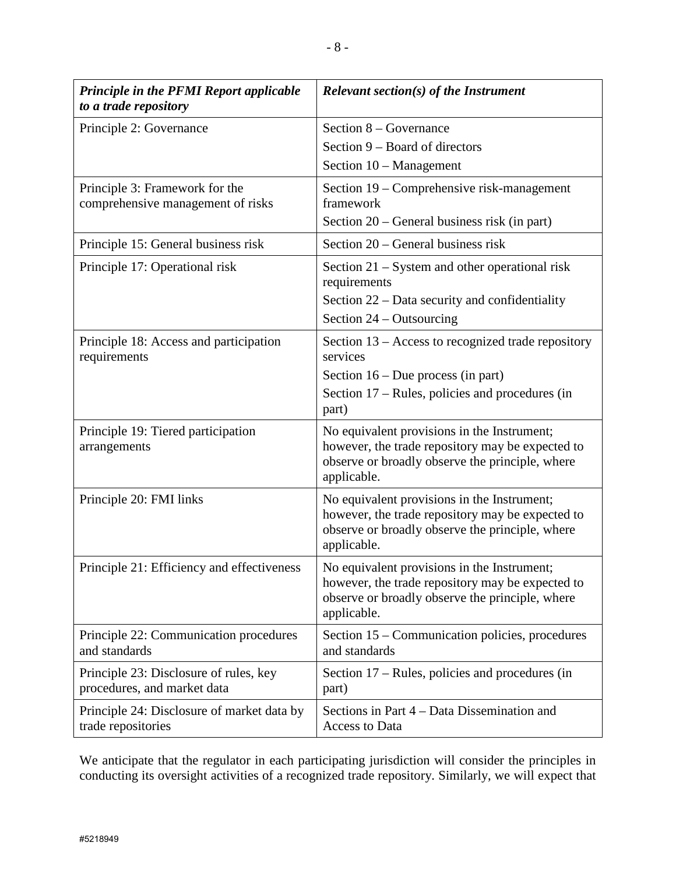| <b>Principle in the PFMI Report applicable</b><br>to a trade repository | $Relevant section(s)$ of the Instrument                                                                                                                           |
|-------------------------------------------------------------------------|-------------------------------------------------------------------------------------------------------------------------------------------------------------------|
| Principle 2: Governance                                                 | Section 8 – Governance                                                                                                                                            |
|                                                                         | Section 9 – Board of directors                                                                                                                                    |
|                                                                         | Section 10 – Management                                                                                                                                           |
| Principle 3: Framework for the<br>comprehensive management of risks     | Section 19 – Comprehensive risk-management<br>framework                                                                                                           |
|                                                                         | Section 20 - General business risk (in part)                                                                                                                      |
| Principle 15: General business risk                                     | Section 20 – General business risk                                                                                                                                |
| Principle 17: Operational risk                                          | Section $21 - System$ and other operational risk<br>requirements<br>Section 22 – Data security and confidentiality<br>Section $24 -$ Outsourcing                  |
| Principle 18: Access and participation<br>requirements                  | Section 13 – Access to recognized trade repository<br>services                                                                                                    |
|                                                                         | Section $16 - Due process$ (in part)                                                                                                                              |
|                                                                         | Section 17 – Rules, policies and procedures (in<br>part)                                                                                                          |
| Principle 19: Tiered participation<br>arrangements                      | No equivalent provisions in the Instrument;<br>however, the trade repository may be expected to<br>observe or broadly observe the principle, where<br>applicable. |
| Principle 20: FMI links                                                 | No equivalent provisions in the Instrument;<br>however, the trade repository may be expected to<br>observe or broadly observe the principle, where<br>applicable. |
| Principle 21: Efficiency and effectiveness                              | No equivalent provisions in the Instrument;<br>however, the trade repository may be expected to<br>observe or broadly observe the principle, where<br>applicable. |
| Principle 22: Communication procedures<br>and standards                 | Section 15 – Communication policies, procedures<br>and standards                                                                                                  |
| Principle 23: Disclosure of rules, key<br>procedures, and market data   | Section 17 – Rules, policies and procedures (in<br>part)                                                                                                          |
| Principle 24: Disclosure of market data by<br>trade repositories        | Sections in Part 4 – Data Dissemination and<br>Access to Data                                                                                                     |

We anticipate that the regulator in each participating jurisdiction will consider the principles in conducting its oversight activities of a recognized trade repository. Similarly, we will expect that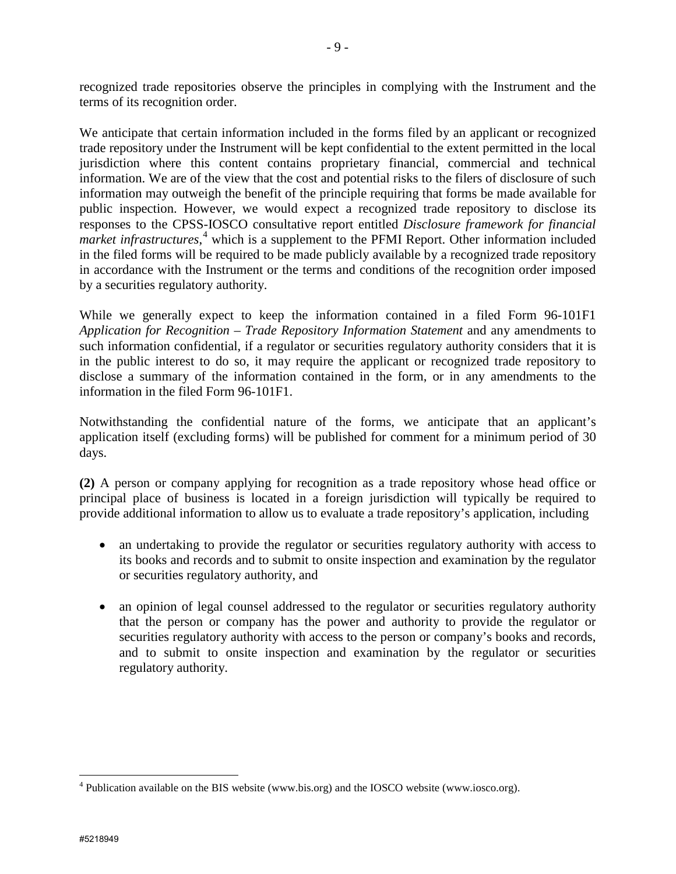recognized trade repositories observe the principles in complying with the Instrument and the terms of its recognition order.

We anticipate that certain information included in the forms filed by an applicant or recognized trade repository under the Instrument will be kept confidential to the extent permitted in the local jurisdiction where this content contains proprietary financial, commercial and technical information. We are of the view that the cost and potential risks to the filers of disclosure of such information may outweigh the benefit of the principle requiring that forms be made available for public inspection. However, we would expect a recognized trade repository to disclose its responses to the CPSS-IOSCO consultative report entitled *Disclosure framework for financial market infrastructures*, [4](#page-105-0) which is a supplement to the PFMI Report. Other information included in the filed forms will be required to be made publicly available by a recognized trade repository in accordance with the Instrument or the terms and conditions of the recognition order imposed by a securities regulatory authority.

While we generally expect to keep the information contained in a filed Form 96-101F1 *Application for Recognition – Trade Repository Information Statement* and any amendments to such information confidential, if a regulator or securities regulatory authority considers that it is in the public interest to do so, it may require the applicant or recognized trade repository to disclose a summary of the information contained in the form, or in any amendments to the information in the filed Form 96-101F1.

Notwithstanding the confidential nature of the forms, we anticipate that an applicant's application itself (excluding forms) will be published for comment for a minimum period of 30 days.

**(2)** A person or company applying for recognition as a trade repository whose head office or principal place of business is located in a foreign jurisdiction will typically be required to provide additional information to allow us to evaluate a trade repository's application, including

- an undertaking to provide the regulator or securities regulatory authority with access to its books and records and to submit to onsite inspection and examination by the regulator or securities regulatory authority, and
- an opinion of legal counsel addressed to the regulator or securities regulatory authority that the person or company has the power and authority to provide the regulator or securities regulatory authority with access to the person or company's books and records, and to submit to onsite inspection and examination by the regulator or securities regulatory authority.

<span id="page-105-0"></span><sup>4</sup> Publication available on the BIS website (www.bis.org) and the IOSCO website (www.iosco.org).  $\overline{a}$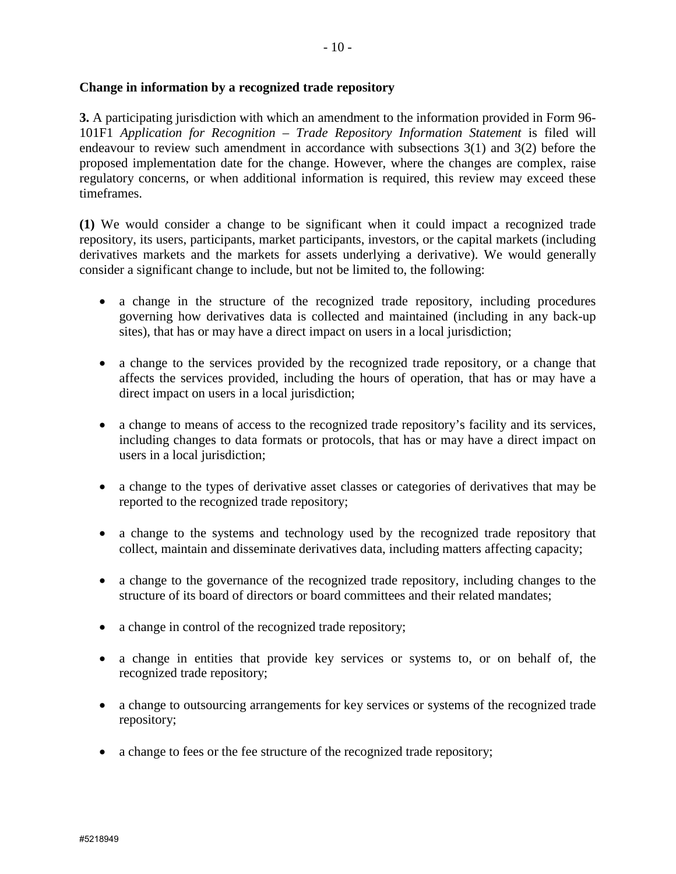### **Change in information by a recognized trade repository**

**3.** A participating jurisdiction with which an amendment to the information provided in Form 96- 101F1 *Application for Recognition – Trade Repository Information Statement* is filed will endeavour to review such amendment in accordance with subsections 3(1) and 3(2) before the proposed implementation date for the change. However, where the changes are complex, raise regulatory concerns, or when additional information is required, this review may exceed these timeframes.

**(1)** We would consider a change to be significant when it could impact a recognized trade repository, its users, participants, market participants, investors, or the capital markets (including derivatives markets and the markets for assets underlying a derivative). We would generally consider a significant change to include, but not be limited to, the following:

- a change in the structure of the recognized trade repository, including procedures governing how derivatives data is collected and maintained (including in any back-up sites), that has or may have a direct impact on users in a local jurisdiction;
- a change to the services provided by the recognized trade repository, or a change that affects the services provided, including the hours of operation, that has or may have a direct impact on users in a local jurisdiction;
- a change to means of access to the recognized trade repository's facility and its services, including changes to data formats or protocols, that has or may have a direct impact on users in a local jurisdiction;
- a change to the types of derivative asset classes or categories of derivatives that may be reported to the recognized trade repository;
- a change to the systems and technology used by the recognized trade repository that collect, maintain and disseminate derivatives data, including matters affecting capacity;
- a change to the governance of the recognized trade repository, including changes to the structure of its board of directors or board committees and their related mandates;
- a change in control of the recognized trade repository;
- a change in entities that provide key services or systems to, or on behalf of, the recognized trade repository;
- a change to outsourcing arrangements for key services or systems of the recognized trade repository;
- a change to fees or the fee structure of the recognized trade repository;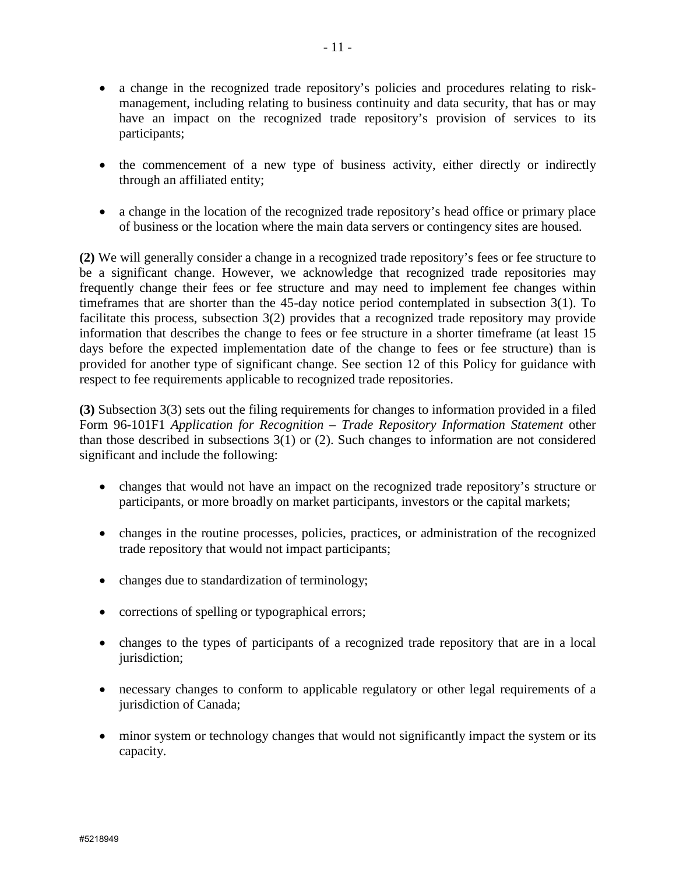- a change in the recognized trade repository's policies and procedures relating to riskmanagement, including relating to business continuity and data security, that has or may have an impact on the recognized trade repository's provision of services to its participants;
- the commencement of a new type of business activity, either directly or indirectly through an affiliated entity;
- a change in the location of the recognized trade repository's head office or primary place of business or the location where the main data servers or contingency sites are housed.

**(2)** We will generally consider a change in a recognized trade repository's fees or fee structure to be a significant change. However, we acknowledge that recognized trade repositories may frequently change their fees or fee structure and may need to implement fee changes within timeframes that are shorter than the 45-day notice period contemplated in subsection 3(1). To facilitate this process, subsection 3(2) provides that a recognized trade repository may provide information that describes the change to fees or fee structure in a shorter timeframe (at least 15 days before the expected implementation date of the change to fees or fee structure) than is provided for another type of significant change. See section 12 of this Policy for guidance with respect to fee requirements applicable to recognized trade repositories.

**(3)** Subsection 3(3) sets out the filing requirements for changes to information provided in a filed Form 96-101F1 *Application for Recognition – Trade Repository Information Statement* other than those described in subsections  $3(1)$  or (2). Such changes to information are not considered significant and include the following:

- changes that would not have an impact on the recognized trade repository's structure or participants, or more broadly on market participants, investors or the capital markets;
- changes in the routine processes, policies, practices, or administration of the recognized trade repository that would not impact participants;
- changes due to standardization of terminology;
- corrections of spelling or typographical errors;
- changes to the types of participants of a recognized trade repository that are in a local jurisdiction;
- necessary changes to conform to applicable regulatory or other legal requirements of a jurisdiction of Canada;
- minor system or technology changes that would not significantly impact the system or its capacity.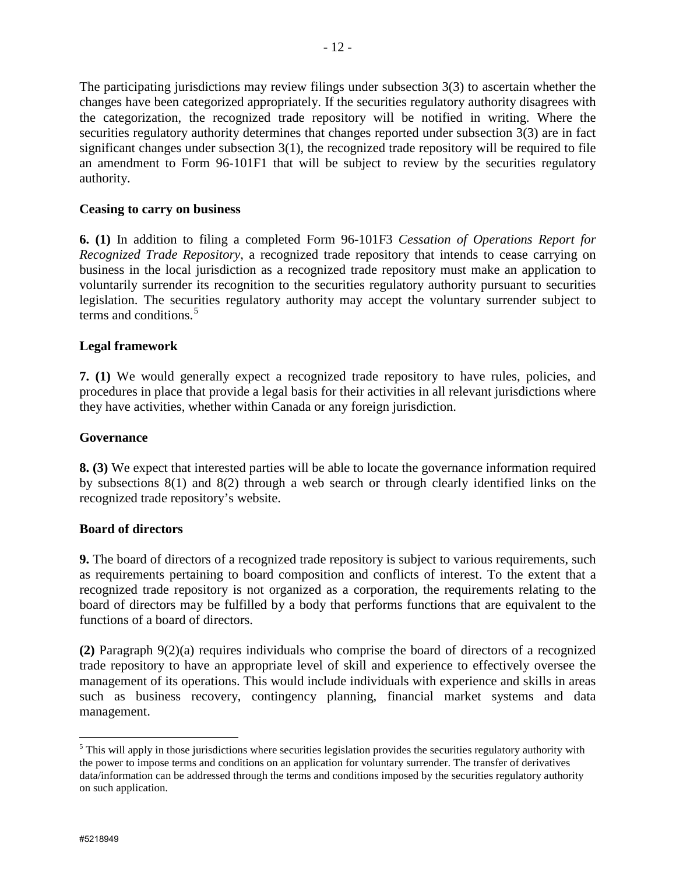The participating jurisdictions may review filings under subsection 3(3) to ascertain whether the changes have been categorized appropriately. If the securities regulatory authority disagrees with the categorization, the recognized trade repository will be notified in writing. Where the securities regulatory authority determines that changes reported under subsection 3(3) are in fact significant changes under subsection 3(1), the recognized trade repository will be required to file an amendment to Form 96-101F1 that will be subject to review by the securities regulatory authority.

## **Ceasing to carry on business**

**6. (1)** In addition to filing a completed Form 96-101F3 *Cessation of Operations Report for Recognized Trade Repository*, a recognized trade repository that intends to cease carrying on business in the local jurisdiction as a recognized trade repository must make an application to voluntarily surrender its recognition to the securities regulatory authority pursuant to securities legislation. The securities regulatory authority may accept the voluntary surrender subject to terms and conditions.<sup>[5](#page-108-0)</sup>

### **Legal framework**

**7. (1)** We would generally expect a recognized trade repository to have rules, policies, and procedures in place that provide a legal basis for their activities in all relevant jurisdictions where they have activities, whether within Canada or any foreign jurisdiction.

### **Governance**

**8. (3)** We expect that interested parties will be able to locate the governance information required by subsections 8(1) and 8(2) through a web search or through clearly identified links on the recognized trade repository's website.

### **Board of directors**

**9.** The board of directors of a recognized trade repository is subject to various requirements, such as requirements pertaining to board composition and conflicts of interest. To the extent that a recognized trade repository is not organized as a corporation, the requirements relating to the board of directors may be fulfilled by a body that performs functions that are equivalent to the functions of a board of directors.

**(2)** Paragraph 9(2)(a) requires individuals who comprise the board of directors of a recognized trade repository to have an appropriate level of skill and experience to effectively oversee the management of its operations. This would include individuals with experience and skills in areas such as business recovery, contingency planning, financial market systems and data management.

 $\overline{a}$ 

<span id="page-108-0"></span> $<sup>5</sup>$  This will apply in those jurisdictions where securities legislation provides the securities regulatory authority with</sup> the power to impose terms and conditions on an application for voluntary surrender. The transfer of derivatives data/information can be addressed through the terms and conditions imposed by the securities regulatory authority on such application.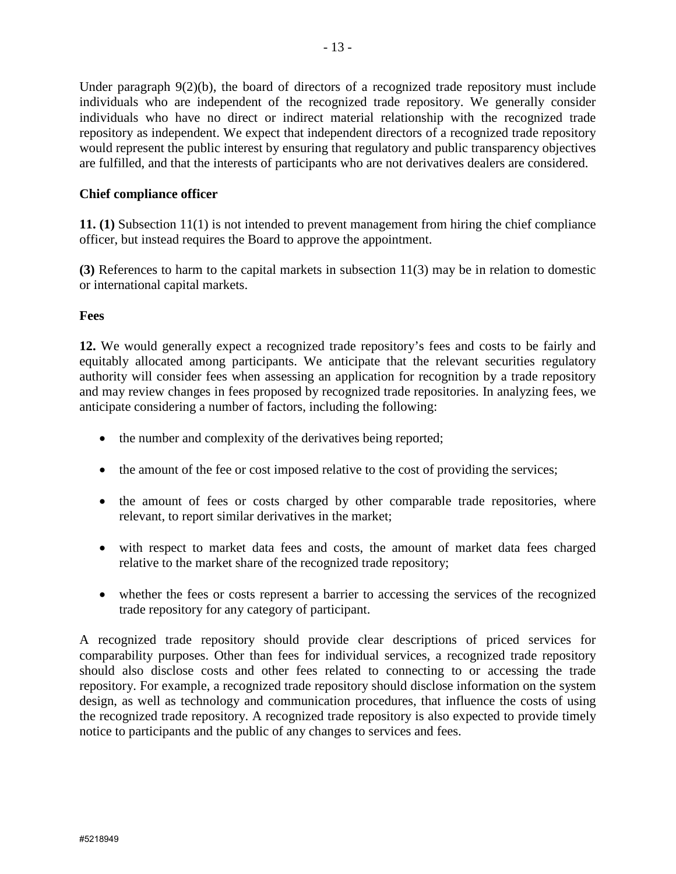Under paragraph  $9(2)(b)$ , the board of directors of a recognized trade repository must include individuals who are independent of the recognized trade repository. We generally consider individuals who have no direct or indirect material relationship with the recognized trade repository as independent. We expect that independent directors of a recognized trade repository would represent the public interest by ensuring that regulatory and public transparency objectives are fulfilled, and that the interests of participants who are not derivatives dealers are considered.

## **Chief compliance officer**

**11. (1)** Subsection 11(1) is not intended to prevent management from hiring the chief compliance officer, but instead requires the Board to approve the appointment.

**(3)** References to harm to the capital markets in subsection 11(3) may be in relation to domestic or international capital markets.

### **Fees**

**12.** We would generally expect a recognized trade repository's fees and costs to be fairly and equitably allocated among participants. We anticipate that the relevant securities regulatory authority will consider fees when assessing an application for recognition by a trade repository and may review changes in fees proposed by recognized trade repositories. In analyzing fees, we anticipate considering a number of factors, including the following:

- the number and complexity of the derivatives being reported;
- the amount of the fee or cost imposed relative to the cost of providing the services;
- the amount of fees or costs charged by other comparable trade repositories, where relevant, to report similar derivatives in the market;
- with respect to market data fees and costs, the amount of market data fees charged relative to the market share of the recognized trade repository;
- whether the fees or costs represent a barrier to accessing the services of the recognized trade repository for any category of participant.

A recognized trade repository should provide clear descriptions of priced services for comparability purposes. Other than fees for individual services, a recognized trade repository should also disclose costs and other fees related to connecting to or accessing the trade repository. For example, a recognized trade repository should disclose information on the system design, as well as technology and communication procedures, that influence the costs of using the recognized trade repository. A recognized trade repository is also expected to provide timely notice to participants and the public of any changes to services and fees.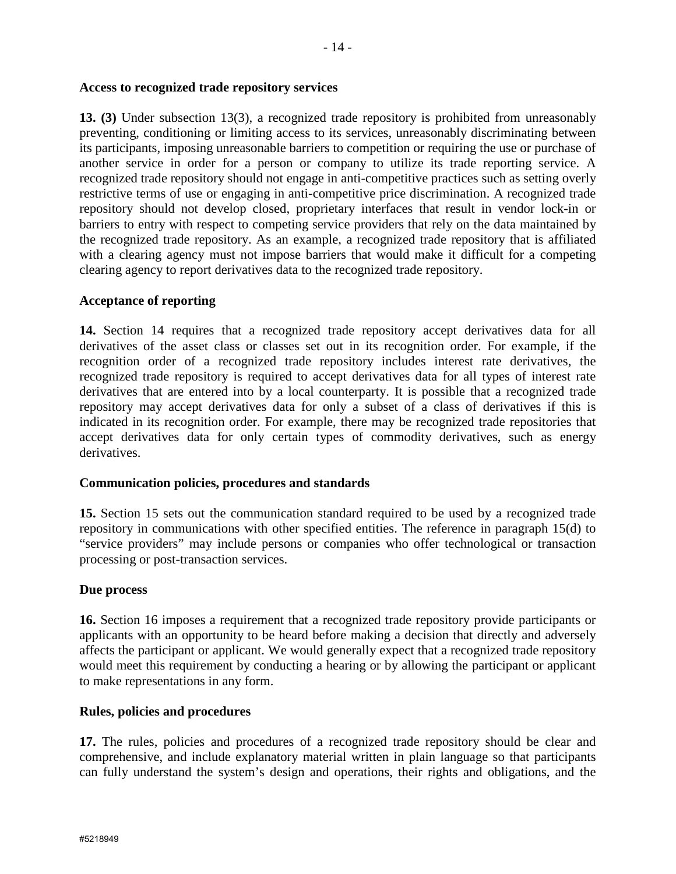### **Access to recognized trade repository services**

**13. (3)** Under subsection 13(3), a recognized trade repository is prohibited from unreasonably preventing, conditioning or limiting access to its services, unreasonably discriminating between its participants, imposing unreasonable barriers to competition or requiring the use or purchase of another service in order for a person or company to utilize its trade reporting service. A recognized trade repository should not engage in anti-competitive practices such as setting overly restrictive terms of use or engaging in anti-competitive price discrimination. A recognized trade repository should not develop closed, proprietary interfaces that result in vendor lock-in or barriers to entry with respect to competing service providers that rely on the data maintained by the recognized trade repository. As an example, a recognized trade repository that is affiliated with a clearing agency must not impose barriers that would make it difficult for a competing clearing agency to report derivatives data to the recognized trade repository.

### **Acceptance of reporting**

**14.** Section 14 requires that a recognized trade repository accept derivatives data for all derivatives of the asset class or classes set out in its recognition order. For example, if the recognition order of a recognized trade repository includes interest rate derivatives, the recognized trade repository is required to accept derivatives data for all types of interest rate derivatives that are entered into by a local counterparty. It is possible that a recognized trade repository may accept derivatives data for only a subset of a class of derivatives if this is indicated in its recognition order. For example, there may be recognized trade repositories that accept derivatives data for only certain types of commodity derivatives, such as energy derivatives.

### **Communication policies, procedures and standards**

**15.** Section 15 sets out the communication standard required to be used by a recognized trade repository in communications with other specified entities. The reference in paragraph 15(d) to "service providers" may include persons or companies who offer technological or transaction processing or post-transaction services.

### **Due process**

**16.** Section 16 imposes a requirement that a recognized trade repository provide participants or applicants with an opportunity to be heard before making a decision that directly and adversely affects the participant or applicant. We would generally expect that a recognized trade repository would meet this requirement by conducting a hearing or by allowing the participant or applicant to make representations in any form.

### **Rules, policies and procedures**

**17.** The rules, policies and procedures of a recognized trade repository should be clear and comprehensive, and include explanatory material written in plain language so that participants can fully understand the system's design and operations, their rights and obligations, and the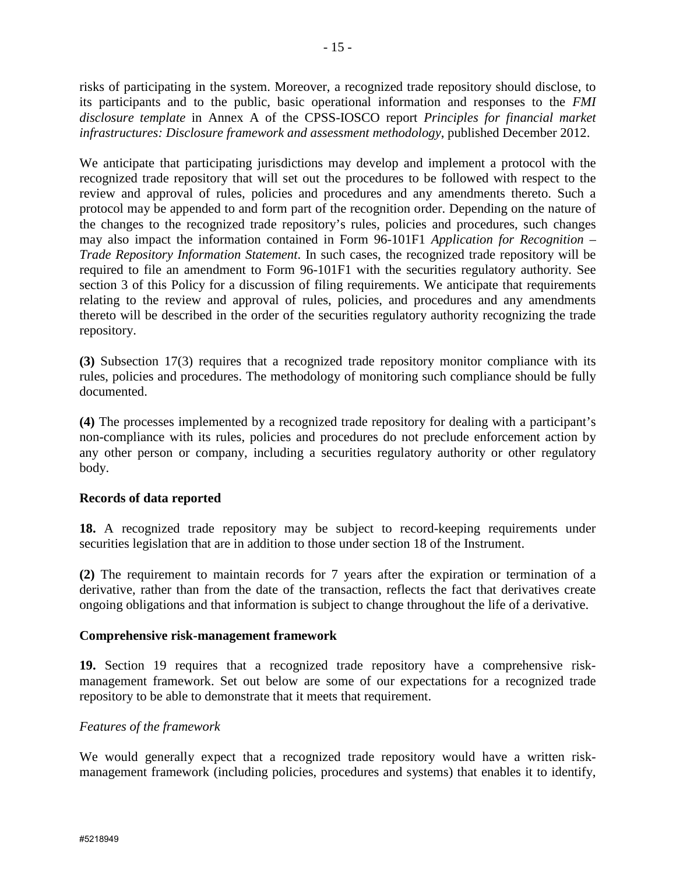risks of participating in the system. Moreover, a recognized trade repository should disclose, to its participants and to the public, basic operational information and responses to the *FMI disclosure template* in Annex A of the CPSS-IOSCO report *Principles for financial market infrastructures: Disclosure framework and assessment methodology*, published December 2012.

We anticipate that participating jurisdictions may develop and implement a protocol with the recognized trade repository that will set out the procedures to be followed with respect to the review and approval of rules, policies and procedures and any amendments thereto. Such a protocol may be appended to and form part of the recognition order. Depending on the nature of the changes to the recognized trade repository's rules, policies and procedures, such changes may also impact the information contained in Form 96-101F1 *Application for Recognition – Trade Repository Information Statement*. In such cases, the recognized trade repository will be required to file an amendment to Form 96-101F1 with the securities regulatory authority. See section 3 of this Policy for a discussion of filing requirements. We anticipate that requirements relating to the review and approval of rules, policies, and procedures and any amendments thereto will be described in the order of the securities regulatory authority recognizing the trade repository.

**(3)** Subsection 17(3) requires that a recognized trade repository monitor compliance with its rules, policies and procedures. The methodology of monitoring such compliance should be fully documented.

**(4)** The processes implemented by a recognized trade repository for dealing with a participant's non-compliance with its rules, policies and procedures do not preclude enforcement action by any other person or company, including a securities regulatory authority or other regulatory body.

### **Records of data reported**

**18.** A recognized trade repository may be subject to record-keeping requirements under securities legislation that are in addition to those under section 18 of the Instrument.

**(2)** The requirement to maintain records for 7 years after the expiration or termination of a derivative, rather than from the date of the transaction, reflects the fact that derivatives create ongoing obligations and that information is subject to change throughout the life of a derivative.

### **Comprehensive risk-management framework**

**19.** Section 19 requires that a recognized trade repository have a comprehensive riskmanagement framework. Set out below are some of our expectations for a recognized trade repository to be able to demonstrate that it meets that requirement.

### *Features of the framework*

We would generally expect that a recognized trade repository would have a written riskmanagement framework (including policies, procedures and systems) that enables it to identify,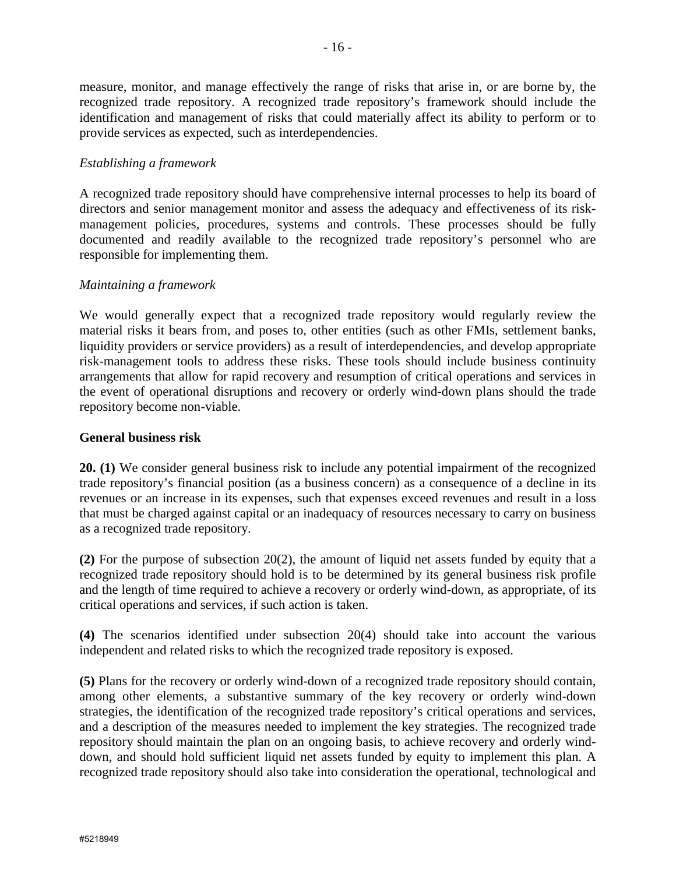measure, monitor, and manage effectively the range of risks that arise in, or are borne by, the recognized trade repository. A recognized trade repository's framework should include the identification and management of risks that could materially affect its ability to perform or to provide services as expected, such as interdependencies.

# *Establishing a framework*

A recognized trade repository should have comprehensive internal processes to help its board of directors and senior management monitor and assess the adequacy and effectiveness of its riskmanagement policies, procedures, systems and controls. These processes should be fully documented and readily available to the recognized trade repository's personnel who are responsible for implementing them.

## *Maintaining a framework*

We would generally expect that a recognized trade repository would regularly review the material risks it bears from, and poses to, other entities (such as other FMIs, settlement banks, liquidity providers or service providers) as a result of interdependencies, and develop appropriate risk-management tools to address these risks. These tools should include business continuity arrangements that allow for rapid recovery and resumption of critical operations and services in the event of operational disruptions and recovery or orderly wind-down plans should the trade repository become non-viable.

## **General business risk**

**20. (1)** We consider general business risk to include any potential impairment of the recognized trade repository's financial position (as a business concern) as a consequence of a decline in its revenues or an increase in its expenses, such that expenses exceed revenues and result in a loss that must be charged against capital or an inadequacy of resources necessary to carry on business as a recognized trade repository.

**(2)** For the purpose of subsection 20(2), the amount of liquid net assets funded by equity that a recognized trade repository should hold is to be determined by its general business risk profile and the length of time required to achieve a recovery or orderly wind-down, as appropriate, of its critical operations and services, if such action is taken.

**(4)** The scenarios identified under subsection 20(4) should take into account the various independent and related risks to which the recognized trade repository is exposed.

**(5)** Plans for the recovery or orderly wind-down of a recognized trade repository should contain, among other elements, a substantive summary of the key recovery or orderly wind-down strategies, the identification of the recognized trade repository's critical operations and services, and a description of the measures needed to implement the key strategies. The recognized trade repository should maintain the plan on an ongoing basis, to achieve recovery and orderly winddown, and should hold sufficient liquid net assets funded by equity to implement this plan. A recognized trade repository should also take into consideration the operational, technological and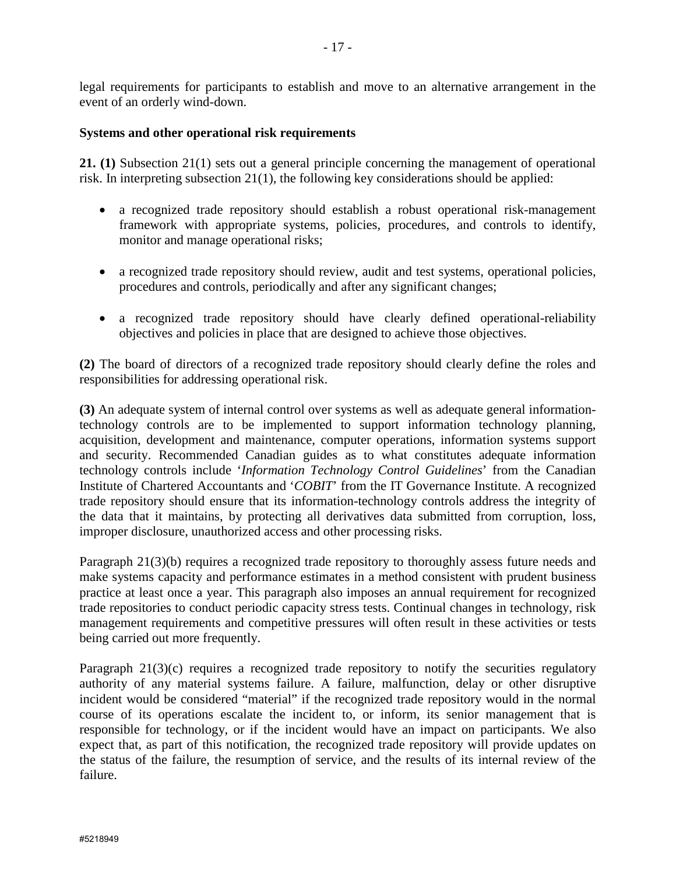legal requirements for participants to establish and move to an alternative arrangement in the event of an orderly wind-down.

### **Systems and other operational risk requirements**

**21. (1)** Subsection 21(1) sets out a general principle concerning the management of operational risk. In interpreting subsection 21(1), the following key considerations should be applied:

- a recognized trade repository should establish a robust operational risk-management framework with appropriate systems, policies, procedures, and controls to identify, monitor and manage operational risks;
- a recognized trade repository should review, audit and test systems, operational policies, procedures and controls, periodically and after any significant changes;
- a recognized trade repository should have clearly defined operational-reliability objectives and policies in place that are designed to achieve those objectives.

**(2)** The board of directors of a recognized trade repository should clearly define the roles and responsibilities for addressing operational risk.

**(3)** An adequate system of internal control over systems as well as adequate general informationtechnology controls are to be implemented to support information technology planning, acquisition, development and maintenance, computer operations, information systems support and security. Recommended Canadian guides as to what constitutes adequate information technology controls include '*Information Technology Control Guidelines*' from the Canadian Institute of Chartered Accountants and '*COBIT*' from the IT Governance Institute. A recognized trade repository should ensure that its information-technology controls address the integrity of the data that it maintains, by protecting all derivatives data submitted from corruption, loss, improper disclosure, unauthorized access and other processing risks.

Paragraph 21(3)(b) requires a recognized trade repository to thoroughly assess future needs and make systems capacity and performance estimates in a method consistent with prudent business practice at least once a year. This paragraph also imposes an annual requirement for recognized trade repositories to conduct periodic capacity stress tests. Continual changes in technology, risk management requirements and competitive pressures will often result in these activities or tests being carried out more frequently.

Paragraph 21(3)(c) requires a recognized trade repository to notify the securities regulatory authority of any material systems failure. A failure, malfunction, delay or other disruptive incident would be considered "material" if the recognized trade repository would in the normal course of its operations escalate the incident to, or inform, its senior management that is responsible for technology, or if the incident would have an impact on participants. We also expect that, as part of this notification, the recognized trade repository will provide updates on the status of the failure, the resumption of service, and the results of its internal review of the failure.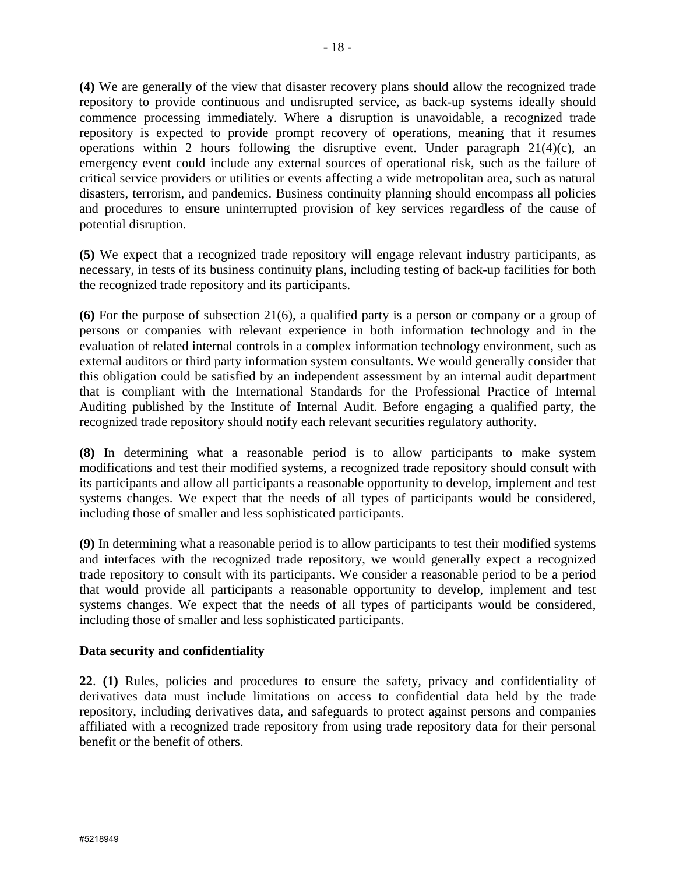**(4)** We are generally of the view that disaster recovery plans should allow the recognized trade repository to provide continuous and undisrupted service, as back-up systems ideally should commence processing immediately. Where a disruption is unavoidable, a recognized trade repository is expected to provide prompt recovery of operations, meaning that it resumes operations within 2 hours following the disruptive event. Under paragraph  $21(4)(c)$ , an emergency event could include any external sources of operational risk, such as the failure of critical service providers or utilities or events affecting a wide metropolitan area, such as natural disasters, terrorism, and pandemics. Business continuity planning should encompass all policies and procedures to ensure uninterrupted provision of key services regardless of the cause of potential disruption.

**(5)** We expect that a recognized trade repository will engage relevant industry participants, as necessary, in tests of its business continuity plans, including testing of back-up facilities for both the recognized trade repository and its participants.

**(6)** For the purpose of subsection 21(6), a qualified party is a person or company or a group of persons or companies with relevant experience in both information technology and in the evaluation of related internal controls in a complex information technology environment, such as external auditors or third party information system consultants. We would generally consider that this obligation could be satisfied by an independent assessment by an internal audit department that is compliant with the International Standards for the Professional Practice of Internal Auditing published by the Institute of Internal Audit. Before engaging a qualified party, the recognized trade repository should notify each relevant securities regulatory authority.

**(8)** In determining what a reasonable period is to allow participants to make system modifications and test their modified systems, a recognized trade repository should consult with its participants and allow all participants a reasonable opportunity to develop, implement and test systems changes. We expect that the needs of all types of participants would be considered, including those of smaller and less sophisticated participants.

**(9)** In determining what a reasonable period is to allow participants to test their modified systems and interfaces with the recognized trade repository, we would generally expect a recognized trade repository to consult with its participants. We consider a reasonable period to be a period that would provide all participants a reasonable opportunity to develop, implement and test systems changes. We expect that the needs of all types of participants would be considered, including those of smaller and less sophisticated participants.

# **Data security and confidentiality**

**22**. **(1)** Rules, policies and procedures to ensure the safety, privacy and confidentiality of derivatives data must include limitations on access to confidential data held by the trade repository, including derivatives data, and safeguards to protect against persons and companies affiliated with a recognized trade repository from using trade repository data for their personal benefit or the benefit of others.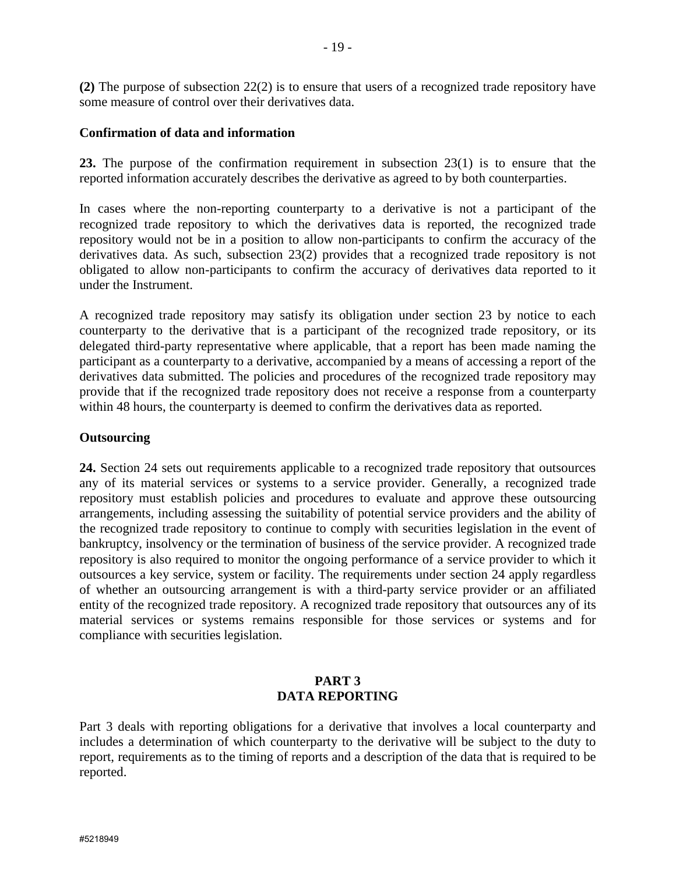**(2)** The purpose of subsection 22(2) is to ensure that users of a recognized trade repository have some measure of control over their derivatives data.

### **Confirmation of data and information**

**23.** The purpose of the confirmation requirement in subsection 23(1) is to ensure that the reported information accurately describes the derivative as agreed to by both counterparties.

In cases where the non-reporting counterparty to a derivative is not a participant of the recognized trade repository to which the derivatives data is reported, the recognized trade repository would not be in a position to allow non-participants to confirm the accuracy of the derivatives data. As such, subsection 23(2) provides that a recognized trade repository is not obligated to allow non-participants to confirm the accuracy of derivatives data reported to it under the Instrument.

A recognized trade repository may satisfy its obligation under section 23 by notice to each counterparty to the derivative that is a participant of the recognized trade repository, or its delegated third-party representative where applicable, that a report has been made naming the participant as a counterparty to a derivative, accompanied by a means of accessing a report of the derivatives data submitted. The policies and procedures of the recognized trade repository may provide that if the recognized trade repository does not receive a response from a counterparty within 48 hours, the counterparty is deemed to confirm the derivatives data as reported.

### **Outsourcing**

**24.** Section 24 sets out requirements applicable to a recognized trade repository that outsources any of its material services or systems to a service provider. Generally, a recognized trade repository must establish policies and procedures to evaluate and approve these outsourcing arrangements, including assessing the suitability of potential service providers and the ability of the recognized trade repository to continue to comply with securities legislation in the event of bankruptcy, insolvency or the termination of business of the service provider. A recognized trade repository is also required to monitor the ongoing performance of a service provider to which it outsources a key service, system or facility. The requirements under section 24 apply regardless of whether an outsourcing arrangement is with a third-party service provider or an affiliated entity of the recognized trade repository. A recognized trade repository that outsources any of its material services or systems remains responsible for those services or systems and for compliance with securities legislation.

### **PART 3 DATA REPORTING**

Part 3 deals with reporting obligations for a derivative that involves a local counterparty and includes a determination of which counterparty to the derivative will be subject to the duty to report, requirements as to the timing of reports and a description of the data that is required to be reported.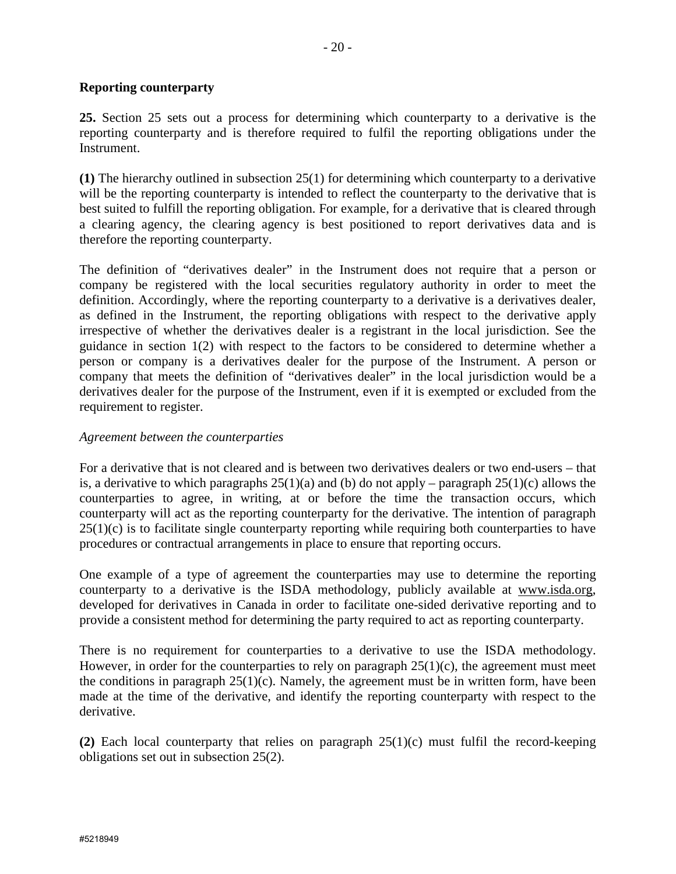## **Reporting counterparty**

**25.** Section 25 sets out a process for determining which counterparty to a derivative is the reporting counterparty and is therefore required to fulfil the reporting obligations under the Instrument.

**(1)** The hierarchy outlined in subsection 25(1) for determining which counterparty to a derivative will be the reporting counterparty is intended to reflect the counterparty to the derivative that is best suited to fulfill the reporting obligation. For example, for a derivative that is cleared through a clearing agency, the clearing agency is best positioned to report derivatives data and is therefore the reporting counterparty.

The definition of "derivatives dealer" in the Instrument does not require that a person or company be registered with the local securities regulatory authority in order to meet the definition. Accordingly, where the reporting counterparty to a derivative is a derivatives dealer, as defined in the Instrument, the reporting obligations with respect to the derivative apply irrespective of whether the derivatives dealer is a registrant in the local jurisdiction. See the guidance in section 1(2) with respect to the factors to be considered to determine whether a person or company is a derivatives dealer for the purpose of the Instrument. A person or company that meets the definition of "derivatives dealer" in the local jurisdiction would be a derivatives dealer for the purpose of the Instrument, even if it is exempted or excluded from the requirement to register.

### *Agreement between the counterparties*

For a derivative that is not cleared and is between two derivatives dealers or two end-users – that is, a derivative to which paragraphs  $25(1)(a)$  and (b) do not apply – paragraph  $25(1)(c)$  allows the counterparties to agree, in writing, at or before the time the transaction occurs, which counterparty will act as the reporting counterparty for the derivative. The intention of paragraph  $25(1)(c)$  is to facilitate single counterparty reporting while requiring both counterparties to have procedures or contractual arrangements in place to ensure that reporting occurs.

One example of a type of agreement the counterparties may use to determine the reporting counterparty to a derivative is the ISDA methodology, publicly available at www.isda.org, developed for derivatives in Canada in order to facilitate one-sided derivative reporting and to provide a consistent method for determining the party required to act as reporting counterparty.

There is no requirement for counterparties to a derivative to use the ISDA methodology. However, in order for the counterparties to rely on paragraph  $25(1)(c)$ , the agreement must meet the conditions in paragraph  $25(1)(c)$ . Namely, the agreement must be in written form, have been made at the time of the derivative, and identify the reporting counterparty with respect to the derivative.

**(2)** Each local counterparty that relies on paragraph 25(1)(c) must fulfil the record-keeping obligations set out in subsection 25(2).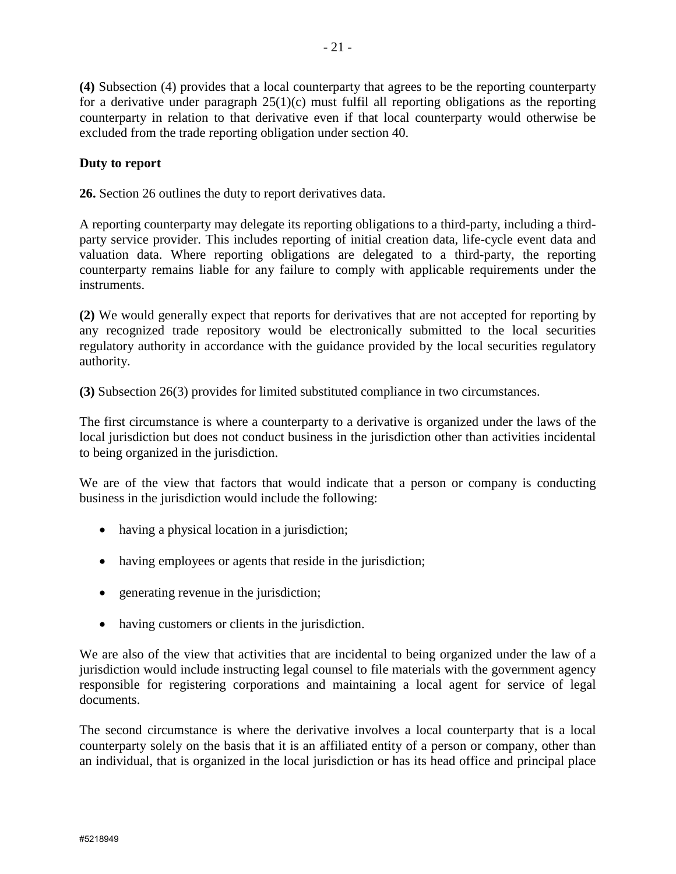**(4)** Subsection (4) provides that a local counterparty that agrees to be the reporting counterparty for a derivative under paragraph 25(1)(c) must fulfil all reporting obligations as the reporting counterparty in relation to that derivative even if that local counterparty would otherwise be excluded from the trade reporting obligation under section 40.

## **Duty to report**

**26.** Section 26 outlines the duty to report derivatives data.

A reporting counterparty may delegate its reporting obligations to a third-party, including a thirdparty service provider. This includes reporting of initial creation data, life-cycle event data and valuation data. Where reporting obligations are delegated to a third-party, the reporting counterparty remains liable for any failure to comply with applicable requirements under the instruments.

**(2)** We would generally expect that reports for derivatives that are not accepted for reporting by any recognized trade repository would be electronically submitted to the local securities regulatory authority in accordance with the guidance provided by the local securities regulatory authority.

**(3)** Subsection 26(3) provides for limited substituted compliance in two circumstances.

The first circumstance is where a counterparty to a derivative is organized under the laws of the local jurisdiction but does not conduct business in the jurisdiction other than activities incidental to being organized in the jurisdiction.

We are of the view that factors that would indicate that a person or company is conducting business in the jurisdiction would include the following:

- having a physical location in a jurisdiction;
- having employees or agents that reside in the jurisdiction;
- generating revenue in the jurisdiction;
- having customers or clients in the jurisdiction.

We are also of the view that activities that are incidental to being organized under the law of a jurisdiction would include instructing legal counsel to file materials with the government agency responsible for registering corporations and maintaining a local agent for service of legal documents.

The second circumstance is where the derivative involves a local counterparty that is a local counterparty solely on the basis that it is an affiliated entity of a person or company, other than an individual, that is organized in the local jurisdiction or has its head office and principal place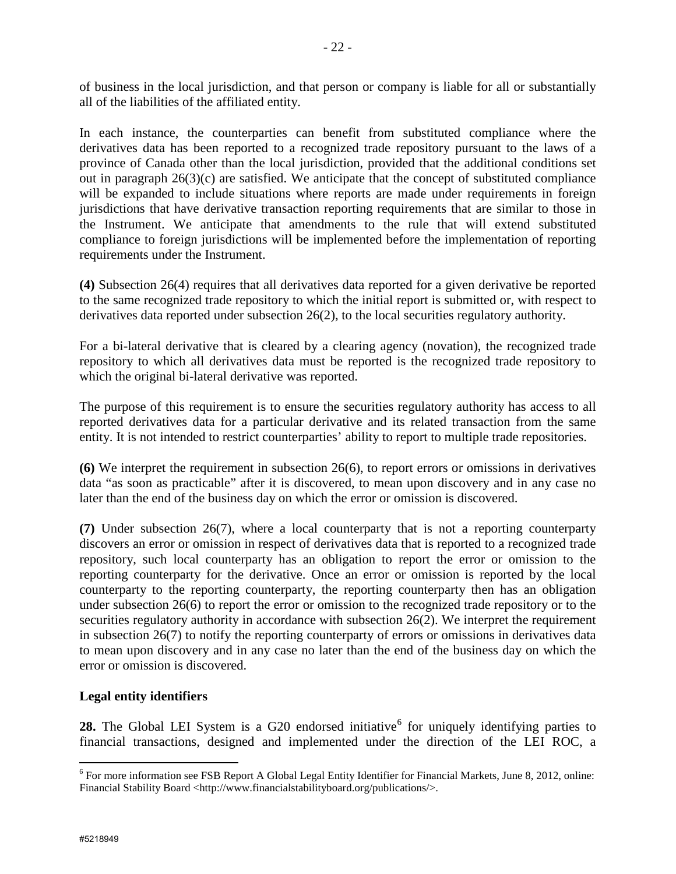of business in the local jurisdiction, and that person or company is liable for all or substantially all of the liabilities of the affiliated entity.

In each instance, the counterparties can benefit from substituted compliance where the derivatives data has been reported to a recognized trade repository pursuant to the laws of a province of Canada other than the local jurisdiction, provided that the additional conditions set out in paragraph 26(3)(c) are satisfied. We anticipate that the concept of substituted compliance will be expanded to include situations where reports are made under requirements in foreign jurisdictions that have derivative transaction reporting requirements that are similar to those in the Instrument. We anticipate that amendments to the rule that will extend substituted compliance to foreign jurisdictions will be implemented before the implementation of reporting requirements under the Instrument.

**(4)** Subsection 26(4) requires that all derivatives data reported for a given derivative be reported to the same recognized trade repository to which the initial report is submitted or, with respect to derivatives data reported under subsection 26(2), to the local securities regulatory authority.

For a bi-lateral derivative that is cleared by a clearing agency (novation), the recognized trade repository to which all derivatives data must be reported is the recognized trade repository to which the original bi-lateral derivative was reported.

The purpose of this requirement is to ensure the securities regulatory authority has access to all reported derivatives data for a particular derivative and its related transaction from the same entity. It is not intended to restrict counterparties' ability to report to multiple trade repositories.

**(6)** We interpret the requirement in subsection 26(6), to report errors or omissions in derivatives data "as soon as practicable" after it is discovered, to mean upon discovery and in any case no later than the end of the business day on which the error or omission is discovered.

**(7)** Under subsection 26(7), where a local counterparty that is not a reporting counterparty discovers an error or omission in respect of derivatives data that is reported to a recognized trade repository, such local counterparty has an obligation to report the error or omission to the reporting counterparty for the derivative. Once an error or omission is reported by the local counterparty to the reporting counterparty, the reporting counterparty then has an obligation under subsection 26(6) to report the error or omission to the recognized trade repository or to the securities regulatory authority in accordance with subsection 26(2). We interpret the requirement in subsection 26(7) to notify the reporting counterparty of errors or omissions in derivatives data to mean upon discovery and in any case no later than the end of the business day on which the error or omission is discovered.

# **Legal entity identifiers**

**28.** The Global LEI System is a G20 endorsed initiative<sup> $6$ </sup> for uniquely identifying parties to financial transactions, designed and implemented under the direction of the LEI ROC, a

 $\overline{a}$ 

<span id="page-118-0"></span><sup>&</sup>lt;sup>6</sup> For more information see FSB Report A Global Legal Entity Identifier for Financial Markets, June 8, 2012, online: Financial Stability Board <http://www.financialstabilityboard.org/publications/>.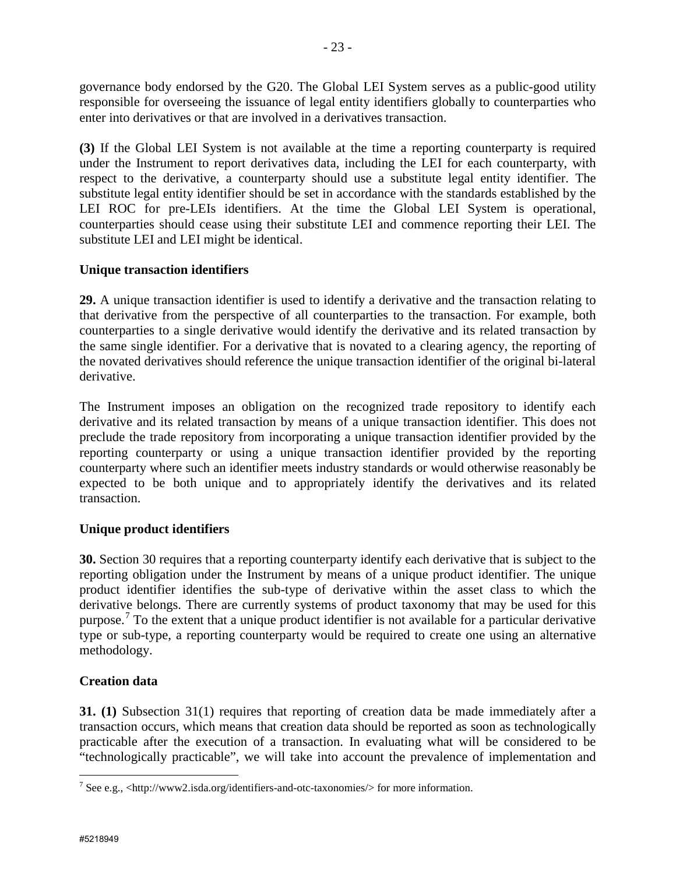governance body endorsed by the G20. The Global LEI System serves as a public-good utility responsible for overseeing the issuance of legal entity identifiers globally to counterparties who enter into derivatives or that are involved in a derivatives transaction.

**(3)** If the Global LEI System is not available at the time a reporting counterparty is required under the Instrument to report derivatives data, including the LEI for each counterparty, with respect to the derivative, a counterparty should use a substitute legal entity identifier. The substitute legal entity identifier should be set in accordance with the standards established by the LEI ROC for pre-LEIs identifiers. At the time the Global LEI System is operational, counterparties should cease using their substitute LEI and commence reporting their LEI. The substitute LEI and LEI might be identical.

# **Unique transaction identifiers**

**29.** A unique transaction identifier is used to identify a derivative and the transaction relating to that derivative from the perspective of all counterparties to the transaction. For example, both counterparties to a single derivative would identify the derivative and its related transaction by the same single identifier. For a derivative that is novated to a clearing agency, the reporting of the novated derivatives should reference the unique transaction identifier of the original bi-lateral derivative.

The Instrument imposes an obligation on the recognized trade repository to identify each derivative and its related transaction by means of a unique transaction identifier. This does not preclude the trade repository from incorporating a unique transaction identifier provided by the reporting counterparty or using a unique transaction identifier provided by the reporting counterparty where such an identifier meets industry standards or would otherwise reasonably be expected to be both unique and to appropriately identify the derivatives and its related transaction.

# **Unique product identifiers**

**30.** Section 30 requires that a reporting counterparty identify each derivative that is subject to the reporting obligation under the Instrument by means of a unique product identifier. The unique product identifier identifies the sub-type of derivative within the asset class to which the derivative belongs. There are currently systems of product taxonomy that may be used for this purpose.<sup>[7](#page-119-0)</sup> To the extent that a unique product identifier is not available for a particular derivative type or sub-type, a reporting counterparty would be required to create one using an alternative methodology.

# **Creation data**

**31. (1)** Subsection 31(1) requires that reporting of creation data be made immediately after a transaction occurs, which means that creation data should be reported as soon as technologically practicable after the execution of a transaction. In evaluating what will be considered to be "technologically practicable", we will take into account the prevalence of implementation and

<span id="page-119-0"></span><sup>&</sup>lt;sup>7</sup> See e.g., <http://www2.isda.org/identifiers-and-otc-taxonomies/> for more information.  $\overline{a}$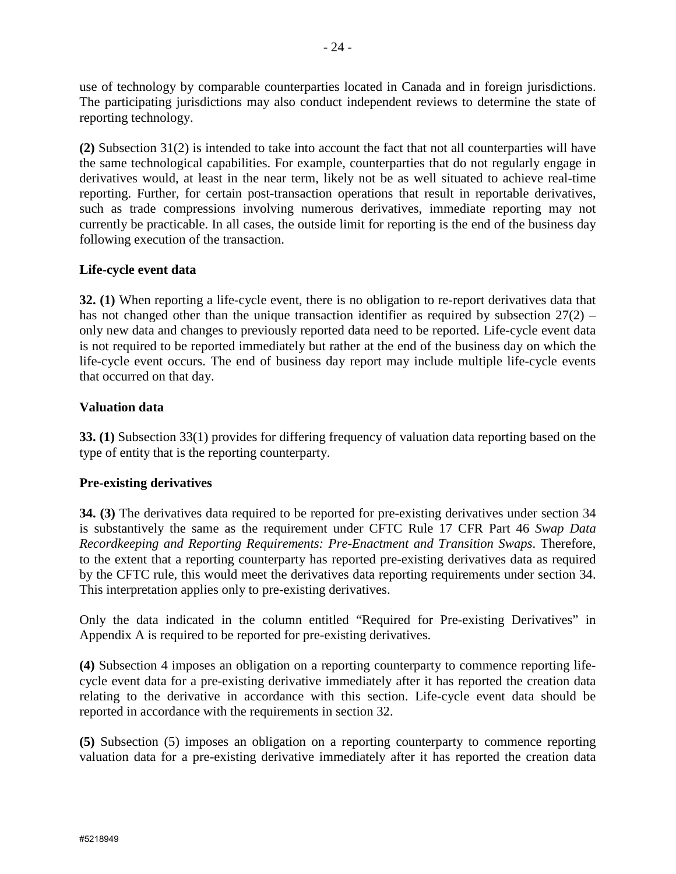use of technology by comparable counterparties located in Canada and in foreign jurisdictions. The participating jurisdictions may also conduct independent reviews to determine the state of reporting technology.

**(2)** Subsection 31(2) is intended to take into account the fact that not all counterparties will have the same technological capabilities. For example, counterparties that do not regularly engage in derivatives would, at least in the near term, likely not be as well situated to achieve real-time reporting. Further, for certain post-transaction operations that result in reportable derivatives, such as trade compressions involving numerous derivatives, immediate reporting may not currently be practicable. In all cases, the outside limit for reporting is the end of the business day following execution of the transaction.

# **Life-cycle event data**

**32. (1)** When reporting a life-cycle event, there is no obligation to re-report derivatives data that has not changed other than the unique transaction identifier as required by subsection  $27(2)$  – only new data and changes to previously reported data need to be reported. Life-cycle event data is not required to be reported immediately but rather at the end of the business day on which the life-cycle event occurs. The end of business day report may include multiple life-cycle events that occurred on that day.

## **Valuation data**

**33. (1)** Subsection 33(1) provides for differing frequency of valuation data reporting based on the type of entity that is the reporting counterparty.

### **Pre-existing derivatives**

**34. (3)** The derivatives data required to be reported for pre-existing derivatives under section 34 is substantively the same as the requirement under CFTC Rule 17 CFR Part 46 *Swap Data Recordkeeping and Reporting Requirements: Pre-Enactment and Transition Swaps*. Therefore, to the extent that a reporting counterparty has reported pre-existing derivatives data as required by the CFTC rule, this would meet the derivatives data reporting requirements under section 34. This interpretation applies only to pre-existing derivatives.

Only the data indicated in the column entitled "Required for Pre-existing Derivatives" in Appendix A is required to be reported for pre-existing derivatives.

**(4)** Subsection 4 imposes an obligation on a reporting counterparty to commence reporting lifecycle event data for a pre-existing derivative immediately after it has reported the creation data relating to the derivative in accordance with this section. Life-cycle event data should be reported in accordance with the requirements in section 32.

**(5)** Subsection (5) imposes an obligation on a reporting counterparty to commence reporting valuation data for a pre-existing derivative immediately after it has reported the creation data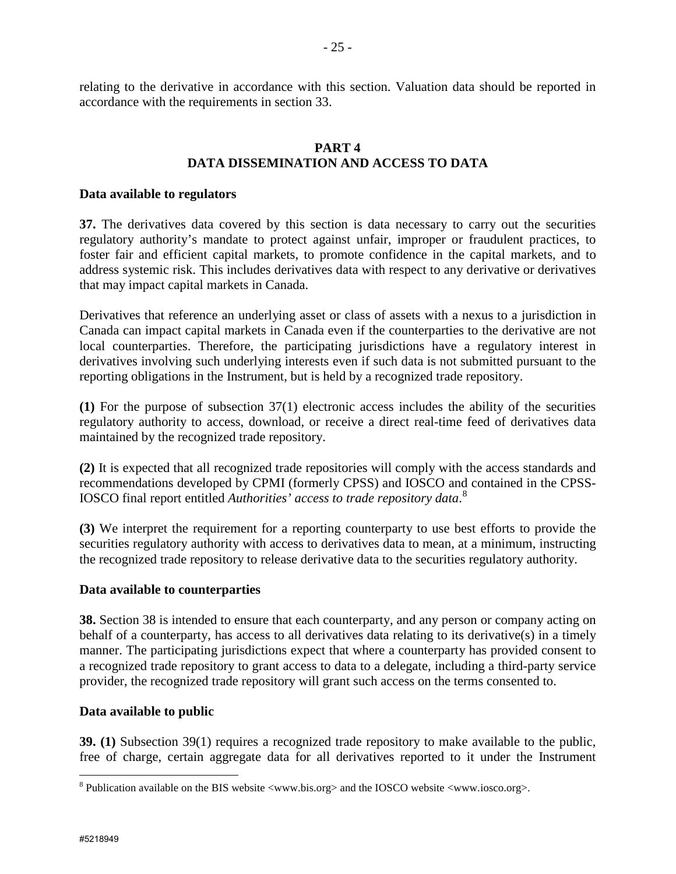relating to the derivative in accordance with this section. Valuation data should be reported in accordance with the requirements in section 33.

## **PART 4 DATA DISSEMINATION AND ACCESS TO DATA**

### **Data available to regulators**

**37.** The derivatives data covered by this section is data necessary to carry out the securities regulatory authority's mandate to protect against unfair, improper or fraudulent practices, to foster fair and efficient capital markets, to promote confidence in the capital markets, and to address systemic risk. This includes derivatives data with respect to any derivative or derivatives that may impact capital markets in Canada.

Derivatives that reference an underlying asset or class of assets with a nexus to a jurisdiction in Canada can impact capital markets in Canada even if the counterparties to the derivative are not local counterparties. Therefore, the participating jurisdictions have a regulatory interest in derivatives involving such underlying interests even if such data is not submitted pursuant to the reporting obligations in the Instrument, but is held by a recognized trade repository.

**(1)** For the purpose of subsection 37(1) electronic access includes the ability of the securities regulatory authority to access, download, or receive a direct real-time feed of derivatives data maintained by the recognized trade repository.

**(2)** It is expected that all recognized trade repositories will comply with the access standards and recommendations developed by CPMI (formerly CPSS) and IOSCO and contained in the CPSS-IOSCO final report entitled *Authorities' access to trade repository data*. [8](#page-121-0)

**(3)** We interpret the requirement for a reporting counterparty to use best efforts to provide the securities regulatory authority with access to derivatives data to mean, at a minimum, instructing the recognized trade repository to release derivative data to the securities regulatory authority.

### **Data available to counterparties**

**38.** Section 38 is intended to ensure that each counterparty, and any person or company acting on behalf of a counterparty, has access to all derivatives data relating to its derivative(s) in a timely manner. The participating jurisdictions expect that where a counterparty has provided consent to a recognized trade repository to grant access to data to a delegate, including a third-party service provider, the recognized trade repository will grant such access on the terms consented to.

### **Data available to public**

**39. (1)** Subsection 39(1) requires a recognized trade repository to make available to the public, free of charge, certain aggregate data for all derivatives reported to it under the Instrument

 $\overline{a}$ 

<span id="page-121-0"></span><sup>&</sup>lt;sup>8</sup> Publication available on the BIS website <www.bis.org> and the IOSCO website <www.iosco.org>.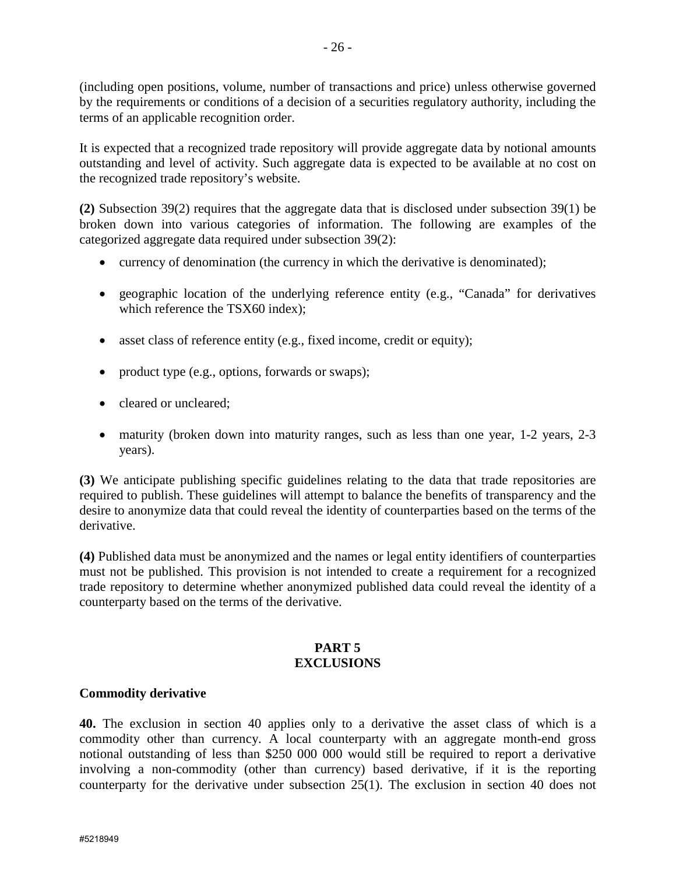(including open positions, volume, number of transactions and price) unless otherwise governed by the requirements or conditions of a decision of a securities regulatory authority, including the terms of an applicable recognition order.

It is expected that a recognized trade repository will provide aggregate data by notional amounts outstanding and level of activity. Such aggregate data is expected to be available at no cost on the recognized trade repository's website.

**(2)** Subsection 39(2) requires that the aggregate data that is disclosed under subsection 39(1) be broken down into various categories of information. The following are examples of the categorized aggregate data required under subsection 39(2):

- currency of denomination (the currency in which the derivative is denominated);
- geographic location of the underlying reference entity (e.g., "Canada" for derivatives which reference the TSX60 index):
- asset class of reference entity (e.g., fixed income, credit or equity);
- product type (e.g., options, forwards or swaps);
- cleared or uncleared;
- maturity (broken down into maturity ranges, such as less than one year, 1-2 years, 2-3 years).

**(3)** We anticipate publishing specific guidelines relating to the data that trade repositories are required to publish. These guidelines will attempt to balance the benefits of transparency and the desire to anonymize data that could reveal the identity of counterparties based on the terms of the derivative.

**(4)** Published data must be anonymized and the names or legal entity identifiers of counterparties must not be published. This provision is not intended to create a requirement for a recognized trade repository to determine whether anonymized published data could reveal the identity of a counterparty based on the terms of the derivative.

### **PART 5 EXCLUSIONS**

### **Commodity derivative**

**40.** The exclusion in section 40 applies only to a derivative the asset class of which is a commodity other than currency. A local counterparty with an aggregate month-end gross notional outstanding of less than \$250 000 000 would still be required to report a derivative involving a non-commodity (other than currency) based derivative, if it is the reporting counterparty for the derivative under subsection 25(1). The exclusion in section 40 does not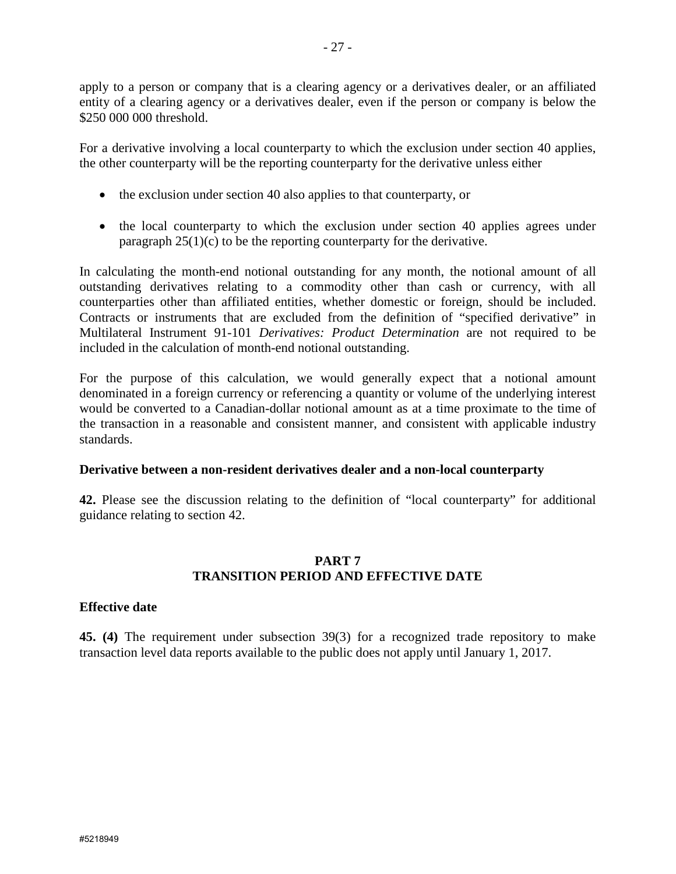apply to a person or company that is a clearing agency or a derivatives dealer, or an affiliated entity of a clearing agency or a derivatives dealer, even if the person or company is below the \$250 000 000 threshold.

For a derivative involving a local counterparty to which the exclusion under section 40 applies, the other counterparty will be the reporting counterparty for the derivative unless either

- the exclusion under section 40 also applies to that counterparty, or
- the local counterparty to which the exclusion under section 40 applies agrees under paragraph  $25(1)(c)$  to be the reporting counterparty for the derivative.

In calculating the month-end notional outstanding for any month, the notional amount of all outstanding derivatives relating to a commodity other than cash or currency, with all counterparties other than affiliated entities, whether domestic or foreign, should be included. Contracts or instruments that are excluded from the definition of "specified derivative" in Multilateral Instrument 91-101 *Derivatives: Product Determination* are not required to be included in the calculation of month-end notional outstanding.

For the purpose of this calculation, we would generally expect that a notional amount denominated in a foreign currency or referencing a quantity or volume of the underlying interest would be converted to a Canadian-dollar notional amount as at a time proximate to the time of the transaction in a reasonable and consistent manner, and consistent with applicable industry standards.

### **Derivative between a non-resident derivatives dealer and a non-local counterparty**

**42.** Please see the discussion relating to the definition of "local counterparty" for additional guidance relating to section 42.

## **PART 7 TRANSITION PERIOD AND EFFECTIVE DATE**

### **Effective date**

**45. (4)** The requirement under subsection 39(3) for a recognized trade repository to make transaction level data reports available to the public does not apply until January 1, 2017.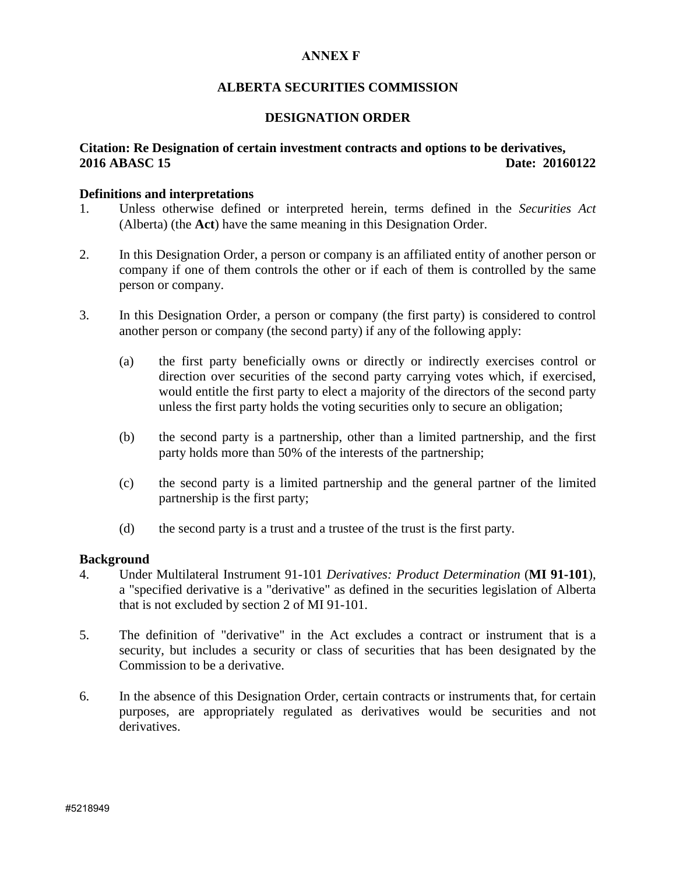## **ANNEX F**

## **ALBERTA SECURITIES COMMISSION**

### **DESIGNATION ORDER**

## **Citation: Re Designation of certain investment contracts and options to be derivatives, 2016 ABASC 15 Date: 20160122**

### **Definitions and interpretations**

- 1. Unless otherwise defined or interpreted herein, terms defined in the *Securities Act* (Alberta) (the **Act**) have the same meaning in this Designation Order.
- 2. In this Designation Order, a person or company is an affiliated entity of another person or company if one of them controls the other or if each of them is controlled by the same person or company.
- 3. In this Designation Order, a person or company (the first party) is considered to control another person or company (the second party) if any of the following apply:
	- (a) the first party beneficially owns or directly or indirectly exercises control or direction over securities of the second party carrying votes which, if exercised, would entitle the first party to elect a majority of the directors of the second party unless the first party holds the voting securities only to secure an obligation;
	- (b) the second party is a partnership, other than a limited partnership, and the first party holds more than 50% of the interests of the partnership;
	- (c) the second party is a limited partnership and the general partner of the limited partnership is the first party;
	- (d) the second party is a trust and a trustee of the trust is the first party.

### **Background**

- 4. Under Multilateral Instrument 91-101 *Derivatives: Product Determination* (**MI 91-101**), a "specified derivative is a "derivative" as defined in the securities legislation of Alberta that is not excluded by section 2 of MI 91-101.
- 5. The definition of "derivative" in the Act excludes a contract or instrument that is a security, but includes a security or class of securities that has been designated by the Commission to be a derivative.
- 6. In the absence of this Designation Order, certain contracts or instruments that, for certain purposes, are appropriately regulated as derivatives would be securities and not derivatives.